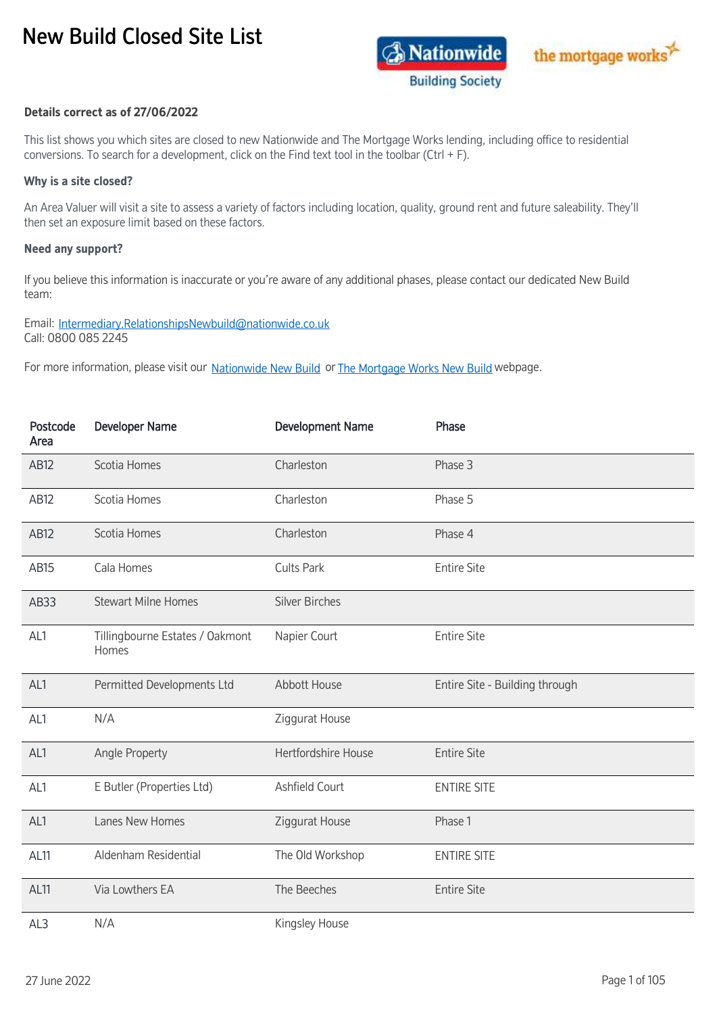## New Build Closed Site List





## **Details correct as of 27/06/2022**

This list shows you which sites are closed to new Nationwide and The Mortgage Works lending, including office to residential conversions. To search for a development, click on the Find text tool in the toolbar (Ctrl + F).

## **Why is a site closed?**

An Area Valuer will visit a site to assess a variety of factors including location, quality, ground rent and future saleability. They'll then set an exposure limit based on these factors.

## **Need any support?**

If you believe this information is inaccurate or you're aware of any additional phases, please contact our dedicated New Build team:

Email: [Intermediary.RelationshipsNewbuild@nationwide.co.uk](mailto:Intermediary.RelationshipsNewbuild@nationwide.co.uk) Call: 0800 085 2245

F[o](https://www.nationwide-intermediary.co.uk/lending-criteria/new-build-hub)r more information, please visit our Nationwide New Build or The Mortgage Works New Build [w](https://www.themortgageworks.co.uk/lending-criteria/new-build-hub)ebpage.

| Postcode<br>Area | <b>Developer Name</b>                    | <b>Development Name</b> | Phase                          |
|------------------|------------------------------------------|-------------------------|--------------------------------|
| <b>AB12</b>      | Scotia Homes                             | Charleston              | Phase 3                        |
| AB12             | Scotia Homes                             | Charleston              | Phase 5                        |
| <b>AB12</b>      | Scotia Homes                             | Charleston              | Phase 4                        |
| AB15             | Cala Homes                               | <b>Cults Park</b>       | <b>Entire Site</b>             |
| AB33             | <b>Stewart Milne Homes</b>               | <b>Silver Birches</b>   |                                |
| AL1              | Tillingbourne Estates / Oakmont<br>Homes | Napier Court            | <b>Entire Site</b>             |
| AL1              | Permitted Developments Ltd               | Abbott House            | Entire Site - Building through |
| AL1              | N/A                                      | Ziggurat House          |                                |
| AL1              | Angle Property                           | Hertfordshire House     | <b>Entire Site</b>             |
| AL1              | E Butler (Properties Ltd)                | Ashfield Court          | <b>ENTIRE SITE</b>             |
| AL1              | Lanes New Homes                          | Ziggurat House          | Phase 1                        |
| AL11             | Aldenham Residential                     | The Old Workshop        | <b>ENTIRE SITE</b>             |
| AL <sub>11</sub> | Via Lowthers EA                          | The Beeches             | <b>Entire Site</b>             |
| AL3              | N/A                                      | Kingsley House          |                                |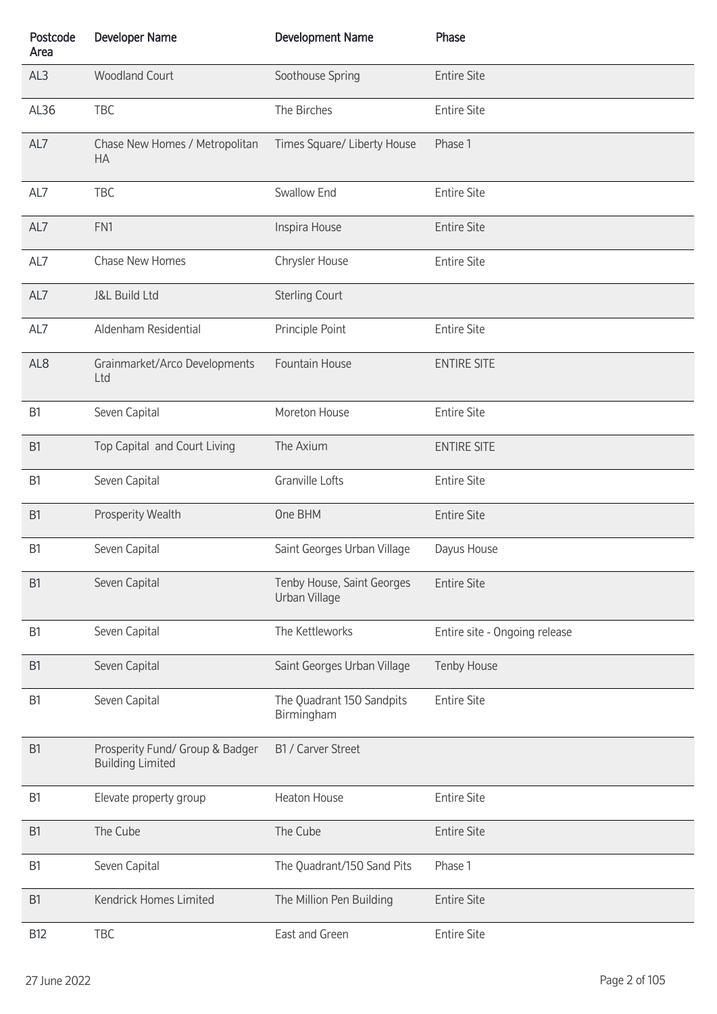| Postcode<br>Area | <b>Developer Name</b>                                      | <b>Development Name</b>                     | Phase                         |
|------------------|------------------------------------------------------------|---------------------------------------------|-------------------------------|
| AL3              | <b>Woodland Court</b>                                      | Soothouse Spring                            | <b>Entire Site</b>            |
| AL36             | TBC                                                        | The Birches                                 | <b>Entire Site</b>            |
| AL7              | Chase New Homes / Metropolitan<br><b>HA</b>                | Times Square/ Liberty House                 | Phase 1                       |
| AL7              | TBC                                                        | Swallow End                                 | <b>Entire Site</b>            |
| AL7              | FN1                                                        | Inspira House                               | <b>Entire Site</b>            |
| AL7              | Chase New Homes                                            | Chrysler House                              | <b>Entire Site</b>            |
| AL7              | <b>J&amp;L Build Ltd</b>                                   | <b>Sterling Court</b>                       |                               |
| AL7              | Aldenham Residential                                       | Principle Point                             | <b>Entire Site</b>            |
| AL <sub>8</sub>  | Grainmarket/Arco Developments<br>Ltd                       | Fountain House                              | <b>ENTIRE SITE</b>            |
| B1               | Seven Capital                                              | Moreton House                               | <b>Entire Site</b>            |
| B <sub>1</sub>   | Top Capital and Court Living                               | The Axium                                   | <b>ENTIRE SITE</b>            |
| B <sub>1</sub>   | Seven Capital                                              | Granville Lofts                             | <b>Entire Site</b>            |
| B <sub>1</sub>   | Prosperity Wealth                                          | One BHM                                     | <b>Entire Site</b>            |
| B <sub>1</sub>   | Seven Capital                                              | Saint Georges Urban Village                 | Dayus House                   |
| B <sub>1</sub>   | Seven Capital                                              | Tenby House, Saint Georges<br>Urban Village | <b>Entire Site</b>            |
| B1               | Seven Capital                                              | The Kettleworks                             | Entire site - Ongoing release |
| B <sub>1</sub>   | Seven Capital                                              | Saint Georges Urban Village                 | Tenby House                   |
| B1               | Seven Capital                                              | The Quadrant 150 Sandpits<br>Birmingham     | <b>Entire Site</b>            |
| B <sub>1</sub>   | Prosperity Fund/ Group & Badger<br><b>Building Limited</b> | B1 / Carver Street                          |                               |
| B <sub>1</sub>   | Elevate property group                                     | <b>Heaton House</b>                         | <b>Entire Site</b>            |
| B <sub>1</sub>   | The Cube                                                   | The Cube                                    | <b>Entire Site</b>            |
| B1               | Seven Capital                                              | The Quadrant/150 Sand Pits                  | Phase 1                       |
| B <sub>1</sub>   | Kendrick Homes Limited                                     | The Million Pen Building                    | <b>Entire Site</b>            |
| <b>B12</b>       | TBC                                                        | East and Green                              | <b>Entire Site</b>            |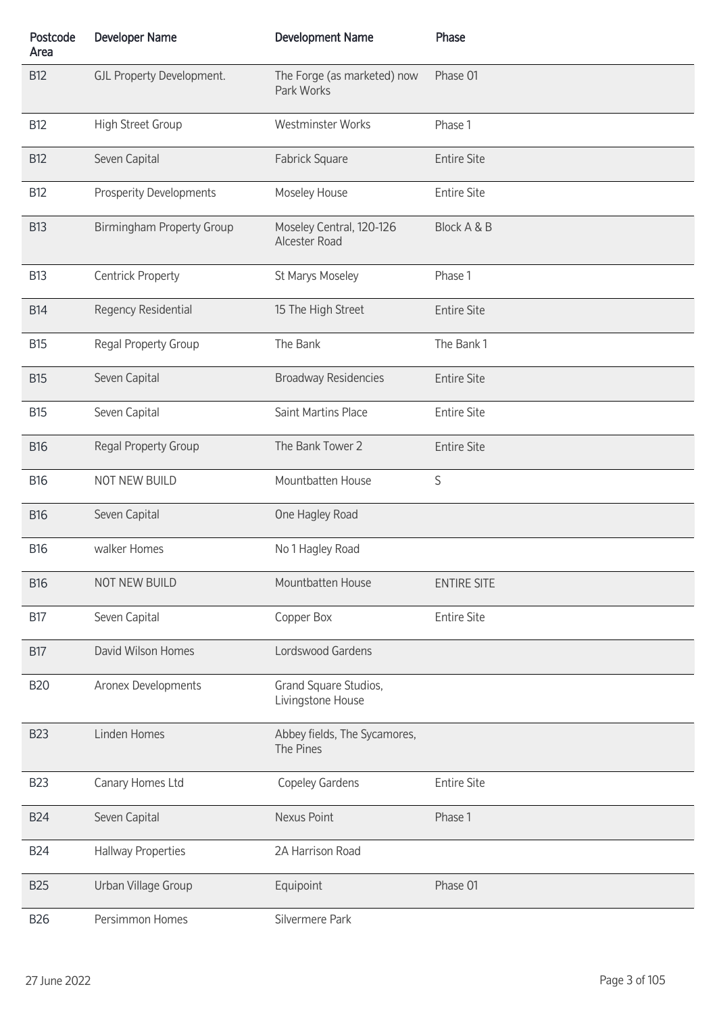| Postcode<br>Area | <b>Developer Name</b>            | <b>Development Name</b>                    | Phase              |
|------------------|----------------------------------|--------------------------------------------|--------------------|
| <b>B12</b>       | GJL Property Development.        | The Forge (as marketed) now<br>Park Works  | Phase 01           |
| <b>B12</b>       | High Street Group                | Westminster Works                          | Phase 1            |
| <b>B12</b>       | Seven Capital                    | Fabrick Square                             | <b>Entire Site</b> |
| <b>B12</b>       | <b>Prosperity Developments</b>   | Moseley House                              | <b>Entire Site</b> |
| <b>B13</b>       | <b>Birmingham Property Group</b> | Moseley Central, 120-126<br>Alcester Road  | Block A & B        |
| <b>B13</b>       | <b>Centrick Property</b>         | St Marys Moseley                           | Phase 1            |
| <b>B14</b>       | Regency Residential              | 15 The High Street                         | <b>Entire Site</b> |
| <b>B15</b>       | Regal Property Group             | The Bank                                   | The Bank 1         |
| <b>B15</b>       | Seven Capital                    | <b>Broadway Residencies</b>                | <b>Entire Site</b> |
| <b>B15</b>       | Seven Capital                    | Saint Martins Place                        | <b>Entire Site</b> |
| <b>B16</b>       | Regal Property Group             | The Bank Tower 2                           | <b>Entire Site</b> |
| <b>B16</b>       | NOT NEW BUILD                    | Mountbatten House                          | S                  |
| <b>B16</b>       | Seven Capital                    | One Hagley Road                            |                    |
| <b>B16</b>       | walker Homes                     | No 1 Hagley Road                           |                    |
| <b>B16</b>       | NOT NEW BUILD                    | Mountbatten House                          | <b>ENTIRE SITE</b> |
| <b>B17</b>       | Seven Capital                    | Copper Box                                 | <b>Entire Site</b> |
| <b>B17</b>       | David Wilson Homes               | Lordswood Gardens                          |                    |
| <b>B20</b>       | Aronex Developments              | Grand Square Studios,<br>Livingstone House |                    |
| <b>B23</b>       | Linden Homes                     | Abbey fields, The Sycamores,<br>The Pines  |                    |
| <b>B23</b>       | Canary Homes Ltd                 | Copeley Gardens                            | <b>Entire Site</b> |
| <b>B24</b>       | Seven Capital                    | Nexus Point                                | Phase 1            |
| <b>B24</b>       | <b>Hallway Properties</b>        | 2A Harrison Road                           |                    |
| <b>B25</b>       | Urban Village Group              | Equipoint                                  | Phase 01           |
| <b>B26</b>       | Persimmon Homes                  | Silvermere Park                            |                    |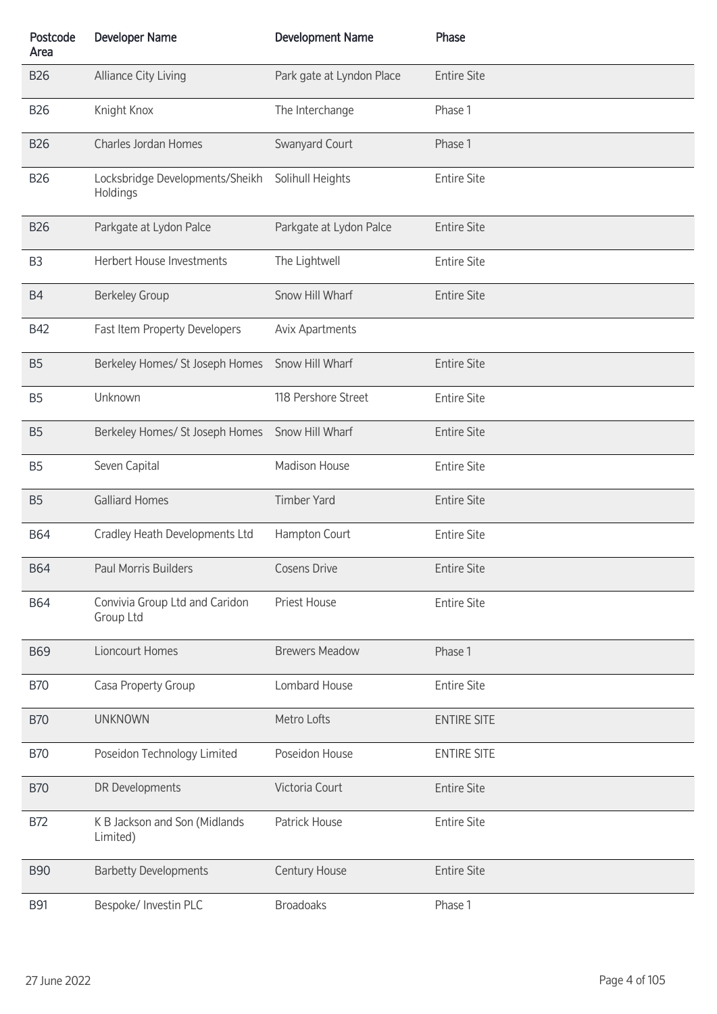| Postcode<br>Area | <b>Developer Name</b>                       | <b>Development Name</b>   | Phase              |
|------------------|---------------------------------------------|---------------------------|--------------------|
| <b>B26</b>       | Alliance City Living                        | Park gate at Lyndon Place | <b>Entire Site</b> |
| <b>B26</b>       | Knight Knox                                 | The Interchange           | Phase 1            |
| <b>B26</b>       | Charles Jordan Homes                        | Swanyard Court            | Phase 1            |
| <b>B26</b>       | Locksbridge Developments/Sheikh<br>Holdings | Solihull Heights          | <b>Entire Site</b> |
| <b>B26</b>       | Parkgate at Lydon Palce                     | Parkgate at Lydon Palce   | <b>Entire Site</b> |
| B <sub>3</sub>   | Herbert House Investments                   | The Lightwell             | <b>Entire Site</b> |
| <b>B4</b>        | <b>Berkeley Group</b>                       | Snow Hill Wharf           | <b>Entire Site</b> |
| <b>B42</b>       | Fast Item Property Developers               | <b>Avix Apartments</b>    |                    |
| B <sub>5</sub>   | Berkeley Homes/ St Joseph Homes             | Snow Hill Wharf           | <b>Entire Site</b> |
| B <sub>5</sub>   | Unknown                                     | 118 Pershore Street       | <b>Entire Site</b> |
| <b>B5</b>        | Berkeley Homes/ St Joseph Homes             | Snow Hill Wharf           | <b>Entire Site</b> |
| B <sub>5</sub>   | Seven Capital                               | <b>Madison House</b>      | <b>Entire Site</b> |
| <b>B5</b>        | <b>Galliard Homes</b>                       | <b>Timber Yard</b>        | <b>Entire Site</b> |
| <b>B64</b>       | Cradley Heath Developments Ltd              | Hampton Court             | <b>Entire Site</b> |
| <b>B64</b>       | Paul Morris Builders                        | <b>Cosens Drive</b>       | <b>Entire Site</b> |
| <b>B64</b>       | Convivia Group Ltd and Caridon<br>Group Ltd | <b>Priest House</b>       | <b>Entire Site</b> |
| <b>B69</b>       | Lioncourt Homes                             | <b>Brewers Meadow</b>     | Phase 1            |
| <b>B70</b>       | Casa Property Group                         | Lombard House             | <b>Entire Site</b> |
| <b>B70</b>       | <b>UNKNOWN</b>                              | Metro Lofts               | <b>ENTIRE SITE</b> |
| <b>B70</b>       | Poseidon Technology Limited                 | Poseidon House            | <b>ENTIRE SITE</b> |
| <b>B70</b>       | DR Developments                             | Victoria Court            | <b>Entire Site</b> |
| <b>B72</b>       | K B Jackson and Son (Midlands<br>Limited)   | Patrick House             | <b>Entire Site</b> |
| <b>B90</b>       | <b>Barbetty Developments</b>                | Century House             | <b>Entire Site</b> |
| <b>B91</b>       | Bespoke/ Investin PLC                       | <b>Broadoaks</b>          | Phase 1            |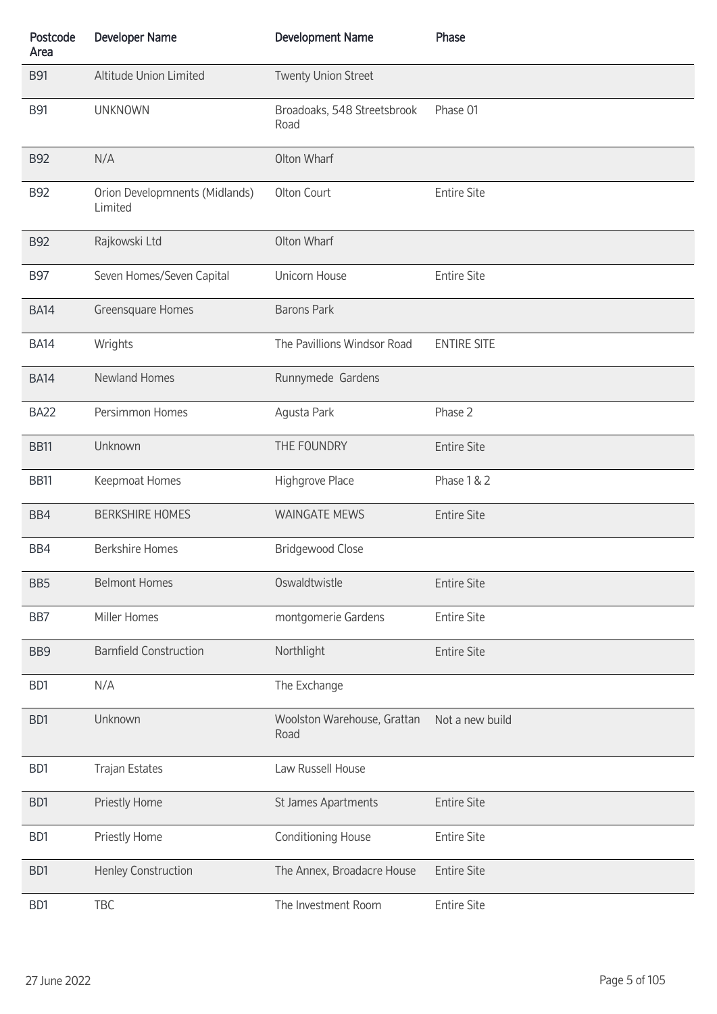| Postcode<br>Area | <b>Developer Name</b>                     | <b>Development Name</b>             | Phase              |
|------------------|-------------------------------------------|-------------------------------------|--------------------|
| <b>B91</b>       | Altitude Union Limited                    | <b>Twenty Union Street</b>          |                    |
| <b>B91</b>       | <b>UNKNOWN</b>                            | Broadoaks, 548 Streetsbrook<br>Road | Phase 01           |
| <b>B92</b>       | N/A                                       | Olton Wharf                         |                    |
| <b>B92</b>       | Orion Developmnents (Midlands)<br>Limited | Olton Court                         | <b>Entire Site</b> |
| <b>B92</b>       | Rajkowski Ltd                             | Olton Wharf                         |                    |
| <b>B97</b>       | Seven Homes/Seven Capital                 | Unicorn House                       | <b>Entire Site</b> |
| <b>BA14</b>      | Greensquare Homes                         | <b>Barons Park</b>                  |                    |
| <b>BA14</b>      | Wrights                                   | The Pavillions Windsor Road         | <b>ENTIRE SITE</b> |
| <b>BA14</b>      | <b>Newland Homes</b>                      | Runnymede Gardens                   |                    |
| <b>BA22</b>      | Persimmon Homes                           | Agusta Park                         | Phase 2            |
| <b>BB11</b>      | Unknown                                   | THE FOUNDRY                         | <b>Entire Site</b> |
| <b>BB11</b>      | Keepmoat Homes                            | Highgrove Place                     | Phase 1 & 2        |
| BB4              | <b>BERKSHIRE HOMES</b>                    | <b>WAINGATE MEWS</b>                | <b>Entire Site</b> |
| BB4              | <b>Berkshire Homes</b>                    | <b>Bridgewood Close</b>             |                    |
| BB <sub>5</sub>  | <b>Belmont Homes</b>                      | Oswaldtwistle                       | <b>Entire Site</b> |
| BB7              | Miller Homes                              | montgomerie Gardens                 | <b>Entire Site</b> |
| BB <sub>9</sub>  | <b>Barnfield Construction</b>             | Northlight                          | <b>Entire Site</b> |
| BD1              | N/A                                       | The Exchange                        |                    |
| BD1              | Unknown                                   | Woolston Warehouse, Grattan<br>Road | Not a new build    |
| BD1              | <b>Trajan Estates</b>                     | Law Russell House                   |                    |
| B <sub>D</sub> 1 | Priestly Home                             | St James Apartments                 | <b>Entire Site</b> |
| BD1              | Priestly Home                             | Conditioning House                  | <b>Entire Site</b> |
| B <sub>D</sub> 1 | Henley Construction                       | The Annex, Broadacre House          | <b>Entire Site</b> |
| BD1              | TBC                                       | The Investment Room                 | <b>Entire Site</b> |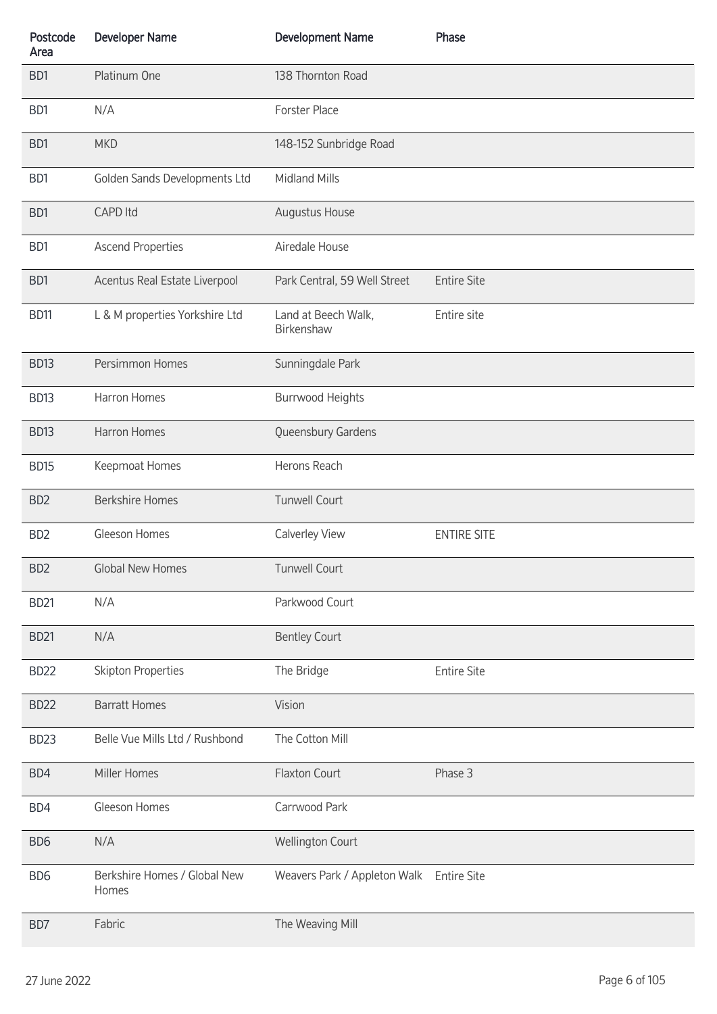| Postcode<br>Area | <b>Developer Name</b>                 | <b>Development Name</b>           | Phase              |
|------------------|---------------------------------------|-----------------------------------|--------------------|
| BD1              | Platinum One                          | 138 Thornton Road                 |                    |
| B <sub>D</sub> 1 | N/A                                   | <b>Forster Place</b>              |                    |
| B <sub>D</sub> 1 | <b>MKD</b>                            | 148-152 Sunbridge Road            |                    |
| B <sub>D</sub> 1 | Golden Sands Developments Ltd         | Midland Mills                     |                    |
| BD1              | <b>CAPD Itd</b>                       | Augustus House                    |                    |
| B <sub>D</sub> 1 | <b>Ascend Properties</b>              | Airedale House                    |                    |
| B <sub>D</sub> 1 | Acentus Real Estate Liverpool         | Park Central, 59 Well Street      | <b>Entire Site</b> |
| BD11             | L & M properties Yorkshire Ltd        | Land at Beech Walk,<br>Birkenshaw | Entire site        |
| <b>BD13</b>      | Persimmon Homes                       | Sunningdale Park                  |                    |
| BD <sub>13</sub> | Harron Homes                          | <b>Burrwood Heights</b>           |                    |
| <b>BD13</b>      | Harron Homes                          | Queensbury Gardens                |                    |
| <b>BD15</b>      | Keepmoat Homes                        | Herons Reach                      |                    |
| BD <sub>2</sub>  | <b>Berkshire Homes</b>                | <b>Tunwell Court</b>              |                    |
| BD <sub>2</sub>  | Gleeson Homes                         | Calverley View                    | <b>ENTIRE SITE</b> |
| BD <sub>2</sub>  | Global New Homes                      | <b>Tunwell Court</b>              |                    |
| BD <sub>21</sub> | N/A                                   | Parkwood Court                    |                    |
| <b>BD21</b>      | N/A                                   | <b>Bentley Court</b>              |                    |
| <b>BD22</b>      | <b>Skipton Properties</b>             | The Bridge                        | <b>Entire Site</b> |
| <b>BD22</b>      | <b>Barratt Homes</b>                  | Vision                            |                    |
| <b>BD23</b>      | Belle Vue Mills Ltd / Rushbond        | The Cotton Mill                   |                    |
| BD4              | Miller Homes                          | Flaxton Court                     | Phase 3            |
| BD4              | Gleeson Homes                         | Carrwood Park                     |                    |
| BD <sub>6</sub>  | N/A                                   | <b>Wellington Court</b>           |                    |
| BD <sub>6</sub>  | Berkshire Homes / Global New<br>Homes | Weavers Park / Appleton Walk      | <b>Entire Site</b> |
| BD7              | Fabric                                | The Weaving Mill                  |                    |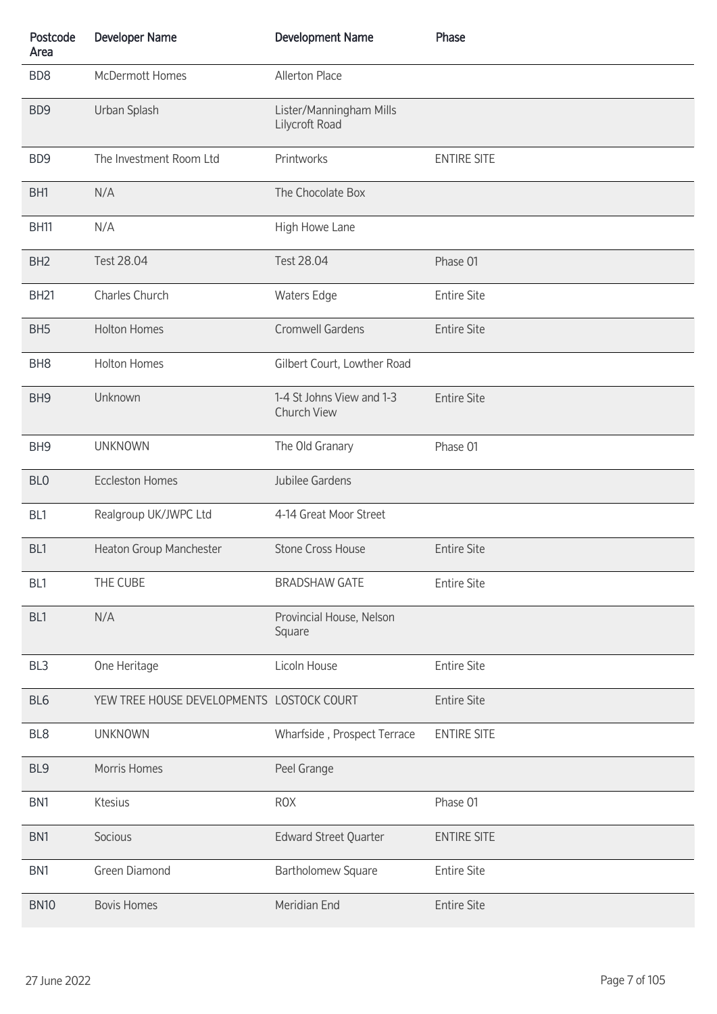| Postcode<br>Area | <b>Developer Name</b>                     | <b>Development Name</b>                   | Phase              |
|------------------|-------------------------------------------|-------------------------------------------|--------------------|
| BD <sub>8</sub>  | McDermott Homes                           | Allerton Place                            |                    |
| BD <sub>9</sub>  | Urban Splash                              | Lister/Manningham Mills<br>Lilycroft Road |                    |
| BD <sub>9</sub>  | The Investment Room Ltd                   | Printworks                                | <b>ENTIRE SITE</b> |
| BH1              | N/A                                       | The Chocolate Box                         |                    |
| <b>BH11</b>      | N/A                                       | High Howe Lane                            |                    |
| BH <sub>2</sub>  | Test 28.04                                | Test 28.04                                | Phase 01           |
| <b>BH21</b>      | Charles Church                            | <b>Waters Edge</b>                        | <b>Entire Site</b> |
| BH <sub>5</sub>  | <b>Holton Homes</b>                       | <b>Cromwell Gardens</b>                   | <b>Entire Site</b> |
| BH <sub>8</sub>  | <b>Holton Homes</b>                       | Gilbert Court, Lowther Road               |                    |
| BH <sub>9</sub>  | Unknown                                   | 1-4 St Johns View and 1-3<br>Church View  | <b>Entire Site</b> |
| BH <sub>9</sub>  | <b>UNKNOWN</b>                            | The Old Granary                           | Phase 01           |
| BL <sub>0</sub>  | <b>Eccleston Homes</b>                    | Jubilee Gardens                           |                    |
| BL1              | Realgroup UK/JWPC Ltd                     | 4-14 Great Moor Street                    |                    |
| BL1              | Heaton Group Manchester                   | <b>Stone Cross House</b>                  | <b>Entire Site</b> |
| BL1              | THE CUBE                                  | <b>BRADSHAW GATE</b>                      | <b>Entire Site</b> |
| BL1              | N/A                                       | Provincial House, Nelson<br>Square        |                    |
| BL <sub>3</sub>  | One Heritage                              | Licoln House                              | <b>Entire Site</b> |
| BL <sub>6</sub>  | YEW TREE HOUSE DEVELOPMENTS LOSTOCK COURT |                                           | <b>Entire Site</b> |
| BL <sub>8</sub>  | <b>UNKNOWN</b>                            | Wharfside, Prospect Terrace               | <b>ENTIRE SITE</b> |
| BL9              | Morris Homes                              | Peel Grange                               |                    |
| BN <sub>1</sub>  | Ktesius                                   | <b>ROX</b>                                | Phase 01           |
| BN1              | Socious                                   | Edward Street Quarter                     | <b>ENTIRE SITE</b> |
| BN <sub>1</sub>  | Green Diamond                             | <b>Bartholomew Square</b>                 | <b>Entire Site</b> |
| <b>BN10</b>      | <b>Bovis Homes</b>                        | Meridian End                              | <b>Entire Site</b> |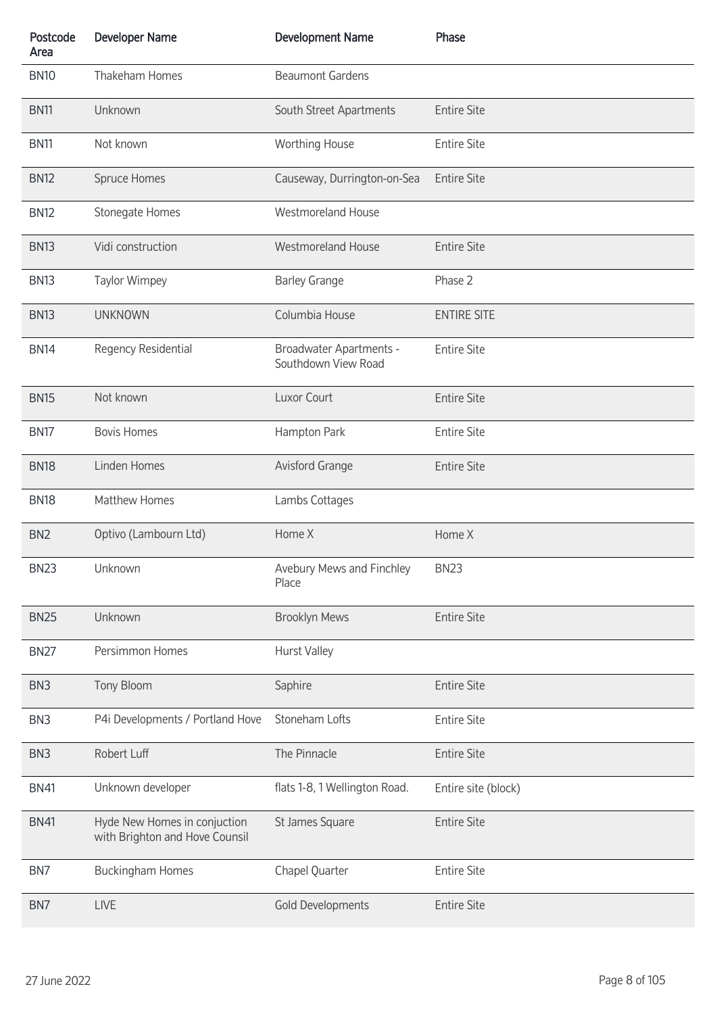| Postcode<br>Area | <b>Developer Name</b>                                          | <b>Development Name</b>                               | Phase               |
|------------------|----------------------------------------------------------------|-------------------------------------------------------|---------------------|
| <b>BN10</b>      | Thakeham Homes                                                 | <b>Beaumont Gardens</b>                               |                     |
| <b>BN11</b>      | Unknown                                                        | South Street Apartments                               | <b>Entire Site</b>  |
| <b>BN11</b>      | Not known                                                      | Worthing House                                        | <b>Entire Site</b>  |
| <b>BN12</b>      | Spruce Homes                                                   | Causeway, Durrington-on-Sea                           | <b>Entire Site</b>  |
| <b>BN12</b>      | Stonegate Homes                                                | <b>Westmoreland House</b>                             |                     |
| <b>BN13</b>      | Vidi construction                                              | <b>Westmoreland House</b>                             | <b>Entire Site</b>  |
| <b>BN13</b>      | <b>Taylor Wimpey</b>                                           | <b>Barley Grange</b>                                  | Phase 2             |
| <b>BN13</b>      | <b>UNKNOWN</b>                                                 | Columbia House                                        | <b>ENTIRE SITE</b>  |
| <b>BN14</b>      | Regency Residential                                            | <b>Broadwater Apartments -</b><br>Southdown View Road | <b>Entire Site</b>  |
| <b>BN15</b>      | Not known                                                      | Luxor Court                                           | <b>Entire Site</b>  |
| <b>BN17</b>      | <b>Bovis Homes</b>                                             | Hampton Park                                          | <b>Entire Site</b>  |
| <b>BN18</b>      | Linden Homes                                                   | <b>Avisford Grange</b>                                | <b>Entire Site</b>  |
| <b>BN18</b>      | Matthew Homes                                                  | Lambs Cottages                                        |                     |
| BN <sub>2</sub>  | Optivo (Lambourn Ltd)                                          | Home X                                                | Home X              |
| <b>BN23</b>      | Unknown                                                        | Avebury Mews and Finchley<br>Place                    | <b>BN23</b>         |
| <b>BN25</b>      | Unknown                                                        | <b>Brooklyn Mews</b>                                  | <b>Entire Site</b>  |
| <b>BN27</b>      | Persimmon Homes                                                | <b>Hurst Valley</b>                                   |                     |
| BN <sub>3</sub>  | Tony Bloom                                                     | Saphire                                               | <b>Entire Site</b>  |
| BN <sub>3</sub>  | P4i Developments / Portland Hove                               | Stoneham Lofts                                        | <b>Entire Site</b>  |
| BN <sub>3</sub>  | Robert Luff                                                    | The Pinnacle                                          | <b>Entire Site</b>  |
| <b>BN41</b>      | Unknown developer                                              | flats 1-8, 1 Wellington Road.                         | Entire site (block) |
| <b>BN41</b>      | Hyde New Homes in conjuction<br>with Brighton and Hove Counsil | St James Square                                       | <b>Entire Site</b>  |
| BN7              | <b>Buckingham Homes</b>                                        | Chapel Quarter                                        | <b>Entire Site</b>  |
| BN7              | LIVE                                                           | <b>Gold Developments</b>                              | <b>Entire Site</b>  |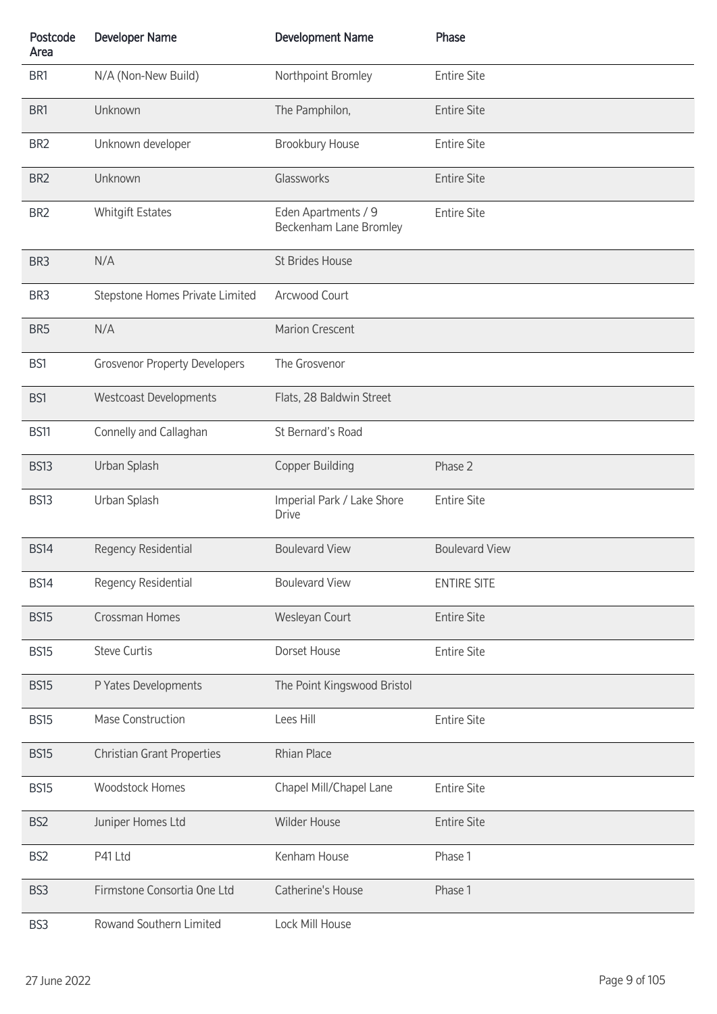| Postcode<br>Area | <b>Developer Name</b>                | <b>Development Name</b>                       | Phase                 |
|------------------|--------------------------------------|-----------------------------------------------|-----------------------|
| BR1              | N/A (Non-New Build)                  | Northpoint Bromley                            | <b>Entire Site</b>    |
| BR1              | Unknown                              | The Pamphilon,                                | <b>Entire Site</b>    |
| BR <sub>2</sub>  | Unknown developer                    | Brookbury House                               | <b>Entire Site</b>    |
| BR <sub>2</sub>  | Unknown                              | Glassworks                                    | <b>Entire Site</b>    |
| BR <sub>2</sub>  | <b>Whitgift Estates</b>              | Eden Apartments / 9<br>Beckenham Lane Bromley | <b>Entire Site</b>    |
| BR <sub>3</sub>  | N/A                                  | St Brides House                               |                       |
| BR <sub>3</sub>  | Stepstone Homes Private Limited      | Arcwood Court                                 |                       |
| BR <sub>5</sub>  | N/A                                  | <b>Marion Crescent</b>                        |                       |
| BS1              | <b>Grosvenor Property Developers</b> | The Grosvenor                                 |                       |
| BS1              | <b>Westcoast Developments</b>        | Flats, 28 Baldwin Street                      |                       |
| <b>BS11</b>      | Connelly and Callaghan               | St Bernard's Road                             |                       |
| <b>BS13</b>      | Urban Splash                         | <b>Copper Building</b>                        | Phase 2               |
| <b>BS13</b>      | Urban Splash                         | Imperial Park / Lake Shore<br><b>Drive</b>    | <b>Entire Site</b>    |
| <b>BS14</b>      | Regency Residential                  | <b>Boulevard View</b>                         | <b>Boulevard View</b> |
| <b>BS14</b>      | Regency Residential                  | <b>Boulevard View</b>                         | <b>ENTIRE SITE</b>    |
| <b>BS15</b>      | Crossman Homes                       | Wesleyan Court                                | <b>Entire Site</b>    |
| <b>BS15</b>      | <b>Steve Curtis</b>                  | Dorset House                                  | <b>Entire Site</b>    |
| <b>BS15</b>      | P Yates Developments                 | The Point Kingswood Bristol                   |                       |
| <b>BS15</b>      | Mase Construction                    | Lees Hill                                     | <b>Entire Site</b>    |
| <b>BS15</b>      | <b>Christian Grant Properties</b>    | Rhian Place                                   |                       |
| <b>BS15</b>      | <b>Woodstock Homes</b>               | Chapel Mill/Chapel Lane                       | <b>Entire Site</b>    |
| BS <sub>2</sub>  | Juniper Homes Ltd                    | Wilder House                                  | <b>Entire Site</b>    |
| BS <sub>2</sub>  | P41 Ltd                              | Kenham House                                  | Phase 1               |
| BS <sub>3</sub>  | Firmstone Consortia One Ltd          | Catherine's House                             | Phase 1               |
| BS3              | Rowand Southern Limited              | Lock Mill House                               |                       |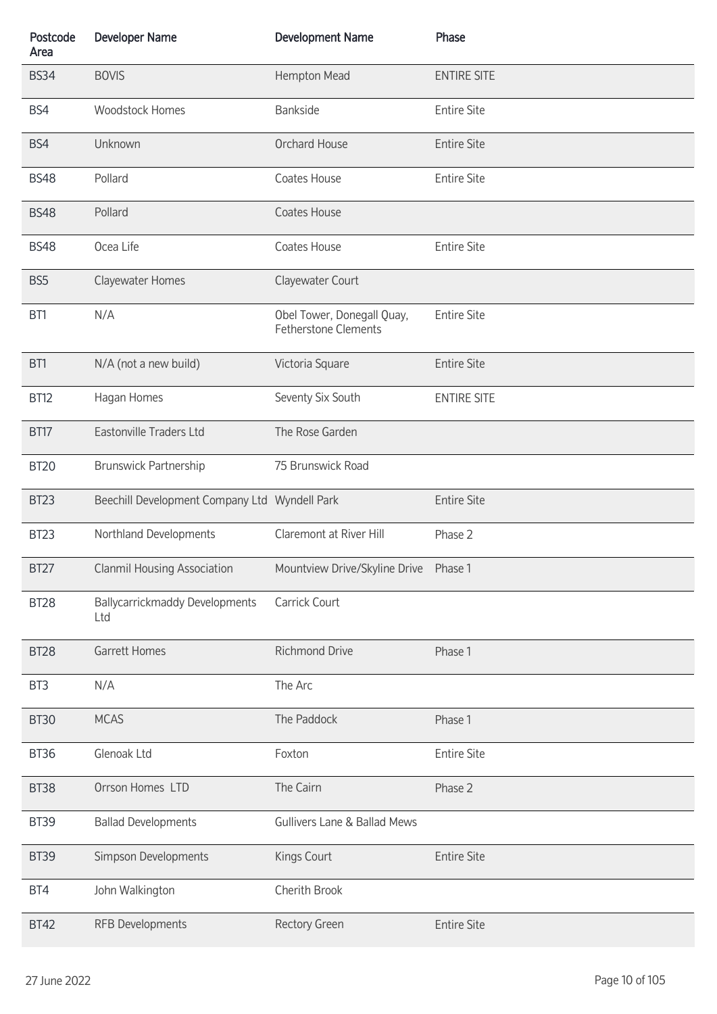| Postcode<br>Area | <b>Developer Name</b>                         | <b>Development Name</b>                                   | Phase              |
|------------------|-----------------------------------------------|-----------------------------------------------------------|--------------------|
| <b>BS34</b>      | <b>BOVIS</b>                                  | Hempton Mead                                              | <b>ENTIRE SITE</b> |
| BS4              | <b>Woodstock Homes</b>                        | Bankside                                                  | <b>Entire Site</b> |
| BS4              | Unknown                                       | Orchard House                                             | <b>Entire Site</b> |
| <b>BS48</b>      | Pollard                                       | Coates House                                              | <b>Entire Site</b> |
| <b>BS48</b>      | Pollard                                       | Coates House                                              |                    |
| <b>BS48</b>      | Ocea Life                                     | Coates House                                              | <b>Entire Site</b> |
| BS <sub>5</sub>  | Clayewater Homes                              | Clayewater Court                                          |                    |
| BT1              | N/A                                           | Obel Tower, Donegall Quay,<br><b>Fetherstone Clements</b> | <b>Entire Site</b> |
| BT1              | N/A (not a new build)                         | Victoria Square                                           | <b>Entire Site</b> |
| <b>BT12</b>      | Hagan Homes                                   | Seventy Six South                                         | <b>ENTIRE SITE</b> |
| BT17             | Eastonville Traders Ltd                       | The Rose Garden                                           |                    |
| <b>BT20</b>      | Brunswick Partnership                         | 75 Brunswick Road                                         |                    |
| <b>BT23</b>      | Beechill Development Company Ltd Wyndell Park |                                                           | <b>Entire Site</b> |
| <b>BT23</b>      | Northland Developments                        | Claremont at River Hill                                   | Phase 2            |
| <b>BT27</b>      | <b>Clanmil Housing Association</b>            | Mountview Drive/Skyline Drive Phase 1                     |                    |
| <b>BT28</b>      | <b>Ballycarrickmaddy Developments</b><br>Ltd  | Carrick Court                                             |                    |
| <b>BT28</b>      | <b>Garrett Homes</b>                          | <b>Richmond Drive</b>                                     | Phase 1            |
| BT <sub>3</sub>  | N/A                                           | The Arc                                                   |                    |
| <b>BT30</b>      | <b>MCAS</b>                                   | The Paddock                                               | Phase 1            |
| <b>BT36</b>      | Glenoak Ltd                                   | Foxton                                                    | <b>Entire Site</b> |
| BT38             | Orrson Homes LTD                              | The Cairn                                                 | Phase 2            |
| <b>BT39</b>      | <b>Ballad Developments</b>                    | <b>Gullivers Lane &amp; Ballad Mews</b>                   |                    |
| <b>BT39</b>      | Simpson Developments                          | Kings Court                                               | <b>Entire Site</b> |
| BT4              | John Walkington                               | Cherith Brook                                             |                    |
| <b>BT42</b>      | RFB Developments                              | <b>Rectory Green</b>                                      | <b>Entire Site</b> |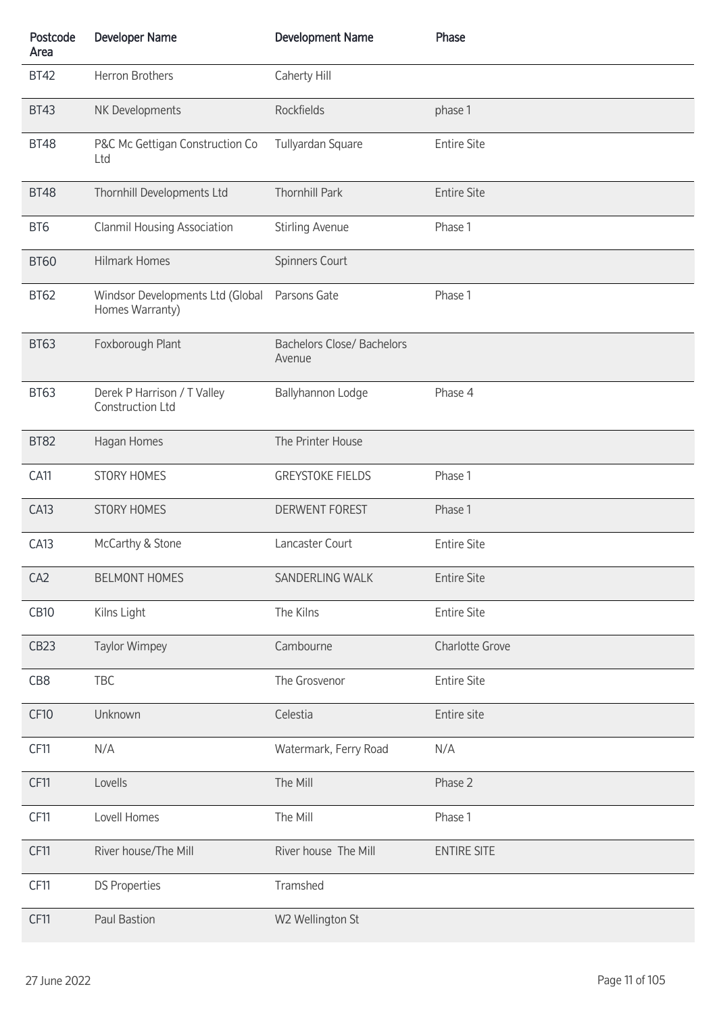| Postcode<br>Area | <b>Developer Name</b>                               | <b>Development Name</b>                     | Phase                  |
|------------------|-----------------------------------------------------|---------------------------------------------|------------------------|
| <b>BT42</b>      | Herron Brothers                                     | Caherty Hill                                |                        |
| <b>BT43</b>      | NK Developments                                     | Rockfields                                  | phase 1                |
| <b>BT48</b>      | P&C Mc Gettigan Construction Co<br>Ltd              | Tullyardan Square                           | <b>Entire Site</b>     |
| <b>BT48</b>      | Thornhill Developments Ltd                          | <b>Thornhill Park</b>                       | <b>Entire Site</b>     |
| BT6              | <b>Clanmil Housing Association</b>                  | <b>Stirling Avenue</b>                      | Phase 1                |
| <b>BT60</b>      | <b>Hilmark Homes</b>                                | Spinners Court                              |                        |
| <b>BT62</b>      | Windsor Developments Ltd (Global<br>Homes Warranty) | Parsons Gate                                | Phase 1                |
| <b>BT63</b>      | Foxborough Plant                                    | <b>Bachelors Close/ Bachelors</b><br>Avenue |                        |
| <b>BT63</b>      | Derek P Harrison / T Valley<br>Construction Ltd     | Ballyhannon Lodge                           | Phase 4                |
| <b>BT82</b>      | Hagan Homes                                         | The Printer House                           |                        |
| <b>CA11</b>      | <b>STORY HOMES</b>                                  | <b>GREYSTOKE FIELDS</b>                     | Phase 1                |
| <b>CA13</b>      | <b>STORY HOMES</b>                                  | <b>DERWENT FOREST</b>                       | Phase 1                |
| CA13             | McCarthy & Stone                                    | Lancaster Court                             | <b>Entire Site</b>     |
| CA <sub>2</sub>  | <b>BELMONT HOMES</b>                                | SANDERLING WALK                             | <b>Entire Site</b>     |
| <b>CB10</b>      | Kilns Light                                         | The Kilns                                   | <b>Entire Site</b>     |
| CB <sub>23</sub> | Taylor Wimpey                                       | Cambourne                                   | <b>Charlotte Grove</b> |
| CB8              | TBC                                                 | The Grosvenor                               | <b>Entire Site</b>     |
| <b>CF10</b>      | Unknown                                             | Celestia                                    | Entire site            |
| <b>CF11</b>      | N/A                                                 | Watermark, Ferry Road                       | N/A                    |
| <b>CF11</b>      | Lovells                                             | The Mill                                    | Phase 2                |
| <b>CF11</b>      | Lovell Homes                                        | The Mill                                    | Phase 1                |
| CF11             | River house/The Mill                                | River house The Mill                        | <b>ENTIRE SITE</b>     |
| <b>CF11</b>      | <b>DS Properties</b>                                | Tramshed                                    |                        |
| <b>CF11</b>      | Paul Bastion                                        | W2 Wellington St                            |                        |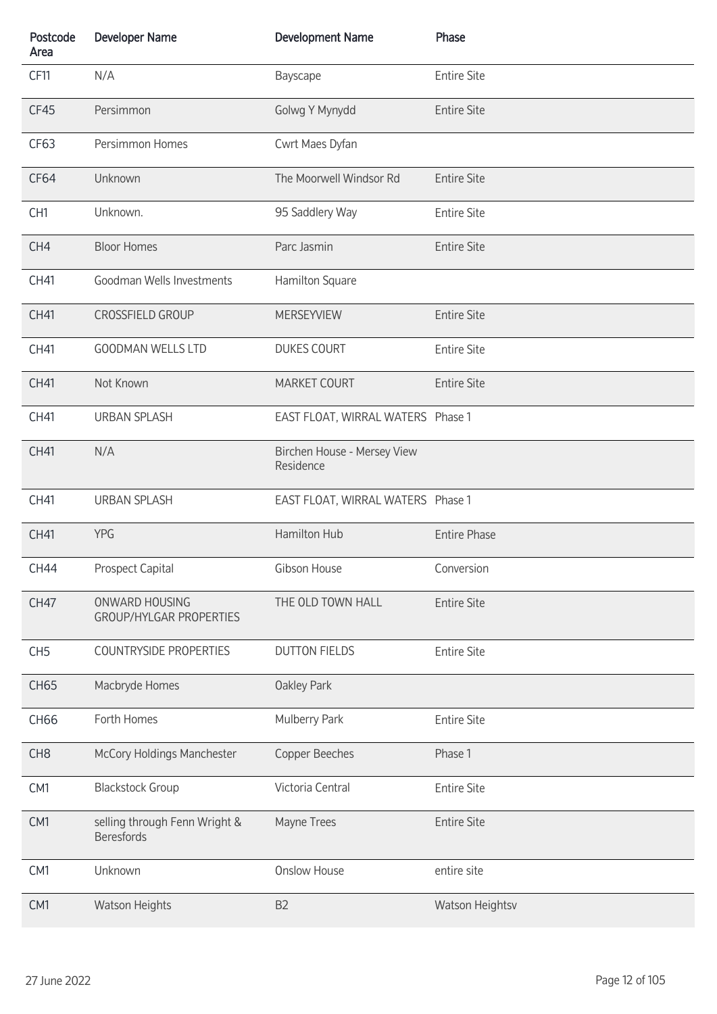| Postcode<br>Area | <b>Developer Name</b>                              | <b>Development Name</b>                  | Phase               |
|------------------|----------------------------------------------------|------------------------------------------|---------------------|
| CF11             | N/A                                                | Bayscape                                 | <b>Entire Site</b>  |
| CF45             | Persimmon                                          | Golwg Y Mynydd                           | <b>Entire Site</b>  |
| CF63             | Persimmon Homes                                    | Cwrt Maes Dyfan                          |                     |
| CF64             | Unknown                                            | The Moorwell Windsor Rd                  | <b>Entire Site</b>  |
| CH <sub>1</sub>  | Unknown.                                           | 95 Saddlery Way                          | <b>Entire Site</b>  |
| CH4              | <b>Bloor Homes</b>                                 | Parc Jasmin                              | <b>Entire Site</b>  |
| CH41             | Goodman Wells Investments                          | Hamilton Square                          |                     |
| CH41             | <b>CROSSFIELD GROUP</b>                            | <b>MERSEYVIEW</b>                        | <b>Entire Site</b>  |
| CH41             | <b>GOODMAN WELLS LTD</b>                           | <b>DUKES COURT</b>                       | <b>Entire Site</b>  |
| CH41             | Not Known                                          | MARKET COURT                             | <b>Entire Site</b>  |
| CH41             | <b>URBAN SPLASH</b>                                | EAST FLOAT, WIRRAL WATERS Phase 1        |                     |
| CH41             | N/A                                                | Birchen House - Mersey View<br>Residence |                     |
| CH41             | <b>URBAN SPLASH</b>                                | EAST FLOAT, WIRRAL WATERS Phase 1        |                     |
| CH41             | <b>YPG</b>                                         | Hamilton Hub                             | <b>Entire Phase</b> |
| <b>CH44</b>      | <b>Prospect Capital</b>                            | Gibson House                             | Conversion          |
| <b>CH47</b>      | ONWARD HOUSING<br><b>GROUP/HYLGAR PROPERTIES</b>   | THE OLD TOWN HALL                        | <b>Entire Site</b>  |
| CH <sub>5</sub>  | <b>COUNTRYSIDE PROPERTIES</b>                      | <b>DUTTON FIELDS</b>                     | <b>Entire Site</b>  |
| <b>CH65</b>      | Macbryde Homes                                     | <b>Oakley Park</b>                       |                     |
| CH66             | Forth Homes                                        | Mulberry Park                            | <b>Entire Site</b>  |
| CH <sub>8</sub>  | McCory Holdings Manchester                         | Copper Beeches                           | Phase 1             |
| CM1              | <b>Blackstock Group</b>                            | Victoria Central                         | <b>Entire Site</b>  |
| CM1              | selling through Fenn Wright &<br><b>Beresfords</b> | Mayne Trees                              | <b>Entire Site</b>  |
| CM1              | Unknown                                            | <b>Onslow House</b>                      | entire site         |
| CM1              | <b>Watson Heights</b>                              | B <sub>2</sub>                           | Watson Heightsv     |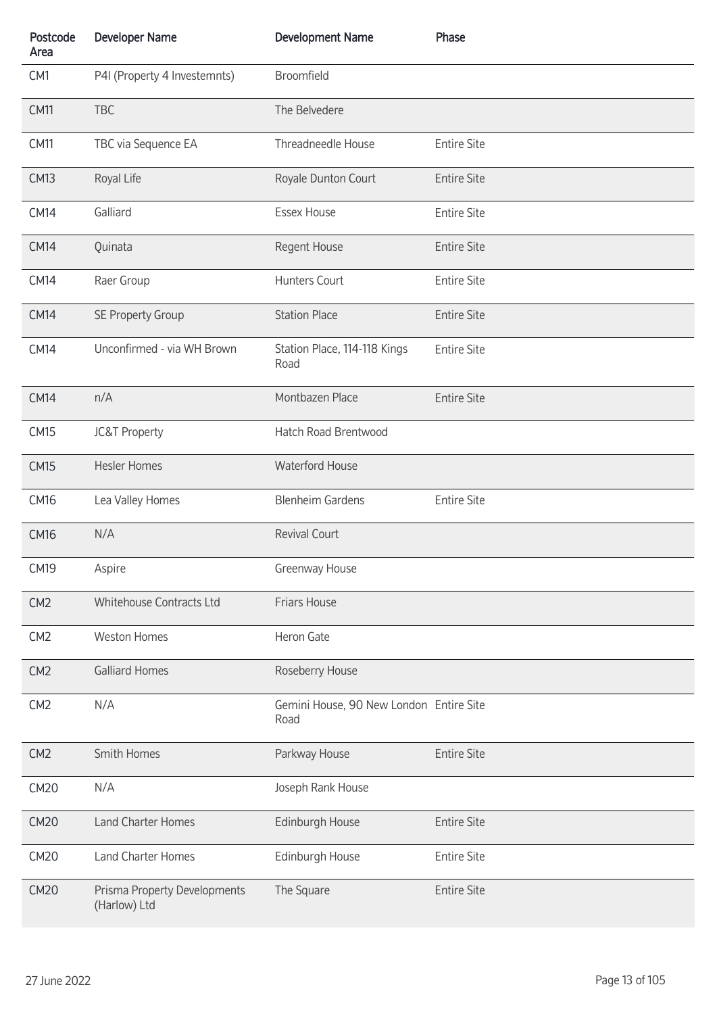| Postcode<br>Area | <b>Developer Name</b>                        | <b>Development Name</b>                         | Phase              |
|------------------|----------------------------------------------|-------------------------------------------------|--------------------|
| CM1              | P4I (Property 4 Investemnts)                 | Broomfield                                      |                    |
| <b>CM11</b>      | <b>TBC</b>                                   | The Belvedere                                   |                    |
| <b>CM11</b>      | TBC via Sequence EA                          | Threadneedle House                              | <b>Entire Site</b> |
| <b>CM13</b>      | Royal Life                                   | Royale Dunton Court                             | <b>Entire Site</b> |
| <b>CM14</b>      | Galliard                                     | <b>Essex House</b>                              | <b>Entire Site</b> |
| <b>CM14</b>      | Quinata                                      | Regent House                                    | <b>Entire Site</b> |
| <b>CM14</b>      | Raer Group                                   | Hunters Court                                   | <b>Entire Site</b> |
| <b>CM14</b>      | <b>SE Property Group</b>                     | <b>Station Place</b>                            | <b>Entire Site</b> |
| <b>CM14</b>      | Unconfirmed - via WH Brown                   | Station Place, 114-118 Kings<br>Road            | <b>Entire Site</b> |
| <b>CM14</b>      | n/A                                          | Montbazen Place                                 | <b>Entire Site</b> |
| <b>CM15</b>      | <b>JC&amp;T Property</b>                     | Hatch Road Brentwood                            |                    |
| <b>CM15</b>      | <b>Hesler Homes</b>                          | Waterford House                                 |                    |
| <b>CM16</b>      | Lea Valley Homes                             | <b>Blenheim Gardens</b>                         | <b>Entire Site</b> |
| <b>CM16</b>      | N/A                                          | <b>Revival Court</b>                            |                    |
| <b>CM19</b>      | Aspire                                       | Greenway House                                  |                    |
| CM <sub>2</sub>  | Whitehouse Contracts Ltd                     | Friars House                                    |                    |
| CM2              | <b>Weston Homes</b>                          | Heron Gate                                      |                    |
| CM <sub>2</sub>  | <b>Galliard Homes</b>                        | Roseberry House                                 |                    |
| CM <sub>2</sub>  | N/A                                          | Gemini House, 90 New London Entire Site<br>Road |                    |
| CM <sub>2</sub>  | Smith Homes                                  | Parkway House                                   | <b>Entire Site</b> |
| <b>CM20</b>      | N/A                                          | Joseph Rank House                               |                    |
| <b>CM20</b>      | Land Charter Homes                           | Edinburgh House                                 | <b>Entire Site</b> |
| <b>CM20</b>      | <b>Land Charter Homes</b>                    | Edinburgh House                                 | <b>Entire Site</b> |
| <b>CM20</b>      | Prisma Property Developments<br>(Harlow) Ltd | The Square                                      | <b>Entire Site</b> |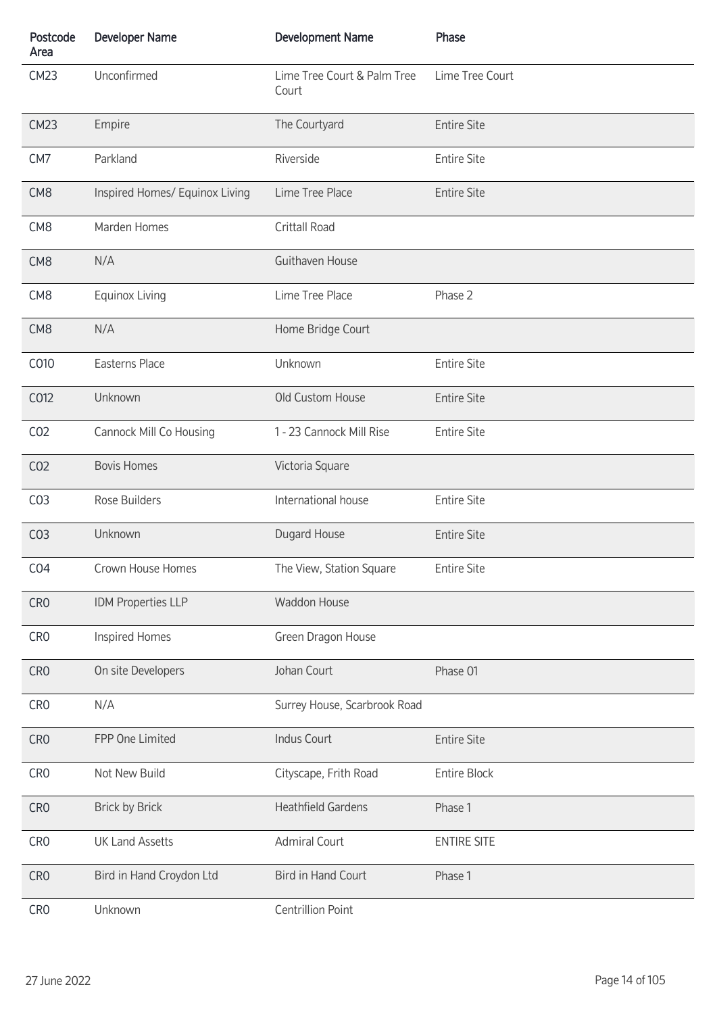| Postcode<br>Area | <b>Developer Name</b>          | <b>Development Name</b>              | Phase              |
|------------------|--------------------------------|--------------------------------------|--------------------|
| <b>CM23</b>      | Unconfirmed                    | Lime Tree Court & Palm Tree<br>Court | Lime Tree Court    |
| <b>CM23</b>      | Empire                         | The Courtyard                        | <b>Entire Site</b> |
| CM <sub>7</sub>  | Parkland                       | Riverside                            | <b>Entire Site</b> |
| CM <sub>8</sub>  | Inspired Homes/ Equinox Living | Lime Tree Place                      | <b>Entire Site</b> |
| CM <sub>8</sub>  | Marden Homes                   | Crittall Road                        |                    |
| CM <sub>8</sub>  | N/A                            | Guithaven House                      |                    |
| CM <sub>8</sub>  | <b>Equinox Living</b>          | Lime Tree Place                      | Phase 2            |
| CM <sub>8</sub>  | N/A                            | Home Bridge Court                    |                    |
| C010             | Easterns Place                 | Unknown                              | <b>Entire Site</b> |
| C012             | Unknown                        | Old Custom House                     | <b>Entire Site</b> |
| CO <sub>2</sub>  | Cannock Mill Co Housing        | 1 - 23 Cannock Mill Rise             | <b>Entire Site</b> |
| CO <sub>2</sub>  | <b>Bovis Homes</b>             | Victoria Square                      |                    |
| CO <sub>3</sub>  | Rose Builders                  | International house                  | <b>Entire Site</b> |
| CO <sub>3</sub>  | Unknown                        | Dugard House                         | <b>Entire Site</b> |
| CO <sub>4</sub>  | Crown House Homes              | The View, Station Square             | <b>Entire Site</b> |
| CR <sub>0</sub>  | IDM Properties LLP             | <b>Waddon House</b>                  |                    |
| CR <sub>0</sub>  | Inspired Homes                 | Green Dragon House                   |                    |
| CR <sub>0</sub>  | On site Developers             | Johan Court                          | Phase 01           |
| CR <sub>0</sub>  | N/A                            | Surrey House, Scarbrook Road         |                    |
| CR <sub>0</sub>  | FPP One Limited                | <b>Indus Court</b>                   | <b>Entire Site</b> |
| CR <sub>0</sub>  | Not New Build                  | Cityscape, Frith Road                | Entire Block       |
| CR <sub>0</sub>  | <b>Brick by Brick</b>          | <b>Heathfield Gardens</b>            | Phase 1            |
| CR <sub>0</sub>  | <b>UK Land Assetts</b>         | <b>Admiral Court</b>                 | <b>ENTIRE SITE</b> |
| CR <sub>0</sub>  | Bird in Hand Croydon Ltd       | <b>Bird in Hand Court</b>            | Phase 1            |
| CR <sub>0</sub>  | Unknown                        | <b>Centrillion Point</b>             |                    |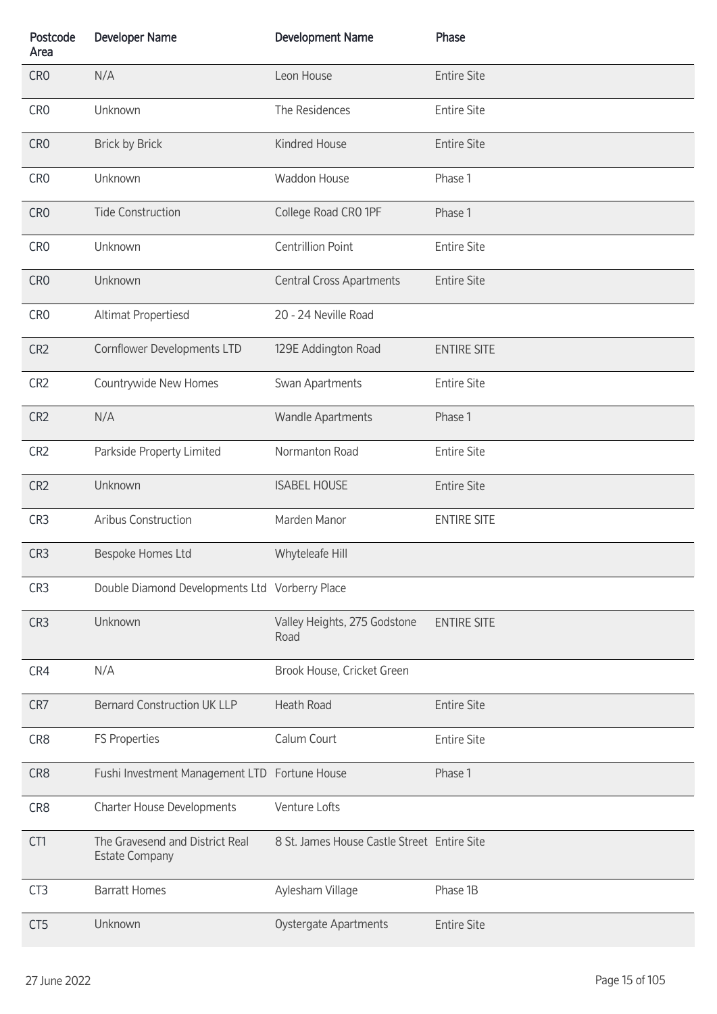| Postcode<br>Area | <b>Developer Name</b>                                    | <b>Development Name</b>                     | Phase              |
|------------------|----------------------------------------------------------|---------------------------------------------|--------------------|
| CR <sub>0</sub>  | N/A                                                      | Leon House                                  | <b>Entire Site</b> |
| CR <sub>0</sub>  | Unknown                                                  | The Residences                              | <b>Entire Site</b> |
| CR <sub>0</sub>  | <b>Brick by Brick</b>                                    | Kindred House                               | <b>Entire Site</b> |
| CR <sub>0</sub>  | Unknown                                                  | Waddon House                                | Phase 1            |
| CR <sub>0</sub>  | <b>Tide Construction</b>                                 | College Road CRO 1PF                        | Phase 1            |
| CR <sub>0</sub>  | Unknown                                                  | <b>Centrillion Point</b>                    | <b>Entire Site</b> |
| CR <sub>0</sub>  | Unknown                                                  | <b>Central Cross Apartments</b>             | <b>Entire Site</b> |
| CR <sub>0</sub>  | Altimat Propertiesd                                      | 20 - 24 Neville Road                        |                    |
| CR <sub>2</sub>  | Cornflower Developments LTD                              | 129E Addington Road                         | <b>ENTIRE SITE</b> |
| CR <sub>2</sub>  | Countrywide New Homes                                    | Swan Apartments                             | <b>Entire Site</b> |
| CR <sub>2</sub>  | N/A                                                      | <b>Wandle Apartments</b>                    | Phase 1            |
| CR <sub>2</sub>  | Parkside Property Limited                                | Normanton Road                              | <b>Entire Site</b> |
| CR <sub>2</sub>  | Unknown                                                  | <b>ISABEL HOUSE</b>                         | <b>Entire Site</b> |
| CR3              | Aribus Construction                                      | Marden Manor                                | <b>ENTIRE SITE</b> |
| CR3              | Bespoke Homes Ltd                                        | Whyteleafe Hill                             |                    |
| CR <sub>3</sub>  | Double Diamond Developments Ltd Vorberry Place           |                                             |                    |
| CR <sub>3</sub>  | Unknown                                                  | Valley Heights, 275 Godstone<br>Road        | <b>ENTIRE SITE</b> |
| CR4              | N/A                                                      | Brook House, Cricket Green                  |                    |
| CR7              | <b>Bernard Construction UK LLP</b>                       | <b>Heath Road</b>                           | <b>Entire Site</b> |
| CR8              | FS Properties                                            | Calum Court                                 | <b>Entire Site</b> |
| CR8              | Fushi Investment Management LTD Fortune House            |                                             | Phase 1            |
| CR8              | Charter House Developments                               | Venture Lofts                               |                    |
| CT1              | The Gravesend and District Real<br><b>Estate Company</b> | 8 St. James House Castle Street Entire Site |                    |
| CT <sub>3</sub>  | <b>Barratt Homes</b>                                     | Aylesham Village                            | Phase 1B           |
| CT <sub>5</sub>  | Unknown                                                  | Oystergate Apartments                       | <b>Entire Site</b> |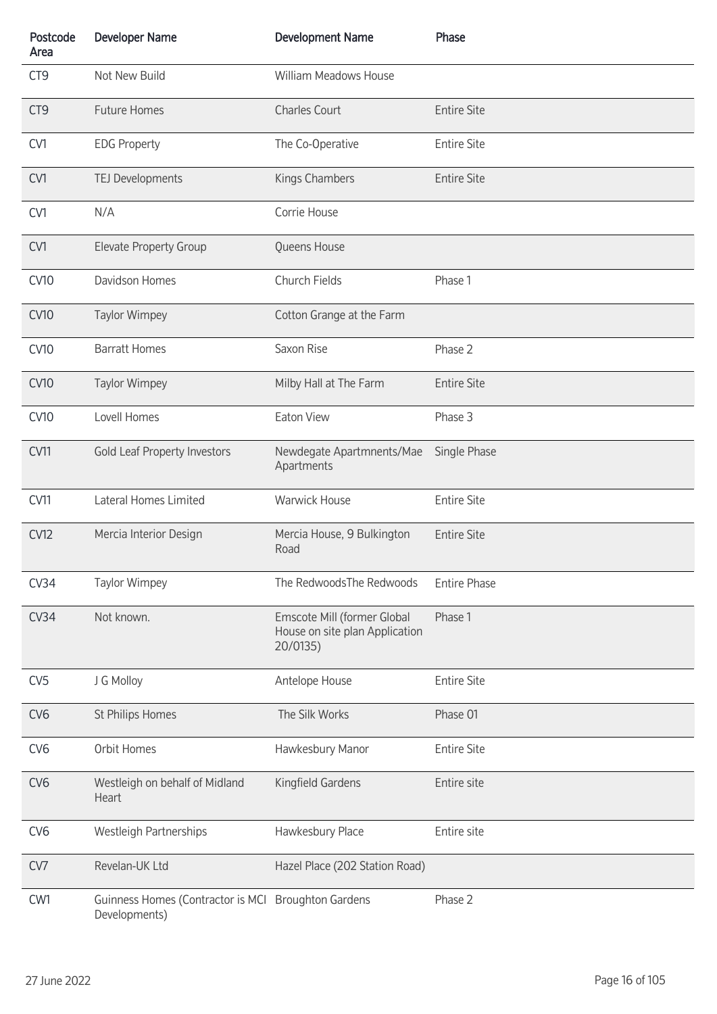| Postcode<br>Area | <b>Developer Name</b>                                                | <b>Development Name</b>                                                   | Phase               |
|------------------|----------------------------------------------------------------------|---------------------------------------------------------------------------|---------------------|
| CT <sub>9</sub>  | Not New Build                                                        | William Meadows House                                                     |                     |
| CT <sub>9</sub>  | <b>Future Homes</b>                                                  | <b>Charles Court</b>                                                      | <b>Entire Site</b>  |
| CV1              | <b>EDG Property</b>                                                  | The Co-Operative                                                          | <b>Entire Site</b>  |
| CV1              | TEJ Developments                                                     | Kings Chambers                                                            | <b>Entire Site</b>  |
| CV1              | N/A                                                                  | Corrie House                                                              |                     |
| CV1              | <b>Elevate Property Group</b>                                        | Queens House                                                              |                     |
| <b>CV10</b>      | Davidson Homes                                                       | Church Fields                                                             | Phase 1             |
| <b>CV10</b>      | <b>Taylor Wimpey</b>                                                 | Cotton Grange at the Farm                                                 |                     |
| <b>CV10</b>      | <b>Barratt Homes</b>                                                 | Saxon Rise                                                                | Phase 2             |
| <b>CV10</b>      | <b>Taylor Wimpey</b>                                                 | Milby Hall at The Farm                                                    | <b>Entire Site</b>  |
| <b>CV10</b>      | Lovell Homes                                                         | Eaton View                                                                | Phase 3             |
| CV11             | Gold Leaf Property Investors                                         | Newdegate Apartmnents/Mae<br>Apartments                                   | Single Phase        |
| CV11             | Lateral Homes Limited                                                | <b>Warwick House</b>                                                      | <b>Entire Site</b>  |
| <b>CV12</b>      | Mercia Interior Design                                               | Mercia House, 9 Bulkington<br>Road                                        | <b>Entire Site</b>  |
| CV34             | <b>Taylor Wimpey</b>                                                 | The RedwoodsThe Redwoods                                                  | <b>Entire Phase</b> |
| CV34             | Not known.                                                           | Emscote Mill (former Global<br>House on site plan Application<br>20/0135) | Phase 1             |
| CV <sub>5</sub>  | J G Molloy                                                           | Antelope House                                                            | <b>Entire Site</b>  |
| CV <sub>6</sub>  | St Philips Homes                                                     | The Silk Works                                                            | Phase 01            |
| CV <sub>6</sub>  | Orbit Homes                                                          | Hawkesbury Manor                                                          | <b>Entire Site</b>  |
| CV <sub>6</sub>  | Westleigh on behalf of Midland<br>Heart                              | Kingfield Gardens                                                         | Entire site         |
| CV <sub>6</sub>  | Westleigh Partnerships                                               | Hawkesbury Place                                                          | Entire site         |
| CV7              | Revelan-UK Ltd                                                       | Hazel Place (202 Station Road)                                            |                     |
| CW1              | Guinness Homes (Contractor is MCI Broughton Gardens<br>Developments) |                                                                           | Phase 2             |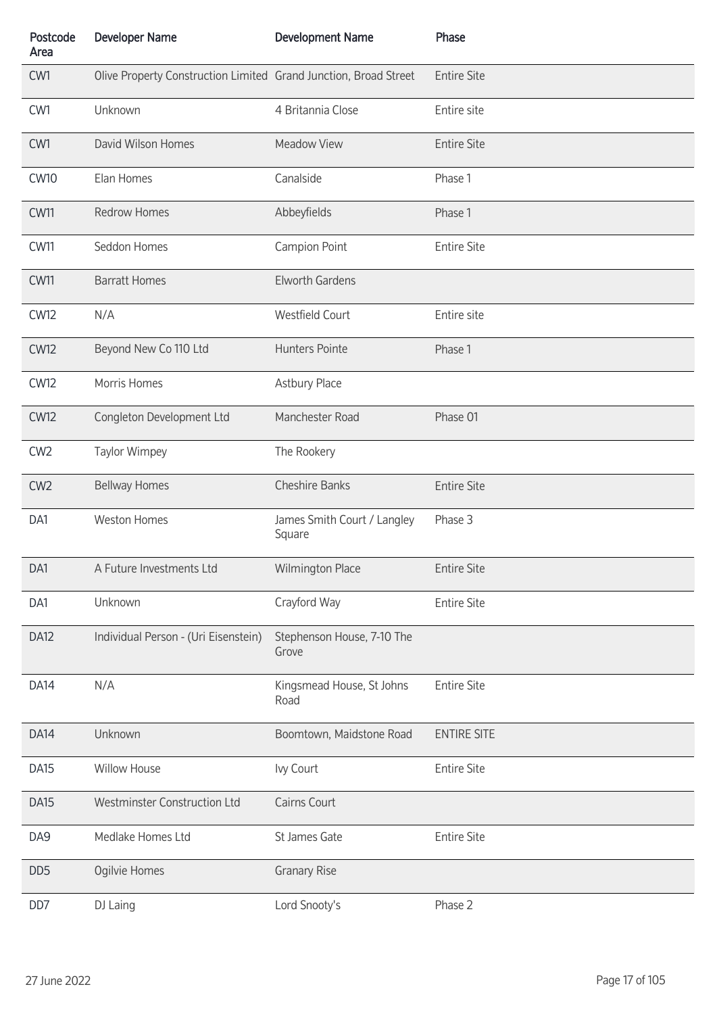| Postcode<br>Area | <b>Developer Name</b>                                            | <b>Development Name</b>               | Phase              |
|------------------|------------------------------------------------------------------|---------------------------------------|--------------------|
| CW1              | Olive Property Construction Limited Grand Junction, Broad Street |                                       | <b>Entire Site</b> |
| CW1              | Unknown                                                          | 4 Britannia Close                     | Entire site        |
| CW1              | David Wilson Homes                                               | Meadow View                           | <b>Entire Site</b> |
| <b>CW10</b>      | Elan Homes                                                       | Canalside                             | Phase 1            |
| <b>CW11</b>      | <b>Redrow Homes</b>                                              | Abbeyfields                           | Phase 1            |
| <b>CW11</b>      | Seddon Homes                                                     | Campion Point                         | <b>Entire Site</b> |
| <b>CW11</b>      | <b>Barratt Homes</b>                                             | <b>Elworth Gardens</b>                |                    |
| <b>CW12</b>      | N/A                                                              | <b>Westfield Court</b>                | Entire site        |
| <b>CW12</b>      | Beyond New Co 110 Ltd                                            | <b>Hunters Pointe</b>                 | Phase 1            |
| <b>CW12</b>      | Morris Homes                                                     | Astbury Place                         |                    |
| <b>CW12</b>      | Congleton Development Ltd                                        | Manchester Road                       | Phase 01           |
| CW <sub>2</sub>  | <b>Taylor Wimpey</b>                                             | The Rookery                           |                    |
| CW <sub>2</sub>  | <b>Bellway Homes</b>                                             | <b>Cheshire Banks</b>                 | <b>Entire Site</b> |
| DA1              | <b>Weston Homes</b>                                              | James Smith Court / Langley<br>Square | Phase 3            |
| DA1              | A Future Investments Ltd                                         | Wilmington Place                      | <b>Entire Site</b> |
| DA1              | Unknown                                                          | Crayford Way                          | <b>Entire Site</b> |
| DA12             | Individual Person - (Uri Eisenstein)                             | Stephenson House, 7-10 The<br>Grove   |                    |
| DA <sub>14</sub> | N/A                                                              | Kingsmead House, St Johns<br>Road     | <b>Entire Site</b> |
| DA14             | Unknown                                                          | Boomtown, Maidstone Road              | <b>ENTIRE SITE</b> |
| DA <sub>15</sub> | Willow House                                                     | Ivy Court                             | <b>Entire Site</b> |
| DA <sub>15</sub> | Westminster Construction Ltd                                     | Cairns Court                          |                    |
| DA9              | Medlake Homes Ltd                                                | St James Gate                         | <b>Entire Site</b> |
| DD <sub>5</sub>  | Ogilvie Homes                                                    | <b>Granary Rise</b>                   |                    |
| DD7              | DJ Laing                                                         | Lord Snooty's                         | Phase 2            |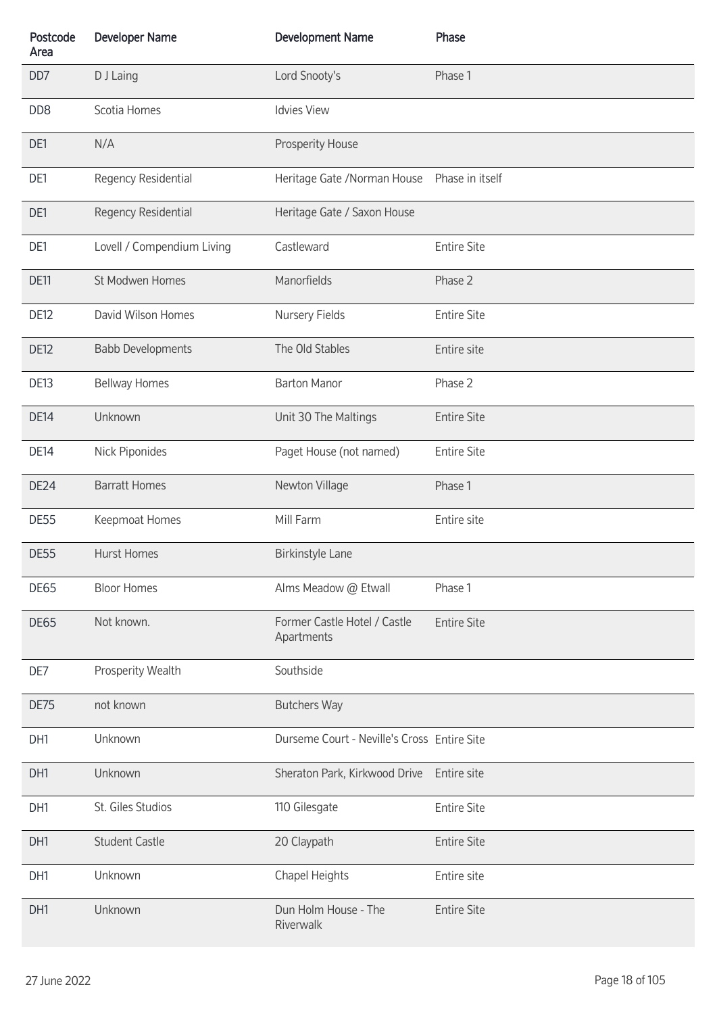| Postcode<br>Area | <b>Developer Name</b>      | <b>Development Name</b>                     | Phase              |
|------------------|----------------------------|---------------------------------------------|--------------------|
| DD7              | D J Laing                  | Lord Snooty's                               | Phase 1            |
| DD <sub>8</sub>  | Scotia Homes               | <b>Idvies View</b>                          |                    |
| DE1              | N/A                        | Prosperity House                            |                    |
| DE1              | Regency Residential        | Heritage Gate / Norman House                | Phase in itself    |
| DE1              | Regency Residential        | Heritage Gate / Saxon House                 |                    |
| DE1              | Lovell / Compendium Living | Castleward                                  | <b>Entire Site</b> |
| DE11             | St Modwen Homes            | Manorfields                                 | Phase 2            |
| <b>DE12</b>      | David Wilson Homes         | Nursery Fields                              | <b>Entire Site</b> |
| DE12             | <b>Babb Developments</b>   | The Old Stables                             | Entire site        |
| <b>DE13</b>      | <b>Bellway Homes</b>       | <b>Barton Manor</b>                         | Phase 2            |
| <b>DE14</b>      | Unknown                    | Unit 30 The Maltings                        | <b>Entire Site</b> |
| <b>DE14</b>      | Nick Piponides             | Paget House (not named)                     | <b>Entire Site</b> |
| DE24             | <b>Barratt Homes</b>       | Newton Village                              | Phase 1            |
| <b>DE55</b>      | Keepmoat Homes             | Mill Farm                                   | Entire site        |
| <b>DE55</b>      | <b>Hurst Homes</b>         | Birkinstyle Lane                            |                    |
| <b>DE65</b>      | <b>Bloor Homes</b>         | Alms Meadow @ Etwall                        | Phase 1            |
| <b>DE65</b>      | Not known.                 | Former Castle Hotel / Castle<br>Apartments  | <b>Entire Site</b> |
| DE7              | Prosperity Wealth          | Southside                                   |                    |
| DE75             | not known                  | <b>Butchers Way</b>                         |                    |
| DH1              | Unknown                    | Durseme Court - Neville's Cross Entire Site |                    |
| DH1              | Unknown                    | Sheraton Park, Kirkwood Drive               | Entire site        |
| DH1              | St. Giles Studios          | 110 Gilesgate                               | <b>Entire Site</b> |
| DH1              | <b>Student Castle</b>      | 20 Claypath                                 | <b>Entire Site</b> |
| DH1              | Unknown                    | Chapel Heights                              | Entire site        |
| DH1              | Unknown                    | Dun Holm House - The<br>Riverwalk           | <b>Entire Site</b> |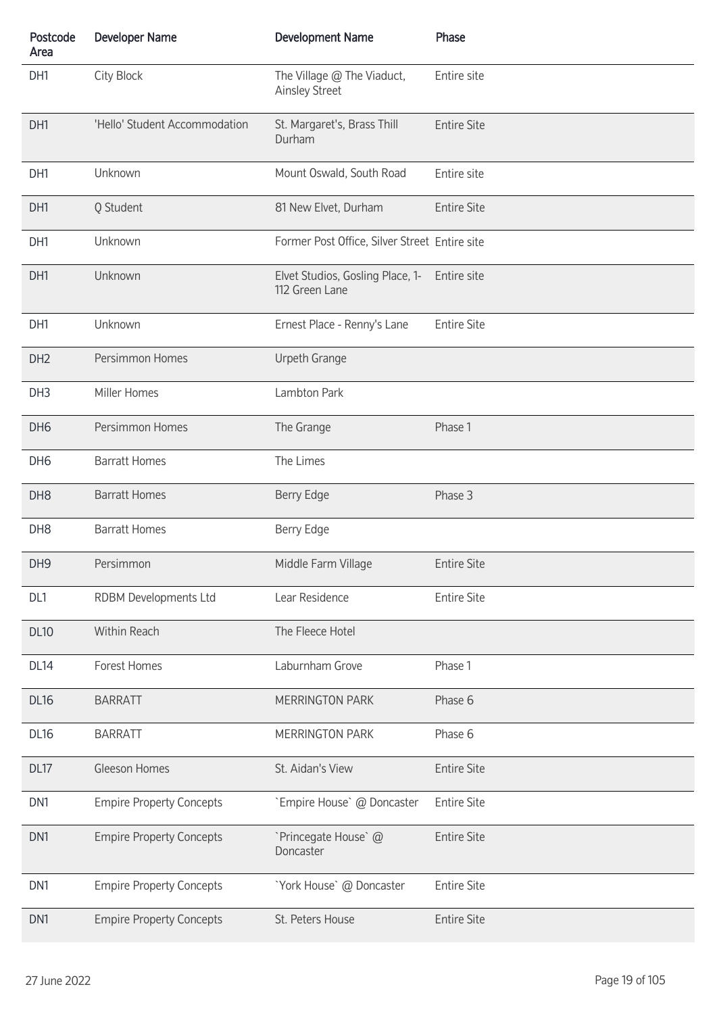| Postcode<br>Area | <b>Developer Name</b>           | <b>Development Name</b>                             | Phase              |
|------------------|---------------------------------|-----------------------------------------------------|--------------------|
| DH1              | <b>City Block</b>               | The Village @ The Viaduct,<br><b>Ainsley Street</b> | Entire site        |
| DH1              | 'Hello' Student Accommodation   | St. Margaret's, Brass Thill<br>Durham               | <b>Entire Site</b> |
| DH1              | Unknown                         | Mount Oswald, South Road                            | Entire site        |
| DH1              | Q Student                       | 81 New Elvet, Durham                                | <b>Entire Site</b> |
| DH1              | Unknown                         | Former Post Office, Silver Street Entire site       |                    |
| DH1              | Unknown                         | Elvet Studios, Gosling Place, 1-<br>112 Green Lane  | Entire site        |
| DH1              | Unknown                         | Ernest Place - Renny's Lane                         | <b>Entire Site</b> |
| DH <sub>2</sub>  | Persimmon Homes                 | Urpeth Grange                                       |                    |
| DH <sub>3</sub>  | Miller Homes                    | Lambton Park                                        |                    |
| DH <sub>6</sub>  | Persimmon Homes                 | The Grange                                          | Phase 1            |
| DH <sub>6</sub>  | <b>Barratt Homes</b>            | The Limes                                           |                    |
| DH <sub>8</sub>  | <b>Barratt Homes</b>            | Berry Edge                                          | Phase 3            |
| DH <sub>8</sub>  | <b>Barratt Homes</b>            | Berry Edge                                          |                    |
| DH <sub>9</sub>  | Persimmon                       | Middle Farm Village                                 | <b>Entire Site</b> |
| DL1              | RDBM Developments Ltd           | Lear Residence                                      | <b>Entire Site</b> |
| <b>DL10</b>      | Within Reach                    | The Fleece Hotel                                    |                    |
| <b>DL14</b>      | Forest Homes                    | Laburnham Grove                                     | Phase 1            |
| <b>DL16</b>      | <b>BARRATT</b>                  | <b>MERRINGTON PARK</b>                              | Phase 6            |
| <b>DL16</b>      | <b>BARRATT</b>                  | MERRINGTON PARK                                     | Phase 6            |
| DL17             | Gleeson Homes                   | St. Aidan's View                                    | <b>Entire Site</b> |
| DN <sub>1</sub>  | <b>Empire Property Concepts</b> | `Empire House` @ Doncaster                          | <b>Entire Site</b> |
| DN1              | <b>Empire Property Concepts</b> | `Princegate House` @<br>Doncaster                   | <b>Entire Site</b> |
| DN1              | <b>Empire Property Concepts</b> | 'York House' @ Doncaster                            | <b>Entire Site</b> |
| DN1              | <b>Empire Property Concepts</b> | St. Peters House                                    | <b>Entire Site</b> |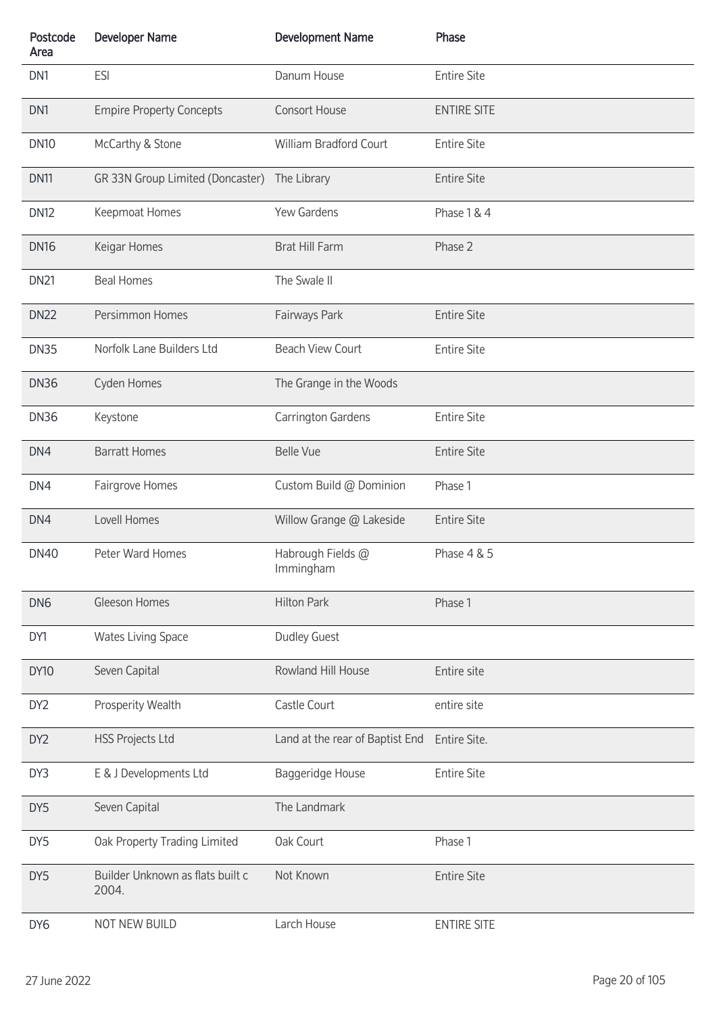| Postcode<br>Area | <b>Developer Name</b>                     | <b>Development Name</b>         | Phase              |
|------------------|-------------------------------------------|---------------------------------|--------------------|
| DN1              | <b>ESI</b>                                | Danum House                     | <b>Entire Site</b> |
| DN1              | <b>Empire Property Concepts</b>           | Consort House                   | <b>ENTIRE SITE</b> |
| <b>DN10</b>      | McCarthy & Stone                          | William Bradford Court          | <b>Entire Site</b> |
| <b>DN11</b>      | GR 33N Group Limited (Doncaster)          | The Library                     | <b>Entire Site</b> |
| <b>DN12</b>      | Keepmoat Homes                            | Yew Gardens                     | Phase 1 & 4        |
| <b>DN16</b>      | Keigar Homes                              | Brat Hill Farm                  | Phase 2            |
| <b>DN21</b>      | <b>Beal Homes</b>                         | The Swale II                    |                    |
| <b>DN22</b>      | Persimmon Homes                           | Fairways Park                   | <b>Entire Site</b> |
| <b>DN35</b>      | Norfolk Lane Builders Ltd                 | <b>Beach View Court</b>         | <b>Entire Site</b> |
| <b>DN36</b>      | Cyden Homes                               | The Grange in the Woods         |                    |
| <b>DN36</b>      | Keystone                                  | Carrington Gardens              | <b>Entire Site</b> |
| DN4              | <b>Barratt Homes</b>                      | <b>Belle Vue</b>                | <b>Entire Site</b> |
| DN4              | Fairgrove Homes                           | Custom Build @ Dominion         | Phase 1            |
| DN4              | Lovell Homes                              | Willow Grange @ Lakeside        | <b>Entire Site</b> |
| <b>DN40</b>      | Peter Ward Homes                          | Habrough Fields @<br>Immingham  | Phase 4 & 5        |
| DN <sub>6</sub>  | Gleeson Homes                             | <b>Hilton Park</b>              | Phase 1            |
| DY1              | <b>Wates Living Space</b>                 | <b>Dudley Guest</b>             |                    |
| <b>DY10</b>      | Seven Capital                             | Rowland Hill House              | Entire site        |
| DY <sub>2</sub>  | Prosperity Wealth                         | Castle Court                    | entire site        |
| DY <sub>2</sub>  | <b>HSS Projects Ltd</b>                   | Land at the rear of Baptist End | Entire Site.       |
| DY3              | E & J Developments Ltd                    | Baggeridge House                | <b>Entire Site</b> |
| DY5              | Seven Capital                             | The Landmark                    |                    |
| DY5              | Oak Property Trading Limited              | Oak Court                       | Phase 1            |
| DY5              | Builder Unknown as flats built c<br>2004. | Not Known                       | <b>Entire Site</b> |
| DY <sub>6</sub>  | NOT NEW BUILD                             | Larch House                     | <b>ENTIRE SITE</b> |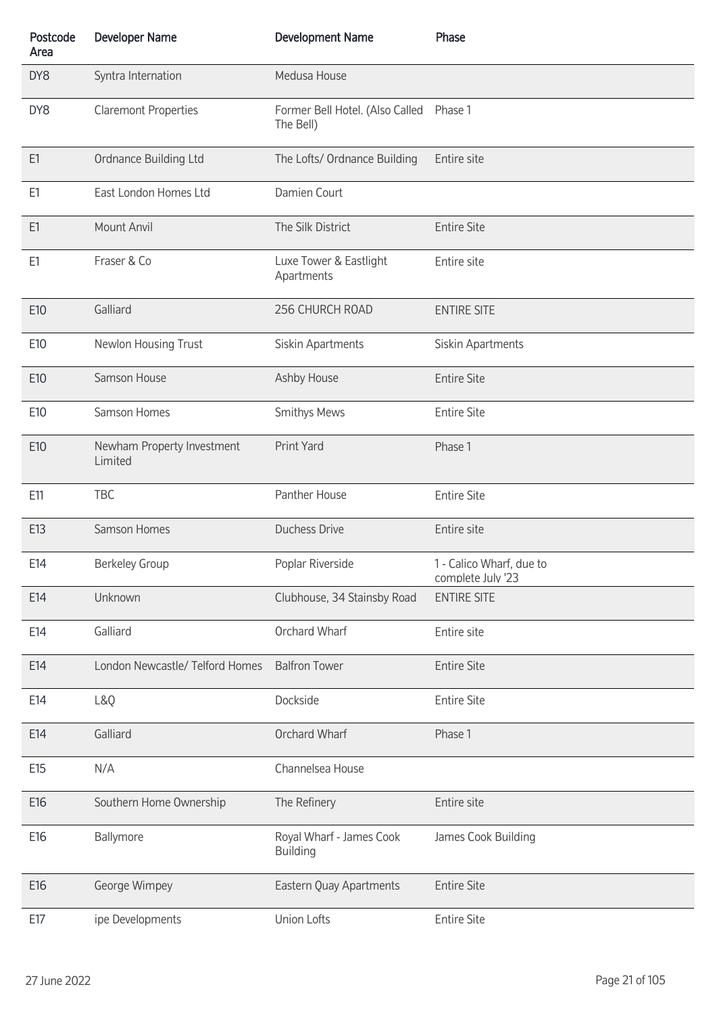| Postcode<br>Area | <b>Developer Name</b>                 | <b>Development Name</b>                      | Phase                                         |
|------------------|---------------------------------------|----------------------------------------------|-----------------------------------------------|
| DY8              | Syntra Internation                    | Medusa House                                 |                                               |
| DY8              | <b>Claremont Properties</b>           | Former Bell Hotel. (Also Called<br>The Bell) | Phase 1                                       |
| E1               | Ordnance Building Ltd                 | The Lofts/ Ordnance Building                 | Entire site                                   |
| E1               | East London Homes Ltd                 | Damien Court                                 |                                               |
| E1               | Mount Anvil                           | The Silk District                            | <b>Entire Site</b>                            |
| E1               | Fraser & Co                           | Luxe Tower & Eastlight<br>Apartments         | Entire site                                   |
| E10              | Galliard                              | 256 CHURCH ROAD                              | <b>ENTIRE SITE</b>                            |
| E10              | Newlon Housing Trust                  | Siskin Apartments                            | Siskin Apartments                             |
| E10              | Samson House                          | Ashby House                                  | <b>Entire Site</b>                            |
| E10              | Samson Homes                          | <b>Smithys Mews</b>                          | <b>Entire Site</b>                            |
| E10              | Newham Property Investment<br>Limited | Print Yard                                   | Phase 1                                       |
| E11              | TBC                                   | Panther House                                | <b>Entire Site</b>                            |
| E13              | Samson Homes                          | <b>Duchess Drive</b>                         | Entire site                                   |
| E14              | <b>Berkeley Group</b>                 | Poplar Riverside                             | 1 - Calico Wharf, due to<br>complete July '23 |
| E14              | Unknown                               | Clubhouse, 34 Stainsby Road                  | <b>ENTIRE SITE</b>                            |
| E14              | Galliard                              | Orchard Wharf                                | Entire site                                   |
| E14              | London Newcastle/ Telford Homes       | <b>Balfron Tower</b>                         | <b>Entire Site</b>                            |
| E14              | L&Q                                   | Dockside                                     | <b>Entire Site</b>                            |
| E14              | Galliard                              | Orchard Wharf                                | Phase 1                                       |
| E15              | N/A                                   | Channelsea House                             |                                               |
| E16              | Southern Home Ownership               | The Refinery                                 | Entire site                                   |
| E16              | Ballymore                             | Royal Wharf - James Cook<br><b>Building</b>  | James Cook Building                           |
| E16              | George Wimpey                         | Eastern Quay Apartments                      | <b>Entire Site</b>                            |
| E17              | ipe Developments                      | Union Lofts                                  | <b>Entire Site</b>                            |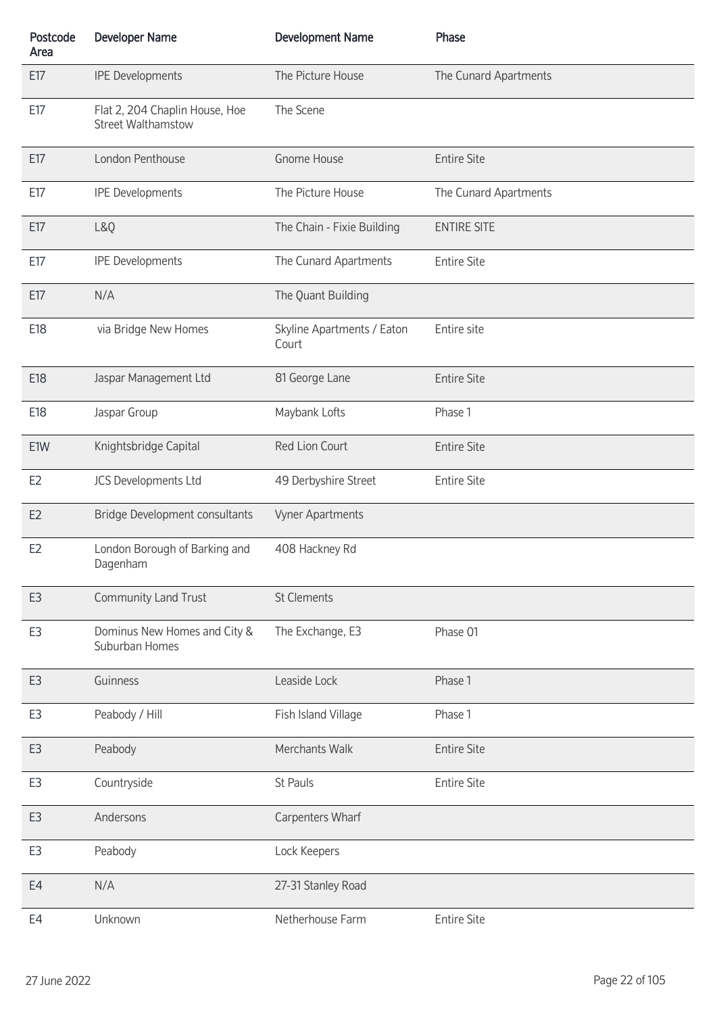| Postcode<br>Area | <b>Developer Name</b>                                | <b>Development Name</b>             | Phase                 |
|------------------|------------------------------------------------------|-------------------------------------|-----------------------|
| E17              | <b>IPE Developments</b>                              | The Picture House                   | The Cunard Apartments |
| E17              | Flat 2, 204 Chaplin House, Hoe<br>Street Walthamstow | The Scene                           |                       |
| E17              | London Penthouse                                     | <b>Gnome House</b>                  | <b>Entire Site</b>    |
| E17              | <b>IPE Developments</b>                              | The Picture House                   | The Cunard Apartments |
| E17              | L&Q                                                  | The Chain - Fixie Building          | <b>ENTIRE SITE</b>    |
| E17              | <b>IPE Developments</b>                              | The Cunard Apartments               | <b>Entire Site</b>    |
| E17              | N/A                                                  | The Quant Building                  |                       |
| E18              | via Bridge New Homes                                 | Skyline Apartments / Eaton<br>Court | Entire site           |
| E18              | Jaspar Management Ltd                                | 81 George Lane                      | <b>Entire Site</b>    |
| E18              | Jaspar Group                                         | Maybank Lofts                       | Phase 1               |
| E1W              | Knightsbridge Capital                                | Red Lion Court                      | <b>Entire Site</b>    |
| E <sub>2</sub>   | JCS Developments Ltd                                 | 49 Derbyshire Street                | <b>Entire Site</b>    |
| E <sub>2</sub>   | <b>Bridge Development consultants</b>                | Vyner Apartments                    |                       |
| E <sub>2</sub>   | London Borough of Barking and<br>Dagenham            | 408 Hackney Rd                      |                       |
| E3               | <b>Community Land Trust</b>                          | <b>St Clements</b>                  |                       |
| E3               | Dominus New Homes and City &<br>Suburban Homes       | The Exchange, E3                    | Phase 01              |
| E3               | Guinness                                             | Leaside Lock                        | Phase 1               |
| E3               | Peabody / Hill                                       | Fish Island Village                 | Phase 1               |
| E <sub>3</sub>   | Peabody                                              | Merchants Walk                      | <b>Entire Site</b>    |
| E3               | Countryside                                          | St Pauls                            | <b>Entire Site</b>    |
| E3               | Andersons                                            | Carpenters Wharf                    |                       |
| E3               | Peabody                                              | Lock Keepers                        |                       |
| E4               | N/A                                                  | 27-31 Stanley Road                  |                       |
| E4               | Unknown                                              | Netherhouse Farm                    | <b>Entire Site</b>    |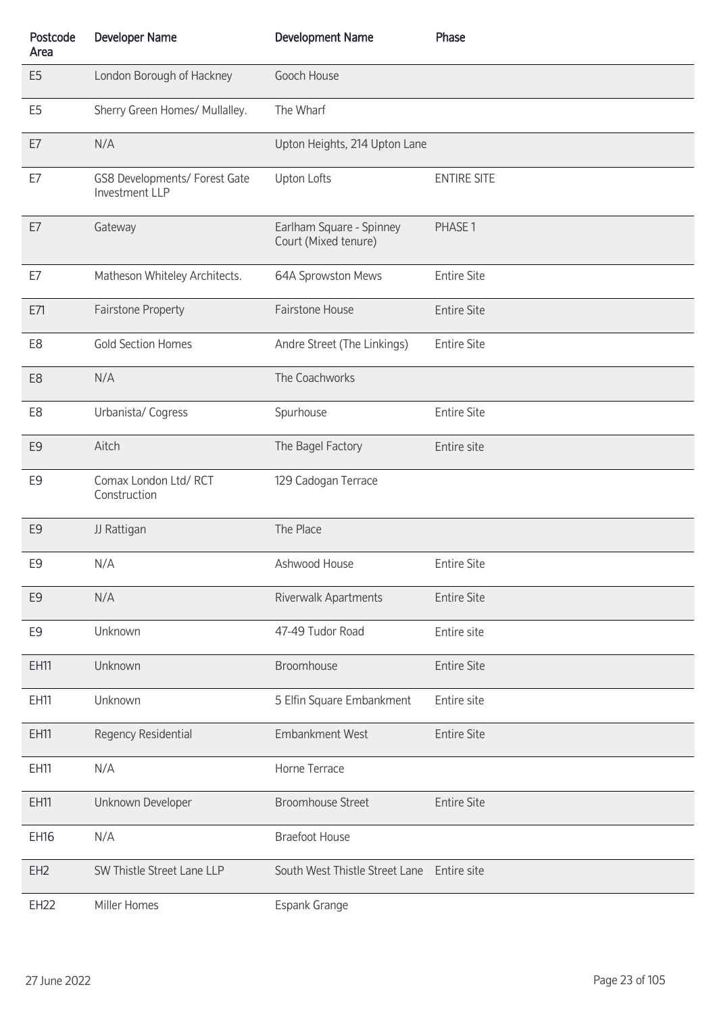| Postcode<br>Area | <b>Developer Name</b>                                  | <b>Development Name</b>                          | Phase              |
|------------------|--------------------------------------------------------|--------------------------------------------------|--------------------|
| E <sub>5</sub>   | London Borough of Hackney                              | Gooch House                                      |                    |
| E <sub>5</sub>   | Sherry Green Homes/ Mullalley.                         | The Wharf                                        |                    |
| E7               | N/A                                                    | Upton Heights, 214 Upton Lane                    |                    |
| E7               | GS8 Developments/ Forest Gate<br><b>Investment LLP</b> | <b>Upton Lofts</b>                               | <b>ENTIRE SITE</b> |
| E7               | Gateway                                                | Earlham Square - Spinney<br>Court (Mixed tenure) | PHASE 1            |
| E7               | Matheson Whiteley Architects.                          | 64A Sprowston Mews                               | <b>Entire Site</b> |
| E71              | Fairstone Property                                     | Fairstone House                                  | <b>Entire Site</b> |
| E <sub>8</sub>   | <b>Gold Section Homes</b>                              | Andre Street (The Linkings)                      | <b>Entire Site</b> |
| E <sub>8</sub>   | N/A                                                    | The Coachworks                                   |                    |
| E <sub>8</sub>   | Urbanista/ Cogress                                     | Spurhouse                                        | <b>Entire Site</b> |
| E <sub>9</sub>   | Aitch                                                  | The Bagel Factory                                | Entire site        |
| E <sub>9</sub>   | Comax London Ltd/RCT<br>Construction                   | 129 Cadogan Terrace                              |                    |
| E <sub>9</sub>   | JJ Rattigan                                            | The Place                                        |                    |
| E9               | N/A                                                    | Ashwood House                                    | <b>Entire Site</b> |
| E <sub>9</sub>   | N/A                                                    | Riverwalk Apartments                             | <b>Entire Site</b> |
| E9               | Unknown                                                | 47-49 Tudor Road                                 | Entire site        |
| EH11             | Unknown                                                | Broomhouse                                       | <b>Entire Site</b> |
| EH11             | Unknown                                                | 5 Elfin Square Embankment                        | Entire site        |
| EH11             | Regency Residential                                    | <b>Embankment West</b>                           | <b>Entire Site</b> |
| EH11             | N/A                                                    | Horne Terrace                                    |                    |
| EH11             | Unknown Developer                                      | <b>Broomhouse Street</b>                         | <b>Entire Site</b> |
| <b>EH16</b>      | N/A                                                    | <b>Braefoot House</b>                            |                    |
| EH <sub>2</sub>  | SW Thistle Street Lane LLP                             | South West Thistle Street Lane Entire site       |                    |
| <b>EH22</b>      | Miller Homes                                           | Espank Grange                                    |                    |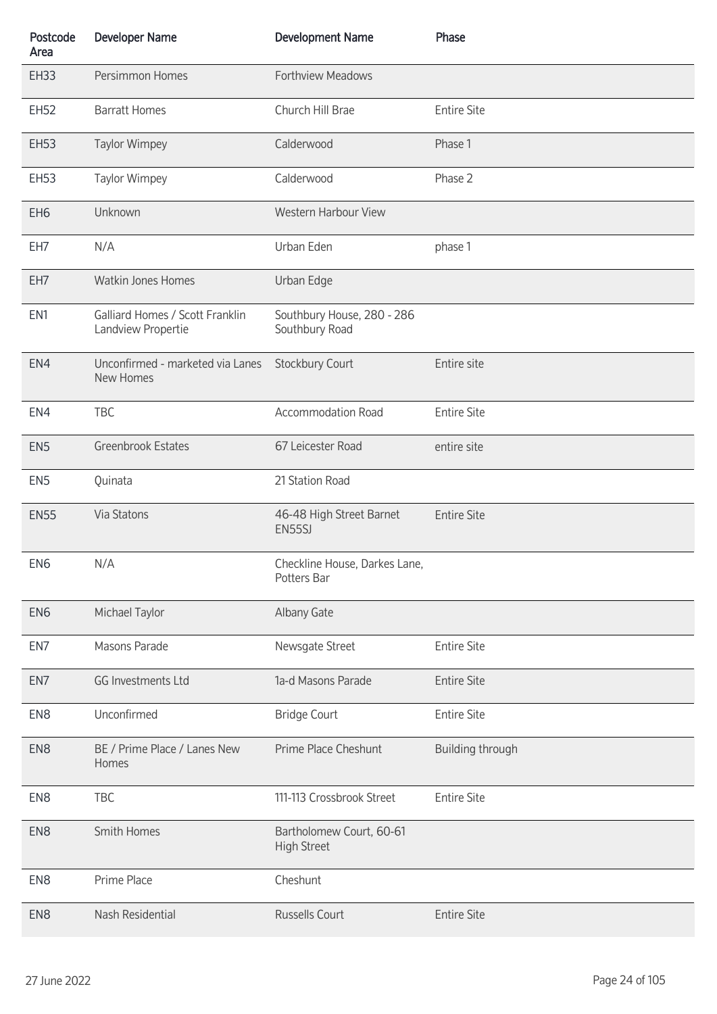| Postcode<br>Area | <b>Developer Name</b>                                 | <b>Development Name</b>                        | Phase              |
|------------------|-------------------------------------------------------|------------------------------------------------|--------------------|
| <b>EH33</b>      | Persimmon Homes                                       | Forthview Meadows                              |                    |
| <b>EH52</b>      | <b>Barratt Homes</b>                                  | Church Hill Brae                               | <b>Entire Site</b> |
| <b>EH53</b>      | <b>Taylor Wimpey</b>                                  | Calderwood                                     | Phase 1            |
| <b>EH53</b>      | Taylor Wimpey                                         | Calderwood                                     | Phase 2            |
| EH <sub>6</sub>  | Unknown                                               | Western Harbour View                           |                    |
| EH7              | N/A                                                   | Urban Eden                                     | phase 1            |
| EH7              | Watkin Jones Homes                                    | Urban Edge                                     |                    |
| EN1              | Galliard Homes / Scott Franklin<br>Landview Propertie | Southbury House, 280 - 286<br>Southbury Road   |                    |
| EN4              | Unconfirmed - marketed via Lanes<br>New Homes         | Stockbury Court                                | Entire site        |
| EN4              | <b>TBC</b>                                            | <b>Accommodation Road</b>                      | <b>Entire Site</b> |
| EN <sub>5</sub>  | Greenbrook Estates                                    | 67 Leicester Road                              | entire site        |
| EN <sub>5</sub>  | Quinata                                               | 21 Station Road                                |                    |
| <b>EN55</b>      | Via Statons                                           | 46-48 High Street Barnet<br>EN55SJ             | <b>Entire Site</b> |
| EN <sub>6</sub>  | N/A                                                   | Checkline House, Darkes Lane,<br>Potters Bar   |                    |
| EN <sub>6</sub>  | Michael Taylor                                        | Albany Gate                                    |                    |
| EN7              | Masons Parade                                         | Newsgate Street                                | <b>Entire Site</b> |
| EN7              | <b>GG Investments Ltd</b>                             | 1a-d Masons Parade                             | <b>Entire Site</b> |
| EN <sub>8</sub>  | Unconfirmed                                           | <b>Bridge Court</b>                            | <b>Entire Site</b> |
| EN <sub>8</sub>  | BE / Prime Place / Lanes New<br>Homes                 | Prime Place Cheshunt                           | Building through   |
| EN <sub>8</sub>  | <b>TBC</b>                                            | 111-113 Crossbrook Street                      | <b>Entire Site</b> |
| EN <sub>8</sub>  | Smith Homes                                           | Bartholomew Court, 60-61<br><b>High Street</b> |                    |
| EN <sub>8</sub>  | Prime Place                                           | Cheshunt                                       |                    |
| EN <sub>8</sub>  | Nash Residential                                      | Russells Court                                 | <b>Entire Site</b> |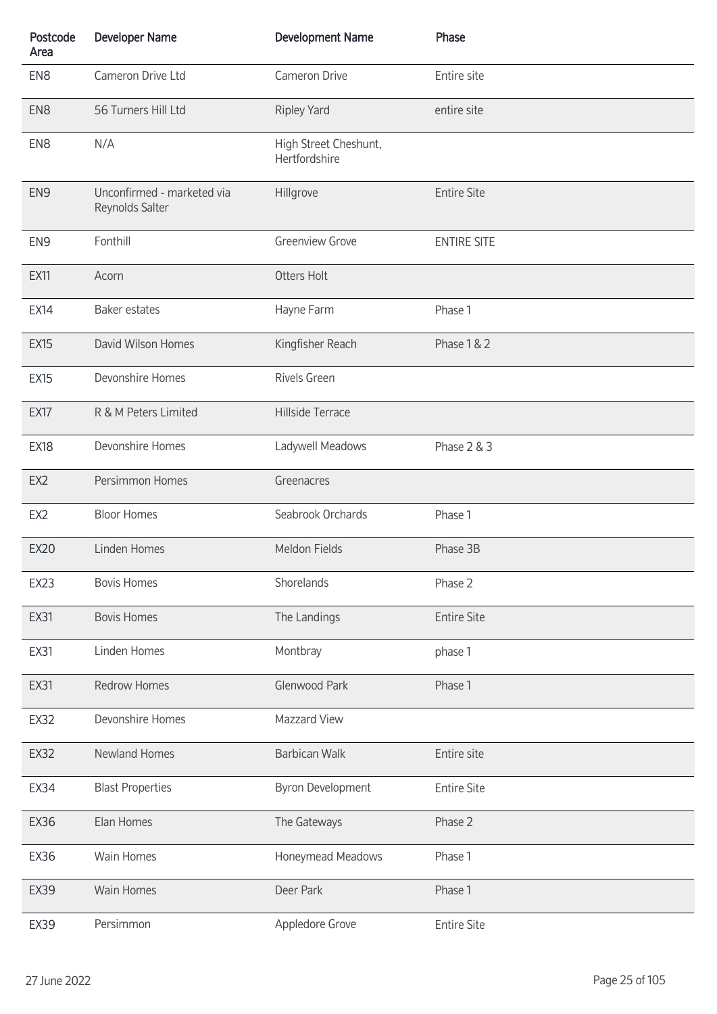| Postcode<br>Area | <b>Developer Name</b>                         | <b>Development Name</b>                | Phase              |
|------------------|-----------------------------------------------|----------------------------------------|--------------------|
| EN <sub>8</sub>  | Cameron Drive Ltd                             | Cameron Drive                          | Entire site        |
| EN <sub>8</sub>  | 56 Turners Hill Ltd                           | <b>Ripley Yard</b>                     | entire site        |
| EN <sub>8</sub>  | N/A                                           | High Street Cheshunt,<br>Hertfordshire |                    |
| EN <sub>9</sub>  | Unconfirmed - marketed via<br>Reynolds Salter | Hillgrove                              | <b>Entire Site</b> |
| EN <sub>9</sub>  | Fonthill                                      | <b>Greenview Grove</b>                 | <b>ENTIRE SITE</b> |
| <b>EX11</b>      | Acorn                                         | <b>Otters Holt</b>                     |                    |
| <b>EX14</b>      | <b>Baker estates</b>                          | Hayne Farm                             | Phase 1            |
| <b>EX15</b>      | David Wilson Homes                            | Kingfisher Reach                       | Phase 1 & 2        |
| <b>EX15</b>      | Devonshire Homes                              | <b>Rivels Green</b>                    |                    |
| <b>EX17</b>      | R & M Peters Limited                          | Hillside Terrace                       |                    |
| <b>EX18</b>      | Devonshire Homes                              | Ladywell Meadows                       | Phase 2 & 3        |
| EX <sub>2</sub>  | Persimmon Homes                               | Greenacres                             |                    |
| EX <sub>2</sub>  | <b>Bloor Homes</b>                            | Seabrook Orchards                      | Phase 1            |
| <b>EX20</b>      | Linden Homes                                  | Meldon Fields                          | Phase 3B           |
| EX23             | <b>Bovis Homes</b>                            | Shorelands                             | Phase 2            |
| <b>EX31</b>      | <b>Bovis Homes</b>                            | The Landings                           | <b>Entire Site</b> |
| <b>EX31</b>      | Linden Homes                                  | Montbray                               | phase 1            |
| <b>EX31</b>      | <b>Redrow Homes</b>                           | Glenwood Park                          | Phase 1            |
| <b>EX32</b>      | Devonshire Homes                              | Mazzard View                           |                    |
| <b>EX32</b>      | Newland Homes                                 | <b>Barbican Walk</b>                   | Entire site        |
| <b>EX34</b>      | <b>Blast Properties</b>                       | <b>Byron Development</b>               | <b>Entire Site</b> |
| <b>EX36</b>      | Elan Homes                                    | The Gateways                           | Phase 2            |
| <b>EX36</b>      | Wain Homes                                    | Honeymead Meadows                      | Phase 1            |
| <b>EX39</b>      | Wain Homes                                    | Deer Park                              | Phase 1            |
| <b>EX39</b>      | Persimmon                                     | Appledore Grove                        | <b>Entire Site</b> |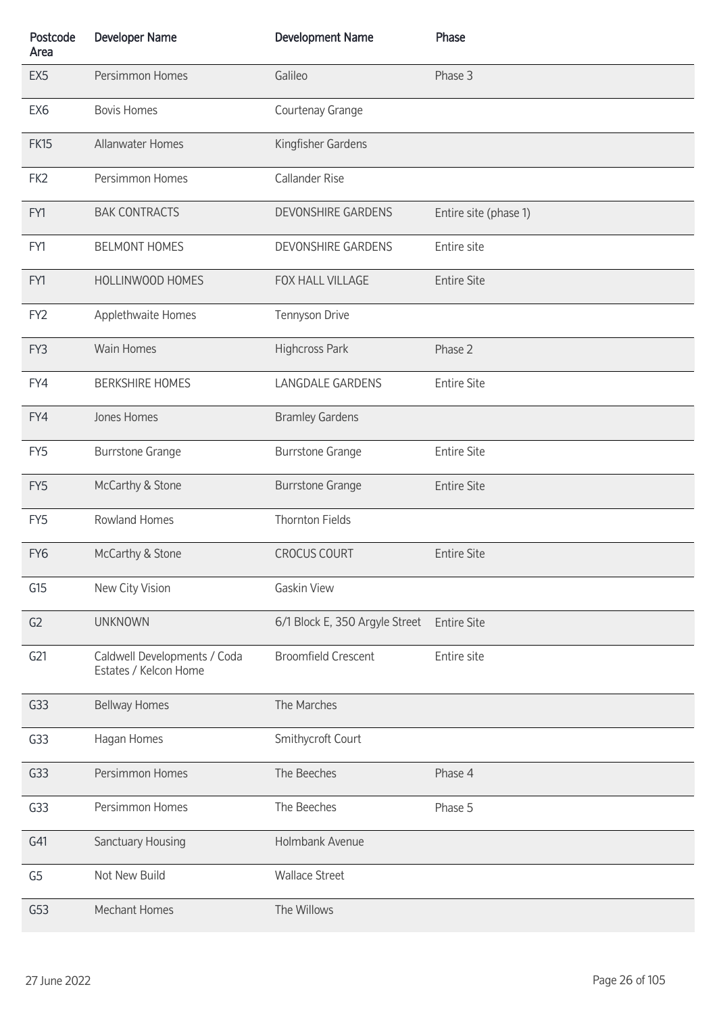| Postcode<br>Area | <b>Developer Name</b>                                 | <b>Development Name</b>        | Phase                 |
|------------------|-------------------------------------------------------|--------------------------------|-----------------------|
| EX <sub>5</sub>  | Persimmon Homes                                       | Galileo                        | Phase 3               |
| EX <sub>6</sub>  | <b>Bovis Homes</b>                                    | Courtenay Grange               |                       |
| <b>FK15</b>      | <b>Allanwater Homes</b>                               | Kingfisher Gardens             |                       |
| FK <sub>2</sub>  | Persimmon Homes                                       | <b>Callander Rise</b>          |                       |
| FY1              | <b>BAK CONTRACTS</b>                                  | <b>DEVONSHIRE GARDENS</b>      | Entire site (phase 1) |
| FY1              | <b>BELMONT HOMES</b>                                  | DEVONSHIRE GARDENS             | Entire site           |
| FY1              | HOLLINWOOD HOMES                                      | FOX HALL VILLAGE               | <b>Entire Site</b>    |
| FY <sub>2</sub>  | Applethwaite Homes                                    | Tennyson Drive                 |                       |
| FY3              | <b>Wain Homes</b>                                     | Highcross Park                 | Phase 2               |
| FY4              | <b>BERKSHIRE HOMES</b>                                | <b>LANGDALE GARDENS</b>        | <b>Entire Site</b>    |
| FY4              | Jones Homes                                           | <b>Bramley Gardens</b>         |                       |
| FY <sub>5</sub>  | <b>Burrstone Grange</b>                               | <b>Burrstone Grange</b>        | <b>Entire Site</b>    |
| FY5              | McCarthy & Stone                                      | <b>Burrstone Grange</b>        | <b>Entire Site</b>    |
| FY <sub>5</sub>  | Rowland Homes                                         | <b>Thornton Fields</b>         |                       |
| FY <sub>6</sub>  | McCarthy & Stone                                      | <b>CROCUS COURT</b>            | <b>Entire Site</b>    |
| G15              | New City Vision                                       | <b>Gaskin View</b>             |                       |
| G <sub>2</sub>   | <b>UNKNOWN</b>                                        | 6/1 Block E, 350 Argyle Street | <b>Entire Site</b>    |
| G <sub>21</sub>  | Caldwell Developments / Coda<br>Estates / Kelcon Home | <b>Broomfield Crescent</b>     | Entire site           |
| G <sub>33</sub>  | <b>Bellway Homes</b>                                  | The Marches                    |                       |
| G33              | Hagan Homes                                           | Smithycroft Court              |                       |
| G <sub>33</sub>  | Persimmon Homes                                       | The Beeches                    | Phase 4               |
| G33              | Persimmon Homes                                       | The Beeches                    | Phase 5               |
| G41              | Sanctuary Housing                                     | Holmbank Avenue                |                       |
| G <sub>5</sub>   | Not New Build                                         | <b>Wallace Street</b>          |                       |
| G53              | Mechant Homes                                         | The Willows                    |                       |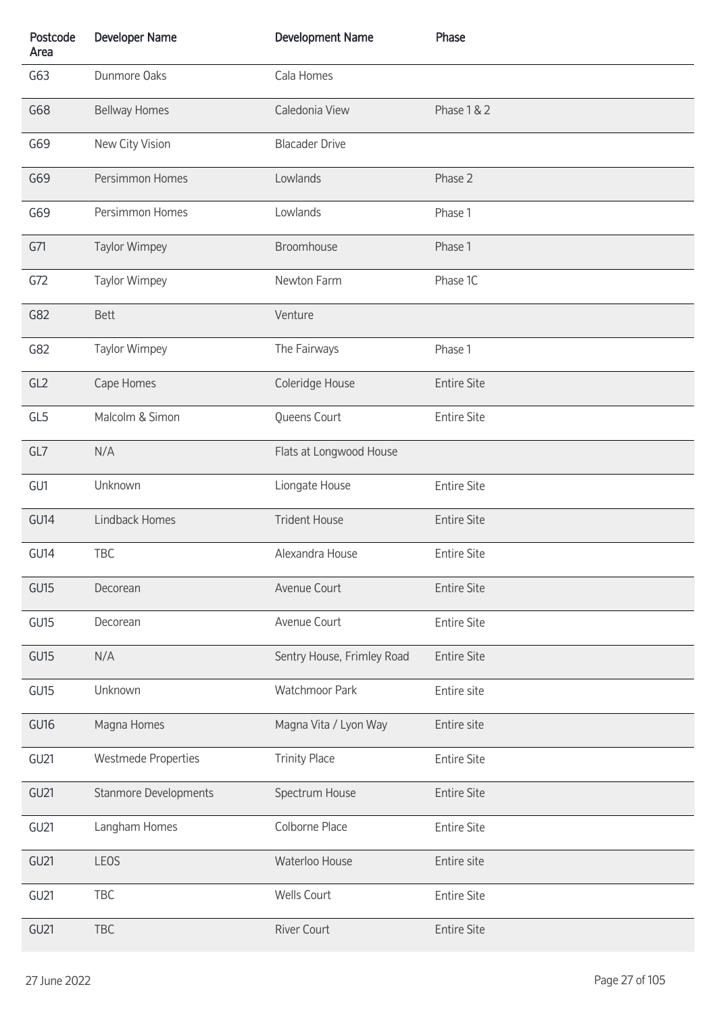| Postcode<br>Area | <b>Developer Name</b>        | <b>Development Name</b>    | Phase              |
|------------------|------------------------------|----------------------------|--------------------|
| G63              | Dunmore Oaks                 | Cala Homes                 |                    |
| G68              | <b>Bellway Homes</b>         | Caledonia View             | Phase 1 & 2        |
| G69              | New City Vision              | <b>Blacader Drive</b>      |                    |
| G69              | Persimmon Homes              | Lowlands                   | Phase 2            |
| G69              | Persimmon Homes              | Lowlands                   | Phase 1            |
| G71              | <b>Taylor Wimpey</b>         | Broomhouse                 | Phase 1            |
| G72              | Taylor Wimpey                | Newton Farm                | Phase 1C           |
| G82              | <b>Bett</b>                  | Venture                    |                    |
| G82              | Taylor Wimpey                | The Fairways               | Phase 1            |
| GL2              | Cape Homes                   | Coleridge House            | <b>Entire Site</b> |
| GL5              | Malcolm & Simon              | Queens Court               | <b>Entire Site</b> |
| GL7              | N/A                          | Flats at Longwood House    |                    |
| GU1              | Unknown                      | Liongate House             | <b>Entire Site</b> |
| GU14             | <b>Lindback Homes</b>        | <b>Trident House</b>       | <b>Entire Site</b> |
| GU14             | <b>TBC</b>                   | Alexandra House            | <b>Entire Site</b> |
| <b>GU15</b>      | Decorean                     | Avenue Court               | <b>Entire Site</b> |
| GU <sub>15</sub> | Decorean                     | Avenue Court               | <b>Entire Site</b> |
| GU <sub>15</sub> | N/A                          | Sentry House, Frimley Road | <b>Entire Site</b> |
| GU15             | Unknown                      | <b>Watchmoor Park</b>      | Entire site        |
| GU <sub>16</sub> | Magna Homes                  | Magna Vita / Lyon Way      | Entire site        |
| GU21             | <b>Westmede Properties</b>   | <b>Trinity Place</b>       | <b>Entire Site</b> |
| <b>GU21</b>      | <b>Stanmore Developments</b> | Spectrum House             | <b>Entire Site</b> |
| GU <sub>21</sub> | Langham Homes                | Colborne Place             | <b>Entire Site</b> |
| GU <sub>21</sub> | LEOS                         | Waterloo House             | Entire site        |
| <b>GU21</b>      | TBC                          | Wells Court                | <b>Entire Site</b> |
| GU <sub>21</sub> | <b>TBC</b>                   | <b>River Court</b>         | <b>Entire Site</b> |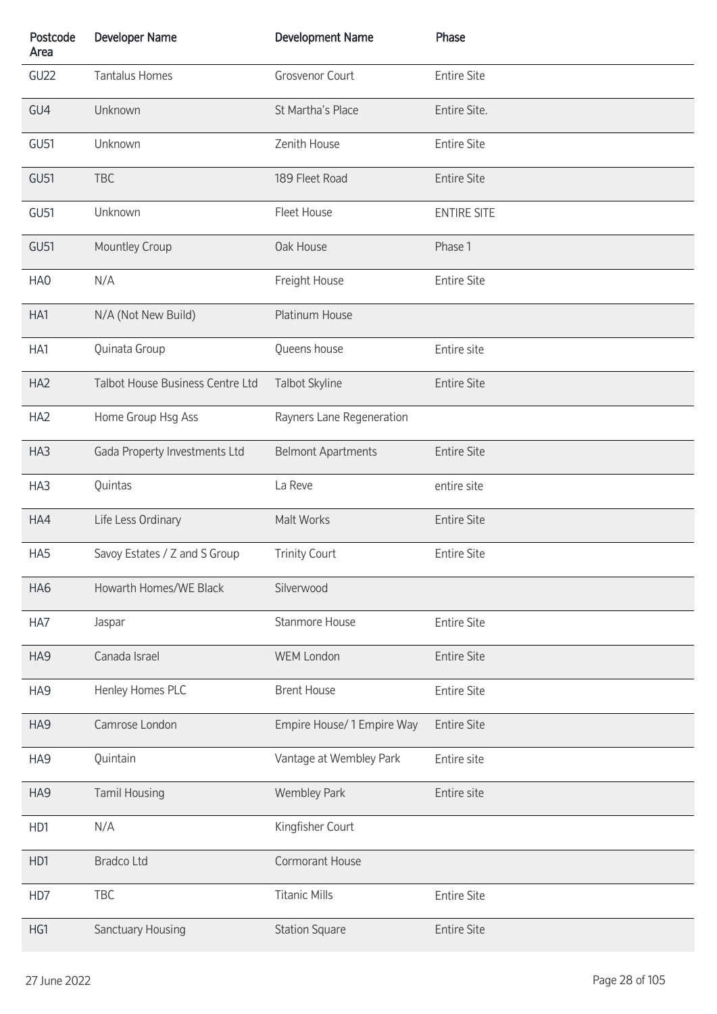| Postcode<br>Area | <b>Developer Name</b>            | <b>Development Name</b>    | Phase              |
|------------------|----------------------------------|----------------------------|--------------------|
| GU22             | <b>Tantalus Homes</b>            | Grosvenor Court            | <b>Entire Site</b> |
| GU4              | Unknown                          | St Martha's Place          | Entire Site.       |
| GU <sub>51</sub> | Unknown                          | Zenith House               | <b>Entire Site</b> |
| <b>GU51</b>      | <b>TBC</b>                       | 189 Fleet Road             | <b>Entire Site</b> |
| GU51             | Unknown                          | Fleet House                | <b>ENTIRE SITE</b> |
| <b>GU51</b>      | Mountley Croup                   | Oak House                  | Phase 1            |
| HA0              | N/A                              | Freight House              | <b>Entire Site</b> |
| HA1              | N/A (Not New Build)              | Platinum House             |                    |
| HA1              | Quinata Group                    | Queens house               | Entire site        |
| HA <sub>2</sub>  | Talbot House Business Centre Ltd | Talbot Skyline             | <b>Entire Site</b> |
| HA <sub>2</sub>  | Home Group Hsg Ass               | Rayners Lane Regeneration  |                    |
| HA3              | Gada Property Investments Ltd    | <b>Belmont Apartments</b>  | <b>Entire Site</b> |
| HA3              | Quintas                          | La Reve                    | entire site        |
| HA4              | Life Less Ordinary               | Malt Works                 | <b>Entire Site</b> |
| HA5              | Savoy Estates / Z and S Group    | <b>Trinity Court</b>       | <b>Entire Site</b> |
| HA6              | Howarth Homes/WE Black           | Silverwood                 |                    |
| HA7              | Jaspar                           | <b>Stanmore House</b>      | <b>Entire Site</b> |
| HA9              | Canada Israel                    | <b>WEM London</b>          | <b>Entire Site</b> |
| HA9              | Henley Homes PLC                 | <b>Brent House</b>         | <b>Entire Site</b> |
| HA9              | Camrose London                   | Empire House/ 1 Empire Way | <b>Entire Site</b> |
| HA9              | Quintain                         | Vantage at Wembley Park    | Entire site        |
| HA9              | <b>Tamil Housing</b>             | <b>Wembley Park</b>        | Entire site        |
| HD1              | N/A                              | Kingfisher Court           |                    |
| HD1              | <b>Bradco Ltd</b>                | Cormorant House            |                    |
| HD7              | TBC                              | <b>Titanic Mills</b>       | <b>Entire Site</b> |
| HG1              | Sanctuary Housing                | <b>Station Square</b>      | <b>Entire Site</b> |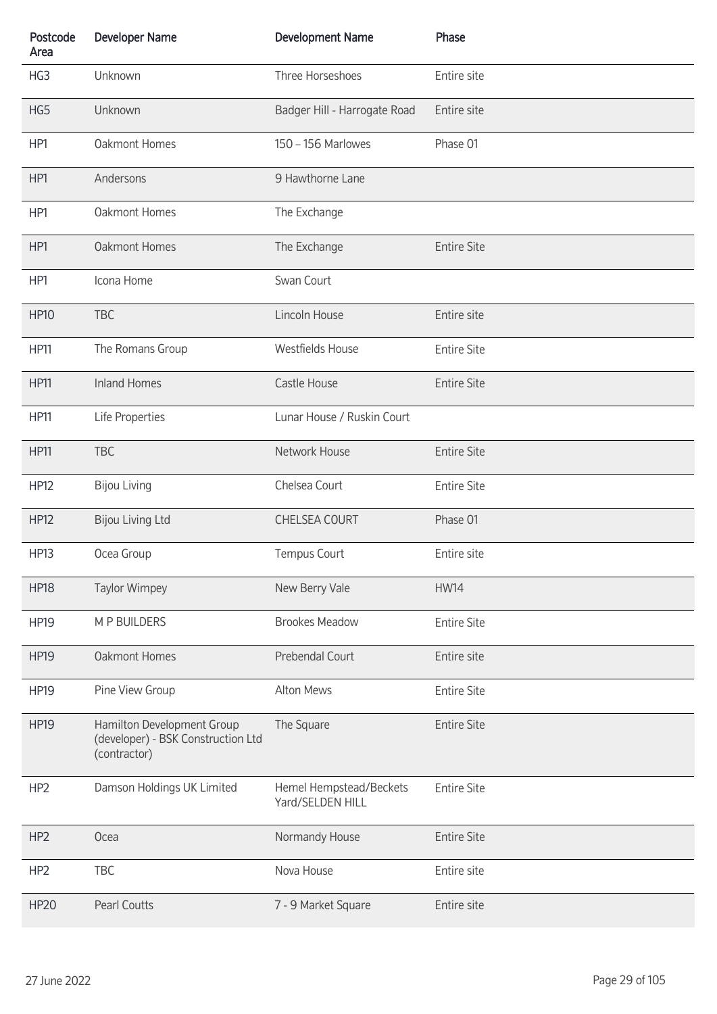| Postcode<br>Area | <b>Developer Name</b>                                                            | <b>Development Name</b>                     | Phase              |
|------------------|----------------------------------------------------------------------------------|---------------------------------------------|--------------------|
| HG3              | Unknown                                                                          | Three Horseshoes                            | Entire site        |
| HG5              | Unknown                                                                          | Badger Hill - Harrogate Road                | Entire site        |
| HP1              | Oakmont Homes                                                                    | 150 - 156 Marlowes                          | Phase 01           |
| HP1              | Andersons                                                                        | 9 Hawthorne Lane                            |                    |
| HP1              | Oakmont Homes                                                                    | The Exchange                                |                    |
| HP1              | <b>Oakmont Homes</b>                                                             | The Exchange                                | <b>Entire Site</b> |
| HP1              | Icona Home                                                                       | Swan Court                                  |                    |
| <b>HP10</b>      | <b>TBC</b>                                                                       | Lincoln House                               | Entire site        |
| <b>HP11</b>      | The Romans Group                                                                 | <b>Westfields House</b>                     | <b>Entire Site</b> |
| <b>HP11</b>      | <b>Inland Homes</b>                                                              | Castle House                                | <b>Entire Site</b> |
| <b>HP11</b>      | Life Properties                                                                  | Lunar House / Ruskin Court                  |                    |
| <b>HP11</b>      | <b>TBC</b>                                                                       | Network House                               | <b>Entire Site</b> |
| <b>HP12</b>      | <b>Bijou Living</b>                                                              | Chelsea Court                               | <b>Entire Site</b> |
| <b>HP12</b>      | <b>Bijou Living Ltd</b>                                                          | <b>CHELSEA COURT</b>                        | Phase 01           |
| <b>HP13</b>      | Ocea Group                                                                       | Tempus Court                                | Entire site        |
| <b>HP18</b>      | <b>Taylor Wimpey</b>                                                             | New Berry Vale                              | <b>HW14</b>        |
| <b>HP19</b>      | M P BUILDERS                                                                     | <b>Brookes Meadow</b>                       | <b>Entire Site</b> |
| <b>HP19</b>      | <b>Oakmont Homes</b>                                                             | Prebendal Court                             | Entire site        |
| <b>HP19</b>      | Pine View Group                                                                  | Alton Mews                                  | <b>Entire Site</b> |
| <b>HP19</b>      | Hamilton Development Group<br>(developer) - BSK Construction Ltd<br>(contractor) | The Square                                  | <b>Entire Site</b> |
| HP <sub>2</sub>  | Damson Holdings UK Limited                                                       | Hemel Hempstead/Beckets<br>Yard/SELDEN HILL | <b>Entire Site</b> |
| HP <sub>2</sub>  | Ocea                                                                             | Normandy House                              | <b>Entire Site</b> |
| HP <sub>2</sub>  | <b>TBC</b>                                                                       | Nova House                                  | Entire site        |
| <b>HP20</b>      | <b>Pearl Coutts</b>                                                              | 7 - 9 Market Square                         | Entire site        |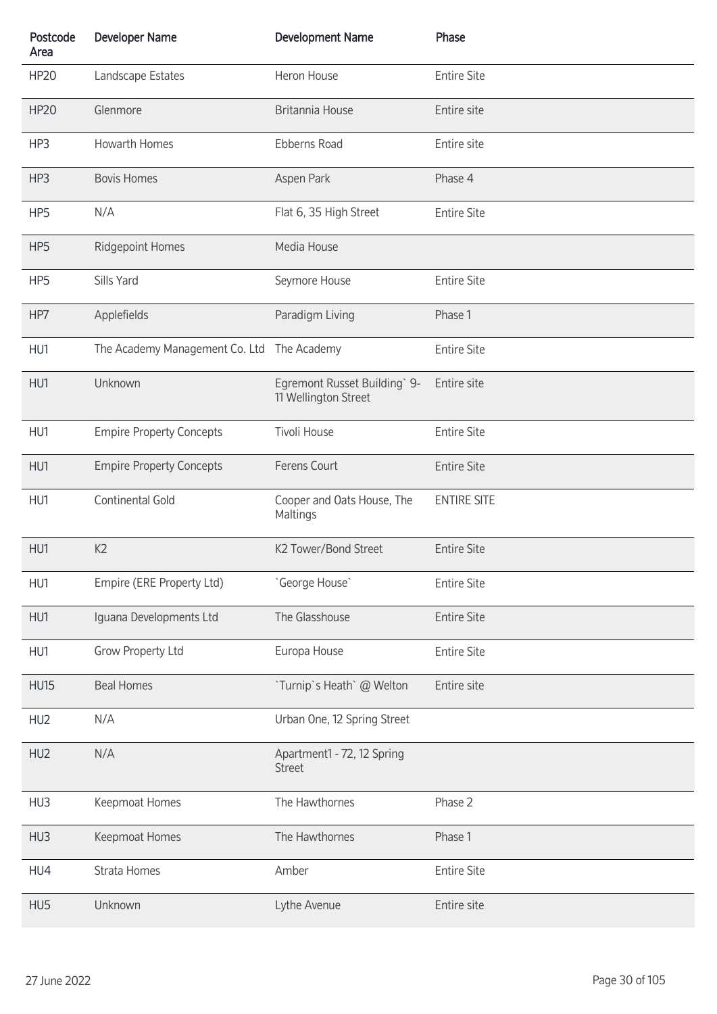| Postcode<br>Area | <b>Developer Name</b>           | <b>Development Name</b>                              | Phase              |
|------------------|---------------------------------|------------------------------------------------------|--------------------|
| <b>HP20</b>      | Landscape Estates               | Heron House                                          | <b>Entire Site</b> |
| <b>HP20</b>      | Glenmore                        | Britannia House                                      | Entire site        |
| HP3              | Howarth Homes                   | Ebberns Road                                         | Entire site        |
| HP3              | <b>Bovis Homes</b>              | Aspen Park                                           | Phase 4            |
| HP5              | N/A                             | Flat 6, 35 High Street                               | <b>Entire Site</b> |
| HP <sub>5</sub>  | <b>Ridgepoint Homes</b>         | Media House                                          |                    |
| HP5              | Sills Yard                      | Seymore House                                        | <b>Entire Site</b> |
| HP7              | Applefields                     | Paradigm Living                                      | Phase 1            |
| HU1              | The Academy Management Co. Ltd  | The Academy                                          | <b>Entire Site</b> |
| HU1              | Unknown                         | Egremont Russet Building` 9-<br>11 Wellington Street | Entire site        |
| HU1              | <b>Empire Property Concepts</b> | Tivoli House                                         | <b>Entire Site</b> |
| HU1              | <b>Empire Property Concepts</b> | Ferens Court                                         | <b>Entire Site</b> |
| HU1              | Continental Gold                | Cooper and Oats House, The<br>Maltings               | <b>ENTIRE SITE</b> |
| HU1              | K2                              | K2 Tower/Bond Street                                 | <b>Entire Site</b> |
| HU1              | Empire (ERE Property Ltd)       | 'George House'                                       | <b>Entire Site</b> |
| HU1              | Iguana Developments Ltd         | The Glasshouse                                       | <b>Entire Site</b> |
| HU1              | Grow Property Ltd               | Europa House                                         | <b>Entire Site</b> |
| <b>HU15</b>      | <b>Beal Homes</b>               | `Turnip`s Heath` @ Welton                            | Entire site        |
| HU <sub>2</sub>  | N/A                             | Urban One, 12 Spring Street                          |                    |
| HU <sub>2</sub>  | N/A                             | Apartment1 - 72, 12 Spring<br><b>Street</b>          |                    |
| HU3              | Keepmoat Homes                  | The Hawthornes                                       | Phase 2            |
| HU3              | Keepmoat Homes                  | The Hawthornes                                       | Phase 1            |
| HU4              | Strata Homes                    | Amber                                                | <b>Entire Site</b> |
| HU5              | Unknown                         | Lythe Avenue                                         | Entire site        |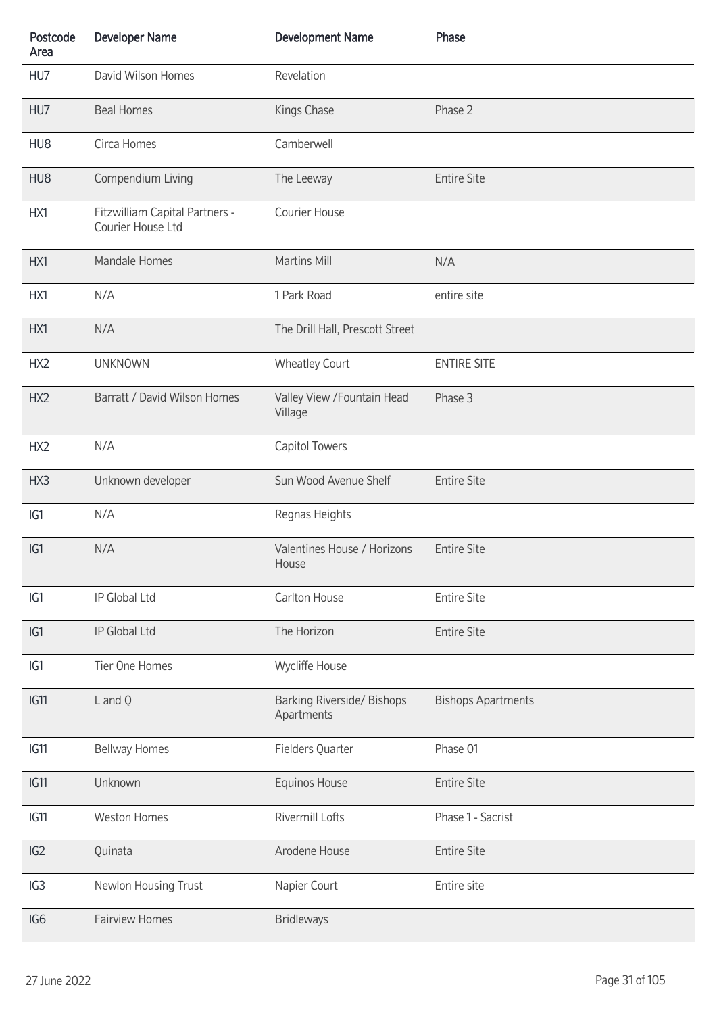| Postcode<br>Area | <b>Developer Name</b>                               | <b>Development Name</b>                  | Phase                     |
|------------------|-----------------------------------------------------|------------------------------------------|---------------------------|
| HU7              | David Wilson Homes                                  | Revelation                               |                           |
| HU7              | <b>Beal Homes</b>                                   | Kings Chase                              | Phase 2                   |
| HU8              | Circa Homes                                         | Camberwell                               |                           |
| HU8              | Compendium Living                                   | The Leeway                               | <b>Entire Site</b>        |
| HX1              | Fitzwilliam Capital Partners -<br>Courier House Ltd | Courier House                            |                           |
| HX1              | Mandale Homes                                       | Martins Mill                             | N/A                       |
| HX1              | N/A                                                 | 1 Park Road                              | entire site               |
| HX1              | N/A                                                 | The Drill Hall, Prescott Street          |                           |
| HX <sub>2</sub>  | <b>UNKNOWN</b>                                      | <b>Wheatley Court</b>                    | <b>ENTIRE SITE</b>        |
| HX2              | Barratt / David Wilson Homes                        | Valley View / Fountain Head<br>Village   | Phase 3                   |
| HX <sub>2</sub>  | N/A                                                 | Capitol Towers                           |                           |
| HX3              | Unknown developer                                   | Sun Wood Avenue Shelf                    | <b>Entire Site</b>        |
| IG1              | N/A                                                 | Regnas Heights                           |                           |
| IG1              | N/A                                                 | Valentines House / Horizons<br>House     | <b>Entire Site</b>        |
| IG1              | IP Global Ltd                                       | Carlton House                            | <b>Entire Site</b>        |
| IG1              | IP Global Ltd                                       | The Horizon                              | <b>Entire Site</b>        |
| IG1              | Tier One Homes                                      | Wycliffe House                           |                           |
| IG11             | L and Q                                             | Barking Riverside/ Bishops<br>Apartments | <b>Bishops Apartments</b> |
| IG11             | <b>Bellway Homes</b>                                | Fielders Quarter                         | Phase 01                  |
| IG11             | Unknown                                             | Equinos House                            | <b>Entire Site</b>        |
| IG11             | <b>Weston Homes</b>                                 | Rivermill Lofts                          | Phase 1 - Sacrist         |
| IG2              | Quinata                                             | Arodene House                            | <b>Entire Site</b>        |
| IG3              | Newlon Housing Trust                                | Napier Court                             | Entire site               |
| IG <sub>6</sub>  | <b>Fairview Homes</b>                               | <b>Bridleways</b>                        |                           |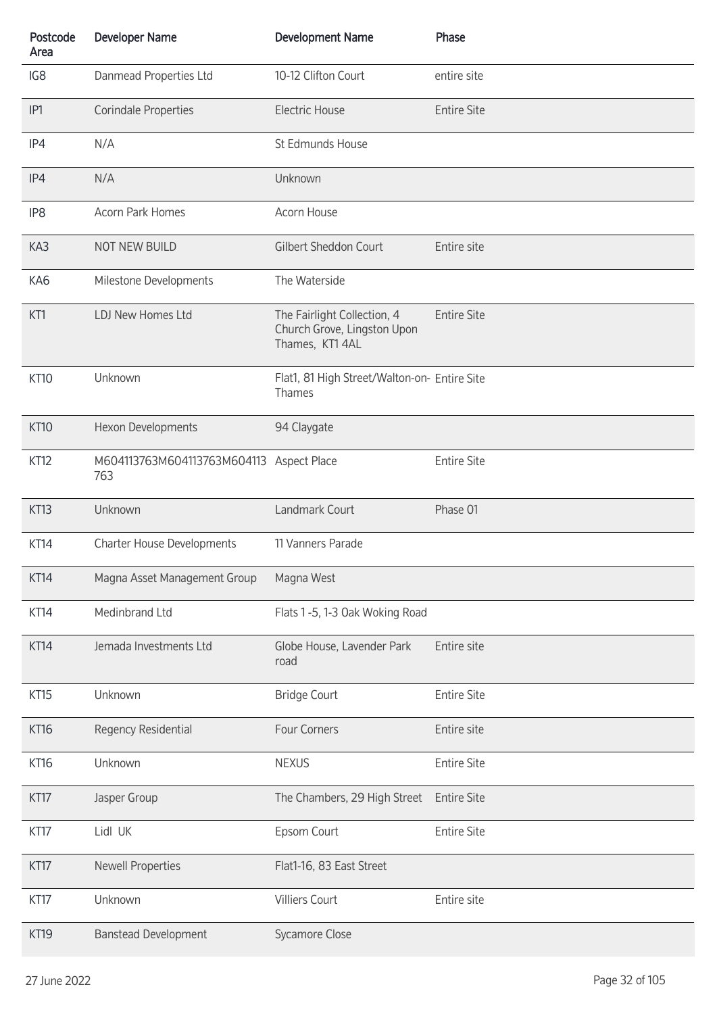| Postcode<br>Area | <b>Developer Name</b>                           | <b>Development Name</b>                                                       | Phase              |
|------------------|-------------------------------------------------|-------------------------------------------------------------------------------|--------------------|
| IG8              | Danmead Properties Ltd                          | 10-12 Clifton Court                                                           | entire site        |
| IP <sub>1</sub>  | <b>Corindale Properties</b>                     | <b>Electric House</b>                                                         | <b>Entire Site</b> |
| IP4              | N/A                                             | St Edmunds House                                                              |                    |
| IP4              | N/A                                             | Unknown                                                                       |                    |
| IP <sub>8</sub>  | <b>Acorn Park Homes</b>                         | Acorn House                                                                   |                    |
| KA3              | NOT NEW BUILD                                   | Gilbert Sheddon Court                                                         | Entire site        |
| KA6              | Milestone Developments                          | The Waterside                                                                 |                    |
| KT1              | LDJ New Homes Ltd                               | The Fairlight Collection, 4<br>Church Grove, Lingston Upon<br>Thames, KT1 4AL | <b>Entire Site</b> |
| <b>KT10</b>      | Unknown                                         | Flat1, 81 High Street/Walton-on- Entire Site<br>Thames                        |                    |
| <b>KT10</b>      | Hexon Developments                              | 94 Claygate                                                                   |                    |
| KT12             | M604113763M604113763M604113 Aspect Place<br>763 |                                                                               | <b>Entire Site</b> |
| KT13             | Unknown                                         | Landmark Court                                                                | Phase 01           |
| KT14             | Charter House Developments                      | 11 Vanners Parade                                                             |                    |
| KT14             | Magna Asset Management Group                    | Magna West                                                                    |                    |
| KT14             | Medinbrand Ltd                                  | Flats 1-5, 1-3 Oak Woking Road                                                |                    |
| KT14             | Jemada Investments Ltd                          | Globe House, Lavender Park<br>road                                            | Entire site        |
| KT15             | Unknown                                         | <b>Bridge Court</b>                                                           | <b>Entire Site</b> |
| <b>KT16</b>      | Regency Residential                             | Four Corners                                                                  | Entire site        |
| <b>KT16</b>      | Unknown                                         | <b>NEXUS</b>                                                                  | <b>Entire Site</b> |
| KT17             | Jasper Group                                    | The Chambers, 29 High Street                                                  | <b>Entire Site</b> |
| KT17             | Lidl UK                                         | Epsom Court                                                                   | <b>Entire Site</b> |
| KT17             | <b>Newell Properties</b>                        | Flat1-16, 83 East Street                                                      |                    |
| KT17             | Unknown                                         | <b>Villiers Court</b>                                                         | Entire site        |
| KT19             | <b>Banstead Development</b>                     | Sycamore Close                                                                |                    |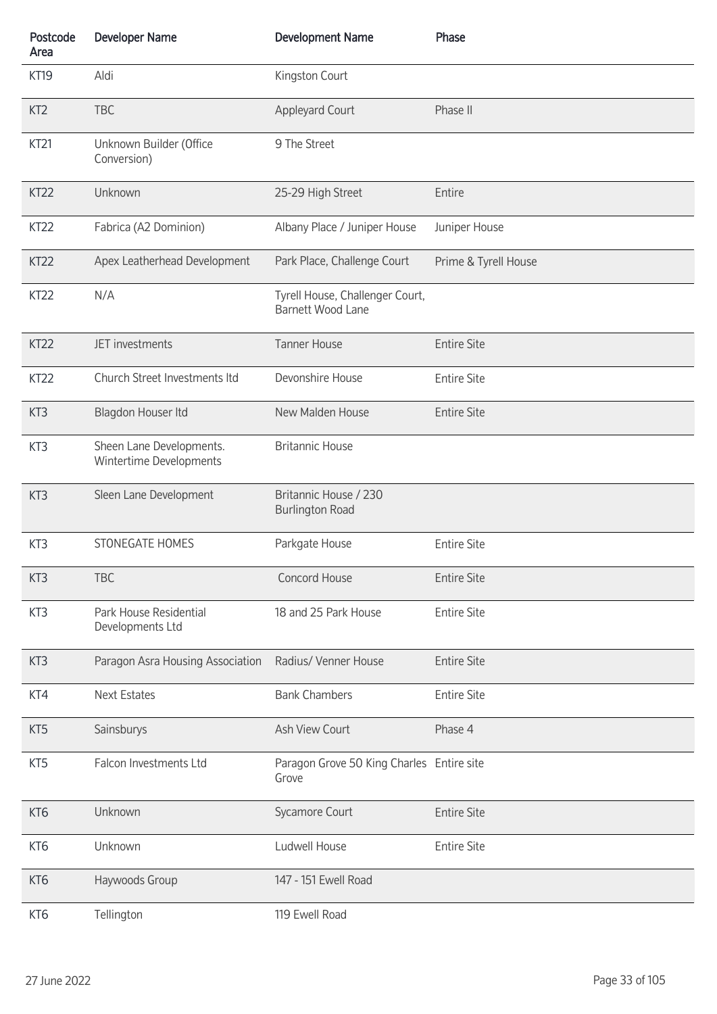| Postcode<br>Area | <b>Developer Name</b>                               | <b>Development Name</b>                                     | Phase                |
|------------------|-----------------------------------------------------|-------------------------------------------------------------|----------------------|
| <b>KT19</b>      | Aldi                                                | Kingston Court                                              |                      |
| KT <sub>2</sub>  | <b>TBC</b>                                          | <b>Appleyard Court</b>                                      | Phase II             |
| KT <sub>21</sub> | Unknown Builder (Office<br>Conversion)              | 9 The Street                                                |                      |
| KT22             | Unknown                                             | 25-29 High Street                                           | Entire               |
| KT <sub>22</sub> | Fabrica (A2 Dominion)                               | Albany Place / Juniper House                                | Juniper House        |
| KT <sub>22</sub> | Apex Leatherhead Development                        | Park Place, Challenge Court                                 | Prime & Tyrell House |
| KT <sub>22</sub> | N/A                                                 | Tyrell House, Challenger Court,<br><b>Barnett Wood Lane</b> |                      |
| KT22             | JET investments                                     | <b>Tanner House</b>                                         | <b>Entire Site</b>   |
| KT <sub>22</sub> | Church Street Investments Itd                       | Devonshire House                                            | <b>Entire Site</b>   |
| KT <sub>3</sub>  | Blagdon Houser Itd                                  | New Malden House                                            | <b>Entire Site</b>   |
| KT3              | Sheen Lane Developments.<br>Wintertime Developments | <b>Britannic House</b>                                      |                      |
| KT3              | Sleen Lane Development                              | Britannic House / 230<br><b>Burlington Road</b>             |                      |
| KT3              | STONEGATE HOMES                                     | Parkgate House                                              | <b>Entire Site</b>   |
| KT3              | <b>TBC</b>                                          | Concord House                                               | <b>Entire Site</b>   |
| KT3              | Park House Residential<br>Developments Ltd          | 18 and 25 Park House                                        | <b>Entire Site</b>   |
| KT <sub>3</sub>  | Paragon Asra Housing Association                    | Radius/ Venner House                                        | <b>Entire Site</b>   |
| KT4              | <b>Next Estates</b>                                 | <b>Bank Chambers</b>                                        | <b>Entire Site</b>   |
| KT <sub>5</sub>  | Sainsburys                                          | Ash View Court                                              | Phase 4              |
| KT5              | Falcon Investments Ltd                              | Paragon Grove 50 King Charles Entire site<br>Grove          |                      |
| KT <sub>6</sub>  | Unknown                                             | Sycamore Court                                              | <b>Entire Site</b>   |
| KT <sub>6</sub>  | Unknown                                             | Ludwell House                                               | <b>Entire Site</b>   |
| KT <sub>6</sub>  | Haywoods Group                                      | 147 - 151 Ewell Road                                        |                      |
| KT <sub>6</sub>  | Tellington                                          | 119 Ewell Road                                              |                      |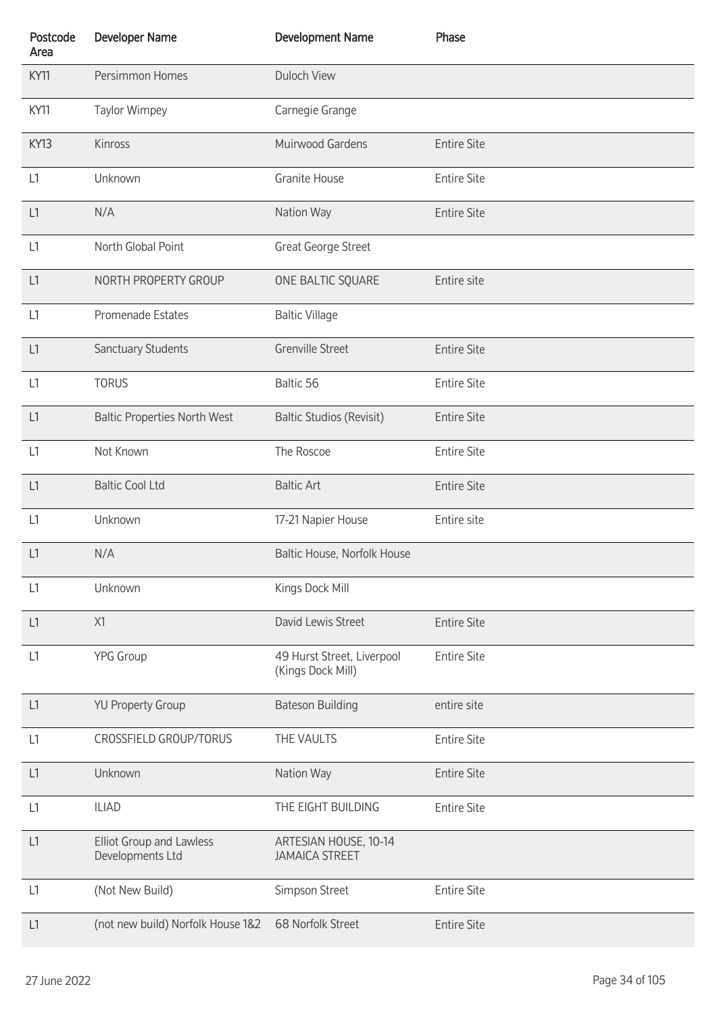| Postcode<br>Area | <b>Developer Name</b>                        | <b>Development Name</b>                         | Phase              |
|------------------|----------------------------------------------|-------------------------------------------------|--------------------|
| <b>KY11</b>      | Persimmon Homes                              | <b>Duloch View</b>                              |                    |
| KY11             | <b>Taylor Wimpey</b>                         | Carnegie Grange                                 |                    |
| <b>KY13</b>      | Kinross                                      | Muirwood Gardens                                | <b>Entire Site</b> |
| L1               | Unknown                                      | Granite House                                   | <b>Entire Site</b> |
| L1               | N/A                                          | Nation Way                                      | <b>Entire Site</b> |
| L1               | North Global Point                           | Great George Street                             |                    |
| L1               | NORTH PROPERTY GROUP                         | ONE BALTIC SQUARE                               | Entire site        |
| L1               | Promenade Estates                            | <b>Baltic Village</b>                           |                    |
| L1               | Sanctuary Students                           | <b>Grenville Street</b>                         | <b>Entire Site</b> |
| L1               | <b>TORUS</b>                                 | Baltic 56                                       | <b>Entire Site</b> |
| L1               | <b>Baltic Properties North West</b>          | <b>Baltic Studios (Revisit)</b>                 | <b>Entire Site</b> |
| L1               | Not Known                                    | The Roscoe                                      | <b>Entire Site</b> |
| L1               | <b>Baltic Cool Ltd</b>                       | <b>Baltic Art</b>                               | <b>Entire Site</b> |
| L1               | Unknown                                      | 17-21 Napier House                              | Entire site        |
| L1               | N/A                                          | Baltic House, Norfolk House                     |                    |
| L1               | Unknown                                      | Kings Dock Mill                                 |                    |
| L1               | X1                                           | David Lewis Street                              | <b>Entire Site</b> |
| L1               | <b>YPG Group</b>                             | 49 Hurst Street, Liverpool<br>(Kings Dock Mill) | <b>Entire Site</b> |
| L1               | <b>YU Property Group</b>                     | <b>Bateson Building</b>                         | entire site        |
| L1               | CROSSFIELD GROUP/TORUS                       | THE VAULTS                                      | <b>Entire Site</b> |
| L1               | Unknown                                      | Nation Way                                      | <b>Entire Site</b> |
| L1               | <b>ILIAD</b>                                 | THE EIGHT BUILDING                              | <b>Entire Site</b> |
| L1               | Elliot Group and Lawless<br>Developments Ltd | ARTESIAN HOUSE, 10-14<br><b>JAMAICA STREET</b>  |                    |
| L1               | (Not New Build)                              | Simpson Street                                  | <b>Entire Site</b> |
| L1               | (not new build) Norfolk House 1&2            | 68 Norfolk Street                               | <b>Entire Site</b> |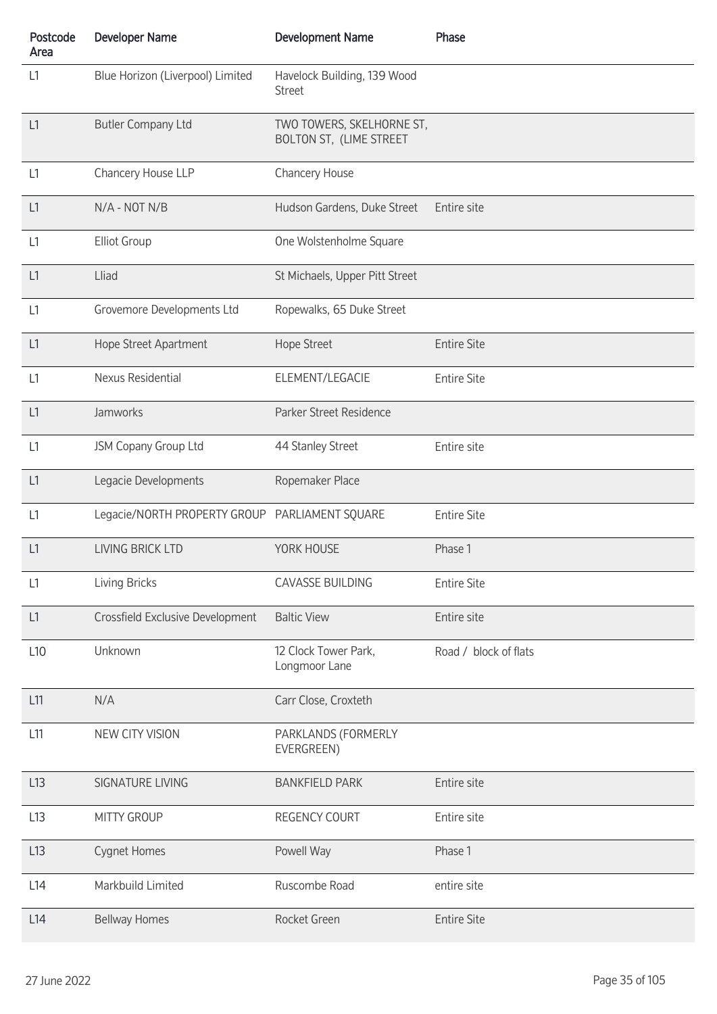| Postcode<br>Area | <b>Developer Name</b>                          | <b>Development Name</b>                              | Phase                 |
|------------------|------------------------------------------------|------------------------------------------------------|-----------------------|
| L1               | Blue Horizon (Liverpool) Limited               | Havelock Building, 139 Wood<br><b>Street</b>         |                       |
| L1               | <b>Butler Company Ltd</b>                      | TWO TOWERS, SKELHORNE ST,<br>BOLTON ST, (LIME STREET |                       |
| L1               | Chancery House LLP                             | Chancery House                                       |                       |
| L1               | N/A - NOT N/B                                  | Hudson Gardens, Duke Street                          | Entire site           |
| L1               | <b>Elliot Group</b>                            | One Wolstenholme Square                              |                       |
| L1               | Lliad                                          | St Michaels, Upper Pitt Street                       |                       |
| L1               | Grovemore Developments Ltd                     | Ropewalks, 65 Duke Street                            |                       |
| L1               | Hope Street Apartment                          | Hope Street                                          | <b>Entire Site</b>    |
| L1               | Nexus Residential                              | ELEMENT/LEGACIE                                      | <b>Entire Site</b>    |
| L1               | Jamworks                                       | Parker Street Residence                              |                       |
| L1               | JSM Copany Group Ltd                           | 44 Stanley Street                                    | Entire site           |
| L1               | Legacie Developments                           | Ropemaker Place                                      |                       |
| L1               | Legacie/NORTH PROPERTY GROUP PARLIAMENT SQUARE |                                                      | <b>Entire Site</b>    |
| L1               | <b>LIVING BRICK LTD</b>                        | YORK HOUSE                                           | Phase 1               |
| L1               | <b>Living Bricks</b>                           | <b>CAVASSE BUILDING</b>                              | <b>Entire Site</b>    |
| L1               | Crossfield Exclusive Development               | <b>Baltic View</b>                                   | Entire site           |
| L <sub>10</sub>  | Unknown                                        | 12 Clock Tower Park,<br>Longmoor Lane                | Road / block of flats |
| L11              | N/A                                            | Carr Close, Croxteth                                 |                       |
| L11              | NEW CITY VISION                                | PARKLANDS (FORMERLY<br>EVERGREEN)                    |                       |
| L13              | <b>SIGNATURE LIVING</b>                        | <b>BANKFIELD PARK</b>                                | Entire site           |
| L13              | <b>MITTY GROUP</b>                             | <b>REGENCY COURT</b>                                 | Entire site           |
| L13              | Cygnet Homes                                   | Powell Way                                           | Phase 1               |
| L14              | Markbuild Limited                              | Ruscombe Road                                        | entire site           |
| L14              | <b>Bellway Homes</b>                           | Rocket Green                                         | <b>Entire Site</b>    |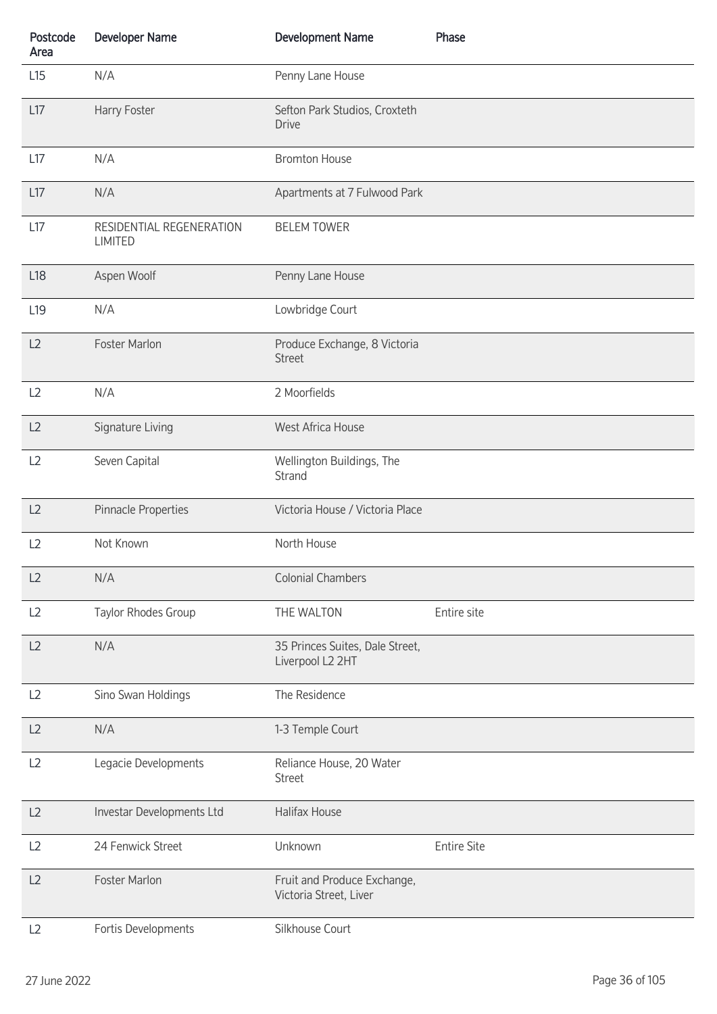| Postcode<br>Area | <b>Developer Name</b>                      | <b>Development Name</b>                               | Phase              |
|------------------|--------------------------------------------|-------------------------------------------------------|--------------------|
| L15              | N/A                                        | Penny Lane House                                      |                    |
| L17              | Harry Foster                               | Sefton Park Studios, Croxteth<br><b>Drive</b>         |                    |
| L17              | N/A                                        | <b>Bromton House</b>                                  |                    |
| L17              | N/A                                        | Apartments at 7 Fulwood Park                          |                    |
| L17              | RESIDENTIAL REGENERATION<br><b>LIMITED</b> | <b>BELEM TOWER</b>                                    |                    |
| L <sub>18</sub>  | Aspen Woolf                                | Penny Lane House                                      |                    |
| L <sub>19</sub>  | N/A                                        | Lowbridge Court                                       |                    |
| L2               | Foster Marlon                              | Produce Exchange, 8 Victoria<br><b>Street</b>         |                    |
| L2               | N/A                                        | 2 Moorfields                                          |                    |
| L2               | Signature Living                           | West Africa House                                     |                    |
| L2               | Seven Capital                              | Wellington Buildings, The<br>Strand                   |                    |
| L2               | Pinnacle Properties                        | Victoria House / Victoria Place                       |                    |
| L2               | Not Known                                  | North House                                           |                    |
| L2               | N/A                                        | <b>Colonial Chambers</b>                              |                    |
| L2               | Taylor Rhodes Group                        | THE WALTON                                            | Entire site        |
| L2               | N/A                                        | 35 Princes Suites, Dale Street,<br>Liverpool L2 2HT   |                    |
| L2               | Sino Swan Holdings                         | The Residence                                         |                    |
| L2               | N/A                                        | 1-3 Temple Court                                      |                    |
| L2               | Legacie Developments                       | Reliance House, 20 Water<br><b>Street</b>             |                    |
| L2               | Investar Developments Ltd                  | Halifax House                                         |                    |
| L2               | 24 Fenwick Street                          | Unknown                                               | <b>Entire Site</b> |
| L2               | Foster Marlon                              | Fruit and Produce Exchange,<br>Victoria Street, Liver |                    |
| L2               | Fortis Developments                        | Silkhouse Court                                       |                    |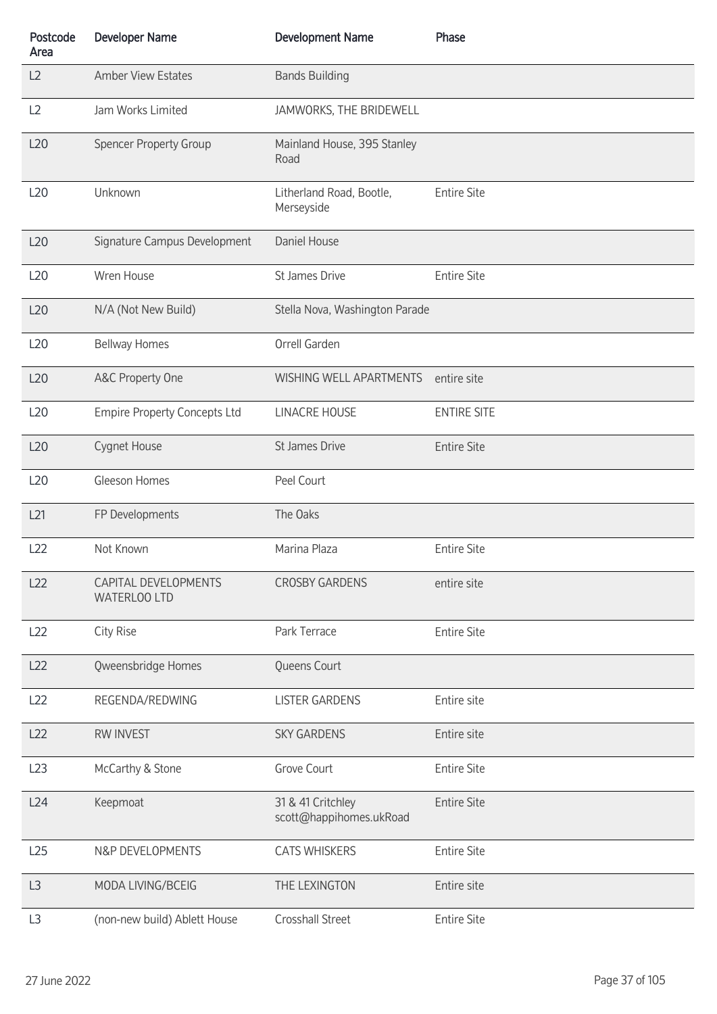| Postcode<br>Area | <b>Developer Name</b>                | <b>Development Name</b>                      | Phase              |
|------------------|--------------------------------------|----------------------------------------------|--------------------|
| L2               | <b>Amber View Estates</b>            | <b>Bands Building</b>                        |                    |
| L <sub>2</sub>   | Jam Works Limited                    | JAMWORKS, THE BRIDEWELL                      |                    |
| L20              | <b>Spencer Property Group</b>        | Mainland House, 395 Stanley<br>Road          |                    |
| L <sub>20</sub>  | Unknown                              | Litherland Road, Bootle,<br>Merseyside       | <b>Entire Site</b> |
| L20              | Signature Campus Development         | Daniel House                                 |                    |
| L20              | Wren House                           | St James Drive                               | <b>Entire Site</b> |
| L20              | N/A (Not New Build)                  | Stella Nova, Washington Parade               |                    |
| L <sub>20</sub>  | <b>Bellway Homes</b>                 | Orrell Garden                                |                    |
| L20              | A&C Property One                     | WISHING WELL APARTMENTS                      | entire site        |
| L20              | <b>Empire Property Concepts Ltd</b>  | <b>LINACRE HOUSE</b>                         | <b>ENTIRE SITE</b> |
| L20              | Cygnet House                         | St James Drive                               | <b>Entire Site</b> |
| L20              | Gleeson Homes                        | Peel Court                                   |                    |
| L21              | FP Developments                      | The Oaks                                     |                    |
| L22              | Not Known                            | Marina Plaza                                 | <b>Entire Site</b> |
| L22              | CAPITAL DEVELOPMENTS<br>WATERLOO LTD | <b>CROSBY GARDENS</b>                        | entire site        |
| L22              | City Rise                            | Park Terrace                                 | <b>Entire Site</b> |
| L22              | Qweensbridge Homes                   | Queens Court                                 |                    |
| L22              | REGENDA/REDWING                      | <b>LISTER GARDENS</b>                        | Entire site        |
| L22              | <b>RW INVEST</b>                     | <b>SKY GARDENS</b>                           | Entire site        |
| L23              | McCarthy & Stone                     | Grove Court                                  | <b>Entire Site</b> |
| L24              | Keepmoat                             | 31 & 41 Critchley<br>scott@happihomes.ukRoad | <b>Entire Site</b> |
| L25              | N&P DEVELOPMENTS                     | <b>CATS WHISKERS</b>                         | <b>Entire Site</b> |
| L3               | MODA LIVING/BCEIG                    | THE LEXINGTON                                | Entire site        |
| L <sub>3</sub>   | (non-new build) Ablett House         | Crosshall Street                             | <b>Entire Site</b> |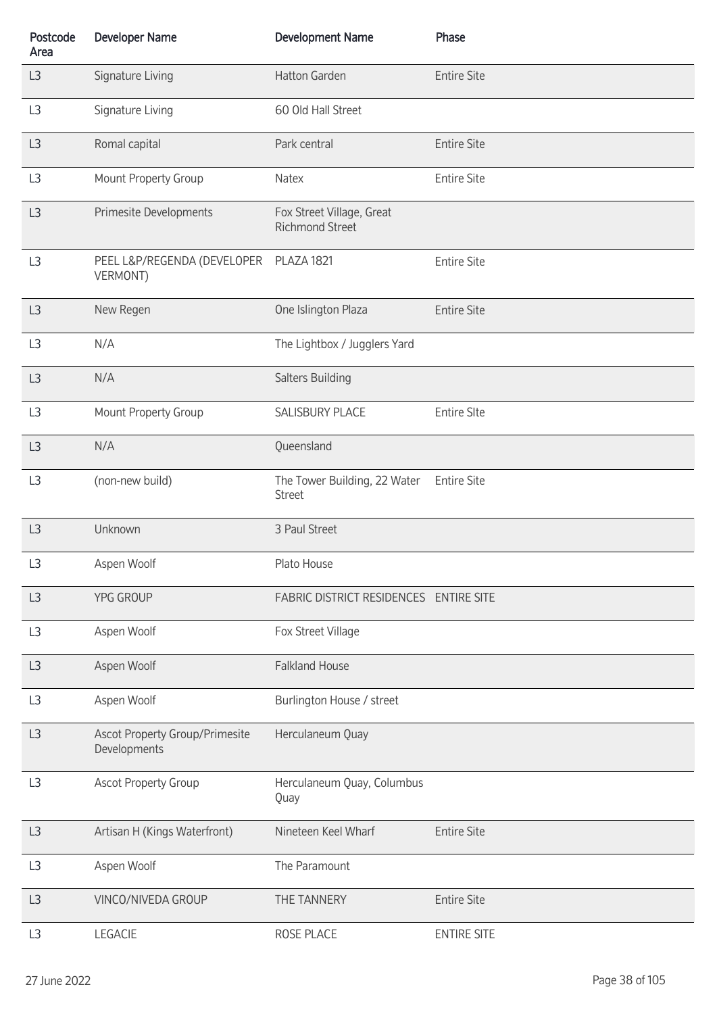| Postcode<br>Area | <b>Developer Name</b>                          | <b>Development Name</b>                             | Phase              |
|------------------|------------------------------------------------|-----------------------------------------------------|--------------------|
| L3               | Signature Living                               | Hatton Garden                                       | <b>Entire Site</b> |
| L3               | Signature Living                               | 60 Old Hall Street                                  |                    |
| L3               | Romal capital                                  | Park central                                        | <b>Entire Site</b> |
| L <sub>3</sub>   | Mount Property Group                           | Natex                                               | <b>Entire Site</b> |
| L3               | Primesite Developments                         | Fox Street Village, Great<br><b>Richmond Street</b> |                    |
| L3               | PEEL L&P/REGENDA (DEVELOPER<br>VERMONT)        | <b>PLAZA 1821</b>                                   | <b>Entire Site</b> |
| L3               | New Regen                                      | One Islington Plaza                                 | <b>Entire Site</b> |
| L3               | N/A                                            | The Lightbox / Jugglers Yard                        |                    |
| L3               | N/A                                            | Salters Building                                    |                    |
| L3               | Mount Property Group                           | <b>SALISBURY PLACE</b>                              | <b>Entire SIte</b> |
| L3               | N/A                                            | Queensland                                          |                    |
| L <sub>3</sub>   | (non-new build)                                | The Tower Building, 22 Water<br><b>Street</b>       | <b>Entire Site</b> |
| L3               | Unknown                                        | 3 Paul Street                                       |                    |
| L <sub>3</sub>   | Aspen Woolf                                    | Plato House                                         |                    |
| L3               | YPG GROUP                                      | FABRIC DISTRICT RESIDENCES ENTIRE SITE              |                    |
| L <sub>3</sub>   | Aspen Woolf                                    | Fox Street Village                                  |                    |
| L3               | Aspen Woolf                                    | <b>Falkland House</b>                               |                    |
| L <sub>3</sub>   | Aspen Woolf                                    | Burlington House / street                           |                    |
| L3               | Ascot Property Group/Primesite<br>Developments | Herculaneum Quay                                    |                    |
| L3               | <b>Ascot Property Group</b>                    | Herculaneum Quay, Columbus<br>Quay                  |                    |
| L3               | Artisan H (Kings Waterfront)                   | Nineteen Keel Wharf                                 | <b>Entire Site</b> |
| L <sub>3</sub>   | Aspen Woolf                                    | The Paramount                                       |                    |
| L3               | VINCO/NIVEDA GROUP                             | THE TANNERY                                         | <b>Entire Site</b> |
| L <sub>3</sub>   | LEGACIE                                        | ROSE PLACE                                          | <b>ENTIRE SITE</b> |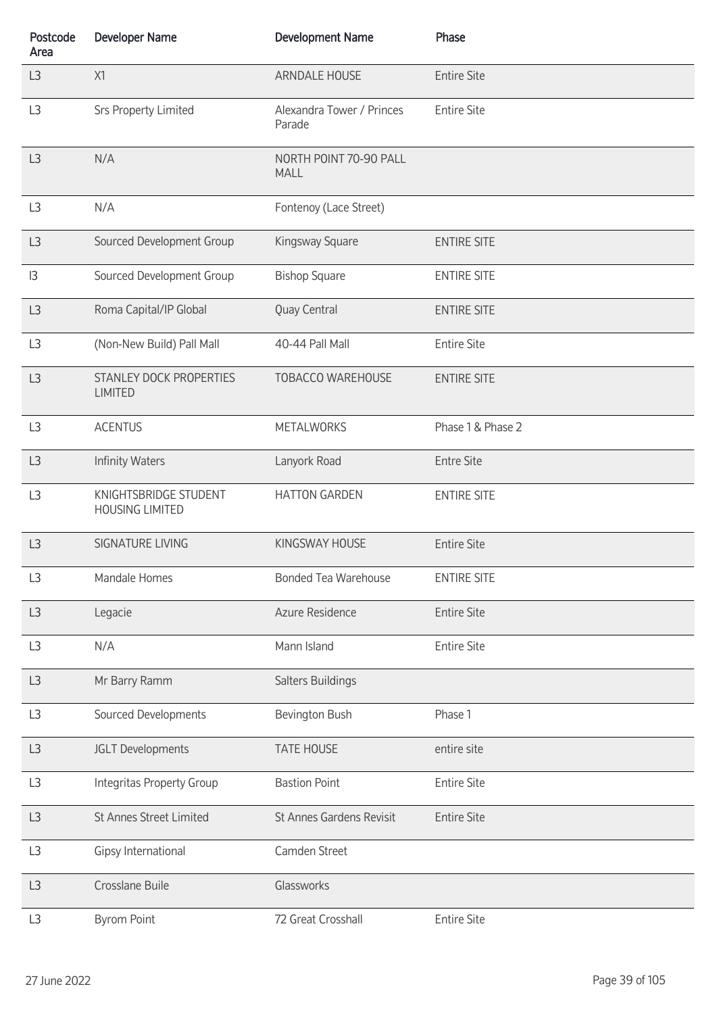| Postcode<br>Area | <b>Developer Name</b>                           | <b>Development Name</b>               | Phase              |
|------------------|-------------------------------------------------|---------------------------------------|--------------------|
| L3               | X1                                              | ARNDALE HOUSE                         | <b>Entire Site</b> |
| L <sub>3</sub>   | <b>Srs Property Limited</b>                     | Alexandra Tower / Princes<br>Parade   | <b>Entire Site</b> |
| L3               | N/A                                             | NORTH POINT 70-90 PALL<br><b>MALL</b> |                    |
| L <sub>3</sub>   | N/A                                             | Fontenoy (Lace Street)                |                    |
| L3               | Sourced Development Group                       | Kingsway Square                       | <b>ENTIRE SITE</b> |
| 3                | Sourced Development Group                       | <b>Bishop Square</b>                  | <b>ENTIRE SITE</b> |
| L3               | Roma Capital/IP Global                          | Quay Central                          | <b>ENTIRE SITE</b> |
| L <sub>3</sub>   | (Non-New Build) Pall Mall                       | 40-44 Pall Mall                       | <b>Entire Site</b> |
| L <sub>3</sub>   | STANLEY DOCK PROPERTIES<br><b>LIMITED</b>       | <b>TOBACCO WAREHOUSE</b>              | <b>ENTIRE SITE</b> |
| L <sub>3</sub>   | <b>ACENTUS</b>                                  | <b>METALWORKS</b>                     | Phase 1 & Phase 2  |
| L3               | <b>Infinity Waters</b>                          | Lanyork Road                          | <b>Entre Site</b>  |
| L <sub>3</sub>   | KNIGHTSBRIDGE STUDENT<br><b>HOUSING LIMITED</b> | <b>HATTON GARDEN</b>                  | <b>ENTIRE SITE</b> |
| L3               | SIGNATURE LIVING                                | KINGSWAY HOUSE                        | <b>Entire Site</b> |
| L <sub>3</sub>   | Mandale Homes                                   | <b>Bonded Tea Warehouse</b>           | <b>ENTIRE SITE</b> |
| L3               | Legacie                                         | Azure Residence                       | <b>Entire Site</b> |
| L3               | N/A                                             | Mann Island                           | <b>Entire Site</b> |
| L3               | Mr Barry Ramm                                   | Salters Buildings                     |                    |
| L3               | Sourced Developments                            | Bevington Bush                        | Phase 1            |
| L3               | JGLT Developments                               | <b>TATE HOUSE</b>                     | entire site        |
| L3               | <b>Integritas Property Group</b>                | <b>Bastion Point</b>                  | <b>Entire Site</b> |
| L3               | St Annes Street Limited                         | St Annes Gardens Revisit              | <b>Entire Site</b> |
| L <sub>3</sub>   | Gipsy International                             | Camden Street                         |                    |
| L3               | Crosslane Buile                                 | Glassworks                            |                    |
| L3               | <b>Byrom Point</b>                              | 72 Great Crosshall                    | <b>Entire Site</b> |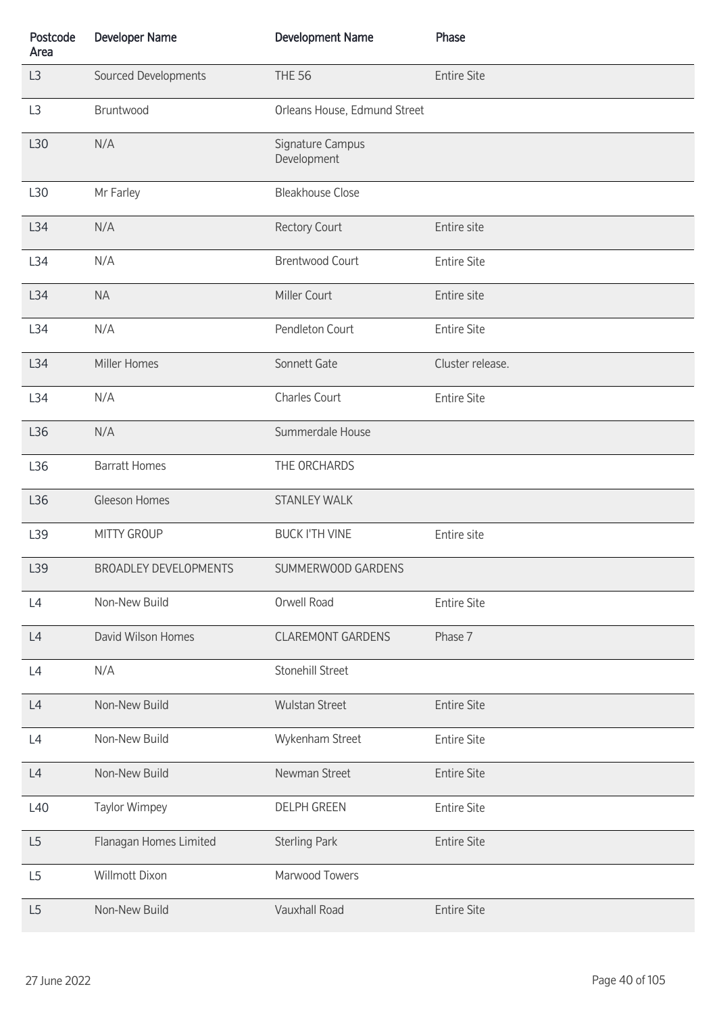| Postcode<br>Area | <b>Developer Name</b>        | <b>Development Name</b>         | Phase              |
|------------------|------------------------------|---------------------------------|--------------------|
| L <sub>3</sub>   | Sourced Developments         | <b>THE 56</b>                   | <b>Entire Site</b> |
| L3               | Bruntwood                    | Orleans House, Edmund Street    |                    |
| L30              | N/A                          | Signature Campus<br>Development |                    |
| L30              | Mr Farley                    | <b>Bleakhouse Close</b>         |                    |
| L34              | N/A                          | <b>Rectory Court</b>            | Entire site        |
| L34              | N/A                          | <b>Brentwood Court</b>          | <b>Entire Site</b> |
| L34              | <b>NA</b>                    | Miller Court                    | Entire site        |
| L34              | N/A                          | Pendleton Court                 | <b>Entire Site</b> |
| L34              | Miller Homes                 | Sonnett Gate                    | Cluster release.   |
| L34              | N/A                          | <b>Charles Court</b>            | <b>Entire Site</b> |
| L36              | N/A                          | Summerdale House                |                    |
| L36              | <b>Barratt Homes</b>         | THE ORCHARDS                    |                    |
| L36              | Gleeson Homes                | <b>STANLEY WALK</b>             |                    |
| L39              | MITTY GROUP                  | <b>BUCK I'TH VINE</b>           | Entire site        |
| L39              | <b>BROADLEY DEVELOPMENTS</b> | SUMMERWOOD GARDENS              |                    |
| L4               | Non-New Build                | Orwell Road                     | <b>Entire Site</b> |
| L4               | David Wilson Homes           | <b>CLAREMONT GARDENS</b>        | Phase 7            |
| L4               | N/A                          | Stonehill Street                |                    |
| L4               | Non-New Build                | <b>Wulstan Street</b>           | <b>Entire Site</b> |
| L4               | Non-New Build                | Wykenham Street                 | <b>Entire Site</b> |
| L4               | Non-New Build                | Newman Street                   | <b>Entire Site</b> |
| L40              | Taylor Wimpey                | <b>DELPH GREEN</b>              | <b>Entire Site</b> |
| L5               | Flanagan Homes Limited       | <b>Sterling Park</b>            | <b>Entire Site</b> |
| L <sub>5</sub>   | Willmott Dixon               | Marwood Towers                  |                    |
| L <sub>5</sub>   | Non-New Build                | Vauxhall Road                   | <b>Entire Site</b> |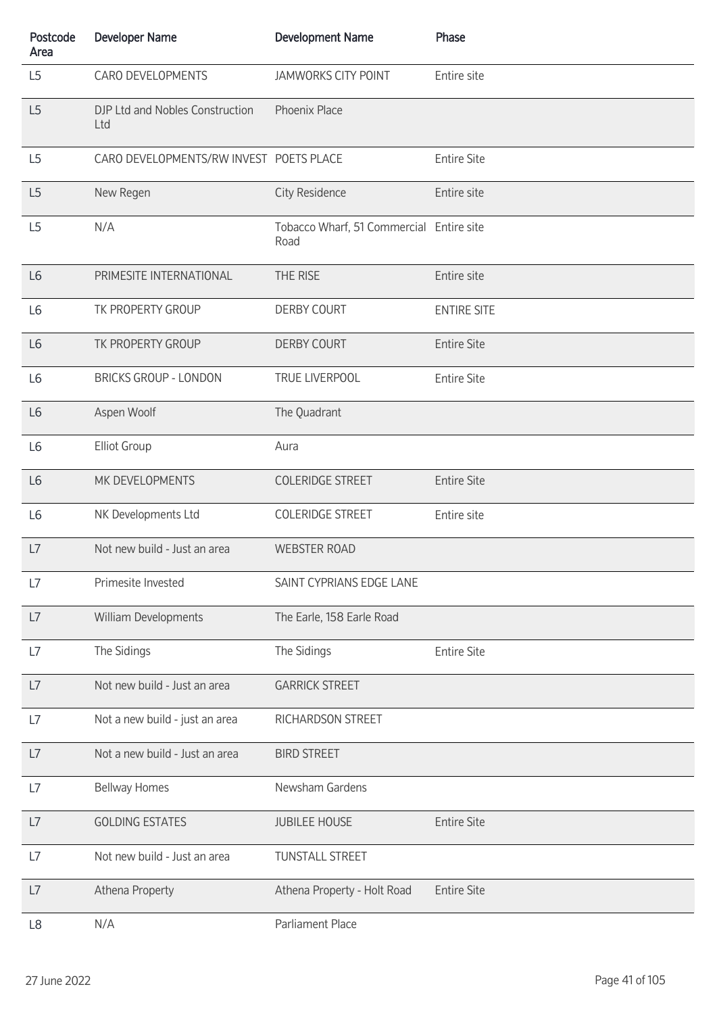| Postcode<br>Area | <b>Developer Name</b>                   | <b>Development Name</b>                          | Phase              |
|------------------|-----------------------------------------|--------------------------------------------------|--------------------|
| L <sub>5</sub>   | CARO DEVELOPMENTS                       | <b>JAMWORKS CITY POINT</b>                       | Entire site        |
| L5               | DJP Ltd and Nobles Construction<br>Ltd  | Phoenix Place                                    |                    |
| L <sub>5</sub>   | CARO DEVELOPMENTS/RW INVEST POETS PLACE |                                                  | <b>Entire Site</b> |
| L5               | New Regen                               | <b>City Residence</b>                            | Entire site        |
| L <sub>5</sub>   | N/A                                     | Tobacco Wharf, 51 Commercial Entire site<br>Road |                    |
| L <sub>6</sub>   | PRIMESITE INTERNATIONAL                 | THE RISE                                         | Entire site        |
| L <sub>6</sub>   | TK PROPERTY GROUP                       | <b>DERBY COURT</b>                               | <b>ENTIRE SITE</b> |
| L <sub>6</sub>   | TK PROPERTY GROUP                       | <b>DERBY COURT</b>                               | <b>Entire Site</b> |
| L <sub>6</sub>   | <b>BRICKS GROUP - LONDON</b>            | TRUE LIVERPOOL                                   | <b>Entire Site</b> |
| L <sub>6</sub>   | Aspen Woolf                             | The Quadrant                                     |                    |
| L <sub>6</sub>   | <b>Elliot Group</b>                     | Aura                                             |                    |
| L <sub>6</sub>   | MK DEVELOPMENTS                         | <b>COLERIDGE STREET</b>                          | <b>Entire Site</b> |
| L <sub>6</sub>   | NK Developments Ltd                     | <b>COLERIDGE STREET</b>                          | Entire site        |
| L7               | Not new build - Just an area            | <b>WEBSTER ROAD</b>                              |                    |
| L7               | Primesite Invested                      | SAINT CYPRIANS EDGE LANE                         |                    |
| L7               | William Developments                    | The Earle, 158 Earle Road                        |                    |
| L7               | The Sidings                             | The Sidings                                      | <b>Entire Site</b> |
| L7               | Not new build - Just an area            | <b>GARRICK STREET</b>                            |                    |
| L7               | Not a new build - just an area          | RICHARDSON STREET                                |                    |
| L7               | Not a new build - Just an area          | <b>BIRD STREET</b>                               |                    |
| L7               | <b>Bellway Homes</b>                    | Newsham Gardens                                  |                    |
| L7               | <b>GOLDING ESTATES</b>                  | <b>JUBILEE HOUSE</b>                             | <b>Entire Site</b> |
| L7               | Not new build - Just an area            | <b>TUNSTALL STREET</b>                           |                    |
| L7               | Athena Property                         | Athena Property - Holt Road                      | <b>Entire Site</b> |
| L8               | N/A                                     | Parliament Place                                 |                    |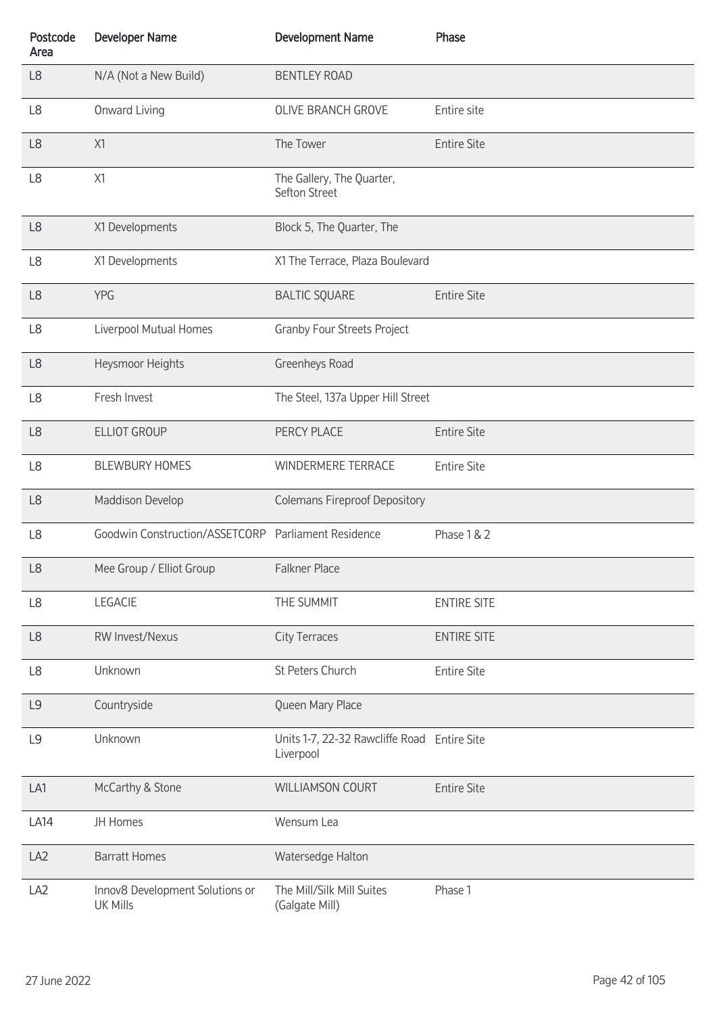| Postcode<br>Area | <b>Developer Name</b>                               | <b>Development Name</b>                                  | Phase              |
|------------------|-----------------------------------------------------|----------------------------------------------------------|--------------------|
| L8               | N/A (Not a New Build)                               | <b>BENTLEY ROAD</b>                                      |                    |
| L8               | Onward Living                                       | OLIVE BRANCH GROVE                                       | Entire site        |
| L <sub>8</sub>   | X1                                                  | The Tower                                                | <b>Entire Site</b> |
| L8               | X1                                                  | The Gallery, The Quarter,<br>Sefton Street               |                    |
| L <sub>8</sub>   | X1 Developments                                     | Block 5, The Quarter, The                                |                    |
| L <sub>8</sub>   | X1 Developments                                     | X1 The Terrace, Plaza Boulevard                          |                    |
| L <sub>8</sub>   | <b>YPG</b>                                          | <b>BALTIC SQUARE</b>                                     | <b>Entire Site</b> |
| L <sub>8</sub>   | Liverpool Mutual Homes                              | <b>Granby Four Streets Project</b>                       |                    |
| L <sub>8</sub>   | Heysmoor Heights                                    | Greenheys Road                                           |                    |
| L <sub>8</sub>   | Fresh Invest                                        | The Steel, 137a Upper Hill Street                        |                    |
| L <sub>8</sub>   | <b>ELLIOT GROUP</b>                                 | PERCY PLACE                                              | <b>Entire Site</b> |
| L <sub>8</sub>   | <b>BLEWBURY HOMES</b>                               | WINDERMERE TERRACE                                       | <b>Entire Site</b> |
| L <sub>8</sub>   | Maddison Develop                                    | <b>Colemans Fireproof Depository</b>                     |                    |
| L8               | Goodwin Construction/ASSETCORP Parliament Residence |                                                          | Phase 1 & 2        |
| L8               | Mee Group / Elliot Group                            | Falkner Place                                            |                    |
| L <sub>8</sub>   | LEGACIE                                             | THE SUMMIT                                               | <b>ENTIRE SITE</b> |
| L <sub>8</sub>   | <b>RW Invest/Nexus</b>                              | <b>City Terraces</b>                                     | <b>ENTIRE SITE</b> |
| L <sub>8</sub>   | Unknown                                             | St Peters Church                                         | <b>Entire Site</b> |
| L9               | Countryside                                         | Queen Mary Place                                         |                    |
| L <sub>9</sub>   | Unknown                                             | Units 1-7, 22-32 Rawcliffe Road Entire Site<br>Liverpool |                    |
| LA1              | McCarthy & Stone                                    | <b>WILLIAMSON COURT</b>                                  | <b>Entire Site</b> |
| <b>LA14</b>      | JH Homes                                            | Wensum Lea                                               |                    |
| LA <sub>2</sub>  | <b>Barratt Homes</b>                                | Watersedge Halton                                        |                    |
| LA <sub>2</sub>  | Innov8 Development Solutions or<br><b>UK Mills</b>  | The Mill/Silk Mill Suites<br>(Galgate Mill)              | Phase 1            |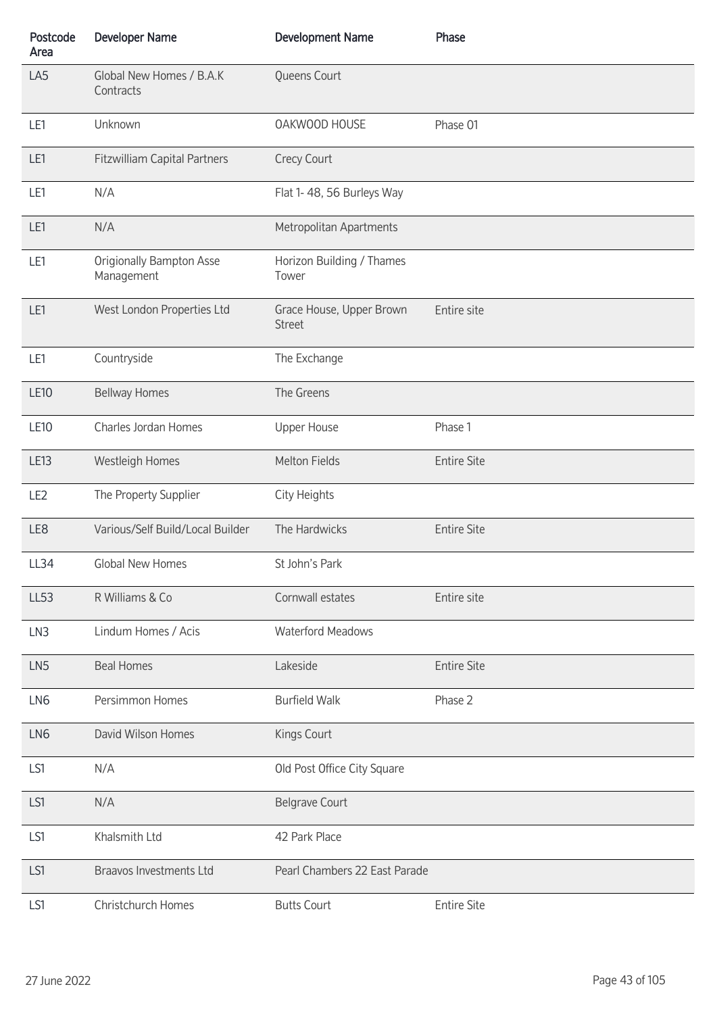| Postcode<br>Area | <b>Developer Name</b>                         | <b>Development Name</b>                   | Phase              |
|------------------|-----------------------------------------------|-------------------------------------------|--------------------|
| LA5              | Global New Homes / B.A.K<br>Contracts         | Queens Court                              |                    |
| LE1              | Unknown                                       | OAKWOOD HOUSE                             | Phase 01           |
| LE1              | <b>Fitzwilliam Capital Partners</b>           | Crecy Court                               |                    |
| LE1              | N/A                                           | Flat 1-48, 56 Burleys Way                 |                    |
| LE1              | N/A                                           | Metropolitan Apartments                   |                    |
| LE1              | <b>Origionally Bampton Asse</b><br>Management | Horizon Building / Thames<br>Tower        |                    |
| LE1              | West London Properties Ltd                    | Grace House, Upper Brown<br><b>Street</b> | Entire site        |
| LE1              | Countryside                                   | The Exchange                              |                    |
| <b>LE10</b>      | <b>Bellway Homes</b>                          | The Greens                                |                    |
| <b>LE10</b>      | Charles Jordan Homes                          | <b>Upper House</b>                        | Phase 1            |
| LE13             | Westleigh Homes                               | Melton Fields                             | <b>Entire Site</b> |
| LE <sub>2</sub>  | The Property Supplier                         | City Heights                              |                    |
| LE8              | Various/Self Build/Local Builder              | The Hardwicks                             | <b>Entire Site</b> |
| LL34             | Global New Homes                              | St John's Park                            |                    |
| <b>LL53</b>      | R Williams & Co                               | Cornwall estates                          | Entire site        |
| LN3              | Lindum Homes / Acis                           | <b>Waterford Meadows</b>                  |                    |
| LN <sub>5</sub>  | <b>Beal Homes</b>                             | Lakeside                                  | <b>Entire Site</b> |
| LN6              | Persimmon Homes                               | <b>Burfield Walk</b>                      | Phase 2            |
| LN6              | David Wilson Homes                            | Kings Court                               |                    |
| LS1              | N/A                                           | Old Post Office City Square               |                    |
| LS1              | N/A                                           | <b>Belgrave Court</b>                     |                    |
| LS1              | Khalsmith Ltd                                 | 42 Park Place                             |                    |
| LS1              | <b>Braavos Investments Ltd</b>                | Pearl Chambers 22 East Parade             |                    |
| LS1              | Christchurch Homes                            | <b>Butts Court</b>                        | <b>Entire Site</b> |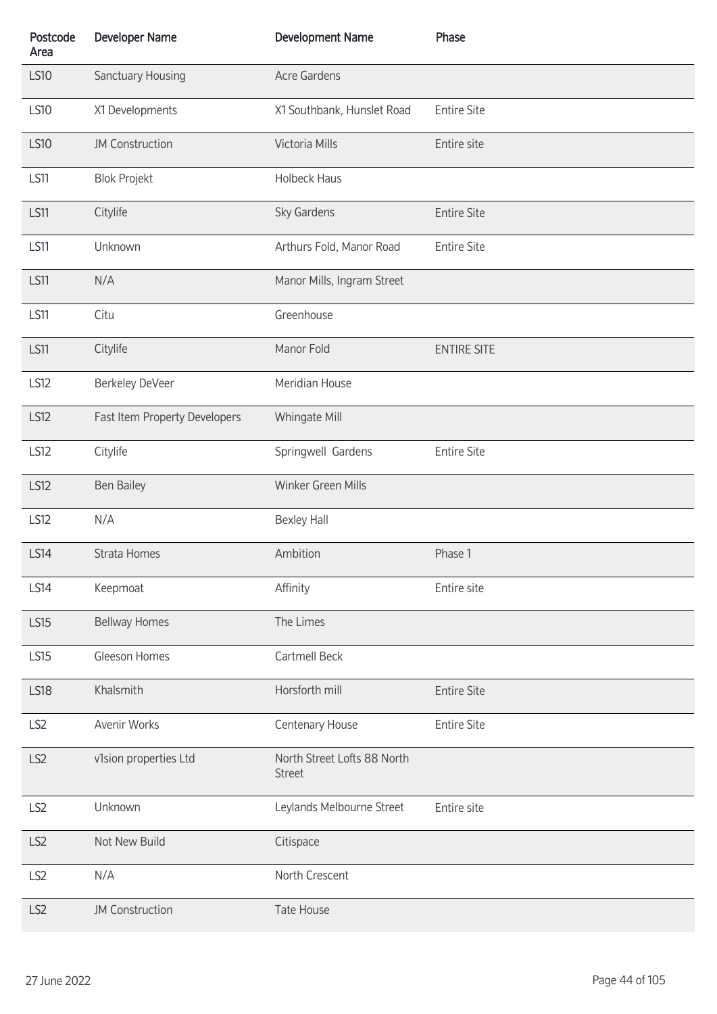| Postcode<br>Area | <b>Developer Name</b>         | <b>Development Name</b>                      | Phase              |
|------------------|-------------------------------|----------------------------------------------|--------------------|
| <b>LS10</b>      | Sanctuary Housing             | <b>Acre Gardens</b>                          |                    |
| <b>LS10</b>      | X1 Developments               | X1 Southbank, Hunslet Road                   | <b>Entire Site</b> |
| <b>LS10</b>      | <b>JM Construction</b>        | Victoria Mills                               | Entire site        |
| <b>LS11</b>      | <b>Blok Projekt</b>           | <b>Holbeck Haus</b>                          |                    |
| <b>LS11</b>      | Citylife                      | Sky Gardens                                  | <b>Entire Site</b> |
| <b>LS11</b>      | Unknown                       | Arthurs Fold, Manor Road                     | <b>Entire Site</b> |
| <b>LS11</b>      | N/A                           | Manor Mills, Ingram Street                   |                    |
| <b>LS11</b>      | Citu                          | Greenhouse                                   |                    |
| <b>LS11</b>      | Citylife                      | Manor Fold                                   | <b>ENTIRE SITE</b> |
| <b>LS12</b>      | Berkeley DeVeer               | Meridian House                               |                    |
| <b>LS12</b>      | Fast Item Property Developers | Whingate Mill                                |                    |
| <b>LS12</b>      | Citylife                      | Springwell Gardens                           | <b>Entire Site</b> |
| <b>LS12</b>      | <b>Ben Bailey</b>             | Winker Green Mills                           |                    |
| <b>LS12</b>      | N/A                           | <b>Bexley Hall</b>                           |                    |
| <b>LS14</b>      | Strata Homes                  | Ambition                                     | Phase 1            |
| <b>LS14</b>      | Keepmoat                      | Affinity                                     | Entire site        |
| <b>LS15</b>      | <b>Bellway Homes</b>          | The Limes                                    |                    |
| <b>LS15</b>      | Gleeson Homes                 | Cartmell Beck                                |                    |
| <b>LS18</b>      | Khalsmith                     | Horsforth mill                               | <b>Entire Site</b> |
| LS <sub>2</sub>  | Avenir Works                  | Centenary House                              | <b>Entire Site</b> |
| LS <sub>2</sub>  | v1sion properties Ltd         | North Street Lofts 88 North<br><b>Street</b> |                    |
| LS <sub>2</sub>  | Unknown                       | Leylands Melbourne Street                    | Entire site        |
| LS2              | Not New Build                 | Citispace                                    |                    |
| LS <sub>2</sub>  | N/A                           | North Crescent                               |                    |
| LS <sub>2</sub>  | <b>JM Construction</b>        | Tate House                                   |                    |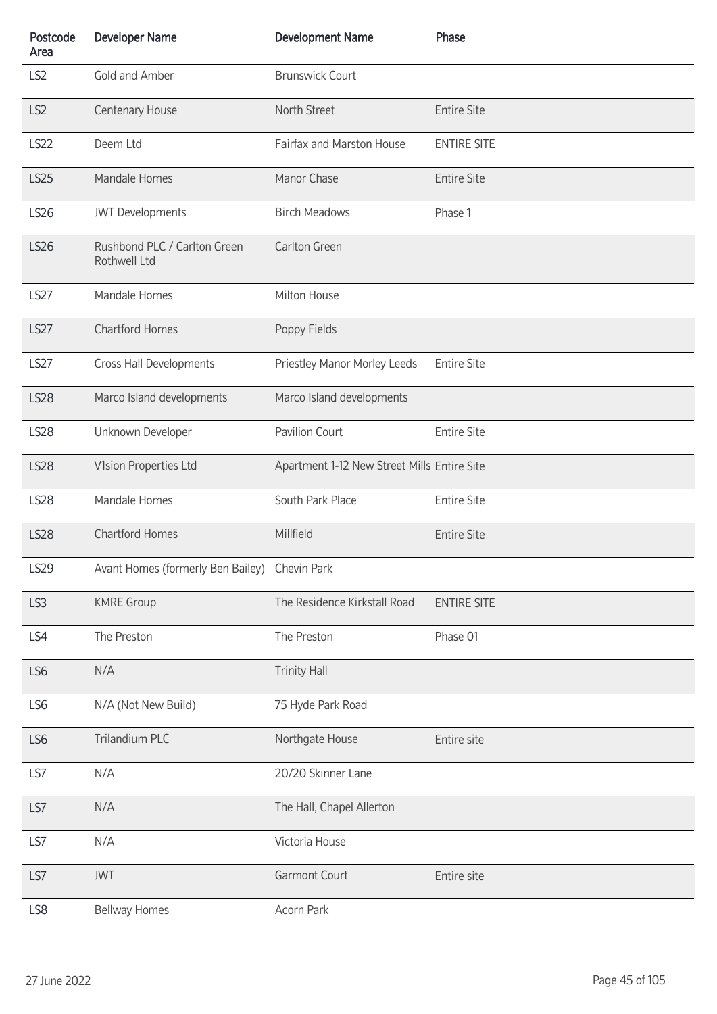| Postcode<br>Area | <b>Developer Name</b>                         | <b>Development Name</b>                     | Phase              |
|------------------|-----------------------------------------------|---------------------------------------------|--------------------|
| LS <sub>2</sub>  | Gold and Amber                                | <b>Brunswick Court</b>                      |                    |
| LS <sub>2</sub>  | Centenary House                               | North Street                                | <b>Entire Site</b> |
| <b>LS22</b>      | Deem Ltd                                      | Fairfax and Marston House                   | <b>ENTIRE SITE</b> |
| <b>LS25</b>      | Mandale Homes                                 | Manor Chase                                 | <b>Entire Site</b> |
| <b>LS26</b>      | <b>JWT</b> Developments                       | <b>Birch Meadows</b>                        | Phase 1            |
| <b>LS26</b>      | Rushbond PLC / Carlton Green<br>Rothwell Ltd  | Carlton Green                               |                    |
| <b>LS27</b>      | Mandale Homes                                 | Milton House                                |                    |
| <b>LS27</b>      | <b>Chartford Homes</b>                        | Poppy Fields                                |                    |
| <b>LS27</b>      | Cross Hall Developments                       | Priestley Manor Morley Leeds                | <b>Entire Site</b> |
| <b>LS28</b>      | Marco Island developments                     | Marco Island developments                   |                    |
| <b>LS28</b>      | Unknown Developer                             | Pavilion Court                              | <b>Entire Site</b> |
| <b>LS28</b>      | V1sion Properties Ltd                         | Apartment 1-12 New Street Mills Entire Site |                    |
| <b>LS28</b>      | Mandale Homes                                 | South Park Place                            | <b>Entire Site</b> |
| <b>LS28</b>      | <b>Chartford Homes</b>                        | Millfield                                   | <b>Entire Site</b> |
| <b>LS29</b>      | Avant Homes (formerly Ben Bailey) Chevin Park |                                             |                    |
| LS3              | <b>KMRE Group</b>                             | The Residence Kirkstall Road                | <b>ENTIRE SITE</b> |
| LS4              | The Preston                                   | The Preston                                 | Phase 01           |
| LS6              | N/A                                           | <b>Trinity Hall</b>                         |                    |
| LS6              | N/A (Not New Build)                           | 75 Hyde Park Road                           |                    |
| LS6              | Trilandium PLC                                | Northgate House                             | Entire site        |
| LS7              | N/A                                           | 20/20 Skinner Lane                          |                    |
| LS7              | N/A                                           | The Hall, Chapel Allerton                   |                    |
| LS7              | N/A                                           | Victoria House                              |                    |
| LS7              | <b>JWT</b>                                    | Garmont Court                               | Entire site        |
| LS8              | <b>Bellway Homes</b>                          | Acorn Park                                  |                    |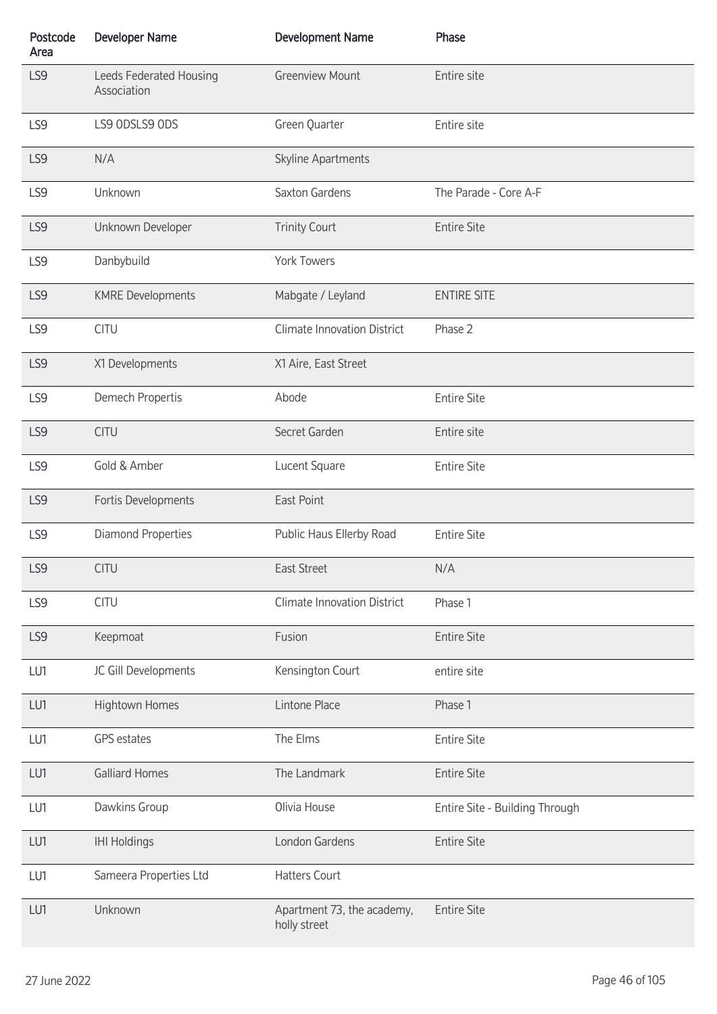| Postcode<br>Area | <b>Developer Name</b>                  | <b>Development Name</b>                    | Phase                          |
|------------------|----------------------------------------|--------------------------------------------|--------------------------------|
| LS9              | Leeds Federated Housing<br>Association | <b>Greenview Mount</b>                     | Entire site                    |
| LS9              | LS9 ODSLS9 ODS                         | Green Quarter                              | Entire site                    |
| LS9              | N/A                                    | Skyline Apartments                         |                                |
| LS9              | Unknown                                | Saxton Gardens                             | The Parade - Core A-F          |
| LS9              | Unknown Developer                      | <b>Trinity Court</b>                       | <b>Entire Site</b>             |
| LS9              | Danbybuild                             | <b>York Towers</b>                         |                                |
| LS9              | <b>KMRE Developments</b>               | Mabgate / Leyland                          | <b>ENTIRE SITE</b>             |
| LS9              | <b>CITU</b>                            | <b>Climate Innovation District</b>         | Phase 2                        |
| LS9              | X1 Developments                        | X1 Aire, East Street                       |                                |
| LS9              | Demech Propertis                       | Abode                                      | <b>Entire Site</b>             |
| LS9              | <b>CITU</b>                            | Secret Garden                              | Entire site                    |
| LS9              | Gold & Amber                           | Lucent Square                              | <b>Entire Site</b>             |
| LS9              | Fortis Developments                    | East Point                                 |                                |
| LS9              | <b>Diamond Properties</b>              | Public Haus Ellerby Road                   | <b>Entire Site</b>             |
| LS9              | <b>CITU</b>                            | East Street                                | N/A                            |
| LS9              | <b>CITU</b>                            | <b>Climate Innovation District</b>         | Phase 1                        |
| LS9              | Keepmoat                               | Fusion                                     | <b>Entire Site</b>             |
| LU1              | JC Gill Developments                   | Kensington Court                           | entire site                    |
| LU1              | Hightown Homes                         | Lintone Place                              | Phase 1                        |
| LU1              | <b>GPS</b> estates                     | The Elms                                   | <b>Entire Site</b>             |
| LU1              | <b>Galliard Homes</b>                  | The Landmark                               | <b>Entire Site</b>             |
| LU1              | Dawkins Group                          | Olivia House                               | Entire Site - Building Through |
| LU1              | <b>IHI Holdings</b>                    | London Gardens                             | <b>Entire Site</b>             |
| LU1              | Sameera Properties Ltd                 | <b>Hatters Court</b>                       |                                |
| LU1              | Unknown                                | Apartment 73, the academy,<br>holly street | <b>Entire Site</b>             |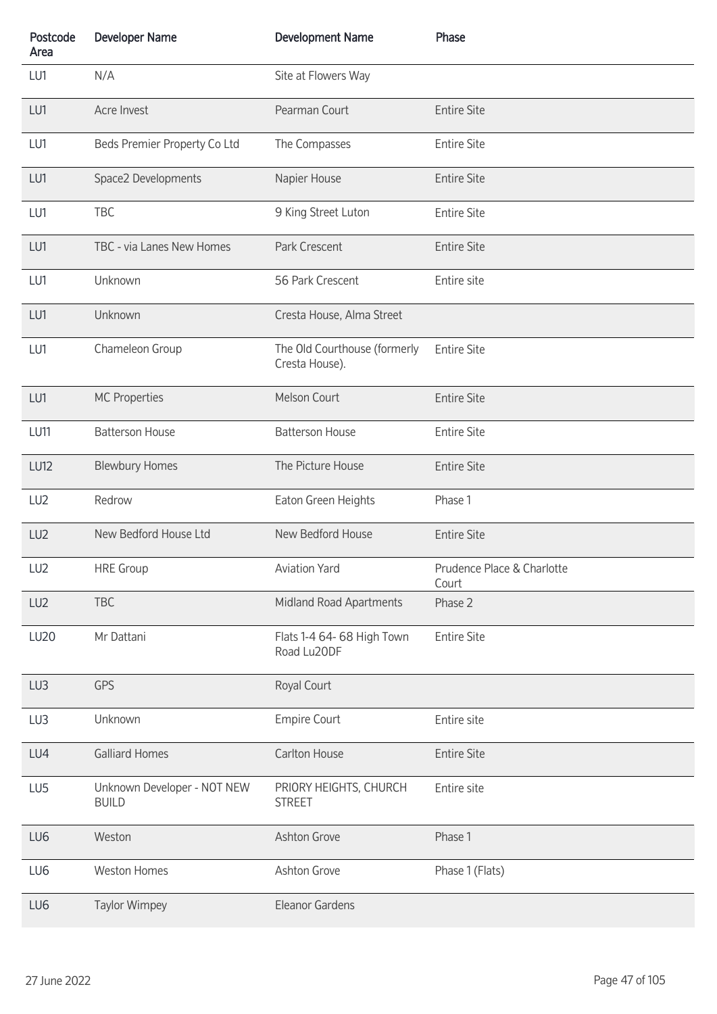| Postcode<br>Area | <b>Developer Name</b>                       | <b>Development Name</b>                        | Phase                               |
|------------------|---------------------------------------------|------------------------------------------------|-------------------------------------|
| LU1              | N/A                                         | Site at Flowers Way                            |                                     |
| LU1              | Acre Invest                                 | Pearman Court                                  | <b>Entire Site</b>                  |
| LU1              | Beds Premier Property Co Ltd                | The Compasses                                  | <b>Entire Site</b>                  |
| LU1              | Space2 Developments                         | Napier House                                   | <b>Entire Site</b>                  |
| LU1              | TBC                                         | 9 King Street Luton                            | <b>Entire Site</b>                  |
| LU1              | TBC - via Lanes New Homes                   | Park Crescent                                  | <b>Entire Site</b>                  |
| LU1              | Unknown                                     | 56 Park Crescent                               | Entire site                         |
| LU1              | Unknown                                     | Cresta House, Alma Street                      |                                     |
| LU1              | Chameleon Group                             | The Old Courthouse (formerly<br>Cresta House). | <b>Entire Site</b>                  |
| LU1              | <b>MC Properties</b>                        | Melson Court                                   | <b>Entire Site</b>                  |
| LU11             | <b>Batterson House</b>                      | <b>Batterson House</b>                         | <b>Entire Site</b>                  |
| <b>LU12</b>      | <b>Blewbury Homes</b>                       | The Picture House                              | <b>Entire Site</b>                  |
| LU <sub>2</sub>  | Redrow                                      | Eaton Green Heights                            | Phase 1                             |
| LU <sub>2</sub>  | New Bedford House Ltd                       | New Bedford House                              | <b>Entire Site</b>                  |
| LU <sub>2</sub>  | <b>HRE</b> Group                            | Aviation Yard                                  | Prudence Place & Charlotte<br>Court |
| LU <sub>2</sub>  | <b>TBC</b>                                  | Midland Road Apartments                        | Phase 2                             |
| <b>LU20</b>      | Mr Dattani                                  | Flats 1-4 64- 68 High Town<br>Road Lu20DF      | <b>Entire Site</b>                  |
| LU3              | <b>GPS</b>                                  | Royal Court                                    |                                     |
| LU3              | Unknown                                     | <b>Empire Court</b>                            | Entire site                         |
| LU4              | <b>Galliard Homes</b>                       | Carlton House                                  | <b>Entire Site</b>                  |
| LU <sub>5</sub>  | Unknown Developer - NOT NEW<br><b>BUILD</b> | PRIORY HEIGHTS, CHURCH<br><b>STREET</b>        | Entire site                         |
| LU6              | Weston                                      | Ashton Grove                                   | Phase 1                             |
| LU6              | <b>Weston Homes</b>                         | Ashton Grove                                   | Phase 1 (Flats)                     |
| LU6              | <b>Taylor Wimpey</b>                        | Eleanor Gardens                                |                                     |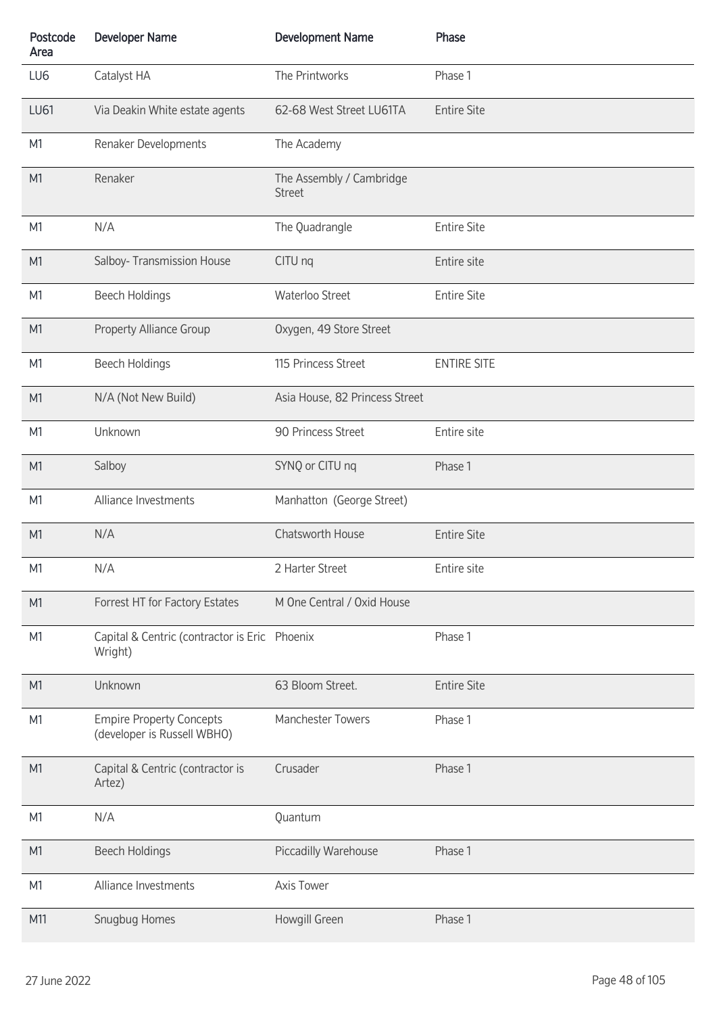| Postcode<br>Area | <b>Developer Name</b>                                          | <b>Development Name</b>                   | Phase              |
|------------------|----------------------------------------------------------------|-------------------------------------------|--------------------|
| LU6              | Catalyst HA                                                    | The Printworks                            | Phase 1            |
| <b>LU61</b>      | Via Deakin White estate agents                                 | 62-68 West Street LU61TA                  | <b>Entire Site</b> |
| M <sub>1</sub>   | Renaker Developments                                           | The Academy                               |                    |
| M <sub>1</sub>   | Renaker                                                        | The Assembly / Cambridge<br><b>Street</b> |                    |
| M <sub>1</sub>   | N/A                                                            | The Quadrangle                            | <b>Entire Site</b> |
| M <sub>1</sub>   | Salboy- Transmission House                                     | CITU nq                                   | Entire site        |
| M <sub>1</sub>   | <b>Beech Holdings</b>                                          | Waterloo Street                           | <b>Entire Site</b> |
| M <sub>1</sub>   | <b>Property Alliance Group</b>                                 | Oxygen, 49 Store Street                   |                    |
| M <sub>1</sub>   | <b>Beech Holdings</b>                                          | 115 Princess Street                       | <b>ENTIRE SITE</b> |
| M <sub>1</sub>   | N/A (Not New Build)                                            | Asia House, 82 Princess Street            |                    |
| M <sub>1</sub>   | Unknown                                                        | 90 Princess Street                        | Entire site        |
| M <sub>1</sub>   | Salboy                                                         | SYNQ or CITU nq                           | Phase 1            |
| M <sub>1</sub>   | Alliance Investments                                           | Manhatton (George Street)                 |                    |
| M <sub>1</sub>   | N/A                                                            | Chatsworth House                          | <b>Entire Site</b> |
| M <sub>1</sub>   | N/A                                                            | 2 Harter Street                           | Entire site        |
| M <sub>1</sub>   | Forrest HT for Factory Estates                                 | M One Central / Oxid House                |                    |
| M <sub>1</sub>   | Capital & Centric (contractor is Eric Phoenix<br>Wright)       |                                           | Phase 1            |
| M <sub>1</sub>   | Unknown                                                        | 63 Bloom Street.                          | <b>Entire Site</b> |
| M <sub>1</sub>   | <b>Empire Property Concepts</b><br>(developer is Russell WBHO) | Manchester Towers                         | Phase 1            |
| M <sub>1</sub>   | Capital & Centric (contractor is<br>Artez)                     | Crusader                                  | Phase 1            |
| M <sub>1</sub>   | N/A                                                            | Quantum                                   |                    |
| M <sub>1</sub>   | <b>Beech Holdings</b>                                          | Piccadilly Warehouse                      | Phase 1            |
| M <sub>1</sub>   | Alliance Investments                                           | Axis Tower                                |                    |
| M11              | Snugbug Homes                                                  | Howgill Green                             | Phase 1            |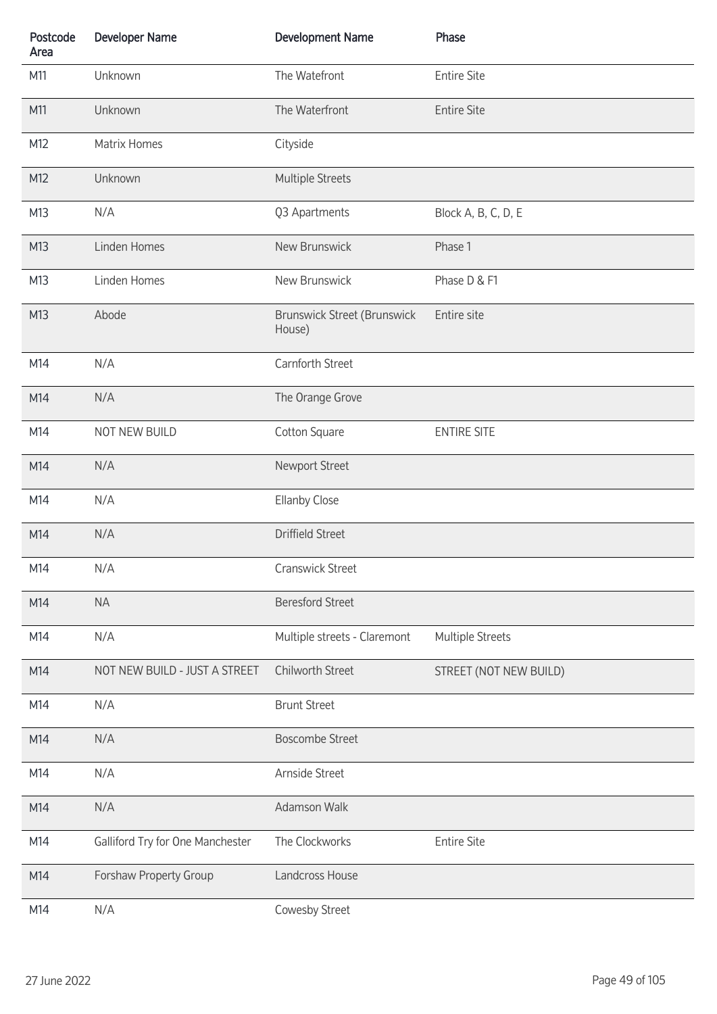| Postcode<br>Area | <b>Developer Name</b>            | <b>Development Name</b>                      | Phase                  |
|------------------|----------------------------------|----------------------------------------------|------------------------|
| M11              | Unknown                          | The Watefront                                | <b>Entire Site</b>     |
| M11              | Unknown                          | The Waterfront                               | <b>Entire Site</b>     |
| M12              | Matrix Homes                     | Cityside                                     |                        |
| M12              | Unknown                          | <b>Multiple Streets</b>                      |                        |
| M13              | N/A                              | Q3 Apartments                                | Block A, B, C, D, E    |
| M13              | Linden Homes                     | New Brunswick                                | Phase 1                |
| M13              | Linden Homes                     | New Brunswick                                | Phase D & F1           |
| M13              | Abode                            | <b>Brunswick Street (Brunswick</b><br>House) | Entire site            |
| M14              | N/A                              | Carnforth Street                             |                        |
| M14              | N/A                              | The Orange Grove                             |                        |
| M14              | NOT NEW BUILD                    | Cotton Square                                | <b>ENTIRE SITE</b>     |
| M14              | N/A                              | Newport Street                               |                        |
| M14              | N/A                              | <b>Ellanby Close</b>                         |                        |
| M14              | N/A                              | <b>Driffield Street</b>                      |                        |
| M14              | N/A                              | Cranswick Street                             |                        |
| M14              | <b>NA</b>                        | <b>Beresford Street</b>                      |                        |
| M14              | N/A                              | Multiple streets - Claremont                 | Multiple Streets       |
| M14              | NOT NEW BUILD - JUST A STREET    | Chilworth Street                             | STREET (NOT NEW BUILD) |
| M14              | N/A                              | <b>Brunt Street</b>                          |                        |
| M14              | N/A                              | <b>Boscombe Street</b>                       |                        |
| M14              | N/A                              | Arnside Street                               |                        |
| M14              | N/A                              | Adamson Walk                                 |                        |
| M14              | Galliford Try for One Manchester | The Clockworks                               | <b>Entire Site</b>     |
| M14              | Forshaw Property Group           | Landcross House                              |                        |
| M14              | N/A                              | Cowesby Street                               |                        |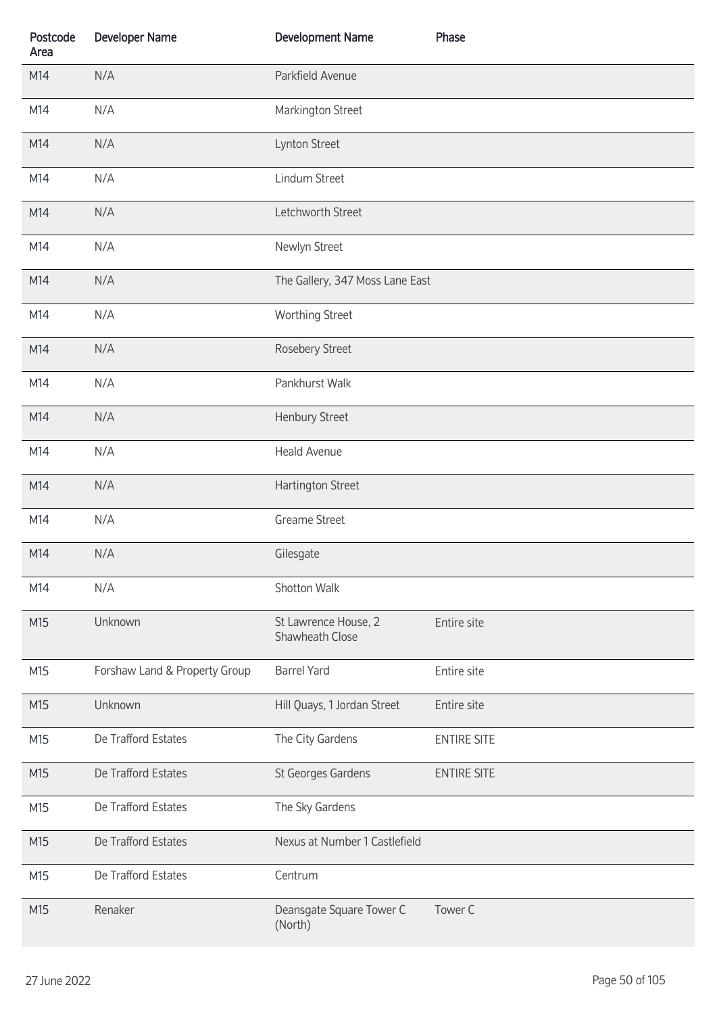| Postcode<br>Area | <b>Developer Name</b>         | <b>Development Name</b>                 | Phase              |
|------------------|-------------------------------|-----------------------------------------|--------------------|
| M14              | N/A                           | Parkfield Avenue                        |                    |
| M14              | N/A                           | Markington Street                       |                    |
| M14              | N/A                           | Lynton Street                           |                    |
| M14              | N/A                           | Lindum Street                           |                    |
| M14              | N/A                           | Letchworth Street                       |                    |
| M14              | N/A                           | Newlyn Street                           |                    |
| M14              | N/A                           | The Gallery, 347 Moss Lane East         |                    |
| M14              | N/A                           | Worthing Street                         |                    |
| M14              | N/A                           | Rosebery Street                         |                    |
| M14              | N/A                           | Pankhurst Walk                          |                    |
| M14              | N/A                           | Henbury Street                          |                    |
| M14              | N/A                           | <b>Heald Avenue</b>                     |                    |
| M14              | N/A                           | Hartington Street                       |                    |
| M14              | N/A                           | <b>Greame Street</b>                    |                    |
| M14              | N/A                           | Gilesgate                               |                    |
| M14              | N/A                           | Shotton Walk                            |                    |
| M15              | Unknown                       | St Lawrence House, 2<br>Shawheath Close | Entire site        |
| M15              | Forshaw Land & Property Group | <b>Barrel Yard</b>                      | Entire site        |
| M15              | Unknown                       | Hill Quays, 1 Jordan Street             | Entire site        |
| M15              | De Trafford Estates           | The City Gardens                        | <b>ENTIRE SITE</b> |
| M15              | De Trafford Estates           | St Georges Gardens                      | <b>ENTIRE SITE</b> |
| M15              | De Trafford Estates           | The Sky Gardens                         |                    |
| M15              | De Trafford Estates           | Nexus at Number 1 Castlefield           |                    |
| M15              | De Trafford Estates           | Centrum                                 |                    |
| M15              | Renaker                       | Deansgate Square Tower C<br>(North)     | Tower C            |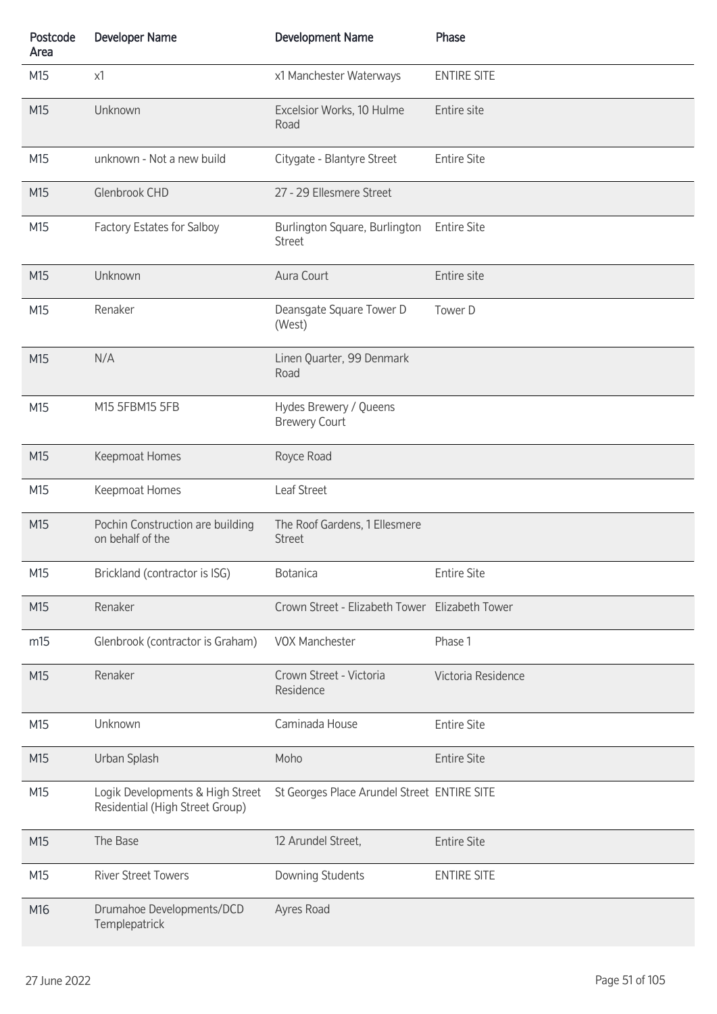| Postcode<br>Area | <b>Developer Name</b>                                               | <b>Development Name</b>                        | Phase              |
|------------------|---------------------------------------------------------------------|------------------------------------------------|--------------------|
| M15              | x1                                                                  | x1 Manchester Waterways                        | <b>ENTIRE SITE</b> |
| M15              | Unknown                                                             | Excelsior Works, 10 Hulme<br>Road              | Entire site        |
| M15              | unknown - Not a new build                                           | Citygate - Blantyre Street                     | <b>Entire Site</b> |
| M15              | Glenbrook CHD                                                       | 27 - 29 Ellesmere Street                       |                    |
| M15              | Factory Estates for Salboy                                          | Burlington Square, Burlington<br><b>Street</b> | <b>Entire Site</b> |
| M15              | Unknown                                                             | Aura Court                                     | Entire site        |
| M15              | Renaker                                                             | Deansgate Square Tower D<br>(West)             | Tower D            |
| M15              | N/A                                                                 | Linen Quarter, 99 Denmark<br>Road              |                    |
| M15              | M15 5FBM15 5FB                                                      | Hydes Brewery / Queens<br><b>Brewery Court</b> |                    |
| M15              | Keepmoat Homes                                                      | Royce Road                                     |                    |
| M15              | Keepmoat Homes                                                      | Leaf Street                                    |                    |
| M15              | Pochin Construction are building<br>on behalf of the                | The Roof Gardens, 1 Ellesmere<br><b>Street</b> |                    |
| M15              | Brickland (contractor is ISG)                                       | <b>Botanica</b>                                | <b>Entire Site</b> |
| M15              | Renaker                                                             | Crown Street - Elizabeth Tower Elizabeth Tower |                    |
| m15              | Glenbrook (contractor is Graham)                                    | <b>VOX Manchester</b>                          | Phase 1            |
| M15              | Renaker                                                             | Crown Street - Victoria<br>Residence           | Victoria Residence |
| M15              | Unknown                                                             | Caminada House                                 | <b>Entire Site</b> |
| M15              | Urban Splash                                                        | Moho                                           | <b>Entire Site</b> |
| M15              | Logik Developments & High Street<br>Residential (High Street Group) | St Georges Place Arundel Street ENTIRE SITE    |                    |
| M15              | The Base                                                            | 12 Arundel Street,                             | <b>Entire Site</b> |
| M15              | <b>River Street Towers</b>                                          | Downing Students                               | <b>ENTIRE SITE</b> |
| M16              | Drumahoe Developments/DCD<br>Templepatrick                          | Ayres Road                                     |                    |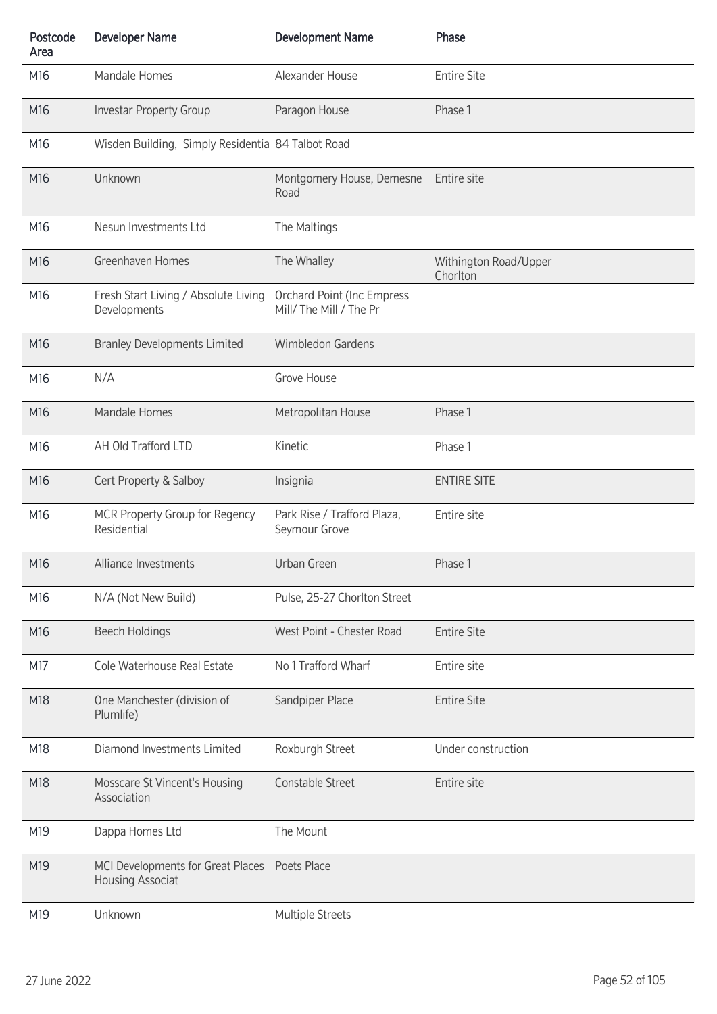| Postcode<br>Area | <b>Developer Name</b>                                 | <b>Development Name</b>                                      | Phase                             |
|------------------|-------------------------------------------------------|--------------------------------------------------------------|-----------------------------------|
| M16              | Mandale Homes                                         | Alexander House                                              | <b>Entire Site</b>                |
| M16              | <b>Investar Property Group</b>                        | Paragon House                                                | Phase 1                           |
| M16              | Wisden Building, Simply Residentia 84 Talbot Road     |                                                              |                                   |
| M16              | Unknown                                               | Montgomery House, Demesne<br>Road                            | Entire site                       |
| M16              | Nesun Investments Ltd                                 | The Maltings                                                 |                                   |
| M16              | Greenhaven Homes                                      | The Whalley                                                  | Withington Road/Upper<br>Chorlton |
| M16              | Fresh Start Living / Absolute Living<br>Developments  | <b>Orchard Point (Inc Empress</b><br>Mill/ The Mill / The Pr |                                   |
| M16              | <b>Branley Developments Limited</b>                   | <b>Wimbledon Gardens</b>                                     |                                   |
| M16              | N/A                                                   | Grove House                                                  |                                   |
| M16              | Mandale Homes                                         | Metropolitan House                                           | Phase 1                           |
| M16              | AH Old Trafford LTD                                   | Kinetic                                                      | Phase 1                           |
| M16              | Cert Property & Salboy                                | Insignia                                                     | <b>ENTIRE SITE</b>                |
| M16              | MCR Property Group for Regency<br>Residential         | Park Rise / Trafford Plaza,<br>Seymour Grove                 | Entire site                       |
| M16              | Alliance Investments                                  | Urban Green                                                  | Phase 1                           |
| M16              | N/A (Not New Build)                                   | Pulse, 25-27 Chorlton Street                                 |                                   |
| M16              | <b>Beech Holdings</b>                                 | West Point - Chester Road                                    | <b>Entire Site</b>                |
| M17              | Cole Waterhouse Real Estate                           | No 1 Trafford Wharf                                          | Entire site                       |
| M18              | One Manchester (division of<br>Plumlife)              | Sandpiper Place                                              | <b>Entire Site</b>                |
| M18              | Diamond Investments Limited                           | Roxburgh Street                                              | Under construction                |
| M18              | Mosscare St Vincent's Housing<br>Association          | Constable Street                                             | Entire site                       |
| M19              | Dappa Homes Ltd                                       | The Mount                                                    |                                   |
| M19              | MCI Developments for Great Places<br>Housing Associat | Poets Place                                                  |                                   |
| M19              | Unknown                                               | Multiple Streets                                             |                                   |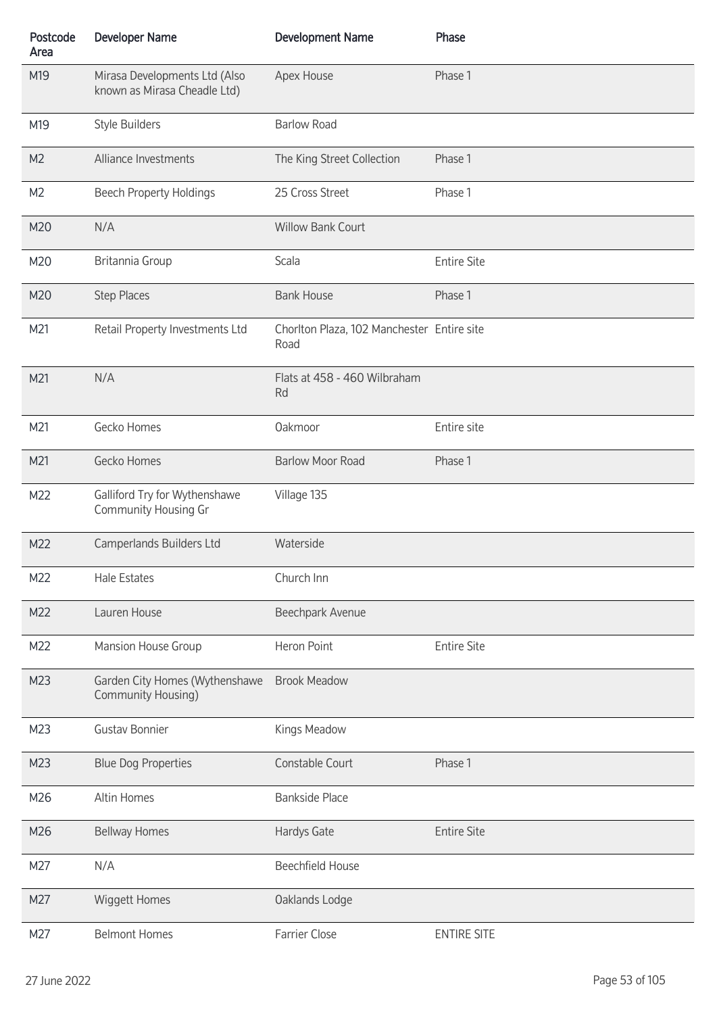| Postcode<br>Area | <b>Developer Name</b>                                         | <b>Development Name</b>                            | Phase              |
|------------------|---------------------------------------------------------------|----------------------------------------------------|--------------------|
| M19              | Mirasa Developments Ltd (Also<br>known as Mirasa Cheadle Ltd) | Apex House                                         | Phase 1            |
| M19              | <b>Style Builders</b>                                         | <b>Barlow Road</b>                                 |                    |
| M <sub>2</sub>   | Alliance Investments                                          | The King Street Collection                         | Phase 1            |
| M <sub>2</sub>   | <b>Beech Property Holdings</b>                                | 25 Cross Street                                    | Phase 1            |
| M20              | N/A                                                           | <b>Willow Bank Court</b>                           |                    |
| M20              | Britannia Group                                               | Scala                                              | <b>Entire Site</b> |
| M20              | <b>Step Places</b>                                            | <b>Bank House</b>                                  | Phase 1            |
| M21              | Retail Property Investments Ltd                               | Chorlton Plaza, 102 Manchester Entire site<br>Road |                    |
| M21              | N/A                                                           | Flats at 458 - 460 Wilbraham<br>Rd                 |                    |
| M21              | Gecko Homes                                                   | Oakmoor                                            | Entire site        |
| M21              | Gecko Homes                                                   | <b>Barlow Moor Road</b>                            | Phase 1            |
| M22              | Galliford Try for Wythenshawe<br>Community Housing Gr         | Village 135                                        |                    |
| M22              | Camperlands Builders Ltd                                      | Waterside                                          |                    |
| M22              | <b>Hale Estates</b>                                           | Church Inn                                         |                    |
| M22              | Lauren House                                                  | Beechpark Avenue                                   |                    |
| M22              | Mansion House Group                                           | Heron Point                                        | <b>Entire Site</b> |
| M23              | Garden City Homes (Wythenshawe<br>Community Housing)          | <b>Brook Meadow</b>                                |                    |
| M23              | <b>Gustav Bonnier</b>                                         | Kings Meadow                                       |                    |
| M23              | <b>Blue Dog Properties</b>                                    | Constable Court                                    | Phase 1            |
| M26              | Altin Homes                                                   | <b>Bankside Place</b>                              |                    |
| M26              | <b>Bellway Homes</b>                                          | Hardys Gate                                        | <b>Entire Site</b> |
| M27              | N/A                                                           | <b>Beechfield House</b>                            |                    |
| M27              | Wiggett Homes                                                 | Oaklands Lodge                                     |                    |
| M27              | <b>Belmont Homes</b>                                          | Farrier Close                                      | <b>ENTIRE SITE</b> |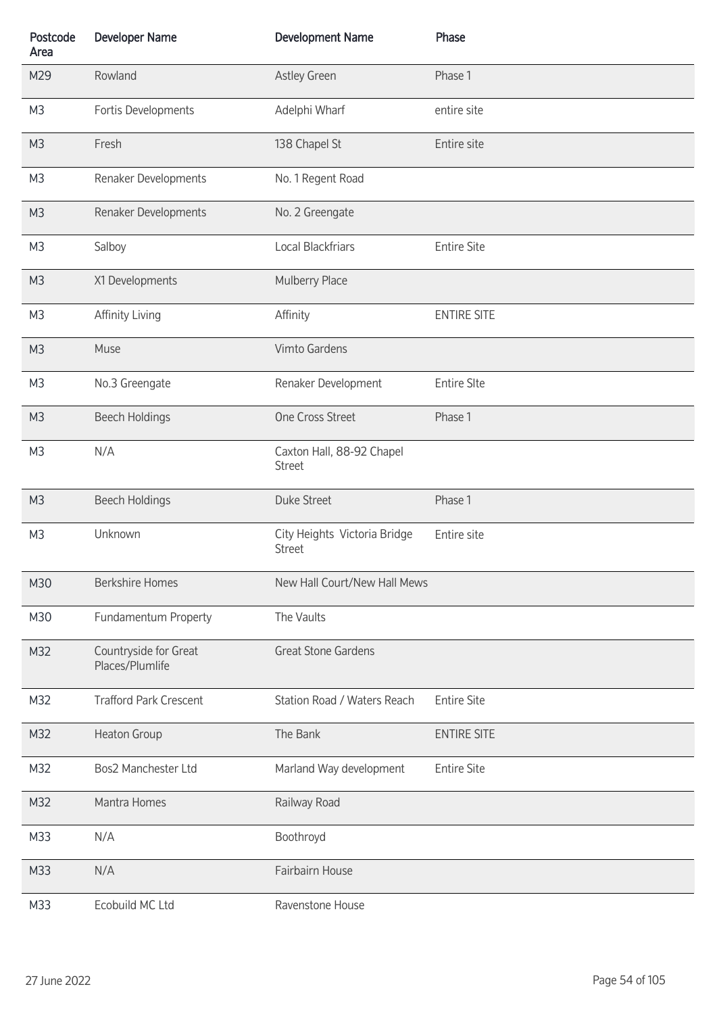| Postcode<br>Area | <b>Developer Name</b>                    | <b>Development Name</b>                       | Phase              |
|------------------|------------------------------------------|-----------------------------------------------|--------------------|
| M29              | Rowland                                  | Astley Green                                  | Phase 1            |
| M <sub>3</sub>   | Fortis Developments                      | Adelphi Wharf                                 | entire site        |
| M <sub>3</sub>   | Fresh                                    | 138 Chapel St                                 | Entire site        |
| M <sub>3</sub>   | Renaker Developments                     | No. 1 Regent Road                             |                    |
| M <sub>3</sub>   | Renaker Developments                     | No. 2 Greengate                               |                    |
| M <sub>3</sub>   | Salboy                                   | Local Blackfriars                             | <b>Entire Site</b> |
| M <sub>3</sub>   | X1 Developments                          | Mulberry Place                                |                    |
| M <sub>3</sub>   | Affinity Living                          | Affinity                                      | <b>ENTIRE SITE</b> |
| M <sub>3</sub>   | Muse                                     | Vimto Gardens                                 |                    |
| M <sub>3</sub>   | No.3 Greengate                           | Renaker Development                           | <b>Entire SIte</b> |
| M <sub>3</sub>   | <b>Beech Holdings</b>                    | One Cross Street                              | Phase 1            |
| M <sub>3</sub>   | N/A                                      | Caxton Hall, 88-92 Chapel<br><b>Street</b>    |                    |
| M <sub>3</sub>   | <b>Beech Holdings</b>                    | <b>Duke Street</b>                            | Phase 1            |
| M <sub>3</sub>   | Unknown                                  | City Heights Victoria Bridge<br><b>Street</b> | Entire site        |
| M30              | <b>Berkshire Homes</b>                   | New Hall Court/New Hall Mews                  |                    |
| M30              | Fundamentum Property                     | The Vaults                                    |                    |
| M32              | Countryside for Great<br>Places/Plumlife | <b>Great Stone Gardens</b>                    |                    |
| M32              | <b>Trafford Park Crescent</b>            | Station Road / Waters Reach                   | <b>Entire Site</b> |
| M32              | Heaton Group                             | The Bank                                      | <b>ENTIRE SITE</b> |
| M32              | Bos2 Manchester Ltd                      | Marland Way development                       | <b>Entire Site</b> |
| M32              | Mantra Homes                             | Railway Road                                  |                    |
| M33              | N/A                                      | Boothroyd                                     |                    |
| M33              | N/A                                      | Fairbairn House                               |                    |
| M33              | Ecobuild MC Ltd                          | Ravenstone House                              |                    |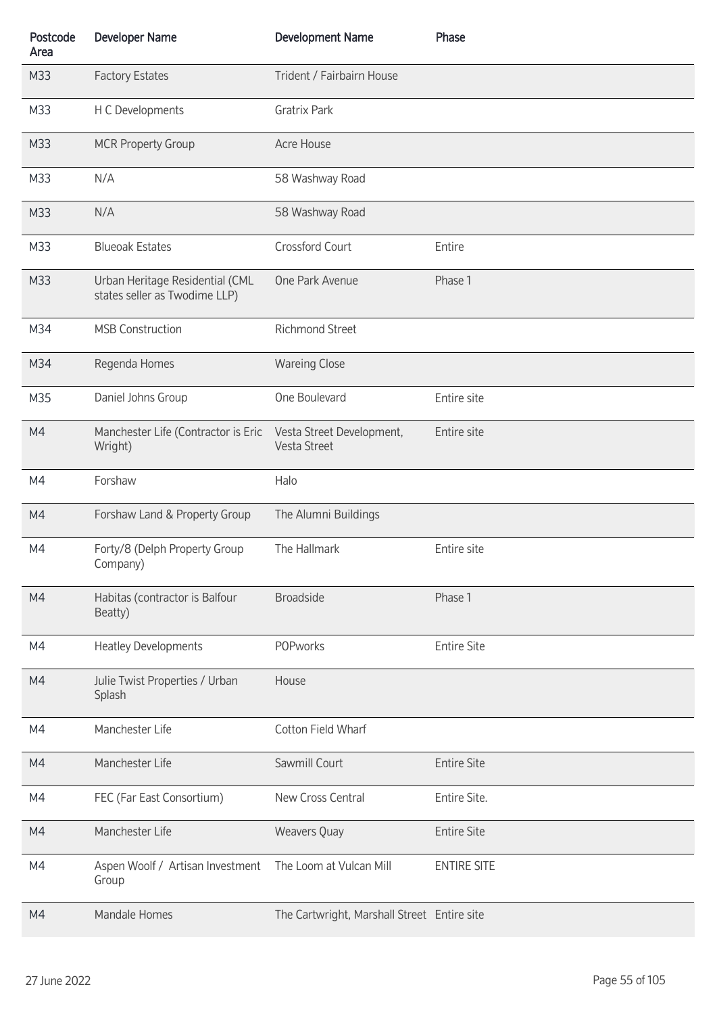| Postcode<br>Area | <b>Developer Name</b>                                            | <b>Development Name</b>                     | Phase              |
|------------------|------------------------------------------------------------------|---------------------------------------------|--------------------|
| M33              | <b>Factory Estates</b>                                           | Trident / Fairbairn House                   |                    |
| M33              | H C Developments                                                 | <b>Gratrix Park</b>                         |                    |
| M33              | <b>MCR Property Group</b>                                        | Acre House                                  |                    |
| M33              | N/A                                                              | 58 Washway Road                             |                    |
| M33              | N/A                                                              | 58 Washway Road                             |                    |
| M33              | <b>Blueoak Estates</b>                                           | Crossford Court                             | Entire             |
| M33              | Urban Heritage Residential (CML<br>states seller as Twodime LLP) | One Park Avenue                             | Phase 1            |
| M34              | <b>MSB Construction</b>                                          | <b>Richmond Street</b>                      |                    |
| M34              | Regenda Homes                                                    | <b>Wareing Close</b>                        |                    |
| M35              | Daniel Johns Group                                               | One Boulevard                               | Entire site        |
| M4               | Manchester Life (Contractor is Eric<br>Wright)                   | Vesta Street Development,<br>Vesta Street   | Entire site        |
| M4               | Forshaw                                                          | Halo                                        |                    |
| M4               | Forshaw Land & Property Group                                    | The Alumni Buildings                        |                    |
| M4               | Forty/8 (Delph Property Group<br>Company)                        | The Hallmark                                | Entire site        |
| M4               | Habitas (contractor is Balfour<br>Beatty)                        | <b>Broadside</b>                            | Phase 1            |
| M4               | <b>Heatley Developments</b>                                      | <b>POPworks</b>                             | <b>Entire Site</b> |
| M4               | Julie Twist Properties / Urban<br>Splash                         | House                                       |                    |
| M4               | Manchester Life                                                  | Cotton Field Wharf                          |                    |
| M4               | Manchester Life                                                  | Sawmill Court                               | <b>Entire Site</b> |
| M4               | FEC (Far East Consortium)                                        | New Cross Central                           | Entire Site.       |
| M4               | Manchester Life                                                  | Weavers Quay                                | <b>Entire Site</b> |
| M4               | Aspen Woolf / Artisan Investment<br>Group                        | The Loom at Vulcan Mill                     | <b>ENTIRE SITE</b> |
| M4               | Mandale Homes                                                    | The Cartwright, Marshall Street Entire site |                    |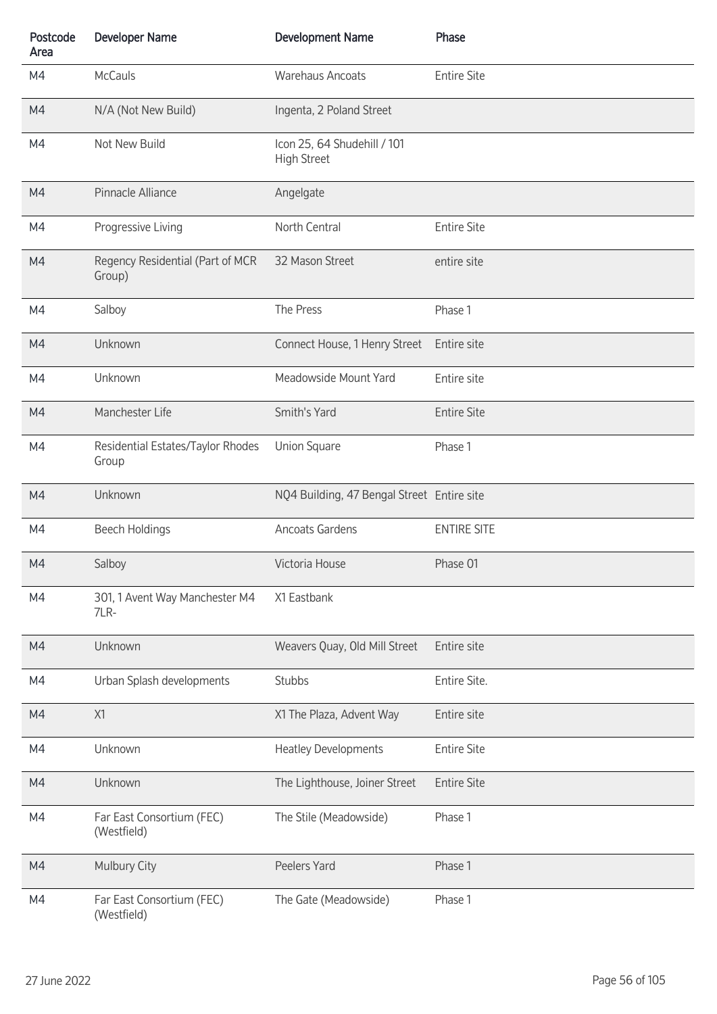| Postcode<br>Area | <b>Developer Name</b>                      | <b>Development Name</b>                           | Phase              |
|------------------|--------------------------------------------|---------------------------------------------------|--------------------|
| M4               | <b>McCauls</b>                             | <b>Warehaus Ancoats</b>                           | <b>Entire Site</b> |
| M4               | N/A (Not New Build)                        | Ingenta, 2 Poland Street                          |                    |
| M4               | Not New Build                              | Icon 25, 64 Shudehill / 101<br><b>High Street</b> |                    |
| M4               | Pinnacle Alliance                          | Angelgate                                         |                    |
| M4               | Progressive Living                         | North Central                                     | <b>Entire Site</b> |
| M4               | Regency Residential (Part of MCR<br>Group) | 32 Mason Street                                   | entire site        |
| M4               | Salboy                                     | The Press                                         | Phase 1            |
| M4               | Unknown                                    | Connect House, 1 Henry Street                     | Entire site        |
| M4               | Unknown                                    | Meadowside Mount Yard                             | Entire site        |
| M4               | Manchester Life                            | Smith's Yard                                      | <b>Entire Site</b> |
| M4               | Residential Estates/Taylor Rhodes<br>Group | <b>Union Square</b>                               | Phase 1            |
| M4               | Unknown                                    | NQ4 Building, 47 Bengal Street Entire site        |                    |
| M4               | <b>Beech Holdings</b>                      | Ancoats Gardens                                   | <b>ENTIRE SITE</b> |
| M4               | Salboy                                     | Victoria House                                    | Phase 01           |
| M4               | 301, 1 Avent Way Manchester M4<br>7LR-     | X1 Eastbank                                       |                    |
| M4               | Unknown                                    | Weavers Quay, Old Mill Street                     | Entire site        |
| M4               | Urban Splash developments                  | Stubbs                                            | Entire Site.       |
| M4               | X1                                         | X1 The Plaza, Advent Way                          | Entire site        |
| M4               | Unknown                                    | <b>Heatley Developments</b>                       | <b>Entire Site</b> |
| M4               | Unknown                                    | The Lighthouse, Joiner Street                     | <b>Entire Site</b> |
| M4               | Far East Consortium (FEC)<br>(Westfield)   | The Stile (Meadowside)                            | Phase 1            |
| M4               | <b>Mulbury City</b>                        | Peelers Yard                                      | Phase 1            |
| M4               | Far East Consortium (FEC)<br>(Westfield)   | The Gate (Meadowside)                             | Phase 1            |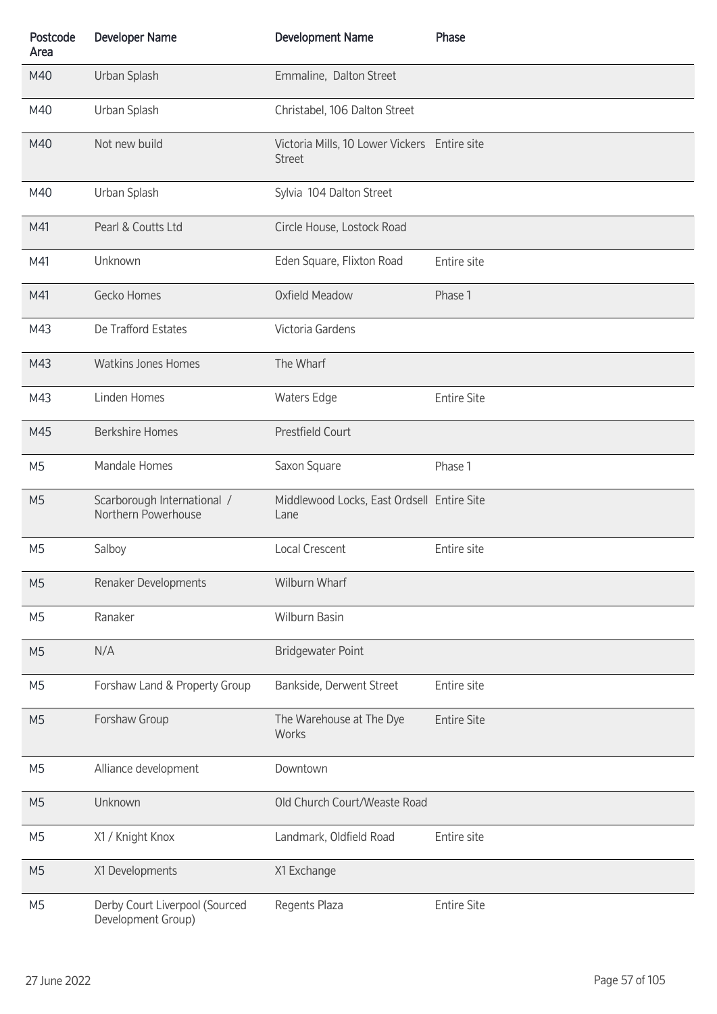| Postcode<br>Area | <b>Developer Name</b>                                | <b>Development Name</b>                                       | Phase              |
|------------------|------------------------------------------------------|---------------------------------------------------------------|--------------------|
| M40              | Urban Splash                                         | Emmaline, Dalton Street                                       |                    |
| M40              | Urban Splash                                         | Christabel, 106 Dalton Street                                 |                    |
| M40              | Not new build                                        | Victoria Mills, 10 Lower Vickers Entire site<br><b>Street</b> |                    |
| M40              | Urban Splash                                         | Sylvia 104 Dalton Street                                      |                    |
| M41              | Pearl & Coutts Ltd                                   | Circle House, Lostock Road                                    |                    |
| M41              | Unknown                                              | Eden Square, Flixton Road                                     | Entire site        |
| M41              | Gecko Homes                                          | Oxfield Meadow                                                | Phase 1            |
| M43              | De Trafford Estates                                  | Victoria Gardens                                              |                    |
| M43              | <b>Watkins Jones Homes</b>                           | The Wharf                                                     |                    |
| M43              | Linden Homes                                         | Waters Edge                                                   | <b>Entire Site</b> |
| M45              | <b>Berkshire Homes</b>                               | <b>Prestfield Court</b>                                       |                    |
| M <sub>5</sub>   | Mandale Homes                                        | Saxon Square                                                  | Phase 1            |
| M <sub>5</sub>   | Scarborough International /<br>Northern Powerhouse   | Middlewood Locks, East Ordsell Entire Site<br>Lane            |                    |
| M <sub>5</sub>   | Salboy                                               | Local Crescent                                                | Entire site        |
| M <sub>5</sub>   | Renaker Developments                                 | Wilburn Wharf                                                 |                    |
| M <sub>5</sub>   | Ranaker                                              | Wilburn Basin                                                 |                    |
| M <sub>5</sub>   | N/A                                                  | <b>Bridgewater Point</b>                                      |                    |
| M <sub>5</sub>   | Forshaw Land & Property Group                        | Bankside, Derwent Street                                      | Entire site        |
| M <sub>5</sub>   | Forshaw Group                                        | The Warehouse at The Dye<br>Works                             | <b>Entire Site</b> |
| M <sub>5</sub>   | Alliance development                                 | Downtown                                                      |                    |
| M <sub>5</sub>   | Unknown                                              | Old Church Court/Weaste Road                                  |                    |
| M <sub>5</sub>   | X1 / Knight Knox                                     | Landmark, Oldfield Road                                       | Entire site        |
| M <sub>5</sub>   | X1 Developments                                      | X1 Exchange                                                   |                    |
| M <sub>5</sub>   | Derby Court Liverpool (Sourced<br>Development Group) | Regents Plaza                                                 | <b>Entire Site</b> |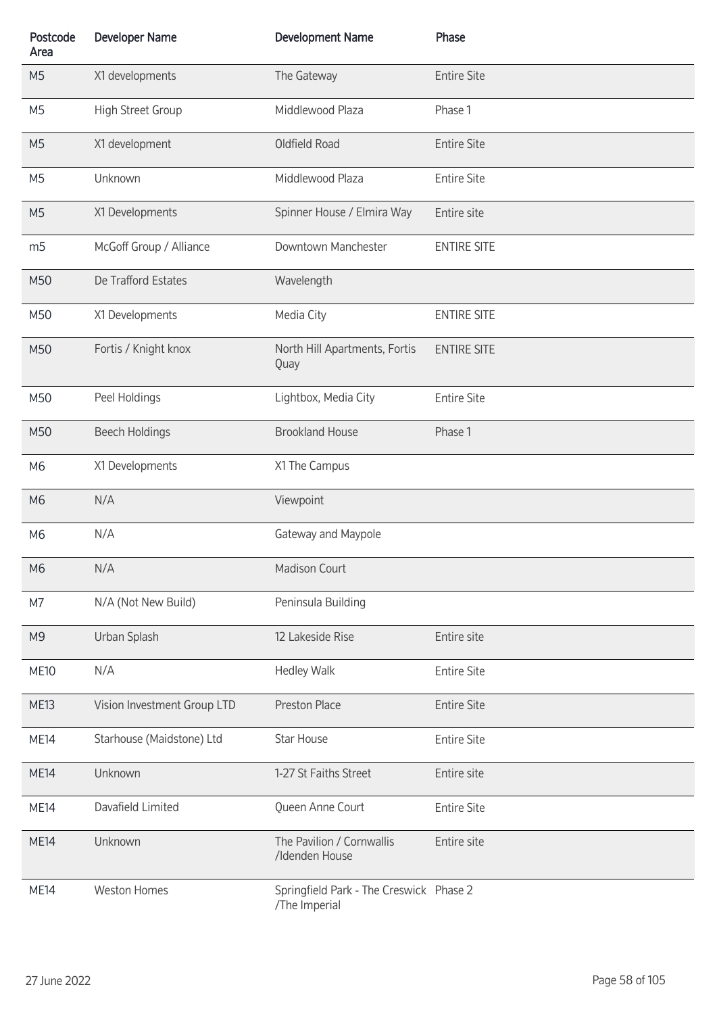| Postcode<br>Area | <b>Developer Name</b>       | <b>Development Name</b>                                  | Phase              |
|------------------|-----------------------------|----------------------------------------------------------|--------------------|
| M <sub>5</sub>   | X1 developments             | The Gateway                                              | <b>Entire Site</b> |
| M <sub>5</sub>   | High Street Group           | Middlewood Plaza                                         | Phase 1            |
| M <sub>5</sub>   | X1 development              | Oldfield Road                                            | <b>Entire Site</b> |
| M <sub>5</sub>   | Unknown                     | Middlewood Plaza                                         | <b>Entire Site</b> |
| M <sub>5</sub>   | X1 Developments             | Spinner House / Elmira Way                               | Entire site        |
| m <sub>5</sub>   | McGoff Group / Alliance     | Downtown Manchester                                      | <b>ENTIRE SITE</b> |
| M50              | De Trafford Estates         | Wavelength                                               |                    |
| M50              | X1 Developments             | Media City                                               | <b>ENTIRE SITE</b> |
| M50              | Fortis / Knight knox        | North Hill Apartments, Fortis<br>Quay                    | <b>ENTIRE SITE</b> |
| M50              | Peel Holdings               | Lightbox, Media City                                     | <b>Entire Site</b> |
| M50              | <b>Beech Holdings</b>       | <b>Brookland House</b>                                   | Phase 1            |
| M6               | X1 Developments             | X1 The Campus                                            |                    |
| M6               | N/A                         | Viewpoint                                                |                    |
| M <sub>6</sub>   | N/A                         | Gateway and Maypole                                      |                    |
| M6               | N/A                         | Madison Court                                            |                    |
| M7               | N/A (Not New Build)         | Peninsula Building                                       |                    |
| M <sub>9</sub>   | Urban Splash                | 12 Lakeside Rise                                         | Entire site        |
| <b>ME10</b>      | N/A                         | <b>Hedley Walk</b>                                       | <b>Entire Site</b> |
| <b>ME13</b>      | Vision Investment Group LTD | Preston Place                                            | <b>Entire Site</b> |
| <b>ME14</b>      | Starhouse (Maidstone) Ltd   | Star House                                               | <b>Entire Site</b> |
| <b>ME14</b>      | Unknown                     | 1-27 St Faiths Street                                    | Entire site        |
| <b>ME14</b>      | Davafield Limited           | Queen Anne Court                                         | <b>Entire Site</b> |
| <b>ME14</b>      | Unknown                     | The Pavilion / Cornwallis<br>/Idenden House              | Entire site        |
| <b>ME14</b>      | <b>Weston Homes</b>         | Springfield Park - The Creswick Phase 2<br>/The Imperial |                    |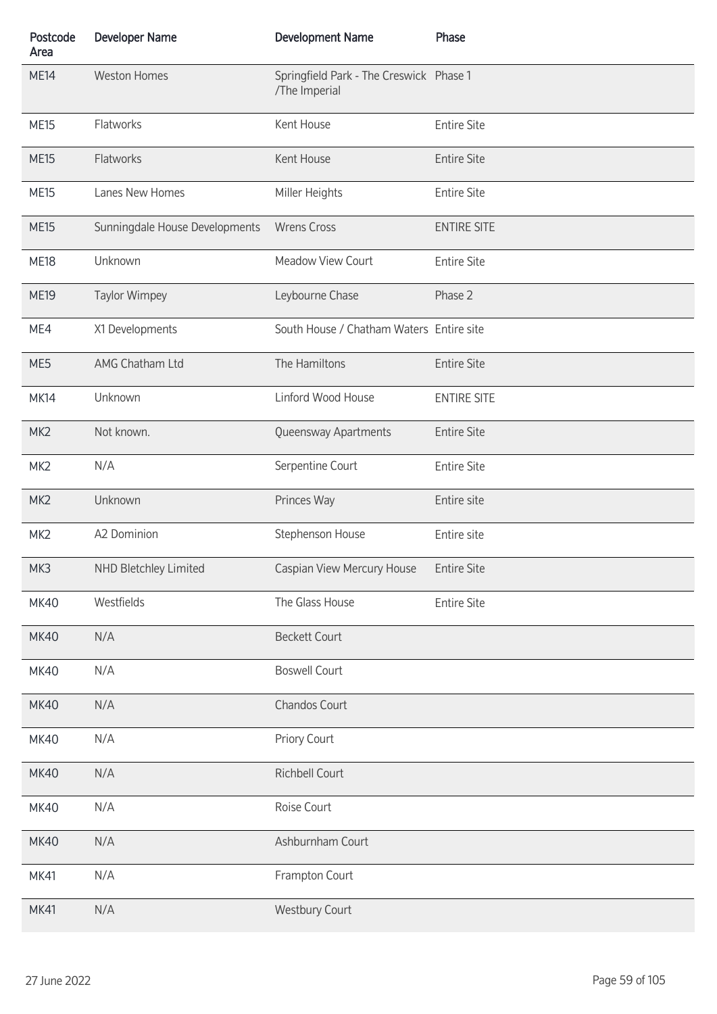| Postcode<br>Area | <b>Developer Name</b>          | <b>Development Name</b>                                  | Phase              |
|------------------|--------------------------------|----------------------------------------------------------|--------------------|
| <b>ME14</b>      | <b>Weston Homes</b>            | Springfield Park - The Creswick Phase 1<br>/The Imperial |                    |
| <b>ME15</b>      | Flatworks                      | Kent House                                               | <b>Entire Site</b> |
| <b>ME15</b>      | Flatworks                      | Kent House                                               | <b>Entire Site</b> |
| <b>ME15</b>      | Lanes New Homes                | Miller Heights                                           | <b>Entire Site</b> |
| <b>ME15</b>      | Sunningdale House Developments | <b>Wrens Cross</b>                                       | <b>ENTIRE SITE</b> |
| <b>ME18</b>      | Unknown                        | Meadow View Court                                        | <b>Entire Site</b> |
| <b>ME19</b>      | <b>Taylor Wimpey</b>           | Leybourne Chase                                          | Phase 2            |
| ME4              | X1 Developments                | South House / Chatham Waters Entire site                 |                    |
| ME5              | AMG Chatham Ltd                | The Hamiltons                                            | <b>Entire Site</b> |
| <b>MK14</b>      | Unknown                        | Linford Wood House                                       | <b>ENTIRE SITE</b> |
| MK <sub>2</sub>  | Not known.                     | Queensway Apartments                                     | <b>Entire Site</b> |
| MK <sub>2</sub>  | N/A                            | Serpentine Court                                         | <b>Entire Site</b> |
| MK <sub>2</sub>  | Unknown                        | Princes Way                                              | Entire site        |
| MK <sub>2</sub>  | A2 Dominion                    | Stephenson House                                         | Entire site        |
| MK3              | NHD Bletchley Limited          | Caspian View Mercury House                               | <b>Entire Site</b> |
| <b>MK40</b>      | Westfields                     | The Glass House                                          | <b>Entire Site</b> |
| <b>MK40</b>      | N/A                            | <b>Beckett Court</b>                                     |                    |
| <b>MK40</b>      | N/A                            | <b>Boswell Court</b>                                     |                    |
| <b>MK40</b>      | N/A                            | Chandos Court                                            |                    |
| <b>MK40</b>      | N/A                            | Priory Court                                             |                    |
| <b>MK40</b>      | N/A                            | Richbell Court                                           |                    |
| <b>MK40</b>      | N/A                            | Roise Court                                              |                    |
| <b>MK40</b>      | N/A                            | Ashburnham Court                                         |                    |
| <b>MK41</b>      | N/A                            | Frampton Court                                           |                    |
| <b>MK41</b>      | N/A                            | <b>Westbury Court</b>                                    |                    |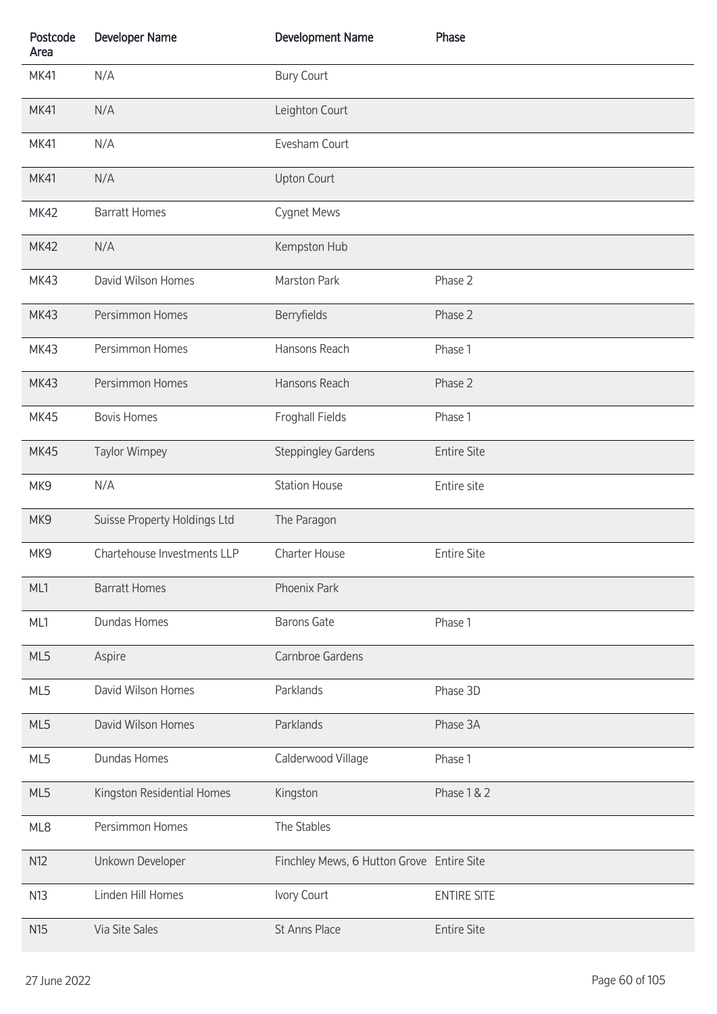| Postcode<br>Area | <b>Developer Name</b>        | <b>Development Name</b>                   | Phase              |
|------------------|------------------------------|-------------------------------------------|--------------------|
| <b>MK41</b>      | N/A                          | <b>Bury Court</b>                         |                    |
| <b>MK41</b>      | N/A                          | Leighton Court                            |                    |
| <b>MK41</b>      | N/A                          | Evesham Court                             |                    |
| <b>MK41</b>      | N/A                          | <b>Upton Court</b>                        |                    |
| <b>MK42</b>      | <b>Barratt Homes</b>         | Cygnet Mews                               |                    |
| <b>MK42</b>      | N/A                          | Kempston Hub                              |                    |
| <b>MK43</b>      | David Wilson Homes           | Marston Park                              | Phase 2            |
| <b>MK43</b>      | Persimmon Homes              | Berryfields                               | Phase 2            |
| <b>MK43</b>      | Persimmon Homes              | Hansons Reach                             | Phase 1            |
| <b>MK43</b>      | Persimmon Homes              | Hansons Reach                             | Phase 2            |
| <b>MK45</b>      | <b>Bovis Homes</b>           | <b>Froghall Fields</b>                    | Phase 1            |
| <b>MK45</b>      | <b>Taylor Wimpey</b>         | <b>Steppingley Gardens</b>                | <b>Entire Site</b> |
| MK9              | N/A                          | <b>Station House</b>                      | Entire site        |
| MK9              | Suisse Property Holdings Ltd | The Paragon                               |                    |
| MK9              | Chartehouse Investments LLP  | <b>Charter House</b>                      | <b>Entire Site</b> |
| ML1              | <b>Barratt Homes</b>         | <b>Phoenix Park</b>                       |                    |
| ML1              | <b>Dundas Homes</b>          | <b>Barons Gate</b>                        | Phase 1            |
| ML5              | Aspire                       | Carnbroe Gardens                          |                    |
| ML5              | David Wilson Homes           | Parklands                                 | Phase 3D           |
| ML5              | David Wilson Homes           | Parklands                                 | Phase 3A           |
| ML5              | <b>Dundas Homes</b>          | Calderwood Village                        | Phase 1            |
| ML5              | Kingston Residential Homes   | Kingston                                  | Phase 1 & 2        |
| ML8              | Persimmon Homes              | The Stables                               |                    |
| N12              | Unkown Developer             | Finchley Mews, 6 Hutton Grove Entire Site |                    |
| N13              | Linden Hill Homes            | Ivory Court                               | <b>ENTIRE SITE</b> |
| N <sub>15</sub>  | Via Site Sales               | St Anns Place                             | <b>Entire Site</b> |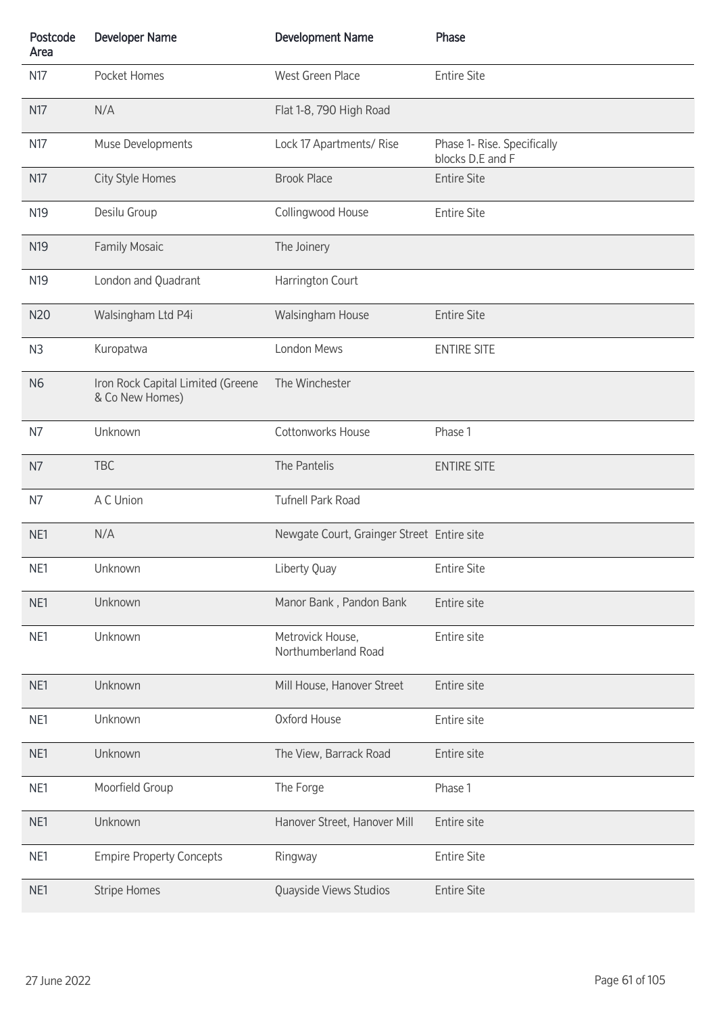| Postcode<br>Area | <b>Developer Name</b>                                | <b>Development Name</b>                    | Phase                                           |
|------------------|------------------------------------------------------|--------------------------------------------|-------------------------------------------------|
| N17              | Pocket Homes                                         | West Green Place                           | <b>Entire Site</b>                              |
| N17              | N/A                                                  | Flat 1-8, 790 High Road                    |                                                 |
| N17              | Muse Developments                                    | Lock 17 Apartments/ Rise                   | Phase 1- Rise. Specifically<br>blocks D.E and F |
| N17              | City Style Homes                                     | <b>Brook Place</b>                         | <b>Entire Site</b>                              |
| N <sub>19</sub>  | Desilu Group                                         | Collingwood House                          | <b>Entire Site</b>                              |
| N <sub>19</sub>  | <b>Family Mosaic</b>                                 | The Joinery                                |                                                 |
| N <sub>19</sub>  | London and Quadrant                                  | Harrington Court                           |                                                 |
| N20              | Walsingham Ltd P4i                                   | Walsingham House                           | <b>Entire Site</b>                              |
| N <sub>3</sub>   | Kuropatwa                                            | London Mews                                | <b>ENTIRE SITE</b>                              |
| N <sub>6</sub>   | Iron Rock Capital Limited (Greene<br>& Co New Homes) | The Winchester                             |                                                 |
| N7               | Unknown                                              | Cottonworks House                          | Phase 1                                         |
| N7               | <b>TBC</b>                                           | The Pantelis                               | <b>ENTIRE SITE</b>                              |
| N7               | A C Union                                            | <b>Tufnell Park Road</b>                   |                                                 |
| NE1              | N/A                                                  | Newgate Court, Grainger Street Entire site |                                                 |
| NE1              | Unknown                                              | Liberty Quay                               | <b>Entire Site</b>                              |
| NE1              | Unknown                                              | Manor Bank, Pandon Bank                    | Entire site                                     |
| NE1              | Unknown                                              | Metrovick House,<br>Northumberland Road    | Entire site                                     |
| NE1              | Unknown                                              | Mill House, Hanover Street                 | Entire site                                     |
| NE1              | Unknown                                              | Oxford House                               | Entire site                                     |
| NE1              | Unknown                                              | The View, Barrack Road                     | Entire site                                     |
| NE1              | Moorfield Group                                      | The Forge                                  | Phase 1                                         |
| NE1              | Unknown                                              | Hanover Street, Hanover Mill               | Entire site                                     |
| NE1              | <b>Empire Property Concepts</b>                      | Ringway                                    | <b>Entire Site</b>                              |
| NE1              | <b>Stripe Homes</b>                                  | Quayside Views Studios                     | <b>Entire Site</b>                              |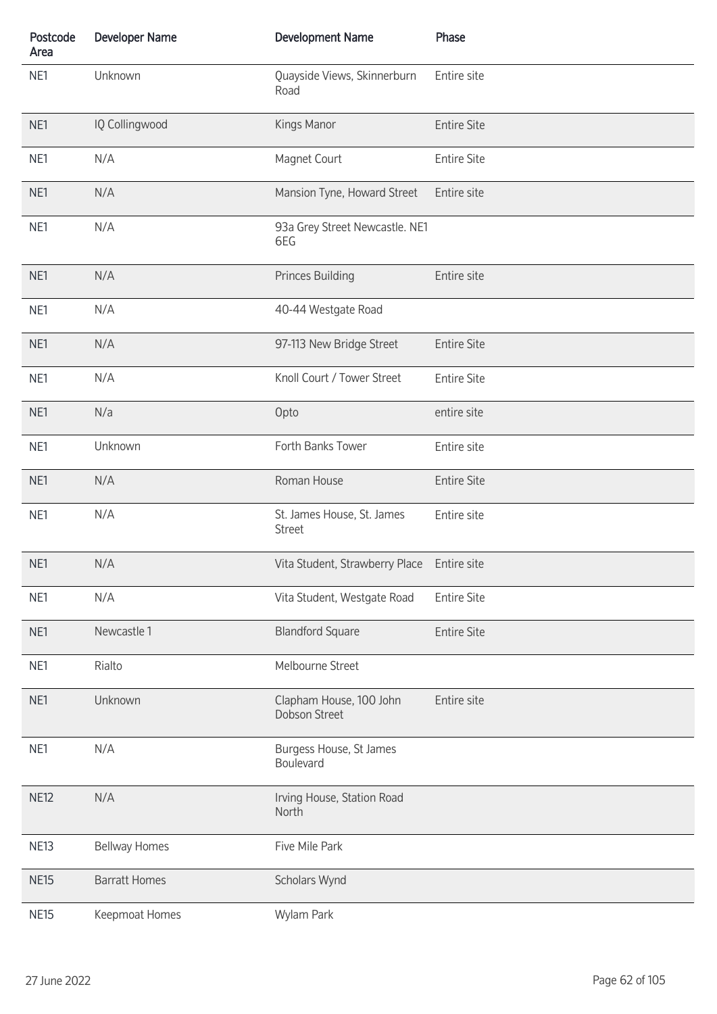| Postcode<br>Area | <b>Developer Name</b> | <b>Development Name</b>                     | Phase              |
|------------------|-----------------------|---------------------------------------------|--------------------|
| NE1              | Unknown               | Quayside Views, Skinnerburn<br>Road         | Entire site        |
| NE1              | IQ Collingwood        | Kings Manor                                 | <b>Entire Site</b> |
| NE1              | N/A                   | Magnet Court                                | <b>Entire Site</b> |
| NE1              | N/A                   | Mansion Tyne, Howard Street                 | Entire site        |
| NE1              | N/A                   | 93a Grey Street Newcastle. NE1<br>6EG       |                    |
| NE1              | N/A                   | <b>Princes Building</b>                     | Entire site        |
| NE1              | N/A                   | 40-44 Westgate Road                         |                    |
| NE1              | N/A                   | 97-113 New Bridge Street                    | <b>Entire Site</b> |
| NE1              | N/A                   | Knoll Court / Tower Street                  | <b>Entire Site</b> |
| NE1              | N/a                   | Opto                                        | entire site        |
| NE1              | Unknown               | Forth Banks Tower                           | Entire site        |
| NE1              | N/A                   | Roman House                                 | <b>Entire Site</b> |
| NE1              | N/A                   | St. James House, St. James<br><b>Street</b> | Entire site        |
| NE1              | N/A                   | Vita Student, Strawberry Place Entire site  |                    |
| NE1              | N/A                   | Vita Student, Westgate Road                 | <b>Entire Site</b> |
| NE1              | Newcastle 1           | <b>Blandford Square</b>                     | <b>Entire Site</b> |
| NE1              | Rialto                | Melbourne Street                            |                    |
| NE1              | Unknown               | Clapham House, 100 John<br>Dobson Street    | Entire site        |
| NE1              | N/A                   | Burgess House, St James<br>Boulevard        |                    |
| NE12             | N/A                   | Irving House, Station Road<br>North         |                    |
| <b>NE13</b>      | <b>Bellway Homes</b>  | Five Mile Park                              |                    |
| <b>NE15</b>      | <b>Barratt Homes</b>  | Scholars Wynd                               |                    |
| <b>NE15</b>      | Keepmoat Homes        | Wylam Park                                  |                    |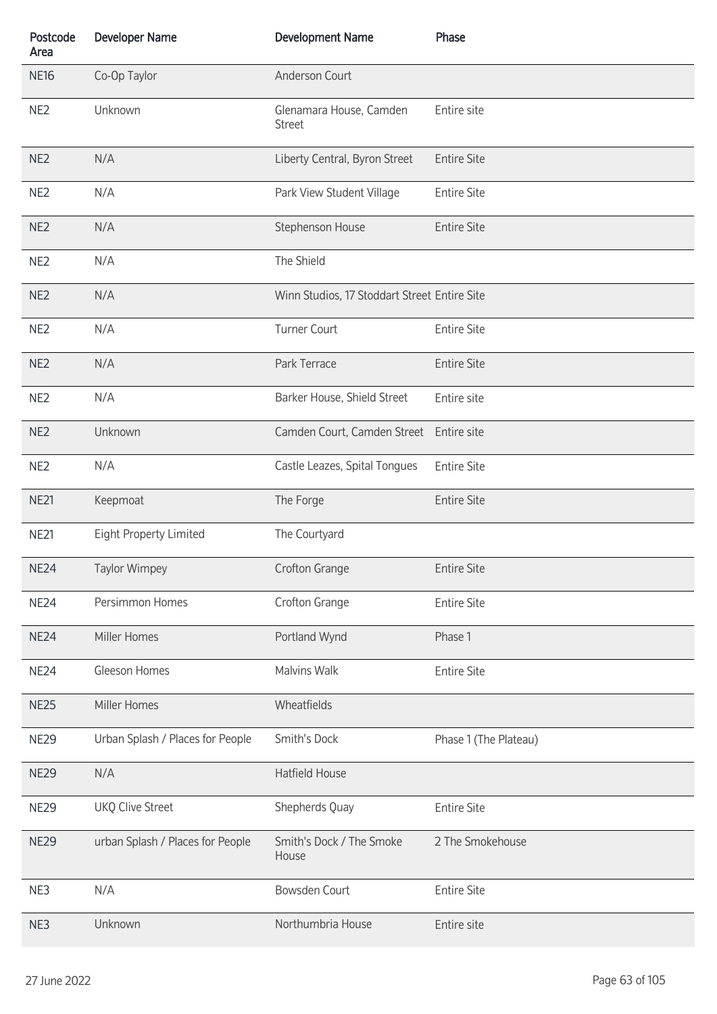| Postcode<br>Area | <b>Developer Name</b>            | <b>Development Name</b>                      | Phase                 |
|------------------|----------------------------------|----------------------------------------------|-----------------------|
| <b>NE16</b>      | Co-Op Taylor                     | Anderson Court                               |                       |
| NE <sub>2</sub>  | Unknown                          | Glenamara House, Camden<br><b>Street</b>     | Entire site           |
| NE <sub>2</sub>  | N/A                              | Liberty Central, Byron Street                | <b>Entire Site</b>    |
| NE <sub>2</sub>  | N/A                              | Park View Student Village                    | <b>Entire Site</b>    |
| NE <sub>2</sub>  | N/A                              | Stephenson House                             | <b>Entire Site</b>    |
| NE <sub>2</sub>  | N/A                              | The Shield                                   |                       |
| NE <sub>2</sub>  | N/A                              | Winn Studios, 17 Stoddart Street Entire Site |                       |
| NE <sub>2</sub>  | N/A                              | <b>Turner Court</b>                          | <b>Entire Site</b>    |
| NE <sub>2</sub>  | N/A                              | Park Terrace                                 | <b>Entire Site</b>    |
| NE <sub>2</sub>  | N/A                              | Barker House, Shield Street                  | Entire site           |
| NE <sub>2</sub>  | Unknown                          | Camden Court, Camden Street Entire site      |                       |
| NE <sub>2</sub>  | N/A                              | Castle Leazes, Spital Tongues                | <b>Entire Site</b>    |
| <b>NE21</b>      | Keepmoat                         | The Forge                                    | <b>Entire Site</b>    |
| NE21             | <b>Eight Property Limited</b>    | The Courtyard                                |                       |
| NE <sub>24</sub> | <b>Taylor Wimpey</b>             | Crofton Grange                               | <b>Entire Site</b>    |
| <b>NE24</b>      | Persimmon Homes                  | Crofton Grange                               | <b>Entire Site</b>    |
| <b>NE24</b>      | Miller Homes                     | Portland Wynd                                | Phase 1               |
| <b>NE24</b>      | Gleeson Homes                    | <b>Malvins Walk</b>                          | <b>Entire Site</b>    |
| <b>NE25</b>      | Miller Homes                     | Wheatfields                                  |                       |
| <b>NE29</b>      | Urban Splash / Places for People | Smith's Dock                                 | Phase 1 (The Plateau) |
| <b>NE29</b>      | N/A                              | Hatfield House                               |                       |
| <b>NE29</b>      | <b>UKQ Clive Street</b>          | Shepherds Quay                               | <b>Entire Site</b>    |
| <b>NE29</b>      | urban Splash / Places for People | Smith's Dock / The Smoke<br>House            | 2 The Smokehouse      |
| NE3              | N/A                              | Bowsden Court                                | <b>Entire Site</b>    |
| NE3              | Unknown                          | Northumbria House                            | Entire site           |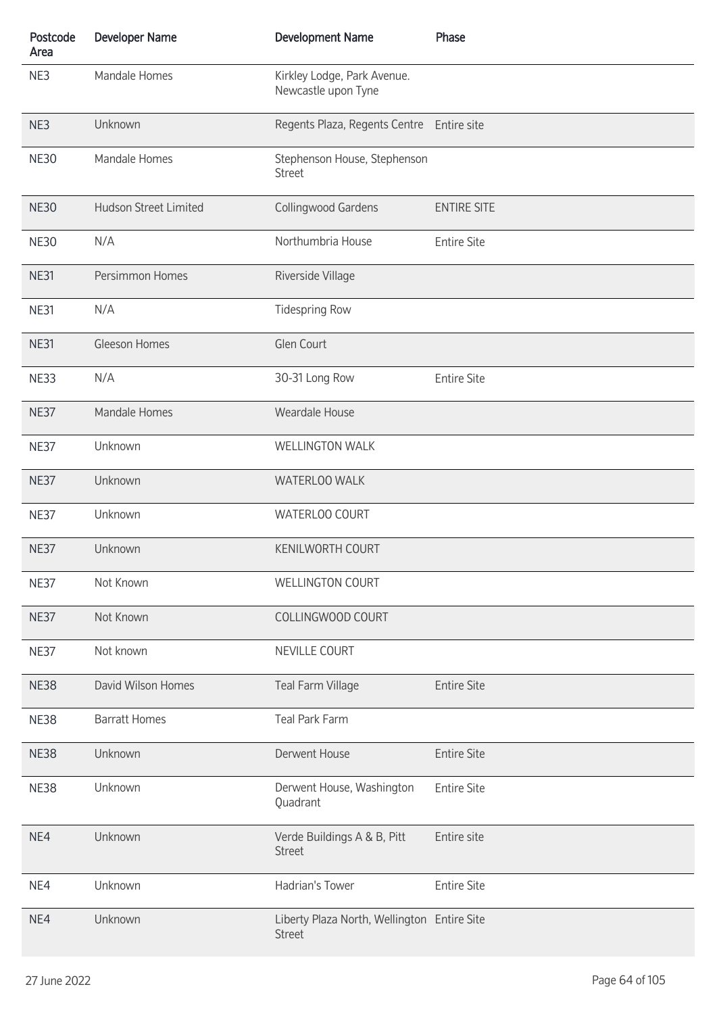| Postcode<br>Area | <b>Developer Name</b>        | <b>Development Name</b>                                      | Phase              |
|------------------|------------------------------|--------------------------------------------------------------|--------------------|
| NE3              | Mandale Homes                | Kirkley Lodge, Park Avenue.<br>Newcastle upon Tyne           |                    |
| NE3              | Unknown                      | Regents Plaza, Regents Centre Entire site                    |                    |
| <b>NE30</b>      | Mandale Homes                | Stephenson House, Stephenson<br><b>Street</b>                |                    |
| <b>NE30</b>      | <b>Hudson Street Limited</b> | Collingwood Gardens                                          | <b>ENTIRE SITE</b> |
| <b>NE30</b>      | N/A                          | Northumbria House                                            | <b>Entire Site</b> |
| <b>NE31</b>      | Persimmon Homes              | Riverside Village                                            |                    |
| <b>NE31</b>      | N/A                          | <b>Tidespring Row</b>                                        |                    |
| <b>NE31</b>      | Gleeson Homes                | Glen Court                                                   |                    |
| <b>NE33</b>      | N/A                          | 30-31 Long Row                                               | <b>Entire Site</b> |
| <b>NE37</b>      | Mandale Homes                | Weardale House                                               |                    |
| <b>NE37</b>      | Unknown                      | <b>WELLINGTON WALK</b>                                       |                    |
| <b>NE37</b>      | Unknown                      | WATERLOO WALK                                                |                    |
| <b>NE37</b>      | Unknown                      | WATERLOO COURT                                               |                    |
| <b>NE37</b>      | Unknown                      | <b>KENILWORTH COURT</b>                                      |                    |
| <b>NE37</b>      | Not Known                    | <b>WELLINGTON COURT</b>                                      |                    |
| NE37             | Not Known                    | COLLINGWOOD COURT                                            |                    |
| <b>NE37</b>      | Not known                    | NEVILLE COURT                                                |                    |
| <b>NE38</b>      | David Wilson Homes           | Teal Farm Village                                            | <b>Entire Site</b> |
| <b>NE38</b>      | <b>Barratt Homes</b>         | Teal Park Farm                                               |                    |
| <b>NE38</b>      | Unknown                      | Derwent House                                                | <b>Entire Site</b> |
| NE38             | Unknown                      | Derwent House, Washington<br>Quadrant                        | <b>Entire Site</b> |
| NE4              | Unknown                      | Verde Buildings A & B, Pitt<br><b>Street</b>                 | Entire site        |
| NE4              | Unknown                      | Hadrian's Tower                                              | <b>Entire Site</b> |
| NE4              | Unknown                      | Liberty Plaza North, Wellington Entire Site<br><b>Street</b> |                    |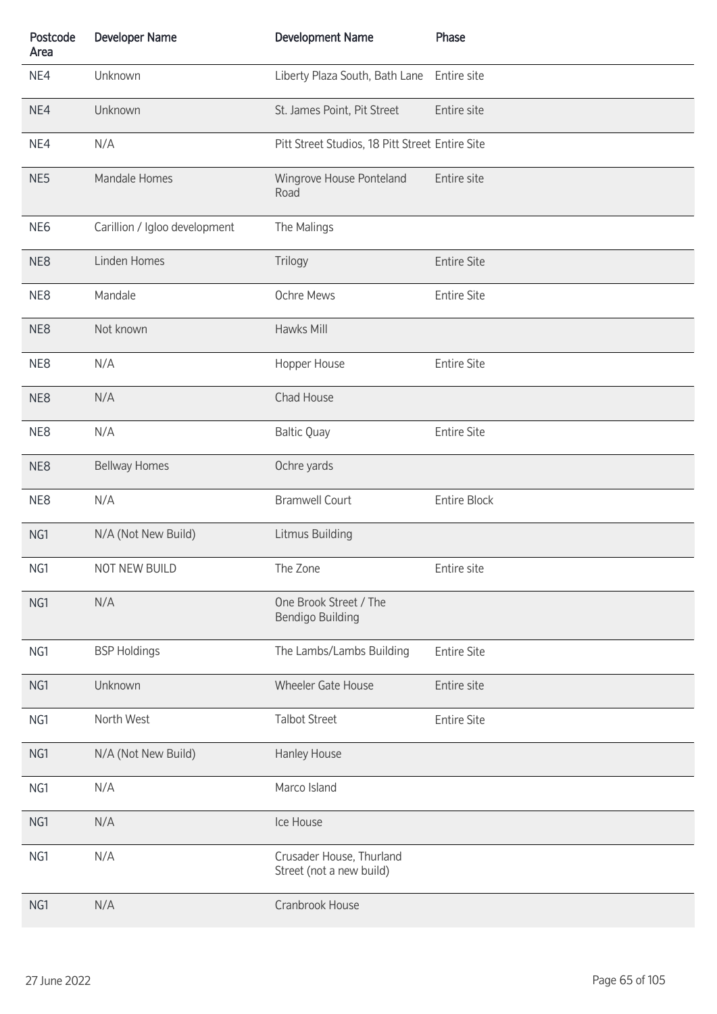| Postcode<br>Area | <b>Developer Name</b>         | <b>Development Name</b>                              | Phase               |
|------------------|-------------------------------|------------------------------------------------------|---------------------|
| NE4              | Unknown                       | Liberty Plaza South, Bath Lane                       | Entire site         |
| NE4              | Unknown                       | St. James Point, Pit Street                          | Entire site         |
| NE4              | N/A                           | Pitt Street Studios, 18 Pitt Street Entire Site      |                     |
| NE5              | Mandale Homes                 | Wingrove House Ponteland<br>Road                     | Entire site         |
| NE <sub>6</sub>  | Carillion / Igloo development | The Malings                                          |                     |
| NE8              | Linden Homes                  | Trilogy                                              | <b>Entire Site</b>  |
| NE8              | Mandale                       | Ochre Mews                                           | <b>Entire Site</b>  |
| NE8              | Not known                     | Hawks Mill                                           |                     |
| NE8              | N/A                           | Hopper House                                         | <b>Entire Site</b>  |
| NE8              | N/A                           | Chad House                                           |                     |
| NE8              | N/A                           | <b>Baltic Quay</b>                                   | <b>Entire Site</b>  |
| NE8              | <b>Bellway Homes</b>          | Ochre yards                                          |                     |
| NE8              | N/A                           | <b>Bramwell Court</b>                                | <b>Entire Block</b> |
| NG1              | N/A (Not New Build)           | Litmus Building                                      |                     |
| NG1              | NOT NEW BUILD                 | The Zone                                             | Entire site         |
| NG1              | N/A                           | One Brook Street / The<br>Bendigo Building           |                     |
| NG1              | <b>BSP Holdings</b>           | The Lambs/Lambs Building                             | <b>Entire Site</b>  |
| NG1              | Unknown                       | Wheeler Gate House                                   | Entire site         |
| NG1              | North West                    | <b>Talbot Street</b>                                 | <b>Entire Site</b>  |
| NG1              | N/A (Not New Build)           | Hanley House                                         |                     |
| NG1              | N/A                           | Marco Island                                         |                     |
| NG1              | N/A                           | Ice House                                            |                     |
| NG1              | N/A                           | Crusader House, Thurland<br>Street (not a new build) |                     |
| NG1              | N/A                           | Cranbrook House                                      |                     |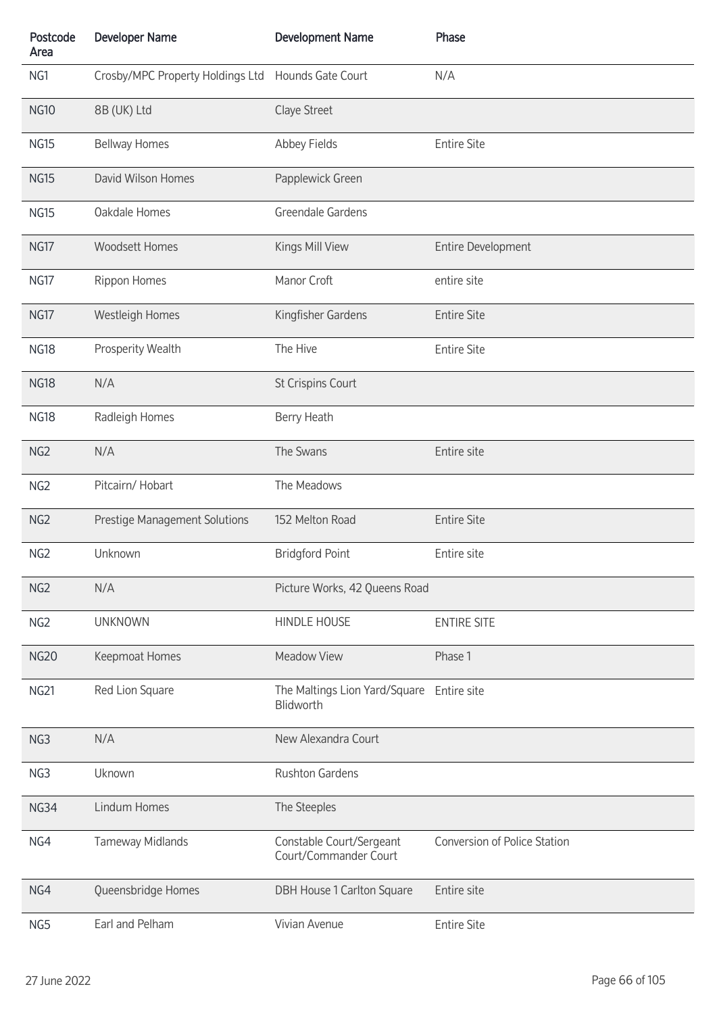| Postcode<br>Area | <b>Developer Name</b>            | <b>Development Name</b>                           | Phase                               |
|------------------|----------------------------------|---------------------------------------------------|-------------------------------------|
| NG1              | Crosby/MPC Property Holdings Ltd | Hounds Gate Court                                 | N/A                                 |
| <b>NG10</b>      | 8B (UK) Ltd                      | Claye Street                                      |                                     |
| <b>NG15</b>      | <b>Bellway Homes</b>             | Abbey Fields                                      | <b>Entire Site</b>                  |
| <b>NG15</b>      | David Wilson Homes               | Papplewick Green                                  |                                     |
| <b>NG15</b>      | Oakdale Homes                    | Greendale Gardens                                 |                                     |
| NG17             | <b>Woodsett Homes</b>            | Kings Mill View                                   | Entire Development                  |
| <b>NG17</b>      | Rippon Homes                     | Manor Croft                                       | entire site                         |
| NG17             | Westleigh Homes                  | Kingfisher Gardens                                | <b>Entire Site</b>                  |
| <b>NG18</b>      | Prosperity Wealth                | The Hive                                          | <b>Entire Site</b>                  |
| <b>NG18</b>      | N/A                              | St Crispins Court                                 |                                     |
| <b>NG18</b>      | Radleigh Homes                   | Berry Heath                                       |                                     |
| NG <sub>2</sub>  | N/A                              | The Swans                                         | Entire site                         |
| NG <sub>2</sub>  | Pitcairn/Hobart                  | The Meadows                                       |                                     |
| NG <sub>2</sub>  | Prestige Management Solutions    | 152 Melton Road                                   | <b>Entire Site</b>                  |
| NG <sub>2</sub>  | Unknown                          | <b>Bridgford Point</b>                            | Entire site                         |
| NG <sub>2</sub>  | N/A                              | Picture Works, 42 Queens Road                     |                                     |
| NG <sub>2</sub>  | <b>UNKNOWN</b>                   | <b>HINDLE HOUSE</b>                               | <b>ENTIRE SITE</b>                  |
| <b>NG20</b>      | Keepmoat Homes                   | <b>Meadow View</b>                                | Phase 1                             |
| <b>NG21</b>      | Red Lion Square                  | The Maltings Lion Yard/Square<br>Blidworth        | Entire site                         |
| NG3              | N/A                              | New Alexandra Court                               |                                     |
| NG3              | Uknown                           | <b>Rushton Gardens</b>                            |                                     |
| NG34             | Lindum Homes                     | The Steeples                                      |                                     |
| NG4              | Tameway Midlands                 | Constable Court/Sergeant<br>Court/Commander Court | <b>Conversion of Police Station</b> |
| NG4              | Queensbridge Homes               | <b>DBH House 1 Carlton Square</b>                 | Entire site                         |
| NG5              | Earl and Pelham                  | Vivian Avenue                                     | <b>Entire Site</b>                  |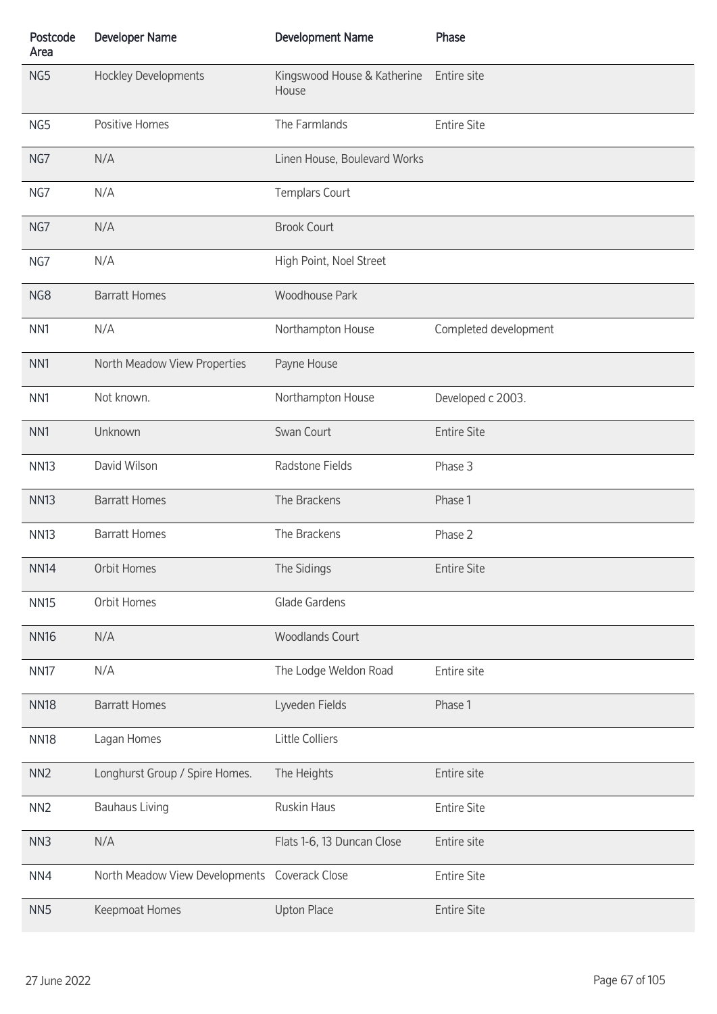| Postcode<br>Area | <b>Developer Name</b>                         | <b>Development Name</b>              | Phase                 |
|------------------|-----------------------------------------------|--------------------------------------|-----------------------|
| NG5              | <b>Hockley Developments</b>                   | Kingswood House & Katherine<br>House | Entire site           |
| NG5              | Positive Homes                                | The Farmlands                        | <b>Entire Site</b>    |
| NG7              | N/A                                           | Linen House, Boulevard Works         |                       |
| NG7              | N/A                                           | <b>Templars Court</b>                |                       |
| NG7              | N/A                                           | <b>Brook Court</b>                   |                       |
| NG7              | N/A                                           | High Point, Noel Street              |                       |
| NG8              | <b>Barratt Homes</b>                          | <b>Woodhouse Park</b>                |                       |
| NN <sub>1</sub>  | N/A                                           | Northampton House                    | Completed development |
| NN <sub>1</sub>  | North Meadow View Properties                  | Payne House                          |                       |
| NN <sub>1</sub>  | Not known.                                    | Northampton House                    | Developed c 2003.     |
| NN <sub>1</sub>  | Unknown                                       | Swan Court                           | <b>Entire Site</b>    |
| <b>NN13</b>      | David Wilson                                  | Radstone Fields                      | Phase 3               |
| <b>NN13</b>      | <b>Barratt Homes</b>                          | The Brackens                         | Phase 1               |
| <b>NN13</b>      | <b>Barratt Homes</b>                          | The Brackens                         | Phase 2               |
| <b>NN14</b>      | Orbit Homes                                   | The Sidings                          | <b>Entire Site</b>    |
| <b>NN15</b>      | Orbit Homes                                   | Glade Gardens                        |                       |
| <b>NN16</b>      | N/A                                           | <b>Woodlands Court</b>               |                       |
| <b>NN17</b>      | N/A                                           | The Lodge Weldon Road                | Entire site           |
| <b>NN18</b>      | <b>Barratt Homes</b>                          | Lyveden Fields                       | Phase 1               |
| <b>NN18</b>      | Lagan Homes                                   | Little Colliers                      |                       |
| NN <sub>2</sub>  | Longhurst Group / Spire Homes.                | The Heights                          | Entire site           |
| NN <sub>2</sub>  | <b>Bauhaus Living</b>                         | Ruskin Haus                          | <b>Entire Site</b>    |
| NN3              | N/A                                           | Flats 1-6, 13 Duncan Close           | Entire site           |
| NN4              | North Meadow View Developments Coverack Close |                                      | <b>Entire Site</b>    |
| NN <sub>5</sub>  | Keepmoat Homes                                | <b>Upton Place</b>                   | <b>Entire Site</b>    |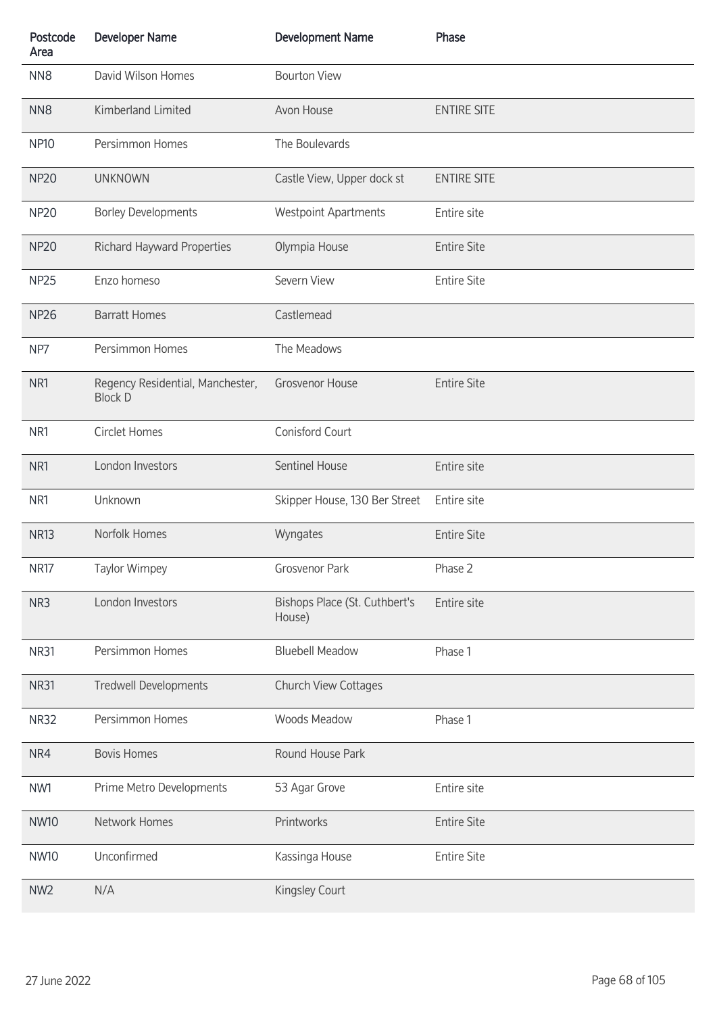| Postcode<br>Area | <b>Developer Name</b>                              | <b>Development Name</b>                 | Phase              |
|------------------|----------------------------------------------------|-----------------------------------------|--------------------|
| NN <sub>8</sub>  | David Wilson Homes                                 | <b>Bourton View</b>                     |                    |
| NN <sub>8</sub>  | Kimberland Limited                                 | Avon House                              | <b>ENTIRE SITE</b> |
| <b>NP10</b>      | Persimmon Homes                                    | The Boulevards                          |                    |
| <b>NP20</b>      | <b>UNKNOWN</b>                                     | Castle View, Upper dock st              | <b>ENTIRE SITE</b> |
| <b>NP20</b>      | <b>Borley Developments</b>                         | <b>Westpoint Apartments</b>             | Entire site        |
| <b>NP20</b>      | Richard Hayward Properties                         | Olympia House                           | <b>Entire Site</b> |
| <b>NP25</b>      | Enzo homeso                                        | Severn View                             | <b>Entire Site</b> |
| <b>NP26</b>      | <b>Barratt Homes</b>                               | Castlemead                              |                    |
| NP7              | Persimmon Homes                                    | The Meadows                             |                    |
| NR1              | Regency Residential, Manchester,<br><b>Block D</b> | <b>Grosvenor House</b>                  | <b>Entire Site</b> |
| NR1              | Circlet Homes                                      | Conisford Court                         |                    |
| NR1              | London Investors                                   | <b>Sentinel House</b>                   | Entire site        |
| NR1              | Unknown                                            | Skipper House, 130 Ber Street           | Entire site        |
| <b>NR13</b>      | Norfolk Homes                                      | Wyngates                                | <b>Entire Site</b> |
| NR17             | Taylor Wimpey                                      | Grosvenor Park                          | Phase 2            |
| NR3              | London Investors                                   | Bishops Place (St. Cuthbert's<br>House) | Entire site        |
| <b>NR31</b>      | Persimmon Homes                                    | <b>Bluebell Meadow</b>                  | Phase 1            |
| <b>NR31</b>      | <b>Tredwell Developments</b>                       | Church View Cottages                    |                    |
| <b>NR32</b>      | Persimmon Homes                                    | Woods Meadow                            | Phase 1            |
| NR4              | <b>Bovis Homes</b>                                 | Round House Park                        |                    |
| NW1              | Prime Metro Developments                           | 53 Agar Grove                           | Entire site        |
| <b>NW10</b>      | Network Homes                                      | Printworks                              | <b>Entire Site</b> |
| <b>NW10</b>      | Unconfirmed                                        | Kassinga House                          | <b>Entire Site</b> |
| NW <sub>2</sub>  | N/A                                                | Kingsley Court                          |                    |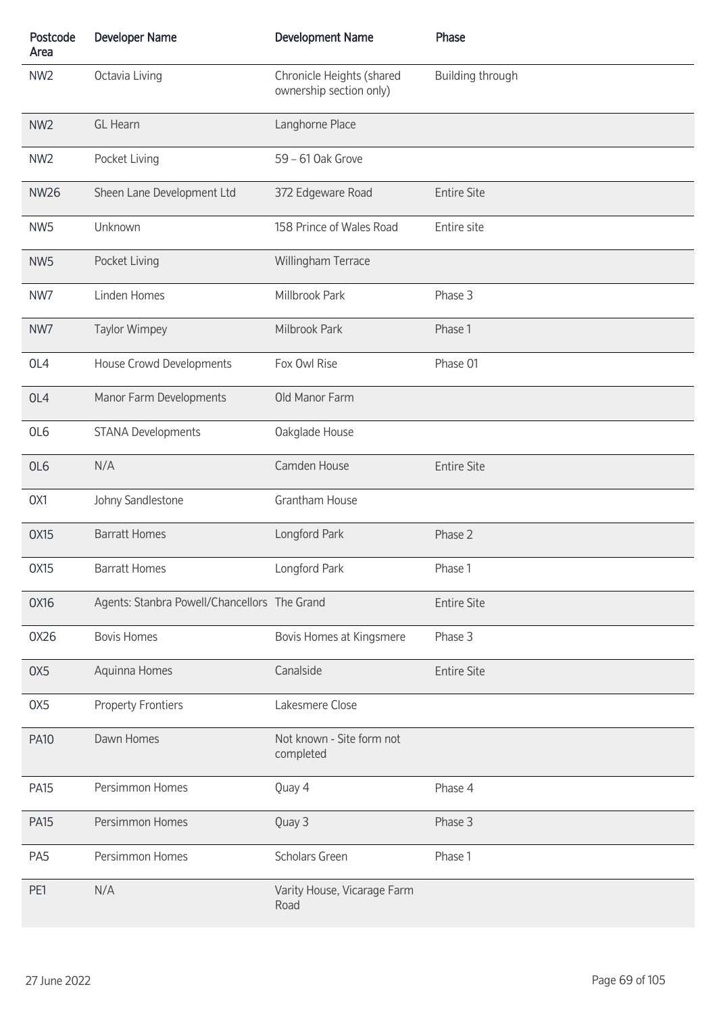| Postcode<br>Area | <b>Developer Name</b>                        | <b>Development Name</b>                              | Phase              |
|------------------|----------------------------------------------|------------------------------------------------------|--------------------|
| NW <sub>2</sub>  | Octavia Living                               | Chronicle Heights (shared<br>ownership section only) | Building through   |
| NW <sub>2</sub>  | <b>GL</b> Hearn                              | Langhorne Place                                      |                    |
| NW <sub>2</sub>  | Pocket Living                                | 59 - 61 Oak Grove                                    |                    |
| <b>NW26</b>      | Sheen Lane Development Ltd                   | 372 Edgeware Road                                    | <b>Entire Site</b> |
| NW <sub>5</sub>  | Unknown                                      | 158 Prince of Wales Road                             | Entire site        |
| NW <sub>5</sub>  | Pocket Living                                | Willingham Terrace                                   |                    |
| NW7              | Linden Homes                                 | Millbrook Park                                       | Phase 3            |
| NW7              | <b>Taylor Wimpey</b>                         | Milbrook Park                                        | Phase 1            |
| OL4              | House Crowd Developments                     | Fox Owl Rise                                         | Phase 01           |
| OL4              | Manor Farm Developments                      | Old Manor Farm                                       |                    |
| OL6              | <b>STANA Developments</b>                    | Oakglade House                                       |                    |
| OL6              | N/A                                          | Camden House                                         | <b>Entire Site</b> |
| OX1              | Johny Sandlestone                            | Grantham House                                       |                    |
| <b>OX15</b>      | <b>Barratt Homes</b>                         | Longford Park                                        | Phase 2            |
| 0X15             | <b>Barratt Homes</b>                         | Longford Park                                        | Phase 1            |
| 0X16             | Agents: Stanbra Powell/Chancellors The Grand |                                                      | <b>Entire Site</b> |
| 0X26             | <b>Bovis Homes</b>                           | Bovis Homes at Kingsmere                             | Phase 3            |
| OX <sub>5</sub>  | Aquinna Homes                                | Canalside                                            | <b>Entire Site</b> |
| OX5              | <b>Property Frontiers</b>                    | Lakesmere Close                                      |                    |
| <b>PA10</b>      | Dawn Homes                                   | Not known - Site form not<br>completed               |                    |
| <b>PA15</b>      | Persimmon Homes                              | Quay 4                                               | Phase 4            |
| <b>PA15</b>      | Persimmon Homes                              | Quay 3                                               | Phase 3            |
| PA <sub>5</sub>  | Persimmon Homes                              | <b>Scholars Green</b>                                | Phase 1            |
| PE1              | N/A                                          | Varity House, Vicarage Farm<br>Road                  |                    |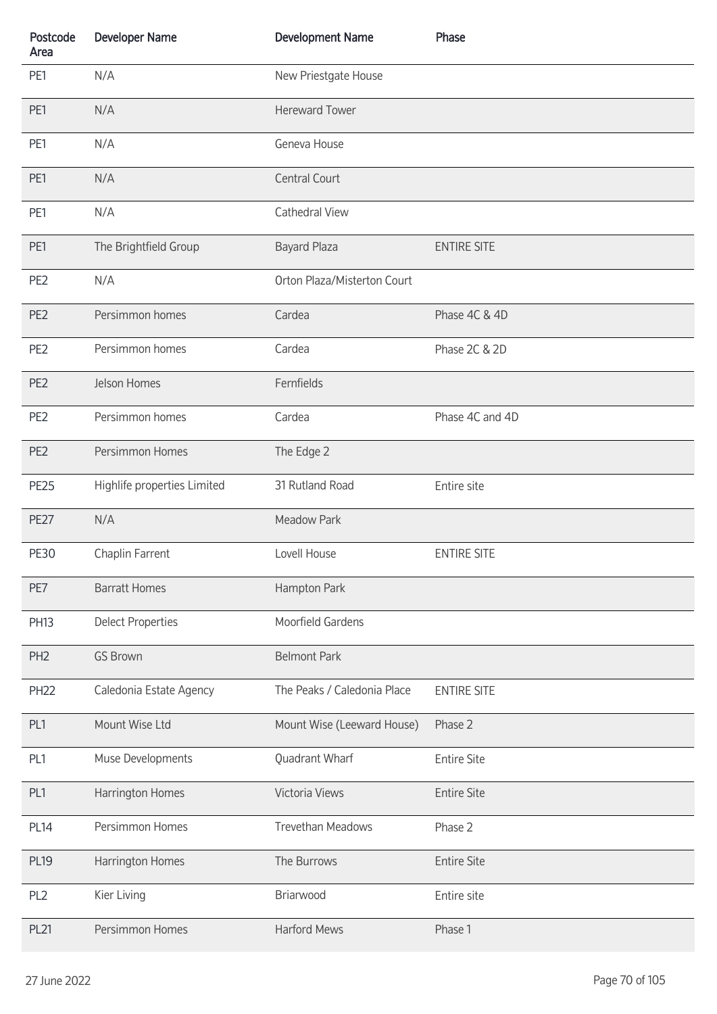| Postcode<br>Area | <b>Developer Name</b>       | <b>Development Name</b>     | Phase              |
|------------------|-----------------------------|-----------------------------|--------------------|
| PE1              | N/A                         | New Priestgate House        |                    |
| PE1              | N/A                         | <b>Hereward Tower</b>       |                    |
| PE1              | N/A                         | Geneva House                |                    |
| PE1              | N/A                         | <b>Central Court</b>        |                    |
| PE1              | N/A                         | Cathedral View              |                    |
| PE1              | The Brightfield Group       | <b>Bayard Plaza</b>         | <b>ENTIRE SITE</b> |
| PE <sub>2</sub>  | N/A                         | Orton Plaza/Misterton Court |                    |
| PE <sub>2</sub>  | Persimmon homes             | Cardea                      | Phase 4C & 4D      |
| PE <sub>2</sub>  | Persimmon homes             | Cardea                      | Phase 2C & 2D      |
| PE <sub>2</sub>  | Jelson Homes                | Fernfields                  |                    |
| PE <sub>2</sub>  | Persimmon homes             | Cardea                      | Phase 4C and 4D    |
| PE <sub>2</sub>  | Persimmon Homes             | The Edge 2                  |                    |
| <b>PE25</b>      | Highlife properties Limited | 31 Rutland Road             | Entire site        |
| <b>PE27</b>      | N/A                         | Meadow Park                 |                    |
| <b>PE30</b>      | Chaplin Farrent             | Lovell House                | <b>ENTIRE SITE</b> |
| PE7              | <b>Barratt Homes</b>        | Hampton Park                |                    |
| <b>PH13</b>      | <b>Delect Properties</b>    | Moorfield Gardens           |                    |
| PH <sub>2</sub>  | <b>GS Brown</b>             | <b>Belmont Park</b>         |                    |
| <b>PH22</b>      | Caledonia Estate Agency     | The Peaks / Caledonia Place | <b>ENTIRE SITE</b> |
| PL1              | Mount Wise Ltd              | Mount Wise (Leeward House)  | Phase 2            |
| PL1              | Muse Developments           | Quadrant Wharf              | <b>Entire Site</b> |
| PL1              | Harrington Homes            | Victoria Views              | <b>Entire Site</b> |
| <b>PL14</b>      | Persimmon Homes             | <b>Trevethan Meadows</b>    | Phase 2            |
| <b>PL19</b>      | Harrington Homes            | The Burrows                 | <b>Entire Site</b> |
| PL <sub>2</sub>  | Kier Living                 | Briarwood                   | Entire site        |
| <b>PL21</b>      | Persimmon Homes             | <b>Harford Mews</b>         | Phase 1            |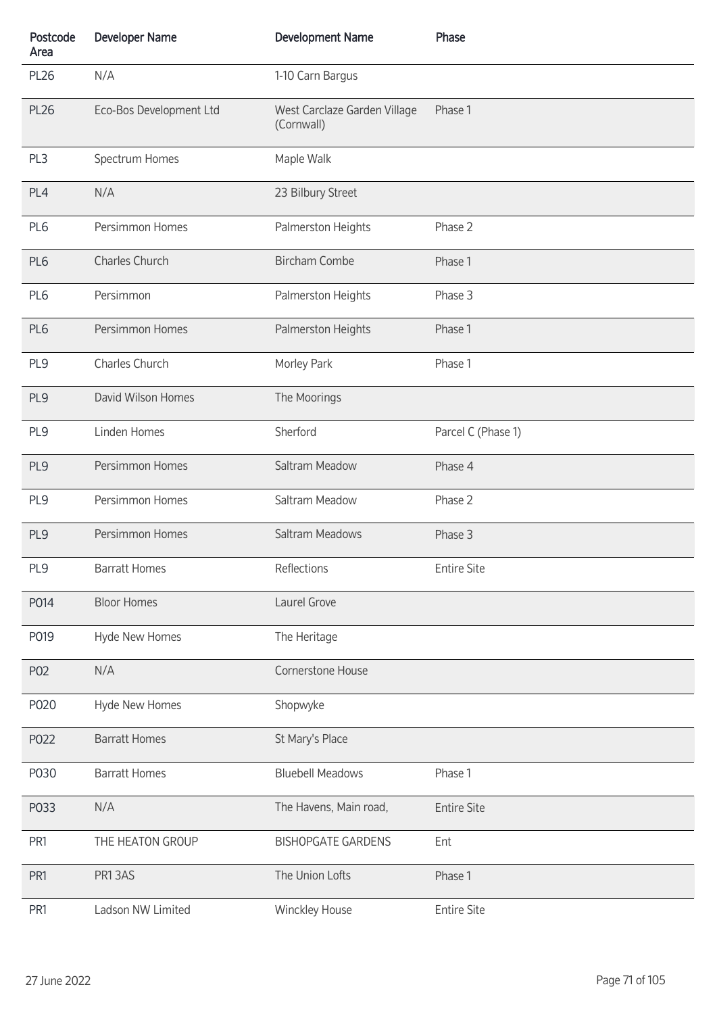| Postcode<br>Area | <b>Developer Name</b>   | <b>Development Name</b>                    | Phase              |
|------------------|-------------------------|--------------------------------------------|--------------------|
| <b>PL26</b>      | N/A                     | 1-10 Carn Bargus                           |                    |
| <b>PL26</b>      | Eco-Bos Development Ltd | West Carclaze Garden Village<br>(Cornwall) | Phase 1            |
| PL3              | Spectrum Homes          | Maple Walk                                 |                    |
| PL4              | N/A                     | 23 Bilbury Street                          |                    |
| PL <sub>6</sub>  | Persimmon Homes         | Palmerston Heights                         | Phase 2            |
| PL6              | Charles Church          | <b>Bircham Combe</b>                       | Phase 1            |
| PL6              | Persimmon               | Palmerston Heights                         | Phase 3            |
| PL6              | Persimmon Homes         | Palmerston Heights                         | Phase 1            |
| PL9              | Charles Church          | Morley Park                                | Phase 1            |
| PL9              | David Wilson Homes      | The Moorings                               |                    |
| PL9              | Linden Homes            | Sherford                                   | Parcel C (Phase 1) |
| PL9              | Persimmon Homes         | Saltram Meadow                             | Phase 4            |
| PL9              | Persimmon Homes         | Saltram Meadow                             | Phase 2            |
| PL9              | Persimmon Homes         | Saltram Meadows                            | Phase 3            |
| PL9              | <b>Barratt Homes</b>    | Reflections                                | <b>Entire Site</b> |
| P014             | <b>Bloor Homes</b>      | Laurel Grove                               |                    |
| P019             | Hyde New Homes          | The Heritage                               |                    |
| P02              | N/A                     | Cornerstone House                          |                    |
| P020             | Hyde New Homes          | Shopwyke                                   |                    |
| P022             | <b>Barratt Homes</b>    | St Mary's Place                            |                    |
| P030             | <b>Barratt Homes</b>    | <b>Bluebell Meadows</b>                    | Phase 1            |
| P033             | N/A                     | The Havens, Main road,                     | <b>Entire Site</b> |
| PR <sub>1</sub>  | THE HEATON GROUP        | <b>BISHOPGATE GARDENS</b>                  | Ent                |
| PR1              | PR13AS                  | The Union Lofts                            | Phase 1            |
| PR1              | Ladson NW Limited       | Winckley House                             | <b>Entire Site</b> |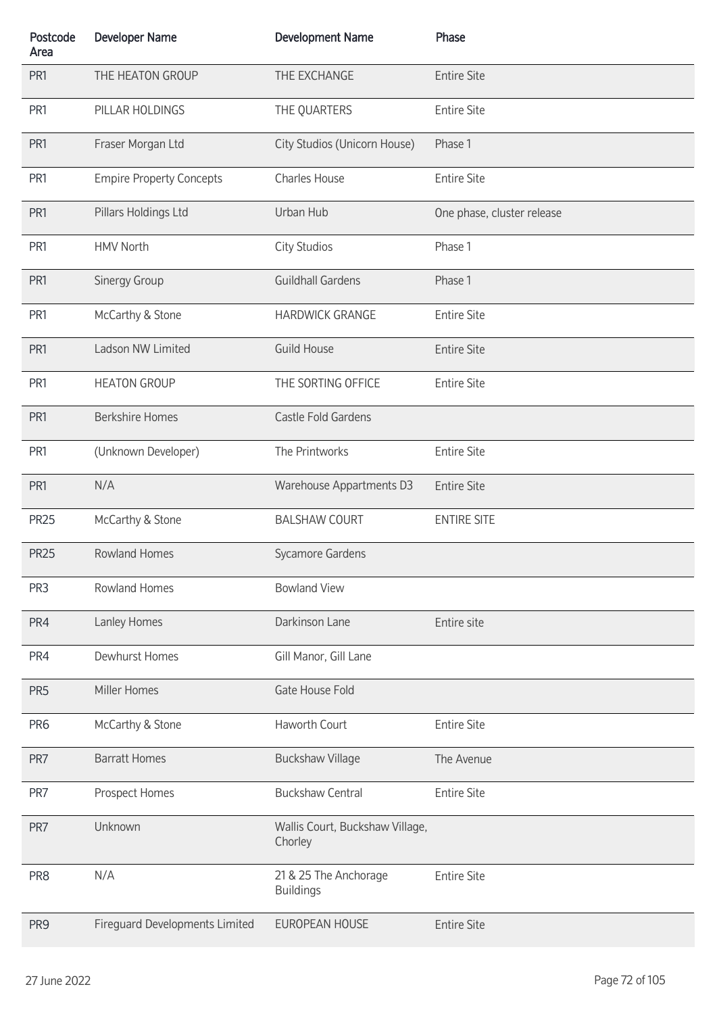| Postcode<br>Area | <b>Developer Name</b>           | <b>Development Name</b>                    | Phase                      |
|------------------|---------------------------------|--------------------------------------------|----------------------------|
| PR <sub>1</sub>  | THE HEATON GROUP                | THE EXCHANGE                               | <b>Entire Site</b>         |
| PR1              | PILLAR HOLDINGS                 | THE QUARTERS                               | <b>Entire Site</b>         |
| PR1              | Fraser Morgan Ltd               | City Studios (Unicorn House)               | Phase 1                    |
| PR <sub>1</sub>  | <b>Empire Property Concepts</b> | Charles House                              | <b>Entire Site</b>         |
| PR1              | Pillars Holdings Ltd            | Urban Hub                                  | One phase, cluster release |
| PR1              | <b>HMV North</b>                | <b>City Studios</b>                        | Phase 1                    |
| PR1              | Sinergy Group                   | <b>Guildhall Gardens</b>                   | Phase 1                    |
| PR <sub>1</sub>  | McCarthy & Stone                | <b>HARDWICK GRANGE</b>                     | <b>Entire Site</b>         |
| PR1              | Ladson NW Limited               | <b>Guild House</b>                         | <b>Entire Site</b>         |
| PR1              | <b>HEATON GROUP</b>             | THE SORTING OFFICE                         | <b>Entire Site</b>         |
| PR1              | <b>Berkshire Homes</b>          | Castle Fold Gardens                        |                            |
| PR <sub>1</sub>  | (Unknown Developer)             | The Printworks                             | <b>Entire Site</b>         |
| PR1              | N/A                             | <b>Warehouse Appartments D3</b>            | <b>Entire Site</b>         |
| <b>PR25</b>      | McCarthy & Stone                | <b>BALSHAW COURT</b>                       | <b>ENTIRE SITE</b>         |
| <b>PR25</b>      | <b>Rowland Homes</b>            | Sycamore Gardens                           |                            |
| PR3              | Rowland Homes                   | <b>Bowland View</b>                        |                            |
| PR4              | Lanley Homes                    | Darkinson Lane                             | Entire site                |
| PR4              | Dewhurst Homes                  | Gill Manor, Gill Lane                      |                            |
| PR <sub>5</sub>  | Miller Homes                    | Gate House Fold                            |                            |
| PR <sub>6</sub>  | McCarthy & Stone                | Haworth Court                              | <b>Entire Site</b>         |
| PR7              | <b>Barratt Homes</b>            | <b>Buckshaw Village</b>                    | The Avenue                 |
| PR7              | Prospect Homes                  | <b>Buckshaw Central</b>                    | <b>Entire Site</b>         |
| PR7              | Unknown                         | Wallis Court, Buckshaw Village,<br>Chorley |                            |
| PR8              | N/A                             | 21 & 25 The Anchorage<br><b>Buildings</b>  | <b>Entire Site</b>         |
| PR <sub>9</sub>  | Fireguard Developments Limited  | EUROPEAN HOUSE                             | <b>Entire Site</b>         |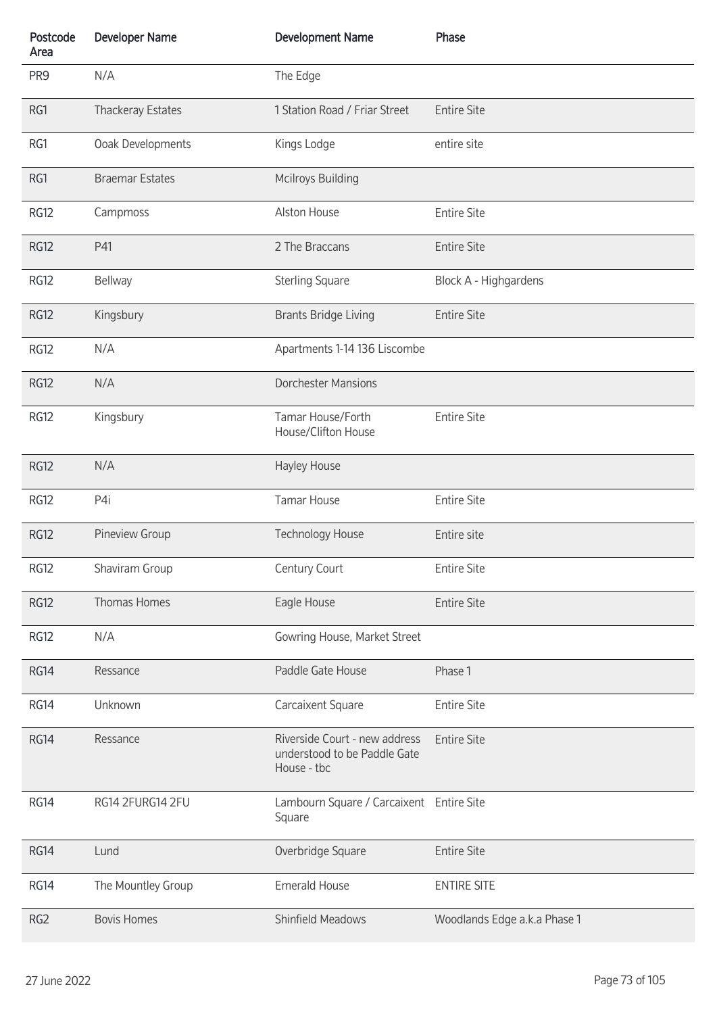| Postcode<br>Area | <b>Developer Name</b>    | <b>Development Name</b>                                                      | Phase                        |
|------------------|--------------------------|------------------------------------------------------------------------------|------------------------------|
| PR <sub>9</sub>  | N/A                      | The Edge                                                                     |                              |
| RG1              | <b>Thackeray Estates</b> | 1 Station Road / Friar Street                                                | <b>Entire Site</b>           |
| RG1              | Ooak Developments        | Kings Lodge                                                                  | entire site                  |
| RG1              | <b>Braemar Estates</b>   | <b>Mcilroys Building</b>                                                     |                              |
| <b>RG12</b>      | Campmoss                 | Alston House                                                                 | <b>Entire Site</b>           |
| <b>RG12</b>      | P41                      | 2 The Braccans                                                               | <b>Entire Site</b>           |
| <b>RG12</b>      | <b>Bellway</b>           | <b>Sterling Square</b>                                                       | Block A - Highgardens        |
| <b>RG12</b>      | Kingsbury                | <b>Brants Bridge Living</b>                                                  | <b>Entire Site</b>           |
| <b>RG12</b>      | N/A                      | Apartments 1-14 136 Liscombe                                                 |                              |
| <b>RG12</b>      | N/A                      | <b>Dorchester Mansions</b>                                                   |                              |
| <b>RG12</b>      | Kingsbury                | Tamar House/Forth<br>House/Clifton House                                     | <b>Entire Site</b>           |
| <b>RG12</b>      | N/A                      | Hayley House                                                                 |                              |
| <b>RG12</b>      | P4i                      | <b>Tamar House</b>                                                           | <b>Entire Site</b>           |
| <b>RG12</b>      | Pineview Group           | <b>Technology House</b>                                                      | Entire site                  |
| RG12             | Shaviram Group           | Century Court                                                                | <b>Entire Site</b>           |
| <b>RG12</b>      | Thomas Homes             | Eagle House                                                                  | <b>Entire Site</b>           |
| <b>RG12</b>      | N/A                      | Gowring House, Market Street                                                 |                              |
| <b>RG14</b>      | Ressance                 | Paddle Gate House                                                            | Phase 1                      |
| RG14             | Unknown                  | Carcaixent Square                                                            | <b>Entire Site</b>           |
| <b>RG14</b>      | Ressance                 | Riverside Court - new address<br>understood to be Paddle Gate<br>House - tbc | <b>Entire Site</b>           |
| RG14             | RG14 2FURG14 2FU         | Lambourn Square / Carcaixent Entire Site<br>Square                           |                              |
| <b>RG14</b>      | Lund                     | Overbridge Square                                                            | <b>Entire Site</b>           |
| RG14             | The Mountley Group       | <b>Emerald House</b>                                                         | <b>ENTIRE SITE</b>           |
| RG <sub>2</sub>  | <b>Bovis Homes</b>       | Shinfield Meadows                                                            | Woodlands Edge a.k.a Phase 1 |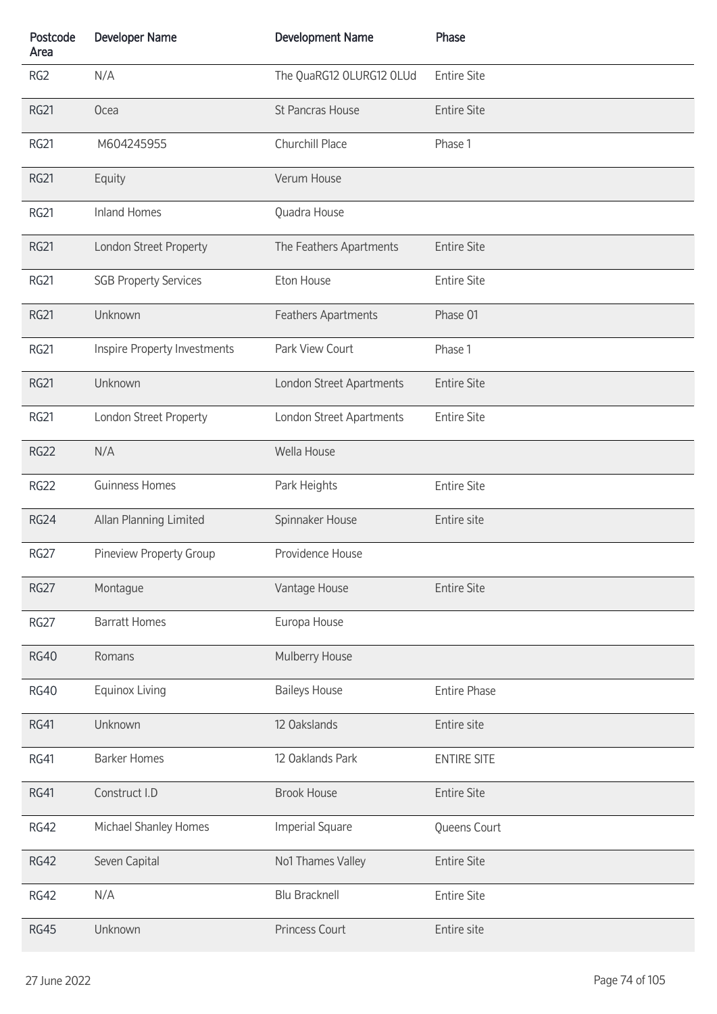| Postcode<br>Area | <b>Developer Name</b>        | <b>Development Name</b>  | Phase               |
|------------------|------------------------------|--------------------------|---------------------|
| RG <sub>2</sub>  | N/A                          | The QuaRG12 OLURG12 OLUd | <b>Entire Site</b>  |
| <b>RG21</b>      | Ocea                         | St Pancras House         | <b>Entire Site</b>  |
| <b>RG21</b>      | M604245955                   | Churchill Place          | Phase 1             |
| <b>RG21</b>      | Equity                       | Verum House              |                     |
| <b>RG21</b>      | <b>Inland Homes</b>          | Quadra House             |                     |
| <b>RG21</b>      | London Street Property       | The Feathers Apartments  | <b>Entire Site</b>  |
| RG21             | <b>SGB Property Services</b> | Eton House               | <b>Entire Site</b>  |
| <b>RG21</b>      | Unknown                      | Feathers Apartments      | Phase 01            |
| RG21             | Inspire Property Investments | Park View Court          | Phase 1             |
| <b>RG21</b>      | Unknown                      | London Street Apartments | <b>Entire Site</b>  |
| <b>RG21</b>      | London Street Property       | London Street Apartments | <b>Entire Site</b>  |
| <b>RG22</b>      | N/A                          | Wella House              |                     |
| <b>RG22</b>      | <b>Guinness Homes</b>        | Park Heights             | <b>Entire Site</b>  |
| <b>RG24</b>      | Allan Planning Limited       | Spinnaker House          | Entire site         |
| <b>RG27</b>      | Pineview Property Group      | Providence House         |                     |
| <b>RG27</b>      | Montague                     | Vantage House            | <b>Entire Site</b>  |
| <b>RG27</b>      | <b>Barratt Homes</b>         | Europa House             |                     |
| <b>RG40</b>      | Romans                       | Mulberry House           |                     |
| <b>RG40</b>      | Equinox Living               | <b>Baileys House</b>     | <b>Entire Phase</b> |
| RG41             | Unknown                      | 12 Oakslands             | Entire site         |
| RG41             | <b>Barker Homes</b>          | 12 Oaklands Park         | <b>ENTIRE SITE</b>  |
| RG41             | Construct I.D                | <b>Brook House</b>       | <b>Entire Site</b>  |
| <b>RG42</b>      | Michael Shanley Homes        | <b>Imperial Square</b>   | Queens Court        |
| <b>RG42</b>      | Seven Capital                | No1 Thames Valley        | <b>Entire Site</b>  |
| <b>RG42</b>      | N/A                          | <b>Blu Bracknell</b>     | <b>Entire Site</b>  |
| <b>RG45</b>      | Unknown                      | <b>Princess Court</b>    | Entire site         |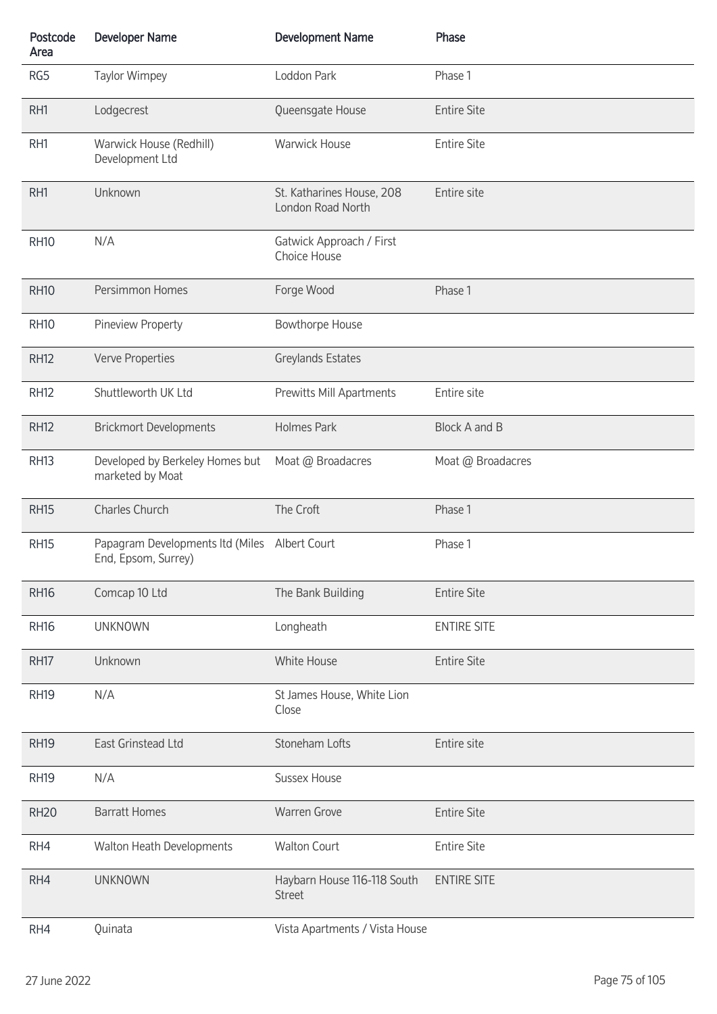| Postcode<br>Area | <b>Developer Name</b>                                                | <b>Development Name</b>                        | Phase              |
|------------------|----------------------------------------------------------------------|------------------------------------------------|--------------------|
| RG5              | <b>Taylor Wimpey</b>                                                 | Loddon Park                                    | Phase 1            |
| RH1              | Lodgecrest                                                           | Queensgate House                               | <b>Entire Site</b> |
| RH1              | Warwick House (Redhill)<br>Development Ltd                           | <b>Warwick House</b>                           | <b>Entire Site</b> |
| RH1              | Unknown                                                              | St. Katharines House, 208<br>London Road North | Entire site        |
| <b>RH10</b>      | N/A                                                                  | Gatwick Approach / First<br>Choice House       |                    |
| <b>RH10</b>      | Persimmon Homes                                                      | Forge Wood                                     | Phase 1            |
| <b>RH10</b>      | Pineview Property                                                    | <b>Bowthorpe House</b>                         |                    |
| <b>RH12</b>      | Verve Properties                                                     | Greylands Estates                              |                    |
| <b>RH12</b>      | Shuttleworth UK Ltd                                                  | Prewitts Mill Apartments                       | Entire site        |
| <b>RH12</b>      | <b>Brickmort Developments</b>                                        | <b>Holmes Park</b>                             | Block A and B      |
| <b>RH13</b>      | Developed by Berkeley Homes but<br>marketed by Moat                  | Moat @ Broadacres                              | Moat @ Broadacres  |
| <b>RH15</b>      | Charles Church                                                       | The Croft                                      | Phase 1            |
| <b>RH15</b>      | Papagram Developments Itd (Miles Albert Court<br>End, Epsom, Surrey) |                                                | Phase 1            |
| <b>RH16</b>      | Comcap 10 Ltd                                                        | The Bank Building                              | <b>Entire Site</b> |
| <b>RH16</b>      | <b>UNKNOWN</b>                                                       | Longheath                                      | <b>ENTIRE SITE</b> |
| <b>RH17</b>      | Unknown                                                              | White House                                    | <b>Entire Site</b> |
| <b>RH19</b>      | N/A                                                                  | St James House, White Lion<br>Close            |                    |
| <b>RH19</b>      | East Grinstead Ltd                                                   | Stoneham Lofts                                 | Entire site        |
| <b>RH19</b>      | N/A                                                                  | <b>Sussex House</b>                            |                    |
| <b>RH20</b>      | <b>Barratt Homes</b>                                                 | <b>Warren Grove</b>                            | <b>Entire Site</b> |
| RH4              | Walton Heath Developments                                            | <b>Walton Court</b>                            | <b>Entire Site</b> |
| RH4              | <b>UNKNOWN</b>                                                       | Haybarn House 116-118 South<br><b>Street</b>   | <b>ENTIRE SITE</b> |
| RH4              | Quinata                                                              | Vista Apartments / Vista House                 |                    |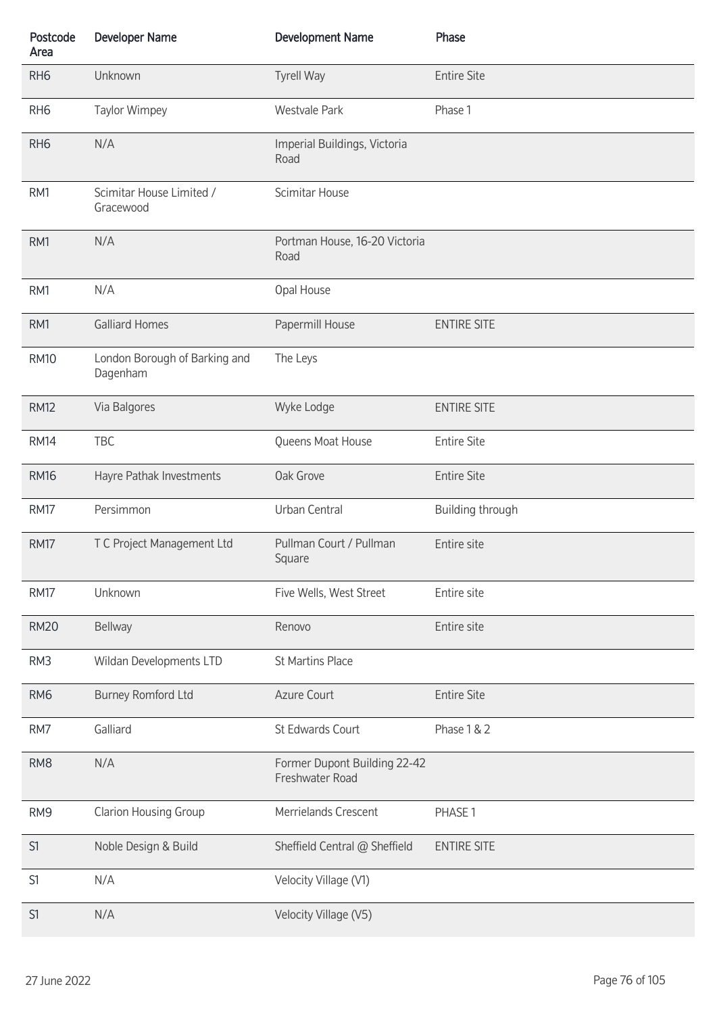| Postcode<br>Area | <b>Developer Name</b>                     | <b>Development Name</b>                         | Phase                   |
|------------------|-------------------------------------------|-------------------------------------------------|-------------------------|
| RH <sub>6</sub>  | Unknown                                   | <b>Tyrell Way</b>                               | <b>Entire Site</b>      |
| RH <sub>6</sub>  | Taylor Wimpey                             | <b>Westvale Park</b>                            | Phase 1                 |
| RH <sub>6</sub>  | N/A                                       | Imperial Buildings, Victoria<br>Road            |                         |
| RM1              | Scimitar House Limited /<br>Gracewood     | Scimitar House                                  |                         |
| RM1              | N/A                                       | Portman House, 16-20 Victoria<br>Road           |                         |
| RM1              | N/A                                       | Opal House                                      |                         |
| RM1              | <b>Galliard Homes</b>                     | Papermill House                                 | <b>ENTIRE SITE</b>      |
| <b>RM10</b>      | London Borough of Barking and<br>Dagenham | The Leys                                        |                         |
| <b>RM12</b>      | Via Balgores                              | Wyke Lodge                                      | <b>ENTIRE SITE</b>      |
| <b>RM14</b>      | TBC                                       | Queens Moat House                               | <b>Entire Site</b>      |
| <b>RM16</b>      | Hayre Pathak Investments                  | Oak Grove                                       | <b>Entire Site</b>      |
| <b>RM17</b>      | Persimmon                                 | Urban Central                                   | <b>Building through</b> |
| <b>RM17</b>      | T C Project Management Ltd                | Pullman Court / Pullman<br>Square               | Entire site             |
| <b>RM17</b>      | Unknown                                   | Five Wells, West Street                         | Entire site             |
| <b>RM20</b>      | Bellway                                   | Renovo                                          | Entire site             |
| RM3              | Wildan Developments LTD                   | <b>St Martins Place</b>                         |                         |
| RM <sub>6</sub>  | <b>Burney Romford Ltd</b>                 | Azure Court                                     | <b>Entire Site</b>      |
| RM7              | Galliard                                  | St Edwards Court                                | Phase 1 & 2             |
| RM <sub>8</sub>  | N/A                                       | Former Dupont Building 22-42<br>Freshwater Road |                         |
| RM9              | <b>Clarion Housing Group</b>              | Merrielands Crescent                            | PHASE 1                 |
| S1               | Noble Design & Build                      | Sheffield Central @ Sheffield                   | <b>ENTIRE SITE</b>      |
| S1               | N/A                                       | Velocity Village (V1)                           |                         |
| S1               | N/A                                       | Velocity Village (V5)                           |                         |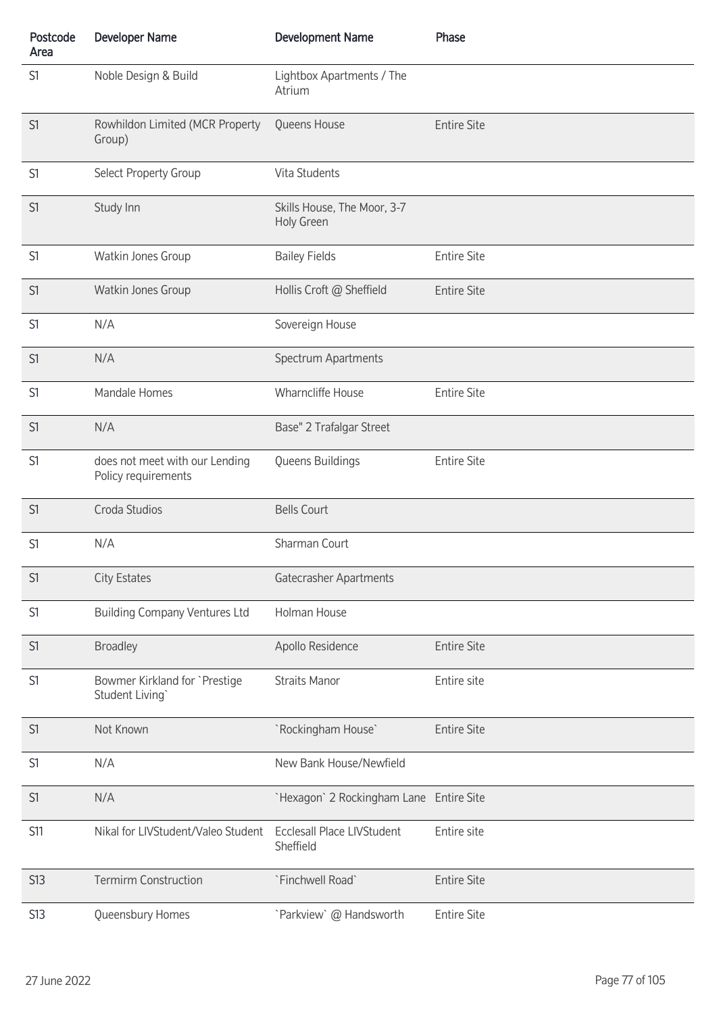| Postcode<br>Area | <b>Developer Name</b>                                 | <b>Development Name</b>                        | Phase              |
|------------------|-------------------------------------------------------|------------------------------------------------|--------------------|
| S1               | Noble Design & Build                                  | Lightbox Apartments / The<br>Atrium            |                    |
| S1               | Rowhildon Limited (MCR Property<br>Group)             | Queens House                                   | <b>Entire Site</b> |
| S1               | Select Property Group                                 | Vita Students                                  |                    |
| S1               | Study Inn                                             | Skills House, The Moor, 3-7<br>Holy Green      |                    |
| S1               | Watkin Jones Group                                    | <b>Bailey Fields</b>                           | <b>Entire Site</b> |
| S1               | Watkin Jones Group                                    | Hollis Croft @ Sheffield                       | <b>Entire Site</b> |
| S1               | N/A                                                   | Sovereign House                                |                    |
| S1               | N/A                                                   | Spectrum Apartments                            |                    |
| S1               | Mandale Homes                                         | Wharncliffe House                              | <b>Entire Site</b> |
| S1               | N/A                                                   | Base" 2 Trafalgar Street                       |                    |
| S1               | does not meet with our Lending<br>Policy requirements | Queens Buildings                               | <b>Entire Site</b> |
| S1               | Croda Studios                                         | <b>Bells Court</b>                             |                    |
| S1               | N/A                                                   | Sharman Court                                  |                    |
| S1               | <b>City Estates</b>                                   | Gatecrasher Apartments                         |                    |
| S1               | <b>Building Company Ventures Ltd</b>                  | Holman House                                   |                    |
| S1               | <b>Broadley</b>                                       | Apollo Residence                               | <b>Entire Site</b> |
| S1               | Bowmer Kirkland for `Prestige<br>Student Living`      | <b>Straits Manor</b>                           | Entire site        |
| S1               | Not Known                                             | `Rockingham House`                             | <b>Entire Site</b> |
| S1               | N/A                                                   | New Bank House/Newfield                        |                    |
| S1               | N/A                                                   | `Hexagon` 2 Rockingham Lane Entire Site        |                    |
| <b>S11</b>       | Nikal for LIVStudent/Valeo Student                    | <b>Ecclesall Place LIVStudent</b><br>Sheffield | Entire site        |
| <b>S13</b>       | <b>Termirm Construction</b>                           | `Finchwell Road`                               | <b>Entire Site</b> |
| <b>S13</b>       | Queensbury Homes                                      | `Parkview` @ Handsworth                        | <b>Entire Site</b> |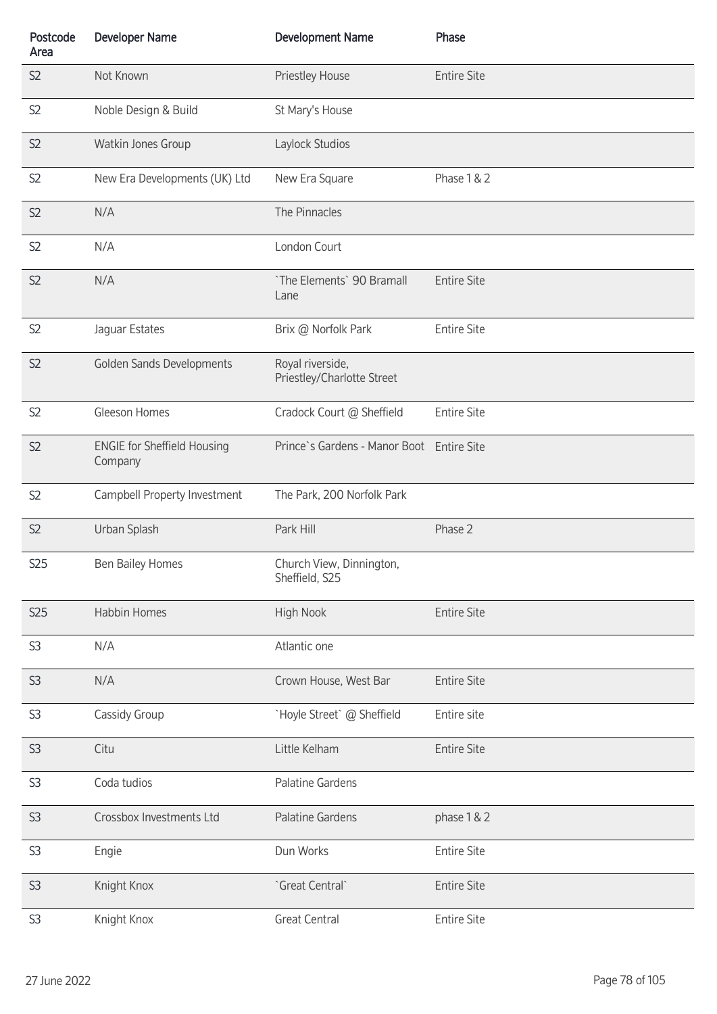| Postcode<br>Area | <b>Developer Name</b>                         | <b>Development Name</b>                        | Phase              |
|------------------|-----------------------------------------------|------------------------------------------------|--------------------|
| S <sub>2</sub>   | Not Known                                     | Priestley House                                | <b>Entire Site</b> |
| S <sub>2</sub>   | Noble Design & Build                          | St Mary's House                                |                    |
| S <sub>2</sub>   | Watkin Jones Group                            | Laylock Studios                                |                    |
| S <sub>2</sub>   | New Era Developments (UK) Ltd                 | New Era Square                                 | Phase 1 & 2        |
| S <sub>2</sub>   | N/A                                           | The Pinnacles                                  |                    |
| S <sub>2</sub>   | N/A                                           | London Court                                   |                    |
| S <sub>2</sub>   | N/A                                           | `The Elements` 90 Bramall<br>Lane              | <b>Entire Site</b> |
| S <sub>2</sub>   | Jaguar Estates                                | Brix @ Norfolk Park                            | <b>Entire Site</b> |
| S <sub>2</sub>   | Golden Sands Developments                     | Royal riverside,<br>Priestley/Charlotte Street |                    |
| S <sub>2</sub>   | Gleeson Homes                                 | Cradock Court @ Sheffield                      | <b>Entire Site</b> |
| S <sub>2</sub>   | <b>ENGIE for Sheffield Housing</b><br>Company | Prince's Gardens - Manor Boot Entire Site      |                    |
| S <sub>2</sub>   | Campbell Property Investment                  | The Park, 200 Norfolk Park                     |                    |
| S2               | Urban Splash                                  | Park Hill                                      | Phase 2            |
| S <sub>25</sub>  | Ben Bailey Homes                              | Church View, Dinnington,<br>Sheffield, S25     |                    |
| <b>S25</b>       | Habbin Homes                                  | <b>High Nook</b>                               | <b>Entire Site</b> |
| S <sub>3</sub>   | N/A                                           | Atlantic one                                   |                    |
| S <sub>3</sub>   | N/A                                           | Crown House, West Bar                          | <b>Entire Site</b> |
| S <sub>3</sub>   | Cassidy Group                                 | `Hoyle Street` @ Sheffield                     | Entire site        |
| S <sub>3</sub>   | Citu                                          | Little Kelham                                  | <b>Entire Site</b> |
| S <sub>3</sub>   | Coda tudios                                   | Palatine Gardens                               |                    |
| S <sub>3</sub>   | Crossbox Investments Ltd                      | Palatine Gardens                               | phase 1 & 2        |
| S <sub>3</sub>   | Engie                                         | Dun Works                                      | <b>Entire Site</b> |
| S <sub>3</sub>   | Knight Knox                                   | `Great Central`                                | <b>Entire Site</b> |
| S <sub>3</sub>   | Knight Knox                                   | <b>Great Central</b>                           | <b>Entire Site</b> |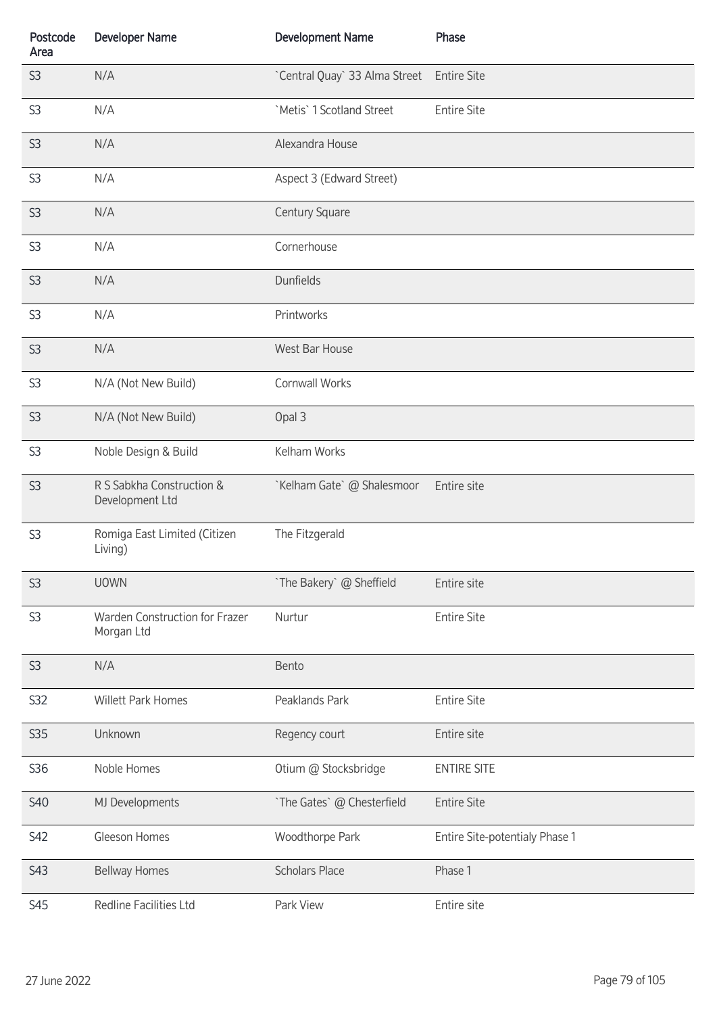| Postcode<br>Area | <b>Developer Name</b>                        | <b>Development Name</b>       | Phase                          |
|------------------|----------------------------------------------|-------------------------------|--------------------------------|
| S <sub>3</sub>   | N/A                                          | `Central Quay` 33 Alma Street | <b>Entire Site</b>             |
| S <sub>3</sub>   | N/A                                          | `Metis` 1 Scotland Street     | <b>Entire Site</b>             |
| S3               | N/A                                          | Alexandra House               |                                |
| S <sub>3</sub>   | N/A                                          | Aspect 3 (Edward Street)      |                                |
| S <sub>3</sub>   | N/A                                          | Century Square                |                                |
| S <sub>3</sub>   | N/A                                          | Cornerhouse                   |                                |
| S <sub>3</sub>   | N/A                                          | Dunfields                     |                                |
| S <sub>3</sub>   | N/A                                          | Printworks                    |                                |
| S <sub>3</sub>   | N/A                                          | West Bar House                |                                |
| S <sub>3</sub>   | N/A (Not New Build)                          | Cornwall Works                |                                |
| S <sub>3</sub>   | N/A (Not New Build)                          | Opal 3                        |                                |
| S <sub>3</sub>   | Noble Design & Build                         | Kelham Works                  |                                |
| S <sub>3</sub>   | R S Sabkha Construction &<br>Development Ltd | `Kelham Gate` @ Shalesmoor    | Entire site                    |
| S <sub>3</sub>   | Romiga East Limited (Citizen<br>Living)      | The Fitzgerald                |                                |
| S <sub>3</sub>   | <b>UOWN</b>                                  | `The Bakery` @ Sheffield      | Entire site                    |
| S <sub>3</sub>   | Warden Construction for Frazer<br>Morgan Ltd | Nurtur                        | <b>Entire Site</b>             |
| S <sub>3</sub>   | N/A                                          | Bento                         |                                |
| S32              | <b>Willett Park Homes</b>                    | Peaklands Park                | <b>Entire Site</b>             |
| S35              | Unknown                                      | Regency court                 | Entire site                    |
| S36              | Noble Homes                                  | Otium @ Stocksbridge          | <b>ENTIRE SITE</b>             |
| <b>S40</b>       | MJ Developments                              | `The Gates` @ Chesterfield    | <b>Entire Site</b>             |
| S42              | Gleeson Homes                                | Woodthorpe Park               | Entire Site-potentialy Phase 1 |
| S43              | <b>Bellway Homes</b>                         | <b>Scholars Place</b>         | Phase 1                        |
| <b>S45</b>       | Redline Facilities Ltd                       | Park View                     | Entire site                    |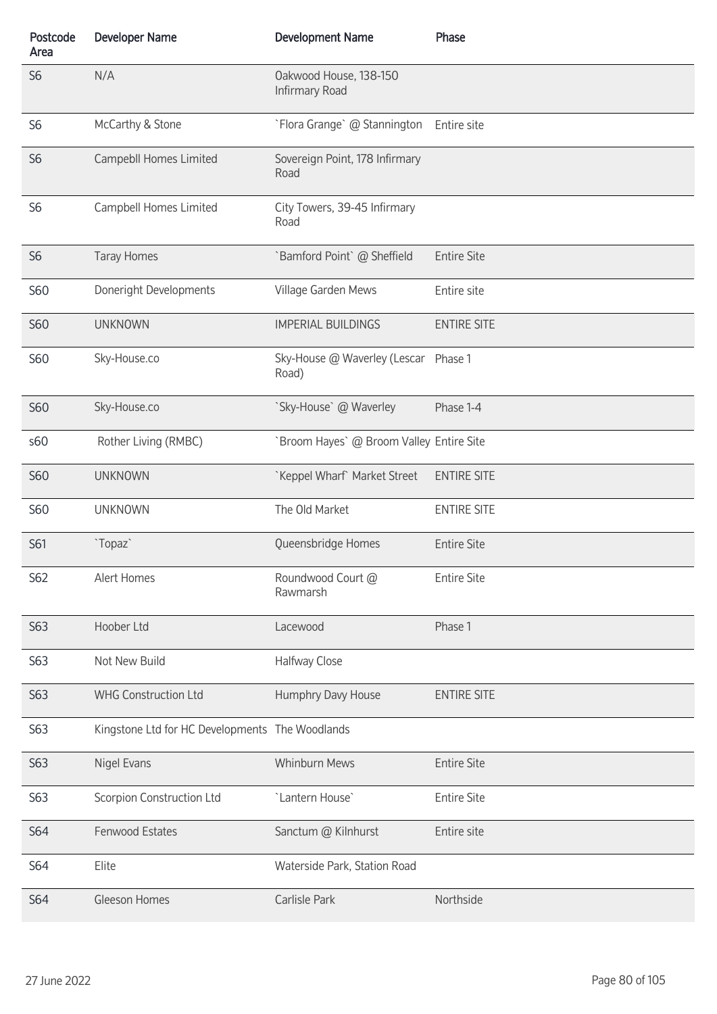| Postcode<br>Area | <b>Developer Name</b>                           | <b>Development Name</b>                       | Phase              |
|------------------|-------------------------------------------------|-----------------------------------------------|--------------------|
| S <sub>6</sub>   | N/A                                             | Oakwood House, 138-150<br>Infirmary Road      |                    |
| S <sub>6</sub>   | McCarthy & Stone                                | `Flora Grange` @ Stannington                  | Entire site        |
| S <sub>6</sub>   | Campebll Homes Limited                          | Sovereign Point, 178 Infirmary<br>Road        |                    |
| S <sub>6</sub>   | Campbell Homes Limited                          | City Towers, 39-45 Infirmary<br>Road          |                    |
| S <sub>6</sub>   | <b>Taray Homes</b>                              | `Bamford Point` @ Sheffield                   | <b>Entire Site</b> |
| <b>S60</b>       | Doneright Developments                          | Village Garden Mews                           | Entire site        |
| <b>S60</b>       | <b>UNKNOWN</b>                                  | <b>IMPERIAL BUILDINGS</b>                     | <b>ENTIRE SITE</b> |
| <b>S60</b>       | Sky-House.co                                    | Sky-House @ Waverley (Lescar Phase 1<br>Road) |                    |
| <b>S60</b>       | Sky-House.co                                    | `Sky-House` @ Waverley                        | Phase 1-4          |
| s60              | Rother Living (RMBC)                            | `Broom Hayes` @ Broom Valley Entire Site      |                    |
| <b>S60</b>       | <b>UNKNOWN</b>                                  | `Keppel Wharf` Market Street                  | <b>ENTIRE SITE</b> |
| <b>S60</b>       | <b>UNKNOWN</b>                                  | The Old Market                                | <b>ENTIRE SITE</b> |
| S61              | `Topaz`                                         | Queensbridge Homes                            | <b>Entire Site</b> |
| S62              | Alert Homes                                     | Roundwood Court @<br>Rawmarsh                 | <b>Entire Site</b> |
| S63              | Hoober Ltd                                      | Lacewood                                      | Phase 1            |
| S63              | Not New Build                                   | Halfway Close                                 |                    |
| S63              | <b>WHG Construction Ltd</b>                     | Humphry Davy House                            | <b>ENTIRE SITE</b> |
| S63              | Kingstone Ltd for HC Developments The Woodlands |                                               |                    |
| S63              | Nigel Evans                                     | <b>Whinburn Mews</b>                          | <b>Entire Site</b> |
| S63              | Scorpion Construction Ltd                       | 'Lantern House'                               | <b>Entire Site</b> |
| S64              | Fenwood Estates                                 | Sanctum @ Kilnhurst                           | Entire site        |
| S64              | Elite                                           | Waterside Park, Station Road                  |                    |
| <b>S64</b>       | Gleeson Homes                                   | Carlisle Park                                 | Northside          |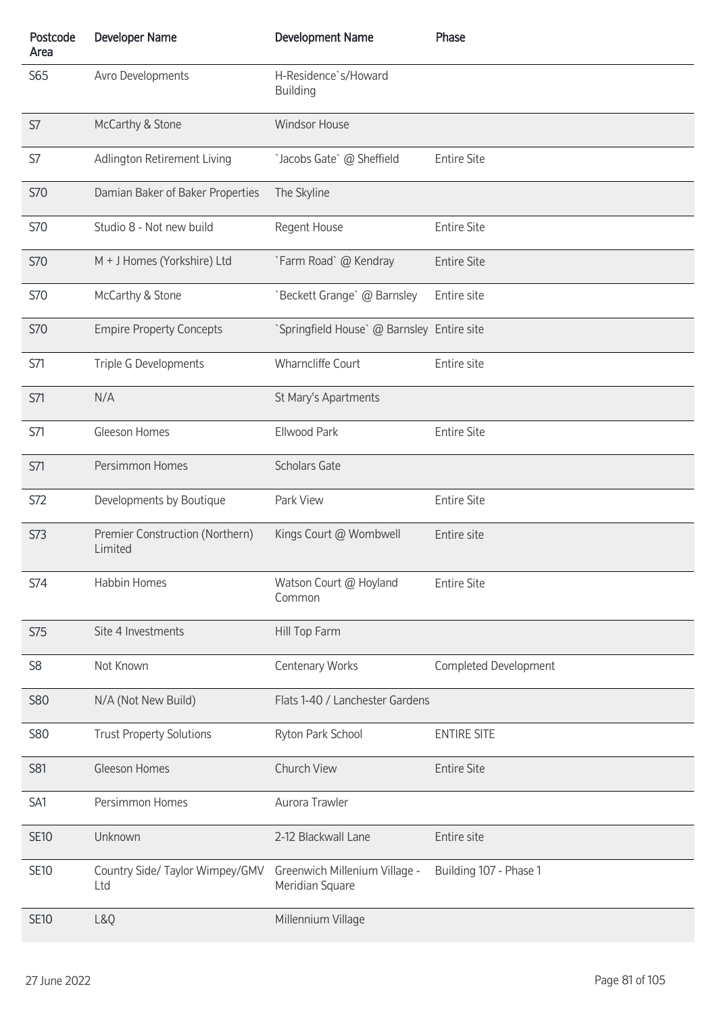| Postcode<br>Area | <b>Developer Name</b>                      | <b>Development Name</b>                          | Phase                  |
|------------------|--------------------------------------------|--------------------------------------------------|------------------------|
| S65              | Avro Developments                          | H-Residence`s/Howard<br><b>Building</b>          |                        |
| S7               | McCarthy & Stone                           | <b>Windsor House</b>                             |                        |
| S7               | Adlington Retirement Living                | `Jacobs Gate` @ Sheffield                        | <b>Entire Site</b>     |
| <b>S70</b>       | Damian Baker of Baker Properties           | The Skyline                                      |                        |
| <b>S70</b>       | Studio 8 - Not new build                   | Regent House                                     | <b>Entire Site</b>     |
| <b>S70</b>       | M + J Homes (Yorkshire) Ltd                | `Farm Road` @ Kendray                            | <b>Entire Site</b>     |
| <b>S70</b>       | McCarthy & Stone                           | `Beckett Grange` @ Barnsley                      | Entire site            |
| <b>S70</b>       | <b>Empire Property Concepts</b>            | `Springfield House` @ Barnsley Entire site       |                        |
| S71              | Triple G Developments                      | <b>Wharncliffe Court</b>                         | Entire site            |
| S71              | N/A                                        | St Mary's Apartments                             |                        |
| S71              | Gleeson Homes                              | Ellwood Park                                     | <b>Entire Site</b>     |
| S71              | Persimmon Homes                            | <b>Scholars Gate</b>                             |                        |
| S72              | Developments by Boutique                   | Park View                                        | <b>Entire Site</b>     |
| <b>S73</b>       | Premier Construction (Northern)<br>Limited | Kings Court @ Wombwell                           | Entire site            |
| S74              | <b>Habbin Homes</b>                        | Watson Court @ Hoyland<br>Common                 | <b>Entire Site</b>     |
| <b>S75</b>       | Site 4 Investments                         | Hill Top Farm                                    |                        |
| S <sub>8</sub>   | Not Known                                  | <b>Centenary Works</b>                           | Completed Development  |
| <b>S80</b>       | N/A (Not New Build)                        | Flats 1-40 / Lanchester Gardens                  |                        |
| <b>S80</b>       | <b>Trust Property Solutions</b>            | Ryton Park School                                | <b>ENTIRE SITE</b>     |
| S81              | Gleeson Homes                              | Church View                                      | <b>Entire Site</b>     |
| SA1              | Persimmon Homes                            | Aurora Trawler                                   |                        |
| <b>SE10</b>      | Unknown                                    | 2-12 Blackwall Lane                              | Entire site            |
| <b>SE10</b>      | Country Side/ Taylor Wimpey/GMV<br>Ltd     | Greenwich Millenium Village -<br>Meridian Square | Building 107 - Phase 1 |
| <b>SE10</b>      | L&Q                                        | Millennium Village                               |                        |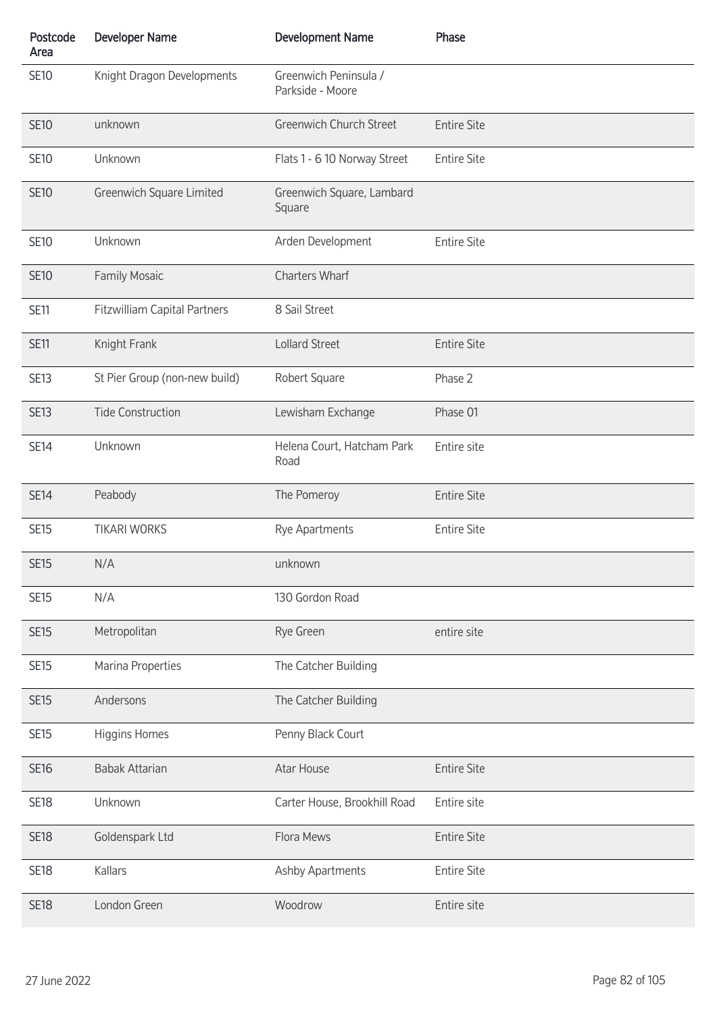| Postcode<br>Area | <b>Developer Name</b>               | <b>Development Name</b>                   | Phase              |
|------------------|-------------------------------------|-------------------------------------------|--------------------|
| <b>SE10</b>      | Knight Dragon Developments          | Greenwich Peninsula /<br>Parkside - Moore |                    |
| <b>SE10</b>      | unknown                             | <b>Greenwich Church Street</b>            | <b>Entire Site</b> |
| <b>SE10</b>      | Unknown                             | Flats 1 - 6 10 Norway Street              | <b>Entire Site</b> |
| <b>SE10</b>      | Greenwich Square Limited            | Greenwich Square, Lambard<br>Square       |                    |
| <b>SE10</b>      | Unknown                             | Arden Development                         | <b>Entire Site</b> |
| <b>SE10</b>      | <b>Family Mosaic</b>                | <b>Charters Wharf</b>                     |                    |
| <b>SE11</b>      | <b>Fitzwilliam Capital Partners</b> | 8 Sail Street                             |                    |
| <b>SE11</b>      | Knight Frank                        | Lollard Street                            | <b>Entire Site</b> |
| <b>SE13</b>      | St Pier Group (non-new build)       | Robert Square                             | Phase 2            |
| <b>SE13</b>      | <b>Tide Construction</b>            | Lewisham Exchange                         | Phase 01           |
| <b>SE14</b>      | Unknown                             | Helena Court, Hatcham Park<br>Road        | Entire site        |
| <b>SE14</b>      | Peabody                             | The Pomeroy                               | <b>Entire Site</b> |
| <b>SE15</b>      | <b>TIKARI WORKS</b>                 | Rye Apartments                            | <b>Entire Site</b> |
| <b>SE15</b>      | N/A                                 | unknown                                   |                    |
| <b>SE15</b>      | N/A                                 | 130 Gordon Road                           |                    |
| <b>SE15</b>      | Metropolitan                        | Rye Green                                 | entire site        |
| <b>SE15</b>      | Marina Properties                   | The Catcher Building                      |                    |
| <b>SE15</b>      | Andersons                           | The Catcher Building                      |                    |
| <b>SE15</b>      | Higgins Homes                       | Penny Black Court                         |                    |
| <b>SE16</b>      | <b>Babak Attarian</b>               | Atar House                                | <b>Entire Site</b> |
| <b>SE18</b>      | Unknown                             | Carter House, Brookhill Road              | Entire site        |
| <b>SE18</b>      | Goldenspark Ltd                     | Flora Mews                                | <b>Entire Site</b> |
| <b>SE18</b>      | Kallars                             | Ashby Apartments                          | <b>Entire Site</b> |
| <b>SE18</b>      | London Green                        | Woodrow                                   | Entire site        |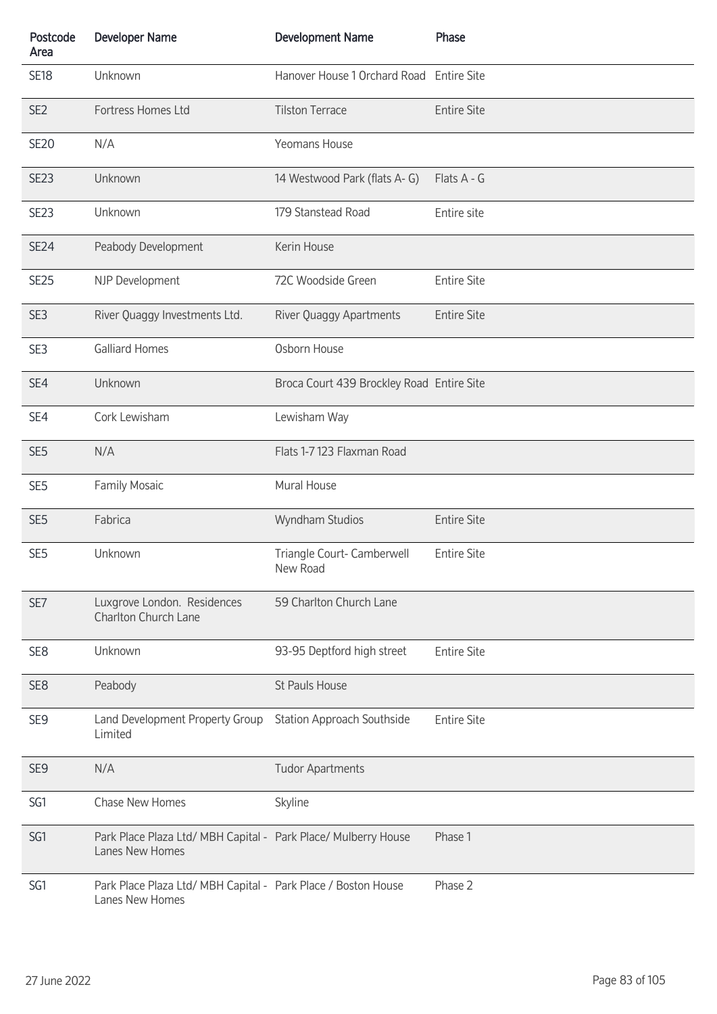| Postcode<br>Area | <b>Developer Name</b>                                                             | <b>Development Name</b>                   | Phase              |
|------------------|-----------------------------------------------------------------------------------|-------------------------------------------|--------------------|
| <b>SE18</b>      | Unknown                                                                           | Hanover House 1 Orchard Road Entire Site  |                    |
| SE <sub>2</sub>  | Fortress Homes Ltd                                                                | <b>Tilston Terrace</b>                    | <b>Entire Site</b> |
| <b>SE20</b>      | N/A                                                                               | Yeomans House                             |                    |
| SE <sub>23</sub> | Unknown                                                                           | 14 Westwood Park (flats A-G)              | Flats A - G        |
| <b>SE23</b>      | Unknown                                                                           | 179 Stanstead Road                        | Entire site        |
| <b>SE24</b>      | Peabody Development                                                               | Kerin House                               |                    |
| <b>SE25</b>      | NJP Development                                                                   | 72C Woodside Green                        | <b>Entire Site</b> |
| SE3              | River Quaggy Investments Ltd.                                                     | River Quaggy Apartments                   | <b>Entire Site</b> |
| SE3              | <b>Galliard Homes</b>                                                             | Osborn House                              |                    |
| SE4              | Unknown                                                                           | Broca Court 439 Brockley Road Entire Site |                    |
| SE4              | Cork Lewisham                                                                     | Lewisham Way                              |                    |
| SE <sub>5</sub>  | N/A                                                                               | Flats 1-7 123 Flaxman Road                |                    |
| SE <sub>5</sub>  | Family Mosaic                                                                     | Mural House                               |                    |
| SE <sub>5</sub>  | Fabrica                                                                           | Wyndham Studios                           | <b>Entire Site</b> |
| SE <sub>5</sub>  | Unknown                                                                           | Triangle Court- Camberwell<br>New Road    | <b>Entire Site</b> |
| SE7              | Luxgrove London. Residences<br>Charlton Church Lane                               | 59 Charlton Church Lane                   |                    |
| SE <sub>8</sub>  | Unknown                                                                           | 93-95 Deptford high street                | <b>Entire Site</b> |
| SE <sub>8</sub>  | Peabody                                                                           | St Pauls House                            |                    |
| SE <sub>9</sub>  | Land Development Property Group<br>Limited                                        | <b>Station Approach Southside</b>         | <b>Entire Site</b> |
| SE <sub>9</sub>  | N/A                                                                               | <b>Tudor Apartments</b>                   |                    |
| SG1              | Chase New Homes                                                                   | Skyline                                   |                    |
| SG1              | Park Place Plaza Ltd/ MBH Capital - Park Place/ Mulberry House<br>Lanes New Homes |                                           | Phase 1            |
| SG1              | Park Place Plaza Ltd/ MBH Capital - Park Place / Boston House<br>Lanes New Homes  |                                           | Phase 2            |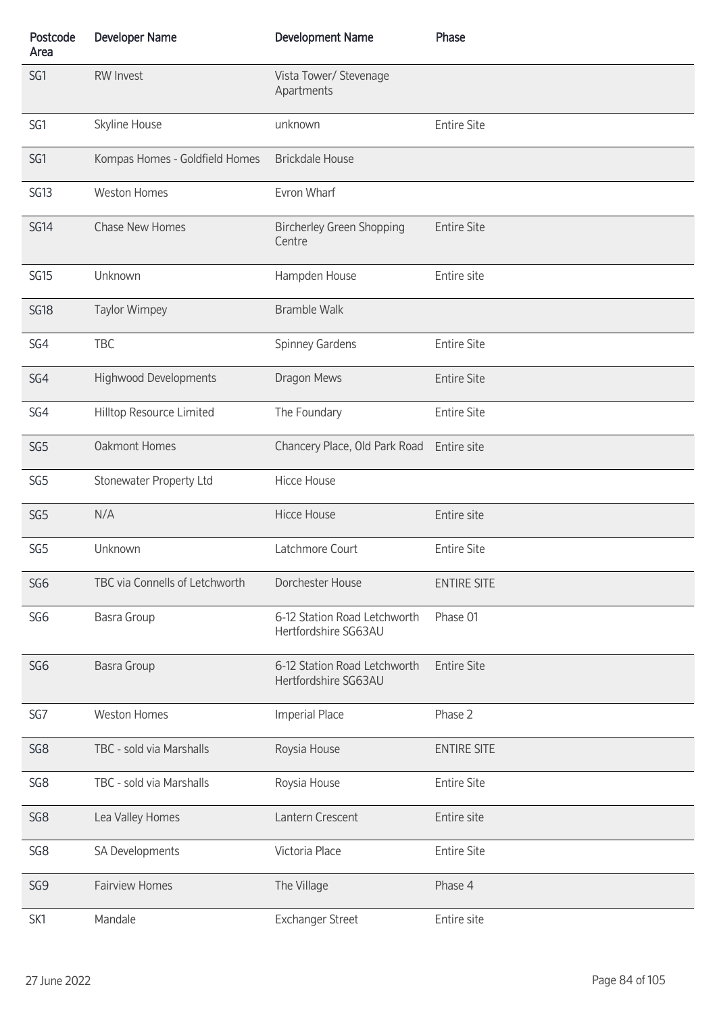| Postcode<br>Area | <b>Developer Name</b>          | <b>Development Name</b>                              | Phase              |
|------------------|--------------------------------|------------------------------------------------------|--------------------|
| SG1              | <b>RW Invest</b>               | Vista Tower/ Stevenage<br>Apartments                 |                    |
| SG1              | Skyline House                  | unknown                                              | <b>Entire Site</b> |
| SG1              | Kompas Homes - Goldfield Homes | <b>Brickdale House</b>                               |                    |
| SG13             | <b>Weston Homes</b>            | Evron Wharf                                          |                    |
| <b>SG14</b>      | Chase New Homes                | <b>Bircherley Green Shopping</b><br>Centre           | <b>Entire Site</b> |
| <b>SG15</b>      | Unknown                        | Hampden House                                        | Entire site        |
| <b>SG18</b>      | <b>Taylor Wimpey</b>           | <b>Bramble Walk</b>                                  |                    |
| SG4              | <b>TBC</b>                     | Spinney Gardens                                      | <b>Entire Site</b> |
| SG4              | <b>Highwood Developments</b>   | Dragon Mews                                          | <b>Entire Site</b> |
| SG4              | Hilltop Resource Limited       | The Foundary                                         | <b>Entire Site</b> |
| SG <sub>5</sub>  | <b>Oakmont Homes</b>           | Chancery Place, Old Park Road                        | Entire site        |
| SG <sub>5</sub>  | Stonewater Property Ltd        | <b>Hicce House</b>                                   |                    |
| SG <sub>5</sub>  | N/A                            | <b>Hicce House</b>                                   | Entire site        |
| SG <sub>5</sub>  | Unknown                        | Latchmore Court                                      | <b>Entire Site</b> |
| SG <sub>6</sub>  | TBC via Connells of Letchworth | Dorchester House                                     | <b>ENTIRE SITE</b> |
| SG <sub>6</sub>  | <b>Basra Group</b>             | 6-12 Station Road Letchworth<br>Hertfordshire SG63AU | Phase 01           |
| SG <sub>6</sub>  | <b>Basra Group</b>             | 6-12 Station Road Letchworth<br>Hertfordshire SG63AU | <b>Entire Site</b> |
| SG7              | <b>Weston Homes</b>            | <b>Imperial Place</b>                                | Phase 2            |
| SG8              | TBC - sold via Marshalls       | Roysia House                                         | <b>ENTIRE SITE</b> |
| SG8              | TBC - sold via Marshalls       | Roysia House                                         | <b>Entire Site</b> |
| SG <sub>8</sub>  | Lea Valley Homes               | Lantern Crescent                                     | Entire site        |
| SG8              | SA Developments                | Victoria Place                                       | <b>Entire Site</b> |
| SG9              | <b>Fairview Homes</b>          | The Village                                          | Phase 4            |
| SK1              | Mandale                        | <b>Exchanger Street</b>                              | Entire site        |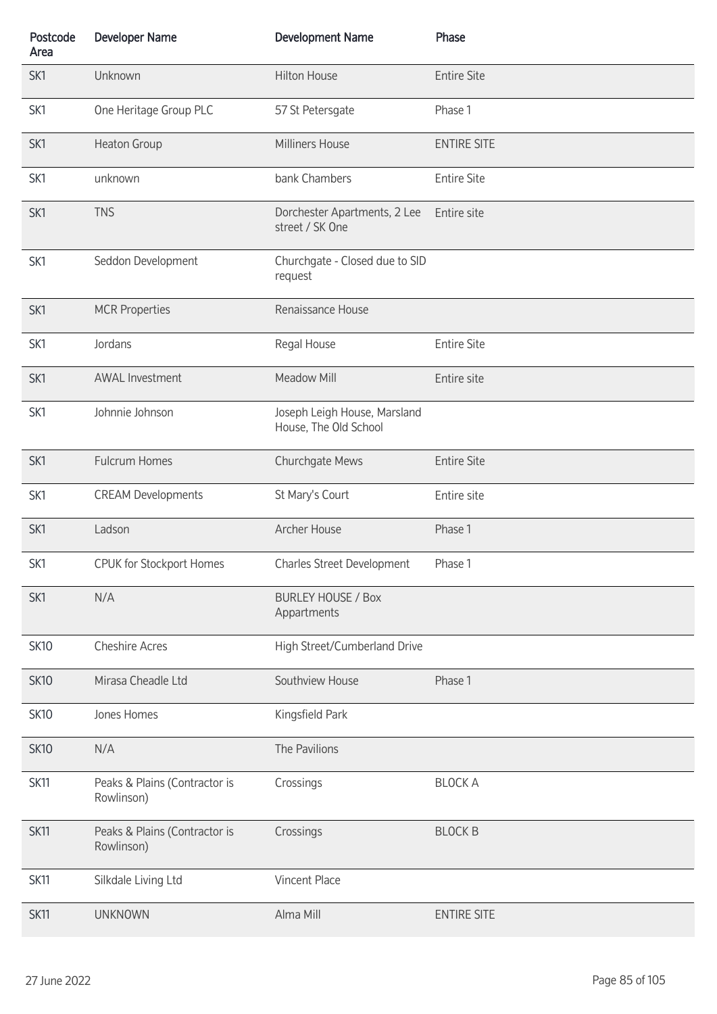| Postcode<br>Area | <b>Developer Name</b>                       | <b>Development Name</b>                               | Phase              |
|------------------|---------------------------------------------|-------------------------------------------------------|--------------------|
| SK1              | Unknown                                     | <b>Hilton House</b>                                   | <b>Entire Site</b> |
| SK1              | One Heritage Group PLC                      | 57 St Petersgate                                      | Phase 1            |
| SK1              | Heaton Group                                | Milliners House                                       | <b>ENTIRE SITE</b> |
| SK1              | unknown                                     | bank Chambers                                         | <b>Entire Site</b> |
| SK1              | <b>TNS</b>                                  | Dorchester Apartments, 2 Lee<br>street / SK One       | Entire site        |
| SK1              | Seddon Development                          | Churchgate - Closed due to SID<br>request             |                    |
| SK1              | <b>MCR Properties</b>                       | Renaissance House                                     |                    |
| SK1              | Jordans                                     | Regal House                                           | <b>Entire Site</b> |
| SK1              | <b>AWAL Investment</b>                      | Meadow Mill                                           | Entire site        |
| SK1              | Johnnie Johnson                             | Joseph Leigh House, Marsland<br>House, The Old School |                    |
| SK1              | <b>Fulcrum Homes</b>                        | Churchgate Mews                                       | <b>Entire Site</b> |
| SK1              | <b>CREAM Developments</b>                   | St Mary's Court                                       | Entire site        |
| SK1              | Ladson                                      | Archer House                                          | Phase 1            |
| SK1              | <b>CPUK for Stockport Homes</b>             | Charles Street Development                            | Phase 1            |
| SK1              | N/A                                         | <b>BURLEY HOUSE / Box</b><br>Appartments              |                    |
| <b>SK10</b>      | <b>Cheshire Acres</b>                       | High Street/Cumberland Drive                          |                    |
| <b>SK10</b>      | Mirasa Cheadle Ltd                          | Southview House                                       | Phase 1            |
| <b>SK10</b>      | Jones Homes                                 | Kingsfield Park                                       |                    |
| <b>SK10</b>      | N/A                                         | The Pavilions                                         |                    |
| <b>SK11</b>      | Peaks & Plains (Contractor is<br>Rowlinson) | Crossings                                             | <b>BLOCK A</b>     |
| <b>SK11</b>      | Peaks & Plains (Contractor is<br>Rowlinson) | Crossings                                             | <b>BLOCK B</b>     |
| <b>SK11</b>      | Silkdale Living Ltd                         | Vincent Place                                         |                    |
| <b>SK11</b>      | <b>UNKNOWN</b>                              | Alma Mill                                             | <b>ENTIRE SITE</b> |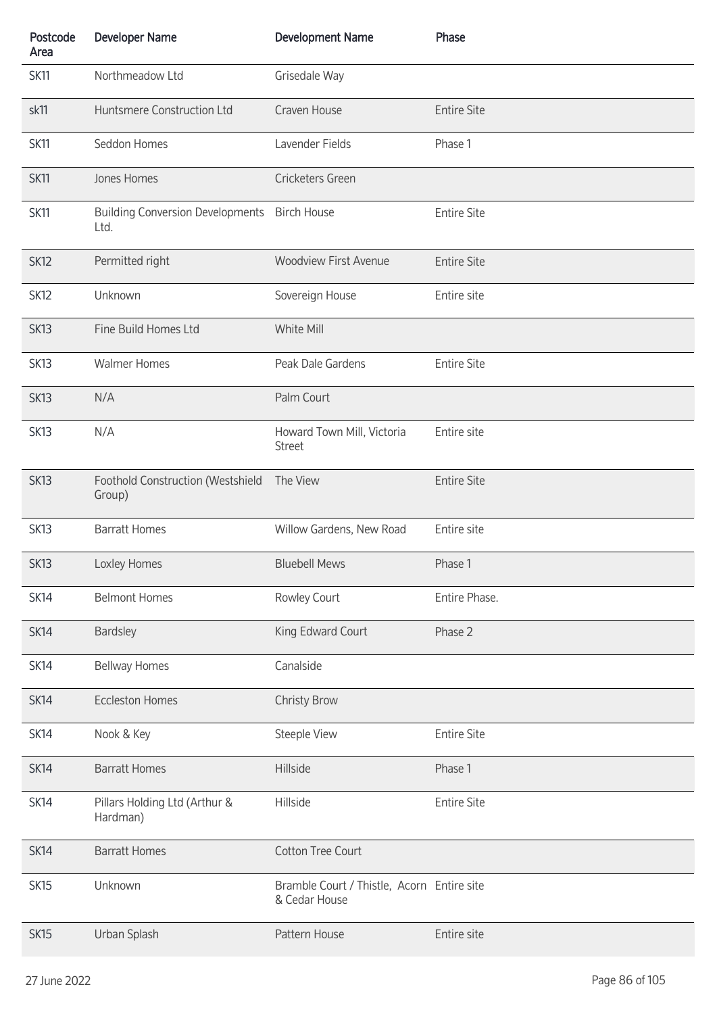| Postcode<br>Area | <b>Developer Name</b>                                | <b>Development Name</b>                                     | Phase              |
|------------------|------------------------------------------------------|-------------------------------------------------------------|--------------------|
| <b>SK11</b>      | Northmeadow Ltd                                      | Grisedale Way                                               |                    |
| sk11             | Huntsmere Construction Ltd                           | Craven House                                                | <b>Entire Site</b> |
| <b>SK11</b>      | Seddon Homes                                         | Lavender Fields                                             | Phase 1            |
| <b>SK11</b>      | Jones Homes                                          | Cricketers Green                                            |                    |
| <b>SK11</b>      | Building Conversion Developments Birch House<br>Ltd. |                                                             | <b>Entire Site</b> |
| <b>SK12</b>      | Permitted right                                      | <b>Woodview First Avenue</b>                                | <b>Entire Site</b> |
| SK <sub>12</sub> | Unknown                                              | Sovereign House                                             | Entire site        |
| <b>SK13</b>      | Fine Build Homes Ltd                                 | White Mill                                                  |                    |
| <b>SK13</b>      | <b>Walmer Homes</b>                                  | Peak Dale Gardens                                           | <b>Entire Site</b> |
| <b>SK13</b>      | N/A                                                  | Palm Court                                                  |                    |
| SK <sub>13</sub> | N/A                                                  | Howard Town Mill, Victoria<br><b>Street</b>                 | Entire site        |
| SK13             | Foothold Construction (Westshield<br>Group)          | The View                                                    | <b>Entire Site</b> |
| SK <sub>13</sub> | <b>Barratt Homes</b>                                 | Willow Gardens, New Road                                    | Entire site        |
| SK <sub>13</sub> | Loxley Homes                                         | <b>Bluebell Mews</b>                                        | Phase 1            |
| <b>SK14</b>      | <b>Belmont Homes</b>                                 | Rowley Court                                                | Entire Phase.      |
| <b>SK14</b>      | <b>Bardsley</b>                                      | King Edward Court                                           | Phase 2            |
| <b>SK14</b>      | <b>Bellway Homes</b>                                 | Canalside                                                   |                    |
| <b>SK14</b>      | <b>Eccleston Homes</b>                               | <b>Christy Brow</b>                                         |                    |
| <b>SK14</b>      | Nook & Key                                           | <b>Steeple View</b>                                         | <b>Entire Site</b> |
| <b>SK14</b>      | <b>Barratt Homes</b>                                 | Hillside                                                    | Phase 1            |
| <b>SK14</b>      | Pillars Holding Ltd (Arthur &<br>Hardman)            | Hillside                                                    | <b>Entire Site</b> |
| SK14             | <b>Barratt Homes</b>                                 | <b>Cotton Tree Court</b>                                    |                    |
| <b>SK15</b>      | Unknown                                              | Bramble Court / Thistle, Acorn Entire site<br>& Cedar House |                    |
| SK <sub>15</sub> | Urban Splash                                         | Pattern House                                               | Entire site        |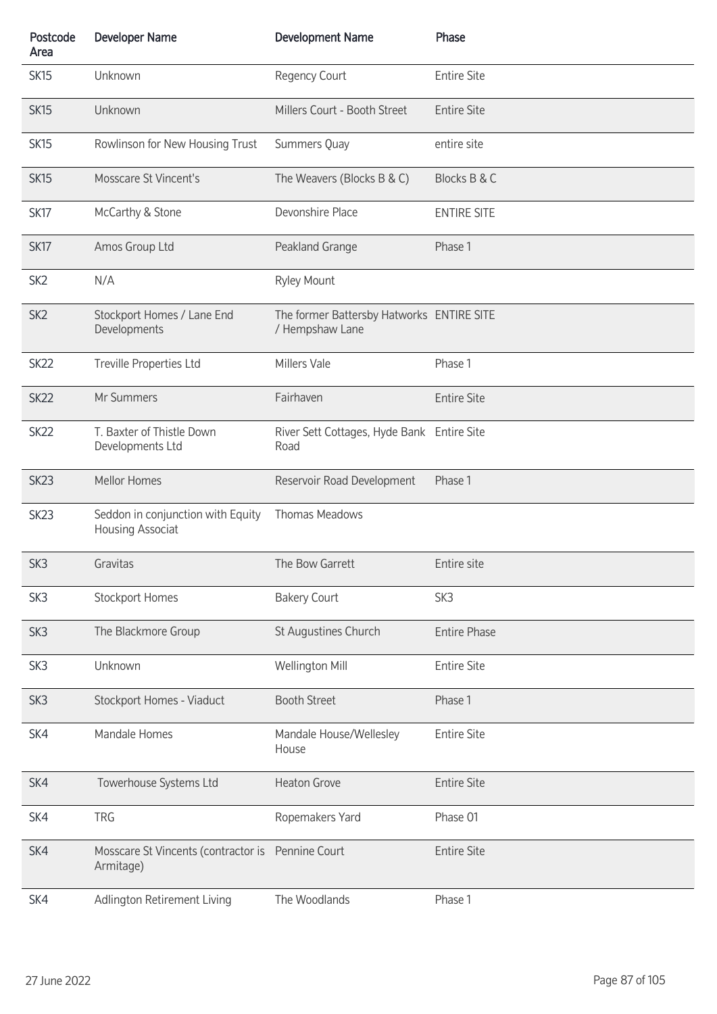| Postcode<br>Area | <b>Developer Name</b>                                          | <b>Development Name</b>                                      | Phase               |
|------------------|----------------------------------------------------------------|--------------------------------------------------------------|---------------------|
| SK <sub>15</sub> | Unknown                                                        | Regency Court                                                | <b>Entire Site</b>  |
| <b>SK15</b>      | Unknown                                                        | Millers Court - Booth Street                                 | <b>Entire Site</b>  |
| <b>SK15</b>      | Rowlinson for New Housing Trust                                | Summers Quay                                                 | entire site         |
| <b>SK15</b>      | Mosscare St Vincent's                                          | The Weavers (Blocks B & C)                                   | Blocks B & C        |
| SK17             | McCarthy & Stone                                               | Devonshire Place                                             | <b>ENTIRE SITE</b>  |
| SK <sub>17</sub> | Amos Group Ltd                                                 | Peakland Grange                                              | Phase 1             |
| SK <sub>2</sub>  | N/A                                                            | Ryley Mount                                                  |                     |
| SK <sub>2</sub>  | Stockport Homes / Lane End<br>Developments                     | The former Battersby Hatworks ENTIRE SITE<br>/ Hempshaw Lane |                     |
| SK <sub>22</sub> | Treville Properties Ltd                                        | Millers Vale                                                 | Phase 1             |
| SK <sub>22</sub> | Mr Summers                                                     | Fairhaven                                                    | <b>Entire Site</b>  |
| SK <sub>22</sub> | T. Baxter of Thistle Down<br>Developments Ltd                  | River Sett Cottages, Hyde Bank Entire Site<br>Road           |                     |
| SK <sub>23</sub> | Mellor Homes                                                   | Reservoir Road Development                                   | Phase 1             |
| SK <sub>23</sub> | Seddon in conjunction with Equity<br>Housing Associat          | <b>Thomas Meadows</b>                                        |                     |
| SK <sub>3</sub>  | Gravitas                                                       | The Bow Garrett                                              | Fntire site         |
| SK <sub>3</sub>  | <b>Stockport Homes</b>                                         | <b>Bakery Court</b>                                          | SK3                 |
| SK3              | The Blackmore Group                                            | St Augustines Church                                         | <b>Entire Phase</b> |
| SK <sub>3</sub>  | Unknown                                                        | Wellington Mill                                              | <b>Entire Site</b>  |
| SK <sub>3</sub>  | Stockport Homes - Viaduct                                      | <b>Booth Street</b>                                          | Phase 1             |
| SK4              | Mandale Homes                                                  | Mandale House/Wellesley<br>House                             | <b>Entire Site</b>  |
| SK4              | Towerhouse Systems Ltd                                         | <b>Heaton Grove</b>                                          | <b>Entire Site</b>  |
| SK4              | <b>TRG</b>                                                     | Ropemakers Yard                                              | Phase 01            |
| SK4              | Mosscare St Vincents (contractor is Pennine Court<br>Armitage) |                                                              | <b>Entire Site</b>  |
| SK4              | Adlington Retirement Living                                    | The Woodlands                                                | Phase 1             |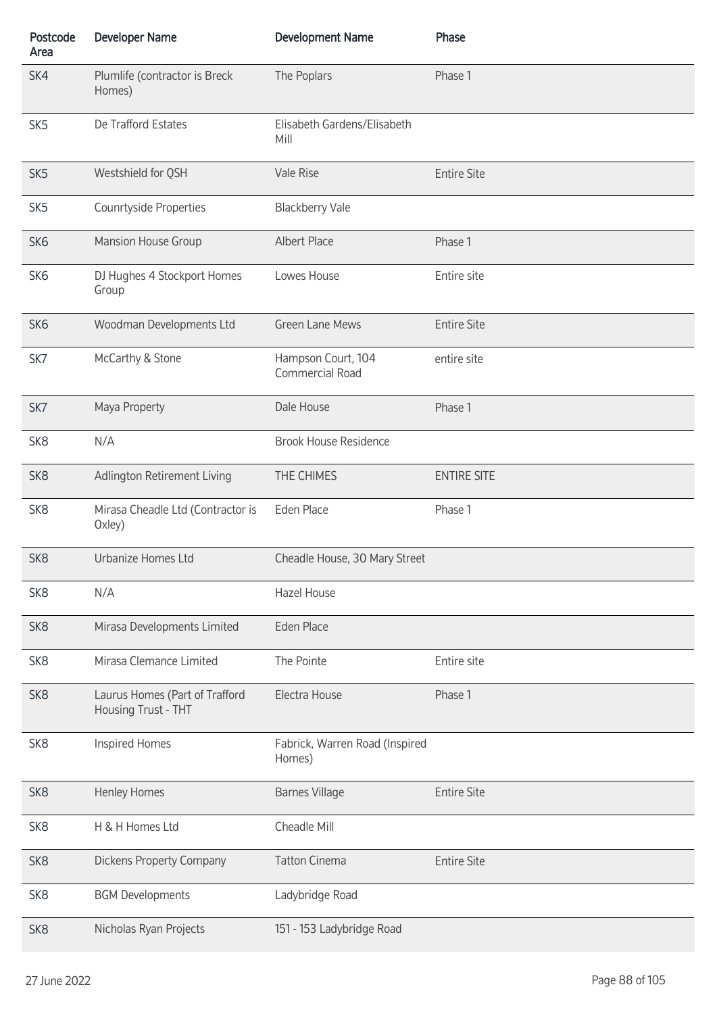| Postcode<br>Area | <b>Developer Name</b>                                 | <b>Development Name</b>                  | Phase              |
|------------------|-------------------------------------------------------|------------------------------------------|--------------------|
| SK4              | Plumlife (contractor is Breck<br>Homes)               | The Poplars                              | Phase 1            |
| SK <sub>5</sub>  | De Trafford Estates                                   | Elisabeth Gardens/Elisabeth<br>Mill      |                    |
| SK <sub>5</sub>  | Westshield for QSH                                    | Vale Rise                                | <b>Entire Site</b> |
| SK <sub>5</sub>  | Counrtyside Properties                                | <b>Blackberry Vale</b>                   |                    |
| SK <sub>6</sub>  | Mansion House Group                                   | Albert Place                             | Phase 1            |
| SK <sub>6</sub>  | DJ Hughes 4 Stockport Homes<br>Group                  | Lowes House                              | Entire site        |
| SK <sub>6</sub>  | Woodman Developments Ltd                              | <b>Green Lane Mews</b>                   | <b>Entire Site</b> |
| SK7              | McCarthy & Stone                                      | Hampson Court, 104<br>Commercial Road    | entire site        |
| SK7              | Maya Property                                         | Dale House                               | Phase 1            |
| SK <sub>8</sub>  | N/A                                                   | <b>Brook House Residence</b>             |                    |
| SK <sub>8</sub>  | Adlington Retirement Living                           | THE CHIMES                               | <b>ENTIRE SITE</b> |
| SK <sub>8</sub>  | Mirasa Cheadle Ltd (Contractor is<br>Oxley)           | Eden Place                               | Phase 1            |
| SK <sub>8</sub>  | Urbanize Homes Ltd                                    | Cheadle House, 30 Mary Street            |                    |
| SK <sub>8</sub>  | N/A                                                   | Hazel House                              |                    |
| SK <sub>8</sub>  | Mirasa Developments Limited                           | <b>Eden Place</b>                        |                    |
| SK <sub>8</sub>  | Mirasa Clemance Limited                               | The Pointe                               | Entire site        |
| SK <sub>8</sub>  | Laurus Homes (Part of Trafford<br>Housing Trust - THT | Electra House                            | Phase 1            |
| SK <sub>8</sub>  | Inspired Homes                                        | Fabrick, Warren Road (Inspired<br>Homes) |                    |
| SK <sub>8</sub>  | <b>Henley Homes</b>                                   | <b>Barnes Village</b>                    | <b>Entire Site</b> |
| SK <sub>8</sub>  | H & H Homes Ltd                                       | Cheadle Mill                             |                    |
| SK <sub>8</sub>  | <b>Dickens Property Company</b>                       | <b>Tatton Cinema</b>                     | <b>Entire Site</b> |
| SK <sub>8</sub>  | <b>BGM Developments</b>                               | Ladybridge Road                          |                    |
| SK <sub>8</sub>  | Nicholas Ryan Projects                                | 151 - 153 Ladybridge Road                |                    |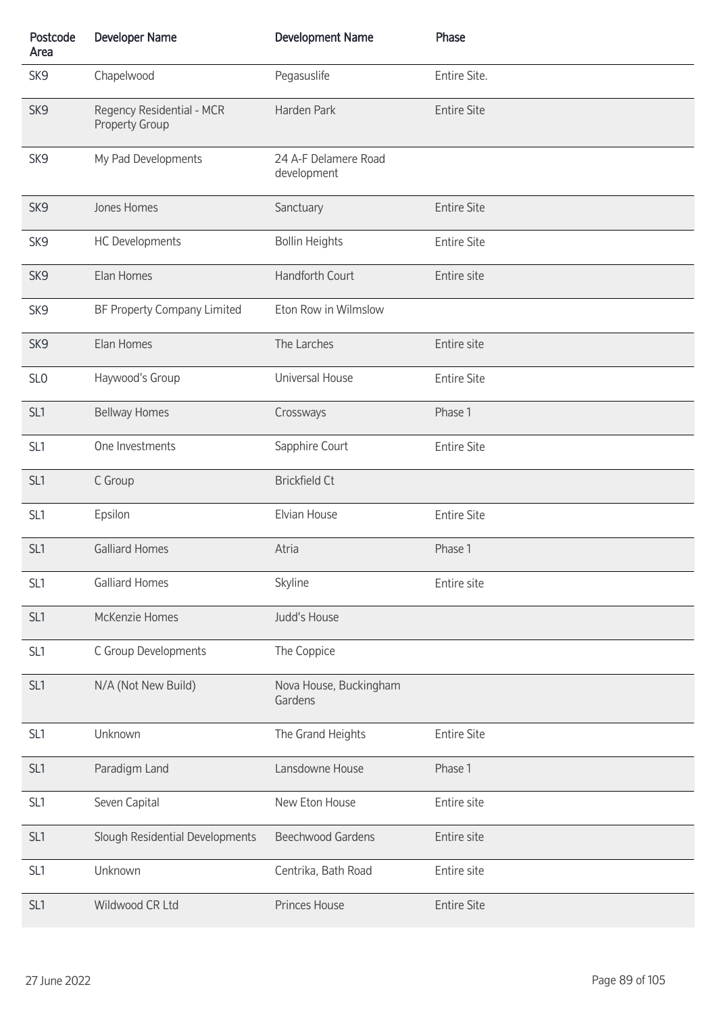| Postcode<br>Area | <b>Developer Name</b>                              | <b>Development Name</b>             | Phase              |
|------------------|----------------------------------------------------|-------------------------------------|--------------------|
| SK9              | Chapelwood                                         | Pegasuslife                         | Entire Site.       |
| SK9              | Regency Residential - MCR<br><b>Property Group</b> | Harden Park                         | <b>Entire Site</b> |
| SK9              | My Pad Developments                                | 24 A-F Delamere Road<br>development |                    |
| SK9              | Jones Homes                                        | Sanctuary                           | <b>Entire Site</b> |
| SK9              | <b>HC Developments</b>                             | <b>Bollin Heights</b>               | <b>Entire Site</b> |
| SK9              | Elan Homes                                         | Handforth Court                     | Entire site        |
| SK9              | BF Property Company Limited                        | Eton Row in Wilmslow                |                    |
| SK9              | Elan Homes                                         | The Larches                         | Entire site        |
| SL <sub>0</sub>  | Haywood's Group                                    | Universal House                     | <b>Entire Site</b> |
| SL <sub>1</sub>  | <b>Bellway Homes</b>                               | Crossways                           | Phase 1            |
| SL <sub>1</sub>  | One Investments                                    | Sapphire Court                      | <b>Entire Site</b> |
| SL <sub>1</sub>  | C Group                                            | <b>Brickfield Ct</b>                |                    |
| SL <sub>1</sub>  | Epsilon                                            | Elvian House                        | <b>Entire Site</b> |
| SL <sub>1</sub>  | <b>Galliard Homes</b>                              | Atria                               | Phase 1            |
| SL <sub>1</sub>  | <b>Galliard Homes</b>                              | Skyline                             | Entire site        |
| SL <sub>1</sub>  | McKenzie Homes                                     | Judd's House                        |                    |
| SL <sub>1</sub>  | C Group Developments                               | The Coppice                         |                    |
| SL <sub>1</sub>  | N/A (Not New Build)                                | Nova House, Buckingham<br>Gardens   |                    |
| SL1              | Unknown                                            | The Grand Heights                   | <b>Entire Site</b> |
| SL <sub>1</sub>  | Paradigm Land                                      | Lansdowne House                     | Phase 1            |
| SL <sub>1</sub>  | Seven Capital                                      | New Eton House                      | Entire site        |
| SL <sub>1</sub>  | Slough Residential Developments                    | <b>Beechwood Gardens</b>            | Entire site        |
| SL <sub>1</sub>  | Unknown                                            | Centrika, Bath Road                 | Entire site        |
| SL1              | Wildwood CR Ltd                                    | Princes House                       | <b>Entire Site</b> |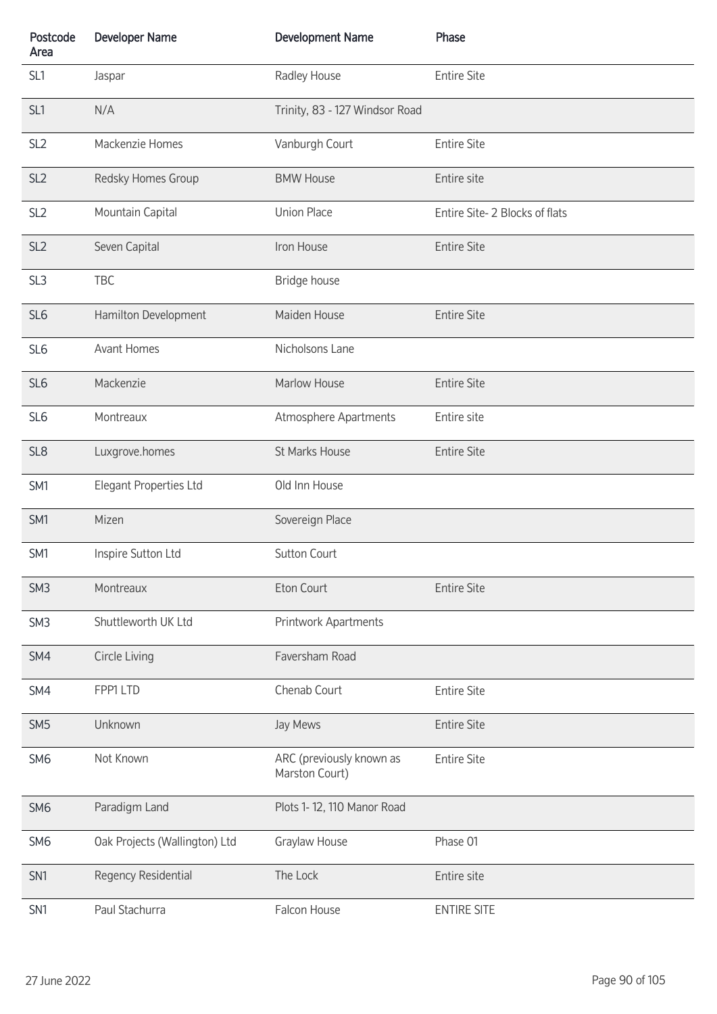| Postcode<br>Area | <b>Developer Name</b>         | <b>Development Name</b>                    | Phase                         |
|------------------|-------------------------------|--------------------------------------------|-------------------------------|
| SL <sub>1</sub>  | Jaspar                        | Radley House                               | <b>Entire Site</b>            |
| SL <sub>1</sub>  | N/A                           | Trinity, 83 - 127 Windsor Road             |                               |
| SL <sub>2</sub>  | Mackenzie Homes               | Vanburgh Court                             | <b>Entire Site</b>            |
| SL <sub>2</sub>  | Redsky Homes Group            | <b>BMW House</b>                           | Entire site                   |
| SL <sub>2</sub>  | Mountain Capital              | <b>Union Place</b>                         | Entire Site-2 Blocks of flats |
| SL <sub>2</sub>  | Seven Capital                 | Iron House                                 | <b>Entire Site</b>            |
| SL <sub>3</sub>  | TBC                           | Bridge house                               |                               |
| SL <sub>6</sub>  | Hamilton Development          | Maiden House                               | <b>Entire Site</b>            |
| SL <sub>6</sub>  | <b>Avant Homes</b>            | Nicholsons Lane                            |                               |
| SL <sub>6</sub>  | Mackenzie                     | Marlow House                               | <b>Entire Site</b>            |
| SL <sub>6</sub>  | Montreaux                     | Atmosphere Apartments                      | Entire site                   |
| SL <sub>8</sub>  | Luxgrove.homes                | St Marks House                             | <b>Entire Site</b>            |
| SM1              | Elegant Properties Ltd        | Old Inn House                              |                               |
| SM1              | Mizen                         | Sovereign Place                            |                               |
| SM1              | Inspire Sutton Ltd            | <b>Sutton Court</b>                        |                               |
| SM <sub>3</sub>  | Montreaux                     | Eton Court                                 | <b>Entire Site</b>            |
| SM <sub>3</sub>  | Shuttleworth UK Ltd           | Printwork Apartments                       |                               |
| SM4              | Circle Living                 | Faversham Road                             |                               |
| SM4              | FPP1 LTD                      | Chenab Court                               | <b>Entire Site</b>            |
| SM <sub>5</sub>  | Unknown                       | Jay Mews                                   | <b>Entire Site</b>            |
| SM <sub>6</sub>  | Not Known                     | ARC (previously known as<br>Marston Court) | <b>Entire Site</b>            |
| SM <sub>6</sub>  | Paradigm Land                 | Plots 1-12, 110 Manor Road                 |                               |
| SM <sub>6</sub>  | Oak Projects (Wallington) Ltd | Graylaw House                              | Phase 01                      |
| SN <sub>1</sub>  | Regency Residential           | The Lock                                   | Entire site                   |
| SN <sub>1</sub>  | Paul Stachurra                | Falcon House                               | <b>ENTIRE SITE</b>            |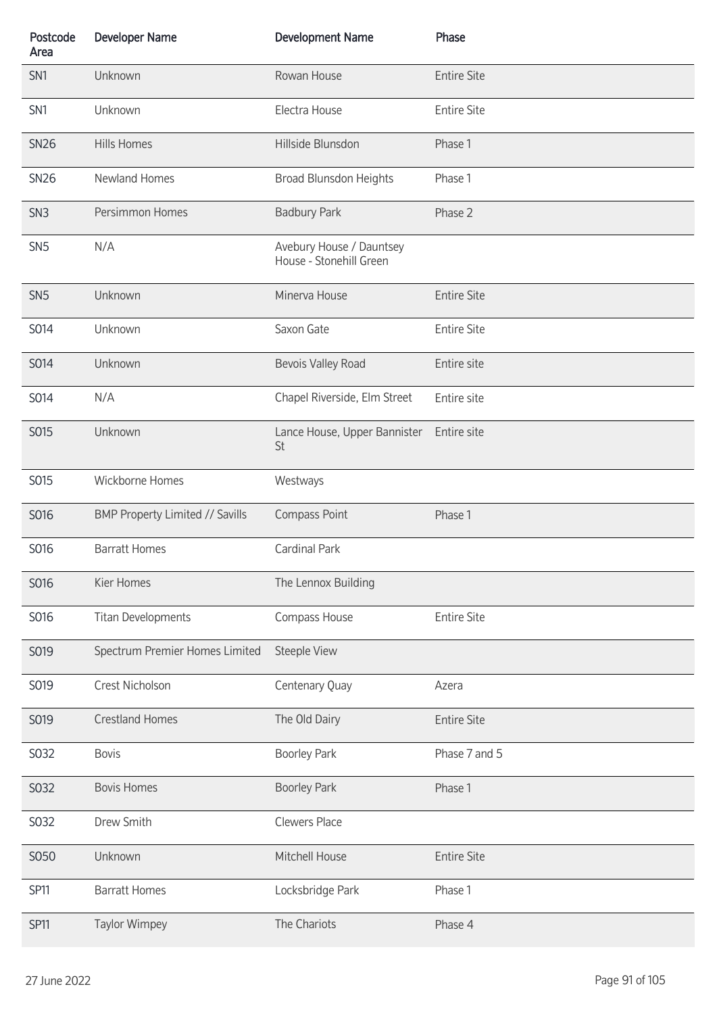| Postcode<br>Area | <b>Developer Name</b>           | <b>Development Name</b>                             | Phase              |
|------------------|---------------------------------|-----------------------------------------------------|--------------------|
| SN <sub>1</sub>  | Unknown                         | Rowan House                                         | <b>Entire Site</b> |
| SN <sub>1</sub>  | Unknown                         | Electra House                                       | <b>Entire Site</b> |
| <b>SN26</b>      | <b>Hills Homes</b>              | Hillside Blunsdon                                   | Phase 1            |
| <b>SN26</b>      | Newland Homes                   | Broad Blunsdon Heights                              | Phase 1            |
| SN <sub>3</sub>  | Persimmon Homes                 | <b>Badbury Park</b>                                 | Phase 2            |
| SN <sub>5</sub>  | N/A                             | Avebury House / Dauntsey<br>House - Stonehill Green |                    |
| SN <sub>5</sub>  | Unknown                         | Minerva House                                       | <b>Entire Site</b> |
| S014             | Unknown                         | Saxon Gate                                          | <b>Entire Site</b> |
| S014             | Unknown                         | <b>Bevois Valley Road</b>                           | Entire site        |
| S014             | N/A                             | Chapel Riverside, Elm Street                        | Entire site        |
| S015             | Unknown                         | Lance House, Upper Bannister<br>St                  | Entire site        |
| S015             | Wickborne Homes                 | Westways                                            |                    |
| S016             | BMP Property Limited // Savills | Compass Point                                       | Phase 1            |
| S016             | <b>Barratt Homes</b>            | <b>Cardinal Park</b>                                |                    |
| S016             | Kier Homes                      | The Lennox Building                                 |                    |
| S016             | <b>Titan Developments</b>       | Compass House                                       | <b>Entire Site</b> |
| S019             | Spectrum Premier Homes Limited  | <b>Steeple View</b>                                 |                    |
| S019             | Crest Nicholson                 | Centenary Quay                                      | Azera              |
| S019             | <b>Crestland Homes</b>          | The Old Dairy                                       | <b>Entire Site</b> |
| S032             | <b>Bovis</b>                    | <b>Boorley Park</b>                                 | Phase 7 and 5      |
| S032             | <b>Bovis Homes</b>              | <b>Boorley Park</b>                                 | Phase 1            |
| S032             | Drew Smith                      | <b>Clewers Place</b>                                |                    |
| S050             | Unknown                         | Mitchell House                                      | <b>Entire Site</b> |
| <b>SP11</b>      | <b>Barratt Homes</b>            | Locksbridge Park                                    | Phase 1            |
| <b>SP11</b>      | <b>Taylor Wimpey</b>            | The Chariots                                        | Phase 4            |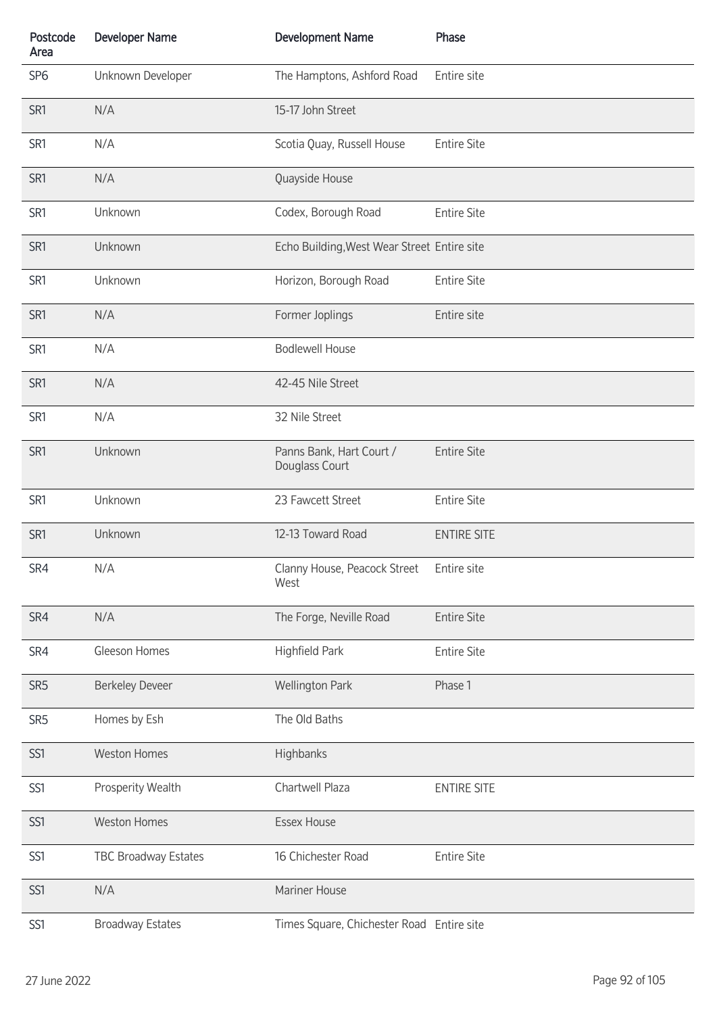| Postcode<br>Area | <b>Developer Name</b>       | <b>Development Name</b>                          | Phase              |
|------------------|-----------------------------|--------------------------------------------------|--------------------|
| SP <sub>6</sub>  | Unknown Developer           | The Hamptons, Ashford Road                       | Entire site        |
| SR <sub>1</sub>  | N/A                         | 15-17 John Street                                |                    |
| SR1              | N/A                         | Scotia Quay, Russell House                       | <b>Entire Site</b> |
| SR1              | N/A                         | Quayside House                                   |                    |
| SR1              | Unknown                     | Codex, Borough Road                              | <b>Entire Site</b> |
| SR <sub>1</sub>  | Unknown                     | Echo Building, West Wear Street Entire site      |                    |
| SR1              | Unknown                     | Horizon, Borough Road                            | <b>Entire Site</b> |
| SR1              | N/A                         | Former Joplings                                  | Entire site        |
| SR1              | N/A                         | <b>Bodlewell House</b>                           |                    |
| SR1              | N/A                         | 42-45 Nile Street                                |                    |
| SR1              | N/A                         | 32 Nile Street                                   |                    |
| SR1              | Unknown                     | Panns Bank, Hart Court /<br>Douglass Court       | <b>Entire Site</b> |
| SR1              | Unknown                     | 23 Fawcett Street                                | <b>Entire Site</b> |
| SR1              | Unknown                     | 12-13 Toward Road                                | <b>ENTIRE SITE</b> |
| SR4              | N/A                         | Clanny House, Peacock Street Entire site<br>West |                    |
| SR4              | N/A                         | The Forge, Neville Road                          | <b>Entire Site</b> |
| SR4              | Gleeson Homes               | Highfield Park                                   | <b>Entire Site</b> |
| SR <sub>5</sub>  | <b>Berkeley Deveer</b>      | <b>Wellington Park</b>                           | Phase 1            |
| SR <sub>5</sub>  | Homes by Esh                | The Old Baths                                    |                    |
| SS1              | <b>Weston Homes</b>         | Highbanks                                        |                    |
| SS1              | Prosperity Wealth           | Chartwell Plaza                                  | <b>ENTIRE SITE</b> |
| SS1              | <b>Weston Homes</b>         | <b>Essex House</b>                               |                    |
| SS1              | <b>TBC Broadway Estates</b> | 16 Chichester Road                               | <b>Entire Site</b> |
| SS1              | N/A                         | Mariner House                                    |                    |
| SS1              | <b>Broadway Estates</b>     | Times Square, Chichester Road Entire site        |                    |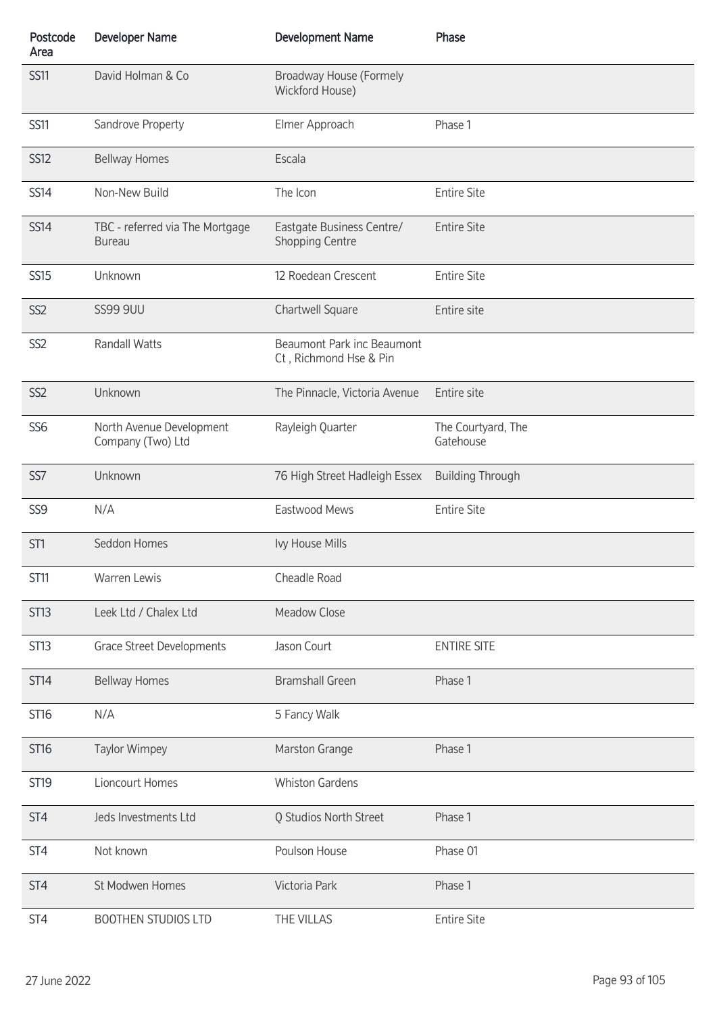| Postcode<br>Area | <b>Developer Name</b>                            | <b>Development Name</b>                              | Phase                           |
|------------------|--------------------------------------------------|------------------------------------------------------|---------------------------------|
| <b>SS11</b>      | David Holman & Co                                | Broadway House (Formely<br>Wickford House)           |                                 |
| <b>SS11</b>      | Sandrove Property                                | Elmer Approach                                       | Phase 1                         |
| <b>SS12</b>      | <b>Bellway Homes</b>                             | Escala                                               |                                 |
| <b>SS14</b>      | Non-New Build                                    | The Icon                                             | <b>Entire Site</b>              |
| <b>SS14</b>      | TBC - referred via The Mortgage<br><b>Bureau</b> | Eastgate Business Centre/<br><b>Shopping Centre</b>  | <b>Entire Site</b>              |
| <b>SS15</b>      | Unknown                                          | 12 Roedean Crescent                                  | <b>Entire Site</b>              |
| SS <sub>2</sub>  | <b>SS99 9UU</b>                                  | Chartwell Square                                     | Entire site                     |
| SS <sub>2</sub>  | <b>Randall Watts</b>                             | Beaumont Park inc Beaumont<br>Ct, Richmond Hse & Pin |                                 |
| SS <sub>2</sub>  | Unknown                                          | The Pinnacle, Victoria Avenue                        | Entire site                     |
| SS <sub>6</sub>  | North Avenue Development<br>Company (Two) Ltd    | Rayleigh Quarter                                     | The Courtyard, The<br>Gatehouse |
| SS7              | Unknown                                          | 76 High Street Hadleigh Essex                        | <b>Building Through</b>         |
| SS <sub>9</sub>  | N/A                                              | Eastwood Mews                                        | <b>Entire Site</b>              |
| ST <sub>1</sub>  | Seddon Homes                                     | Ivy House Mills                                      |                                 |
| <b>ST11</b>      | Warren Lewis                                     | Cheadle Road                                         |                                 |
| <b>ST13</b>      | Leek Ltd / Chalex Ltd                            | <b>Meadow Close</b>                                  |                                 |
| ST <sub>13</sub> | <b>Grace Street Developments</b>                 | Jason Court                                          | <b>ENTIRE SITE</b>              |
| <b>ST14</b>      | <b>Bellway Homes</b>                             | <b>Bramshall Green</b>                               | Phase 1                         |
| <b>ST16</b>      | N/A                                              | 5 Fancy Walk                                         |                                 |
| <b>ST16</b>      | <b>Taylor Wimpey</b>                             | Marston Grange                                       | Phase 1                         |
| <b>ST19</b>      | Lioncourt Homes                                  | <b>Whiston Gardens</b>                               |                                 |
| ST <sub>4</sub>  | Jeds Investments Ltd                             | Q Studios North Street                               | Phase 1                         |
| ST <sub>4</sub>  | Not known                                        | Poulson House                                        | Phase 01                        |
| ST <sub>4</sub>  | St Modwen Homes                                  | Victoria Park                                        | Phase 1                         |
| ST4              | <b>BOOTHEN STUDIOS LTD</b>                       | THE VILLAS                                           | <b>Entire Site</b>              |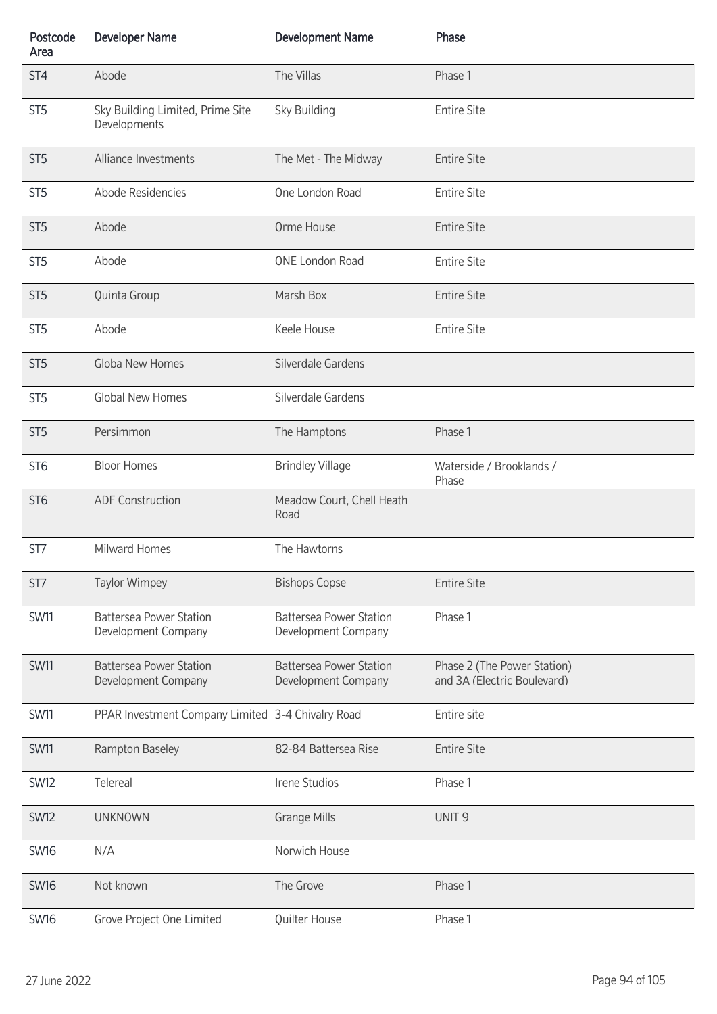| Postcode<br>Area | <b>Developer Name</b>                                 | <b>Development Name</b>                               | Phase                                                      |
|------------------|-------------------------------------------------------|-------------------------------------------------------|------------------------------------------------------------|
| ST <sub>4</sub>  | Abode                                                 | The Villas                                            | Phase 1                                                    |
| ST <sub>5</sub>  | Sky Building Limited, Prime Site<br>Developments      | Sky Building                                          | <b>Entire Site</b>                                         |
| ST <sub>5</sub>  | Alliance Investments                                  | The Met - The Midway                                  | <b>Entire Site</b>                                         |
| ST <sub>5</sub>  | Abode Residencies                                     | One London Road                                       | <b>Entire Site</b>                                         |
| ST <sub>5</sub>  | Abode                                                 | Orme House                                            | <b>Entire Site</b>                                         |
| ST <sub>5</sub>  | Abode                                                 | <b>ONE London Road</b>                                | <b>Entire Site</b>                                         |
| ST <sub>5</sub>  | Quinta Group                                          | Marsh Box                                             | <b>Entire Site</b>                                         |
| ST <sub>5</sub>  | Abode                                                 | Keele House                                           | <b>Entire Site</b>                                         |
| ST <sub>5</sub>  | Globa New Homes                                       | Silverdale Gardens                                    |                                                            |
| ST <sub>5</sub>  | <b>Global New Homes</b>                               | Silverdale Gardens                                    |                                                            |
| ST <sub>5</sub>  | Persimmon                                             | The Hamptons                                          | Phase 1                                                    |
| ST <sub>6</sub>  | <b>Bloor Homes</b>                                    | <b>Brindley Village</b>                               | Waterside / Brooklands /<br>Phase                          |
| ST <sub>6</sub>  | <b>ADF Construction</b>                               | Meadow Court, Chell Heath<br>Road                     |                                                            |
| ST7              | Milward Homes                                         | The Hawtorns                                          |                                                            |
| ST7              | <b>Taylor Wimpey</b>                                  | <b>Bishops Copse</b>                                  | <b>Entire Site</b>                                         |
| <b>SW11</b>      | <b>Battersea Power Station</b><br>Development Company | <b>Battersea Power Station</b><br>Development Company | Phase 1                                                    |
| <b>SW11</b>      | <b>Battersea Power Station</b><br>Development Company | <b>Battersea Power Station</b><br>Development Company | Phase 2 (The Power Station)<br>and 3A (Electric Boulevard) |
| <b>SW11</b>      | PPAR Investment Company Limited 3-4 Chivalry Road     |                                                       | Entire site                                                |
| <b>SW11</b>      | Rampton Baseley                                       | 82-84 Battersea Rise                                  | <b>Entire Site</b>                                         |
| <b>SW12</b>      | Telereal                                              | Irene Studios                                         | Phase 1                                                    |
| <b>SW12</b>      | <b>UNKNOWN</b>                                        | <b>Grange Mills</b>                                   | UNIT <sub>9</sub>                                          |
| <b>SW16</b>      | N/A                                                   | Norwich House                                         |                                                            |
| <b>SW16</b>      | Not known                                             | The Grove                                             | Phase 1                                                    |
| <b>SW16</b>      | Grove Project One Limited                             | Quilter House                                         | Phase 1                                                    |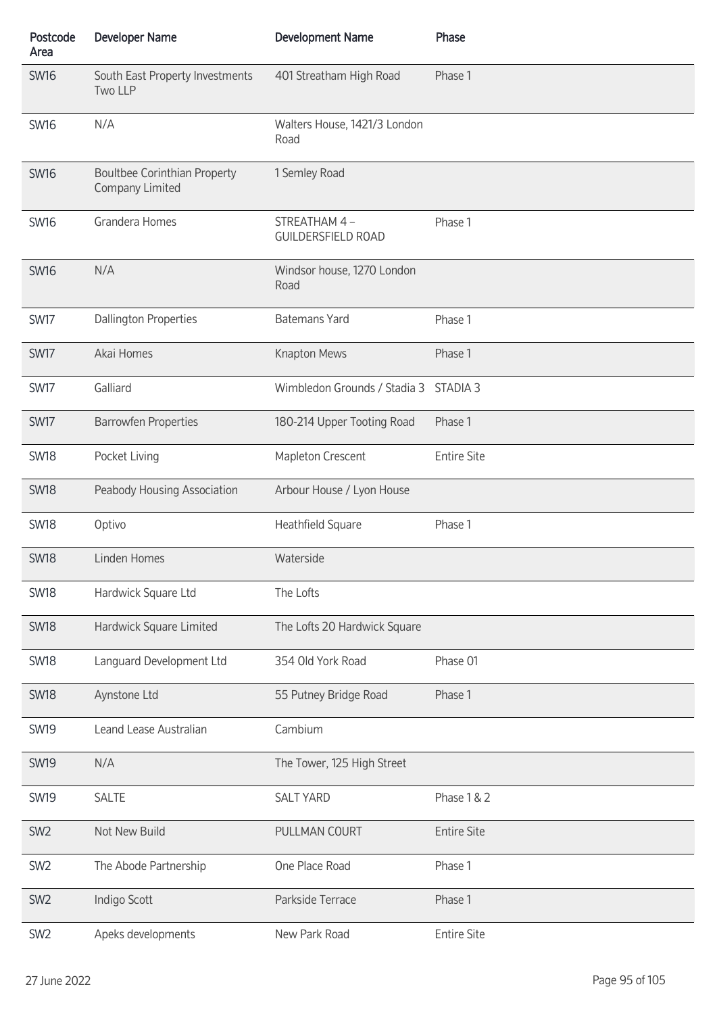| Postcode<br>Area | <b>Developer Name</b>                                  | <b>Development Name</b>                   | Phase               |
|------------------|--------------------------------------------------------|-------------------------------------------|---------------------|
| <b>SW16</b>      | South East Property Investments<br>Two LLP             | 401 Streatham High Road                   | Phase 1             |
| <b>SW16</b>      | N/A                                                    | Walters House, 1421/3 London<br>Road      |                     |
| <b>SW16</b>      | <b>Boultbee Corinthian Property</b><br>Company Limited | 1 Semley Road                             |                     |
| <b>SW16</b>      | Grandera Homes                                         | STREATHAM 4-<br><b>GUILDERSFIELD ROAD</b> | Phase 1             |
| <b>SW16</b>      | N/A                                                    | Windsor house, 1270 London<br>Road        |                     |
| SW17             | <b>Dallington Properties</b>                           | <b>Batemans Yard</b>                      | Phase 1             |
| <b>SW17</b>      | Akai Homes                                             | Knapton Mews                              | Phase 1             |
| <b>SW17</b>      | Galliard                                               | Wimbledon Grounds / Stadia 3              | STADIA <sub>3</sub> |
| SW17             | <b>Barrowfen Properties</b>                            | 180-214 Upper Tooting Road                | Phase 1             |
| <b>SW18</b>      | Pocket Living                                          | Mapleton Crescent                         | <b>Entire Site</b>  |
| <b>SW18</b>      | Peabody Housing Association                            | Arbour House / Lyon House                 |                     |
| <b>SW18</b>      | Optivo                                                 | Heathfield Square                         | Phase 1             |
| <b>SW18</b>      | Linden Homes                                           | Waterside                                 |                     |
| <b>SW18</b>      | Hardwick Square Ltd                                    | The Lofts                                 |                     |
| <b>SW18</b>      | Hardwick Square Limited                                | The Lofts 20 Hardwick Square              |                     |
| <b>SW18</b>      | Languard Development Ltd                               | 354 Old York Road                         | Phase 01            |
| <b>SW18</b>      | Aynstone Ltd                                           | 55 Putney Bridge Road                     | Phase 1             |
| <b>SW19</b>      | Leand Lease Australian                                 | Cambium                                   |                     |
| <b>SW19</b>      | N/A                                                    | The Tower, 125 High Street                |                     |
| <b>SW19</b>      | <b>SALTE</b>                                           | <b>SALT YARD</b>                          | Phase 1 & 2         |
| SW <sub>2</sub>  | Not New Build                                          | PULLMAN COURT                             | <b>Entire Site</b>  |
| SW <sub>2</sub>  | The Abode Partnership                                  | One Place Road                            | Phase 1             |
| SW <sub>2</sub>  | Indigo Scott                                           | Parkside Terrace                          | Phase 1             |
| SW <sub>2</sub>  | Apeks developments                                     | New Park Road                             | <b>Entire Site</b>  |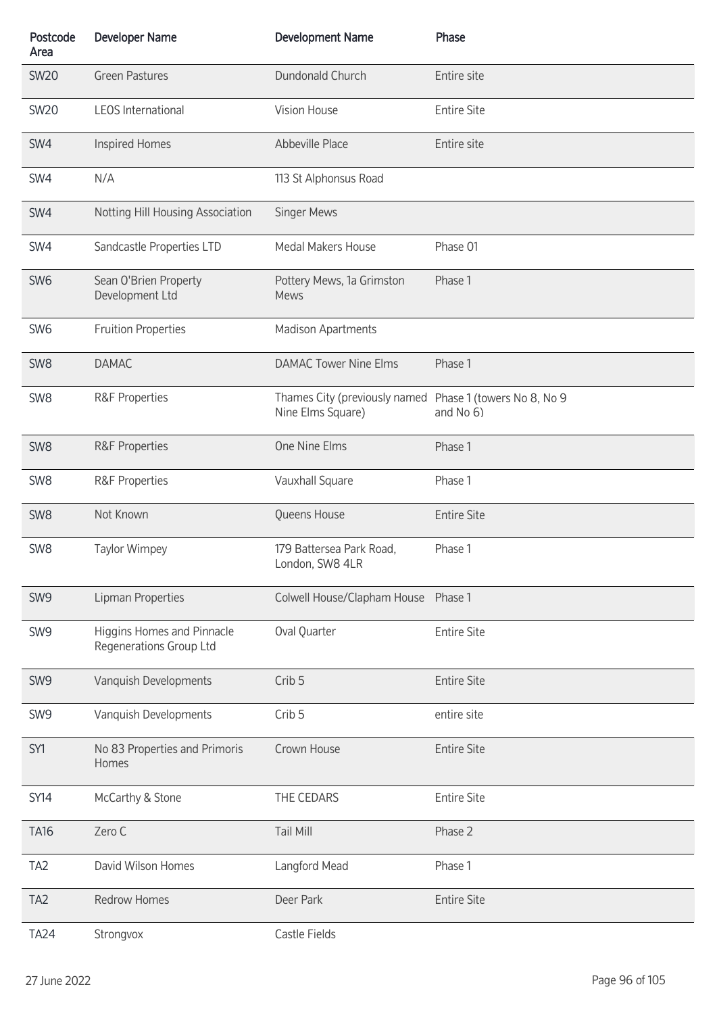| Postcode<br>Area | <b>Developer Name</b>                                 | <b>Development Name</b>                                                       | Phase              |
|------------------|-------------------------------------------------------|-------------------------------------------------------------------------------|--------------------|
| <b>SW20</b>      | <b>Green Pastures</b>                                 | Dundonald Church                                                              | Entire site        |
| <b>SW20</b>      | <b>LEOS International</b>                             | Vision House                                                                  | <b>Entire Site</b> |
| SW4              | <b>Inspired Homes</b>                                 | Abbeville Place                                                               | Entire site        |
| SW4              | N/A                                                   | 113 St Alphonsus Road                                                         |                    |
| SW4              | Notting Hill Housing Association                      | Singer Mews                                                                   |                    |
| SW4              | Sandcastle Properties LTD                             | Medal Makers House                                                            | Phase 01           |
| SW <sub>6</sub>  | Sean O'Brien Property<br>Development Ltd              | Pottery Mews, 1a Grimston<br><b>Mews</b>                                      | Phase 1            |
| SW <sub>6</sub>  | <b>Fruition Properties</b>                            | Madison Apartments                                                            |                    |
| SW <sub>8</sub>  | <b>DAMAC</b>                                          | <b>DAMAC Tower Nine Elms</b>                                                  | Phase 1            |
| SW <sub>8</sub>  | <b>R&amp;F Properties</b>                             | Thames City (previously named Phase 1 (towers No 8, No 9<br>Nine Elms Square) | and No 6)          |
| SW <sub>8</sub>  | <b>R&amp;F Properties</b>                             | One Nine Elms                                                                 | Phase 1            |
| SW <sub>8</sub>  | <b>R&amp;F Properties</b>                             | Vauxhall Square                                                               | Phase 1            |
| SW <sub>8</sub>  | Not Known                                             | Queens House                                                                  | <b>Entire Site</b> |
| SW <sub>8</sub>  | <b>Taylor Wimpey</b>                                  | 179 Battersea Park Road,<br>London, SW8 4LR                                   | Phase 1            |
| SW9              | Lipman Properties                                     | Colwell House/Clapham House Phase 1                                           |                    |
| SW9              | Higgins Homes and Pinnacle<br>Regenerations Group Ltd | Oval Quarter                                                                  | <b>Entire Site</b> |
| SW9              | Vanquish Developments                                 | Crib <sub>5</sub>                                                             | <b>Entire Site</b> |
| SW <sub>9</sub>  | Vanquish Developments                                 | Crib <sub>5</sub>                                                             | entire site        |
| SY1              | No 83 Properties and Primoris<br>Homes                | Crown House                                                                   | <b>Entire Site</b> |
| <b>SY14</b>      | McCarthy & Stone                                      | THE CEDARS                                                                    | <b>Entire Site</b> |
| <b>TA16</b>      | Zero C                                                | <b>Tail Mill</b>                                                              | Phase 2            |
| TA <sub>2</sub>  | David Wilson Homes                                    | Langford Mead                                                                 | Phase 1            |
| TA <sub>2</sub>  | <b>Redrow Homes</b>                                   | Deer Park                                                                     | <b>Entire Site</b> |
| <b>TA24</b>      | Strongvox                                             | Castle Fields                                                                 |                    |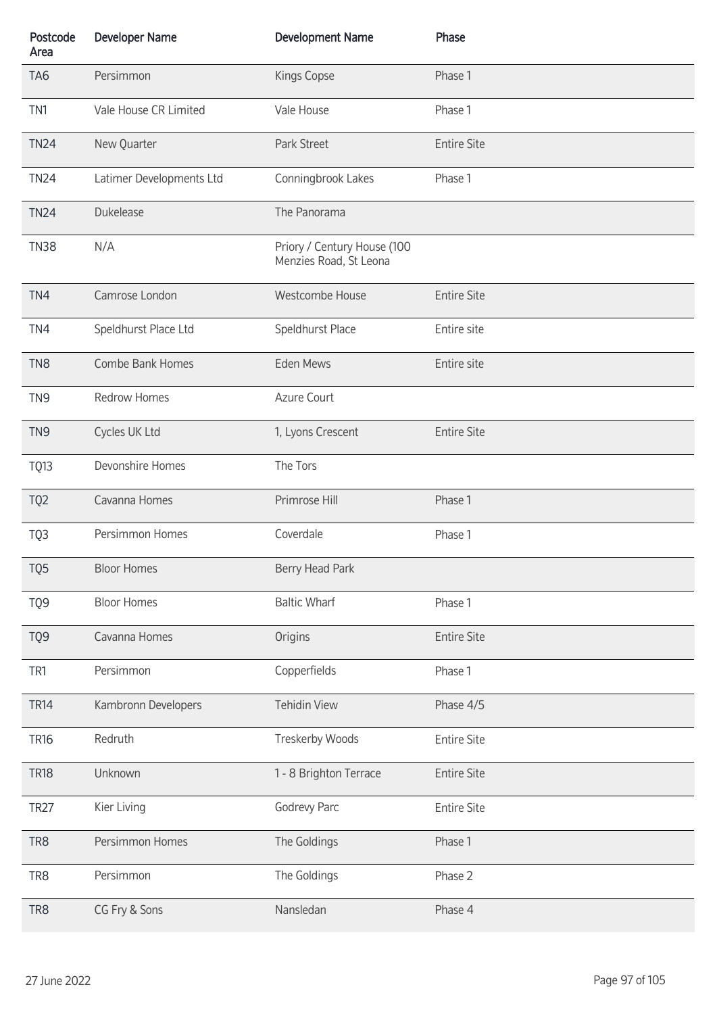| Postcode<br>Area | <b>Developer Name</b>    | <b>Development Name</b>                               | Phase              |
|------------------|--------------------------|-------------------------------------------------------|--------------------|
| TA <sub>6</sub>  | Persimmon                | Kings Copse                                           | Phase 1            |
| TN1              | Vale House CR Limited    | Vale House                                            | Phase 1            |
| <b>TN24</b>      | New Quarter              | Park Street                                           | <b>Entire Site</b> |
| <b>TN24</b>      | Latimer Developments Ltd | Conningbrook Lakes                                    | Phase 1            |
| <b>TN24</b>      | Dukelease                | The Panorama                                          |                    |
| <b>TN38</b>      | N/A                      | Priory / Century House (100<br>Menzies Road, St Leona |                    |
| TN4              | Camrose London           | Westcombe House                                       | <b>Entire Site</b> |
| TN4              | Speldhurst Place Ltd     | Speldhurst Place                                      | Entire site        |
| TN <sub>8</sub>  | Combe Bank Homes         | Eden Mews                                             | Entire site        |
| TN <sub>9</sub>  | <b>Redrow Homes</b>      | Azure Court                                           |                    |
| TN <sub>9</sub>  | Cycles UK Ltd            | 1, Lyons Crescent                                     | <b>Entire Site</b> |
| TQ13             | Devonshire Homes         | The Tors                                              |                    |
| TQ <sub>2</sub>  | Cavanna Homes            | Primrose Hill                                         | Phase 1            |
| TQ3              | Persimmon Homes          | Coverdale                                             | Phase 1            |
| TQ5              | <b>Bloor Homes</b>       | Berry Head Park                                       |                    |
| TQ9              | <b>Bloor Homes</b>       | <b>Baltic Wharf</b>                                   | Phase 1            |
| TQ9              | Cavanna Homes            | Origins                                               | <b>Entire Site</b> |
| TR1              | Persimmon                | Copperfields                                          | Phase 1            |
| <b>TR14</b>      | Kambronn Developers      | <b>Tehidin View</b>                                   | Phase 4/5          |
| <b>TR16</b>      | Redruth                  | Treskerby Woods                                       | <b>Entire Site</b> |
| <b>TR18</b>      | Unknown                  | 1 - 8 Brighton Terrace                                | <b>Entire Site</b> |
| <b>TR27</b>      | Kier Living              | Godrevy Parc                                          | <b>Entire Site</b> |
| TR8              | Persimmon Homes          | The Goldings                                          | Phase 1            |
| TR <sub>8</sub>  | Persimmon                | The Goldings                                          | Phase 2            |
| TR8              | CG Fry & Sons            | Nansledan                                             | Phase 4            |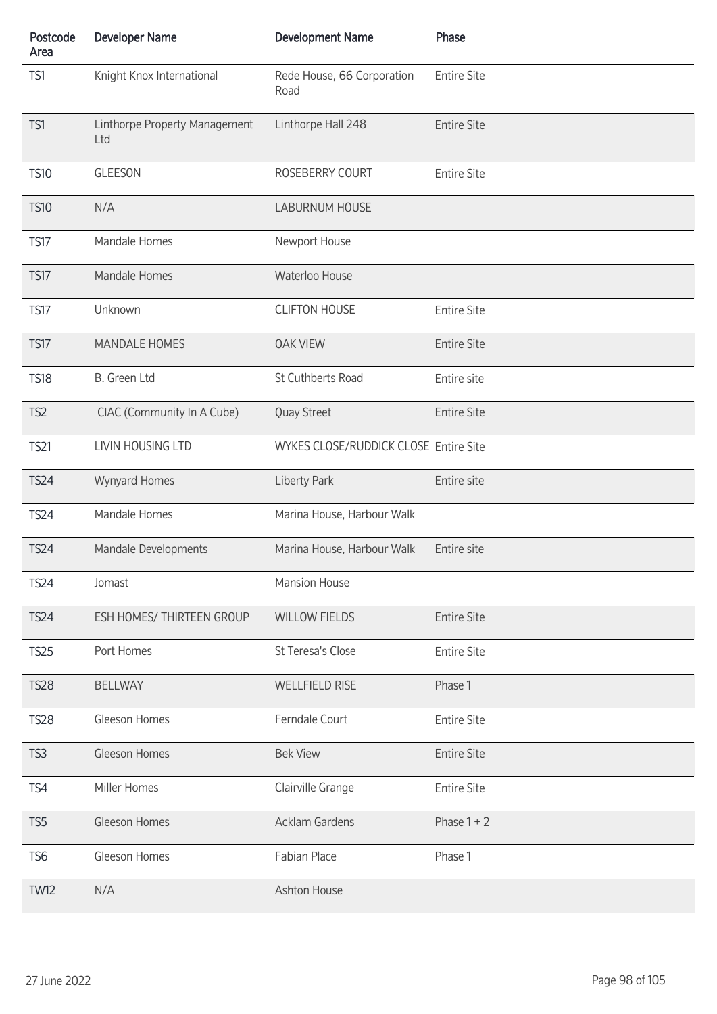| Postcode<br>Area | <b>Developer Name</b>                | <b>Development Name</b>               | Phase              |
|------------------|--------------------------------------|---------------------------------------|--------------------|
| TS1              | Knight Knox International            | Rede House, 66 Corporation<br>Road    | <b>Entire Site</b> |
| TS1              | Linthorpe Property Management<br>Ltd | Linthorpe Hall 248                    | <b>Entire Site</b> |
| <b>TS10</b>      | <b>GLEESON</b>                       | ROSEBERRY COURT                       | <b>Entire Site</b> |
| <b>TS10</b>      | N/A                                  | LABURNUM HOUSE                        |                    |
| <b>TS17</b>      | Mandale Homes                        | Newport House                         |                    |
| <b>TS17</b>      | Mandale Homes                        | Waterloo House                        |                    |
| <b>TS17</b>      | Unknown                              | <b>CLIFTON HOUSE</b>                  | <b>Entire Site</b> |
| <b>TS17</b>      | <b>MANDALE HOMES</b>                 | <b>OAK VIEW</b>                       | <b>Entire Site</b> |
| <b>TS18</b>      | B. Green Ltd                         | St Cuthberts Road                     | Entire site        |
| TS <sub>2</sub>  | CIAC (Community In A Cube)           | Quay Street                           | <b>Entire Site</b> |
| <b>TS21</b>      | LIVIN HOUSING LTD                    | WYKES CLOSE/RUDDICK CLOSE Entire Site |                    |
| <b>TS24</b>      | Wynyard Homes                        | Liberty Park                          | Entire site        |
| <b>TS24</b>      | Mandale Homes                        | Marina House, Harbour Walk            |                    |
| <b>TS24</b>      | Mandale Developments                 | Marina House, Harbour Walk            | Entire site        |
| <b>TS24</b>      | Jomast                               | <b>Mansion House</b>                  |                    |
| <b>TS24</b>      | ESH HOMES/ THIRTEEN GROUP            | <b>WILLOW FIELDS</b>                  | <b>Entire Site</b> |
| <b>TS25</b>      | Port Homes                           | St Teresa's Close                     | <b>Entire Site</b> |
| <b>TS28</b>      | <b>BELLWAY</b>                       | <b>WELLFIELD RISE</b>                 | Phase 1            |
| <b>TS28</b>      | Gleeson Homes                        | Ferndale Court                        | <b>Entire Site</b> |
| TS <sub>3</sub>  | Gleeson Homes                        | <b>Bek View</b>                       | <b>Entire Site</b> |
| TS4              | Miller Homes                         | Clairville Grange                     | <b>Entire Site</b> |
| TS <sub>5</sub>  | Gleeson Homes                        | <b>Acklam Gardens</b>                 | Phase $1 + 2$      |
| TS <sub>6</sub>  | Gleeson Homes                        | Fabian Place                          | Phase 1            |
| <b>TW12</b>      | N/A                                  | Ashton House                          |                    |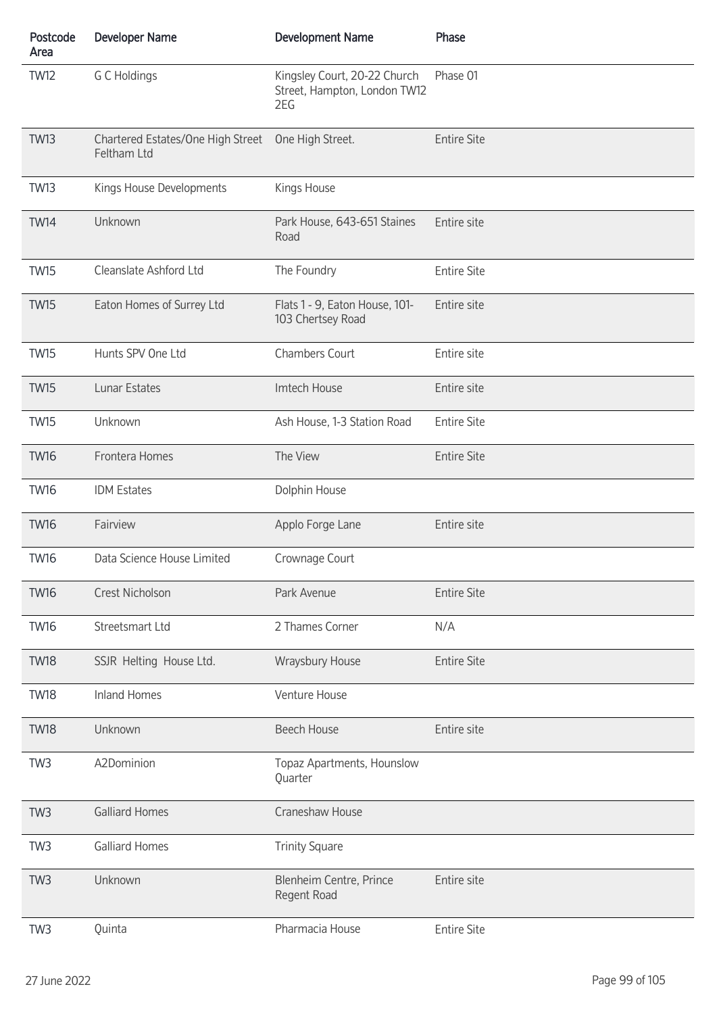| Postcode<br>Area | <b>Developer Name</b>                            | <b>Development Name</b>                                             | Phase              |
|------------------|--------------------------------------------------|---------------------------------------------------------------------|--------------------|
| <b>TW12</b>      | G C Holdings                                     | Kingsley Court, 20-22 Church<br>Street, Hampton, London TW12<br>2EG | Phase 01           |
| <b>TW13</b>      | Chartered Estates/One High Street<br>Feltham Ltd | One High Street.                                                    | <b>Entire Site</b> |
| <b>TW13</b>      | Kings House Developments                         | Kings House                                                         |                    |
| <b>TW14</b>      | Unknown                                          | Park House, 643-651 Staines<br>Road                                 | Entire site        |
| <b>TW15</b>      | Cleanslate Ashford Ltd                           | The Foundry                                                         | <b>Entire Site</b> |
| <b>TW15</b>      | Eaton Homes of Surrey Ltd                        | Flats 1 - 9, Eaton House, 101-<br>103 Chertsey Road                 | Entire site        |
| <b>TW15</b>      | Hunts SPV One Ltd                                | Chambers Court                                                      | Entire site        |
| <b>TW15</b>      | Lunar Estates                                    | Imtech House                                                        | Entire site        |
| <b>TW15</b>      | Unknown                                          | Ash House, 1-3 Station Road                                         | <b>Entire Site</b> |
| <b>TW16</b>      | Frontera Homes                                   | The View                                                            | <b>Entire Site</b> |
| <b>TW16</b>      | <b>IDM Estates</b>                               | Dolphin House                                                       |                    |
| <b>TW16</b>      | Fairview                                         | Applo Forge Lane                                                    | Entire site        |
| <b>TW16</b>      | Data Science House Limited                       | Crownage Court                                                      |                    |
| <b>TW16</b>      | Crest Nicholson                                  | Park Avenue                                                         | <b>Entire Site</b> |
| <b>TW16</b>      | Streetsmart Ltd                                  | 2 Thames Corner                                                     | N/A                |
| <b>TW18</b>      | SSJR Helting House Ltd.                          | Wraysbury House                                                     | <b>Entire Site</b> |
| <b>TW18</b>      | <b>Inland Homes</b>                              | Venture House                                                       |                    |
| <b>TW18</b>      | Unknown                                          | <b>Beech House</b>                                                  | Entire site        |
| TW <sub>3</sub>  | A2Dominion                                       | Topaz Apartments, Hounslow<br>Quarter                               |                    |
| TW <sub>3</sub>  | <b>Galliard Homes</b>                            | Craneshaw House                                                     |                    |
| TW <sub>3</sub>  | <b>Galliard Homes</b>                            | <b>Trinity Square</b>                                               |                    |
| TW <sub>3</sub>  | Unknown                                          | Blenheim Centre, Prince<br>Regent Road                              | Entire site        |
| TW <sub>3</sub>  | Quinta                                           | Pharmacia House                                                     | <b>Entire Site</b> |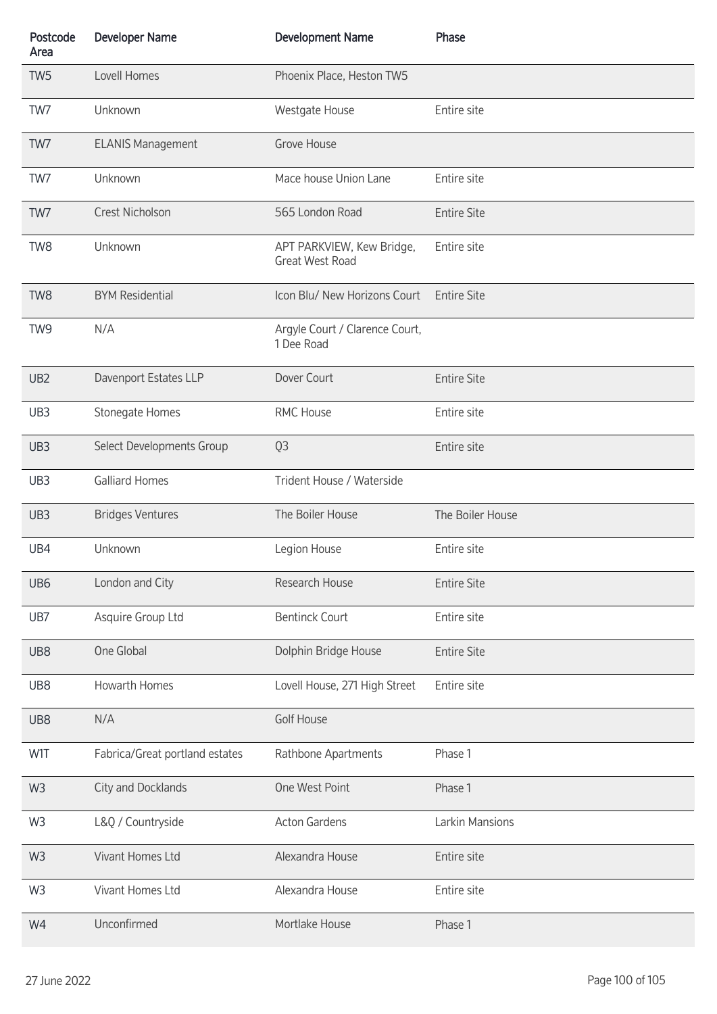| Postcode<br>Area | <b>Developer Name</b>          | <b>Development Name</b>                             | Phase              |
|------------------|--------------------------------|-----------------------------------------------------|--------------------|
| TW <sub>5</sub>  | Lovell Homes                   | Phoenix Place, Heston TW5                           |                    |
| TW7              | Unknown                        | Westgate House                                      | Entire site        |
| TW7              | <b>ELANIS Management</b>       | Grove House                                         |                    |
| TW7              | Unknown                        | Mace house Union Lane                               | Entire site        |
| TW7              | Crest Nicholson                | 565 London Road                                     | <b>Entire Site</b> |
| TW8              | Unknown                        | APT PARKVIEW, Kew Bridge,<br><b>Great West Road</b> | Entire site        |
| TW8              | <b>BYM Residential</b>         | Icon Blu/ New Horizons Court                        | <b>Entire Site</b> |
| TW <sub>9</sub>  | N/A                            | Argyle Court / Clarence Court,<br>1 Dee Road        |                    |
| UB <sub>2</sub>  | Davenport Estates LLP          | Dover Court                                         | <b>Entire Site</b> |
| UB3              | Stonegate Homes                | RMC House                                           | Entire site        |
| UB3              | Select Developments Group      | Q <sub>3</sub>                                      | Entire site        |
| UB3              | <b>Galliard Homes</b>          | Trident House / Waterside                           |                    |
| UB3              | <b>Bridges Ventures</b>        | The Boiler House                                    | The Boiler House   |
| UB4              | Unknown                        | Legion House                                        | Entire site        |
| UB6              | London and City                | Research House                                      | <b>Entire Site</b> |
| UB7              | Asquire Group Ltd              | <b>Bentinck Court</b>                               | Entire site        |
| UB8              | One Global                     | Dolphin Bridge House                                | <b>Entire Site</b> |
| UB8              | Howarth Homes                  | Lovell House, 271 High Street                       | Entire site        |
| UB8              | N/A                            | <b>Golf House</b>                                   |                    |
| W1T              | Fabrica/Great portland estates | Rathbone Apartments                                 | Phase 1            |
| W <sub>3</sub>   | City and Docklands             | One West Point                                      | Phase 1            |
| W <sub>3</sub>   | L&Q / Countryside              | <b>Acton Gardens</b>                                | Larkin Mansions    |
| W <sub>3</sub>   | Vivant Homes Ltd               | Alexandra House                                     | Entire site        |
| W <sub>3</sub>   | Vivant Homes Ltd               | Alexandra House                                     | Entire site        |
| W4               | Unconfirmed                    | Mortlake House                                      | Phase 1            |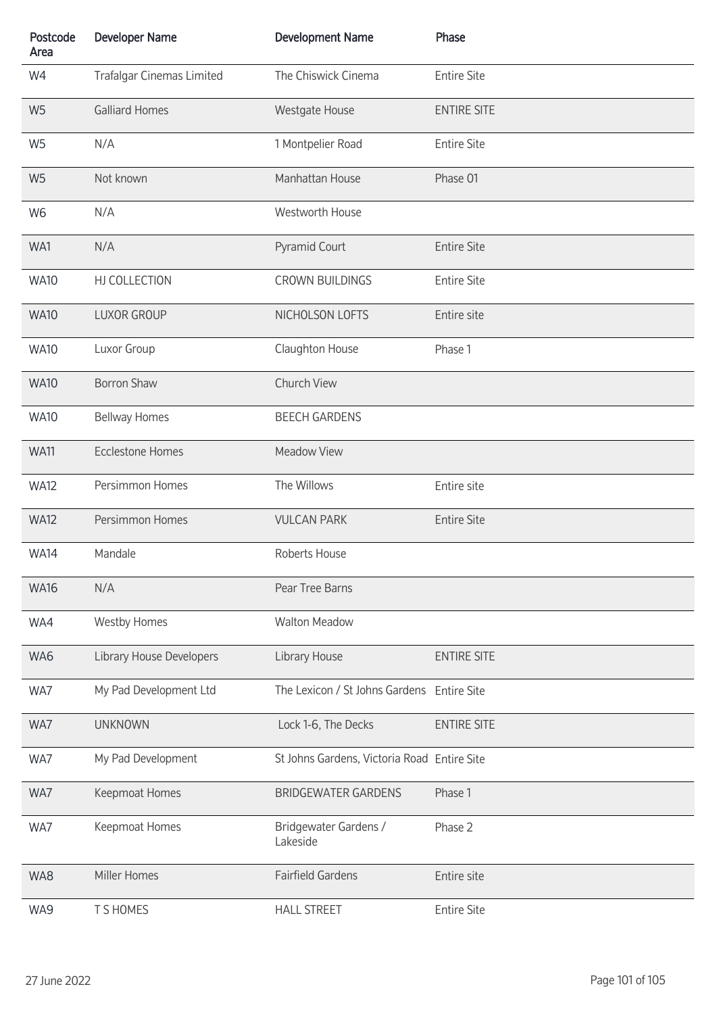| Postcode<br>Area | <b>Developer Name</b>     | <b>Development Name</b>                     | Phase              |
|------------------|---------------------------|---------------------------------------------|--------------------|
| W4               | Trafalgar Cinemas Limited | The Chiswick Cinema                         | <b>Entire Site</b> |
| W <sub>5</sub>   | <b>Galliard Homes</b>     | Westgate House                              | <b>ENTIRE SITE</b> |
| W <sub>5</sub>   | N/A                       | 1 Montpelier Road                           | <b>Entire Site</b> |
| W <sub>5</sub>   | Not known                 | Manhattan House                             | Phase 01           |
| W <sub>6</sub>   | N/A                       | Westworth House                             |                    |
| WA1              | N/A                       | Pyramid Court                               | <b>Entire Site</b> |
| <b>WA10</b>      | HJ COLLECTION             | <b>CROWN BUILDINGS</b>                      | <b>Entire Site</b> |
| <b>WA10</b>      | <b>LUXOR GROUP</b>        | NICHOLSON LOFTS                             | Entire site        |
| <b>WA10</b>      | Luxor Group               | Claughton House                             | Phase 1            |
| <b>WA10</b>      | <b>Borron Shaw</b>        | Church View                                 |                    |
| <b>WA10</b>      | <b>Bellway Homes</b>      | <b>BEECH GARDENS</b>                        |                    |
| <b>WA11</b>      | <b>Ecclestone Homes</b>   | <b>Meadow View</b>                          |                    |
| <b>WA12</b>      | Persimmon Homes           | The Willows                                 | Entire site        |
| <b>WA12</b>      | Persimmon Homes           | <b>VULCAN PARK</b>                          | <b>Entire Site</b> |
| <b>WA14</b>      | Mandale                   | Roberts House                               |                    |
| <b>WA16</b>      | N/A                       | Pear Tree Barns                             |                    |
| WA4              | <b>Westby Homes</b>       | <b>Walton Meadow</b>                        |                    |
| WA6              | Library House Developers  | Library House                               | <b>ENTIRE SITE</b> |
| WA7              | My Pad Development Ltd    | The Lexicon / St Johns Gardens Entire Site  |                    |
| WA7              | <b>UNKNOWN</b>            | Lock 1-6, The Decks                         | <b>ENTIRE SITE</b> |
| WA7              | My Pad Development        | St Johns Gardens, Victoria Road Entire Site |                    |
| WA7              | Keepmoat Homes            | <b>BRIDGEWATER GARDENS</b>                  | Phase 1            |
| WA7              | Keepmoat Homes            | Bridgewater Gardens /<br>Lakeside           | Phase 2            |
| WA8              | Miller Homes              | <b>Fairfield Gardens</b>                    | Entire site        |
| WA9              | T S HOMES                 | <b>HALL STREET</b>                          | <b>Entire Site</b> |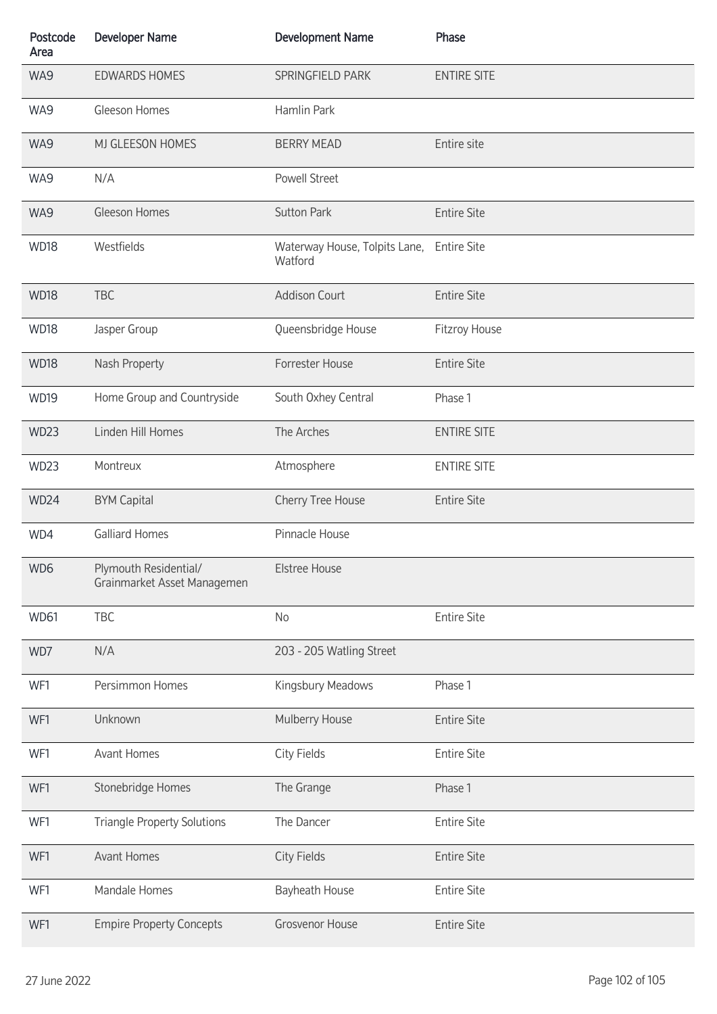| Postcode<br>Area | <b>Developer Name</b>                                | <b>Development Name</b>                              | Phase              |
|------------------|------------------------------------------------------|------------------------------------------------------|--------------------|
| WA9              | <b>EDWARDS HOMES</b>                                 | SPRINGFIELD PARK                                     | <b>ENTIRE SITE</b> |
| WA9              | Gleeson Homes                                        | Hamlin Park                                          |                    |
| WA9              | MJ GLEESON HOMES                                     | <b>BERRY MEAD</b>                                    | Entire site        |
| WA9              | N/A                                                  | Powell Street                                        |                    |
| WA9              | Gleeson Homes                                        | <b>Sutton Park</b>                                   | <b>Entire Site</b> |
| <b>WD18</b>      | Westfields                                           | Waterway House, Tolpits Lane, Entire Site<br>Watford |                    |
| <b>WD18</b>      | <b>TBC</b>                                           | <b>Addison Court</b>                                 | <b>Entire Site</b> |
| WD18             | Jasper Group                                         | Queensbridge House                                   | Fitzroy House      |
| <b>WD18</b>      | Nash Property                                        | Forrester House                                      | <b>Entire Site</b> |
| <b>WD19</b>      | Home Group and Countryside                           | South Oxhey Central                                  | Phase 1            |
| <b>WD23</b>      | Linden Hill Homes                                    | The Arches                                           | <b>ENTIRE SITE</b> |
| WD23             | Montreux                                             | Atmosphere                                           | <b>ENTIRE SITE</b> |
| WD24             | <b>BYM Capital</b>                                   | Cherry Tree House                                    | <b>Entire Site</b> |
| WD4              | <b>Galliard Homes</b>                                | Pinnacle House                                       |                    |
| WD6              | Plymouth Residential/<br>Grainmarket Asset Managemen | <b>Elstree House</b>                                 |                    |
| <b>WD61</b>      | TBC                                                  | No                                                   | <b>Entire Site</b> |
| WD7              | N/A                                                  | 203 - 205 Watling Street                             |                    |
| WF1              | Persimmon Homes                                      | Kingsbury Meadows                                    | Phase 1            |
| WF1              | Unknown                                              | Mulberry House                                       | <b>Entire Site</b> |
| WF1              | <b>Avant Homes</b>                                   | City Fields                                          | <b>Entire Site</b> |
| WF1              | Stonebridge Homes                                    | The Grange                                           | Phase 1            |
| WF1              | <b>Triangle Property Solutions</b>                   | The Dancer                                           | <b>Entire Site</b> |
| WF1              | <b>Avant Homes</b>                                   | <b>City Fields</b>                                   | <b>Entire Site</b> |
| WF1              | Mandale Homes                                        | Bayheath House                                       | <b>Entire Site</b> |
| WF1              | <b>Empire Property Concepts</b>                      | <b>Grosvenor House</b>                               | <b>Entire Site</b> |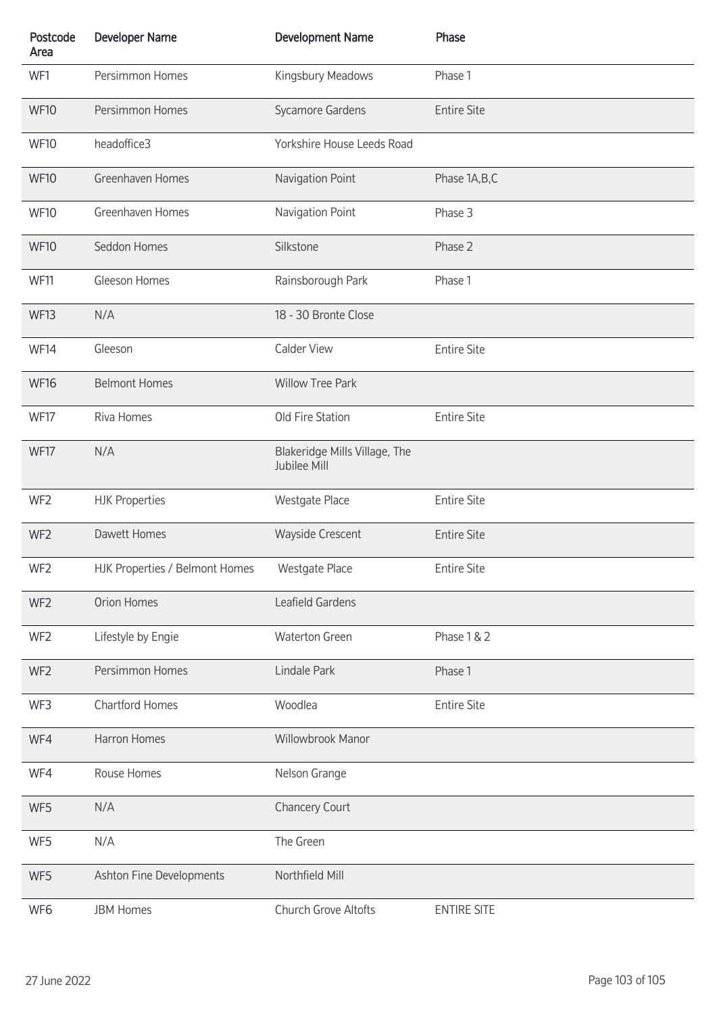| Postcode<br>Area | <b>Developer Name</b>          | <b>Development Name</b>                       | Phase              |
|------------------|--------------------------------|-----------------------------------------------|--------------------|
| WF1              | Persimmon Homes                | Kingsbury Meadows                             | Phase 1            |
| <b>WF10</b>      | Persimmon Homes                | Sycamore Gardens                              | <b>Entire Site</b> |
| <b>WF10</b>      | headoffice3                    | Yorkshire House Leeds Road                    |                    |
| <b>WF10</b>      | Greenhaven Homes               | Navigation Point                              | Phase 1A, B, C     |
| <b>WF10</b>      | Greenhaven Homes               | Navigation Point                              | Phase 3            |
| <b>WF10</b>      | Seddon Homes                   | Silkstone                                     | Phase 2            |
| <b>WF11</b>      | Gleeson Homes                  | Rainsborough Park                             | Phase 1            |
| <b>WF13</b>      | N/A                            | 18 - 30 Bronte Close                          |                    |
| WF14             | Gleeson                        | <b>Calder View</b>                            | <b>Entire Site</b> |
| <b>WF16</b>      | <b>Belmont Homes</b>           | <b>Willow Tree Park</b>                       |                    |
| <b>WF17</b>      | Riva Homes                     | Old Fire Station                              | <b>Entire Site</b> |
| WF17             | N/A                            | Blakeridge Mills Village, The<br>Jubilee Mill |                    |
| WF <sub>2</sub>  | <b>HJK Properties</b>          | Westgate Place                                | <b>Entire Site</b> |
| WF <sub>2</sub>  | Dawett Homes                   | Wayside Crescent                              | <b>Entire Site</b> |
| WF <sub>2</sub>  | HJK Properties / Belmont Homes | Westgate Place                                | <b>Entire Site</b> |
| WF <sub>2</sub>  | Orion Homes                    | Leafield Gardens                              |                    |
| WF <sub>2</sub>  | Lifestyle by Engie             | Waterton Green                                | Phase 1 & 2        |
| WF <sub>2</sub>  | Persimmon Homes                | Lindale Park                                  | Phase 1            |
| WF3              | <b>Chartford Homes</b>         | Woodlea                                       | <b>Entire Site</b> |
| WF4              | Harron Homes                   | Willowbrook Manor                             |                    |
| WF4              | Rouse Homes                    | Nelson Grange                                 |                    |
| WF5              | N/A                            | Chancery Court                                |                    |
| WF5              | N/A                            | The Green                                     |                    |
| WF5              | Ashton Fine Developments       | Northfield Mill                               |                    |
| WF6              | <b>JBM Homes</b>               | Church Grove Altofts                          | <b>ENTIRE SITE</b> |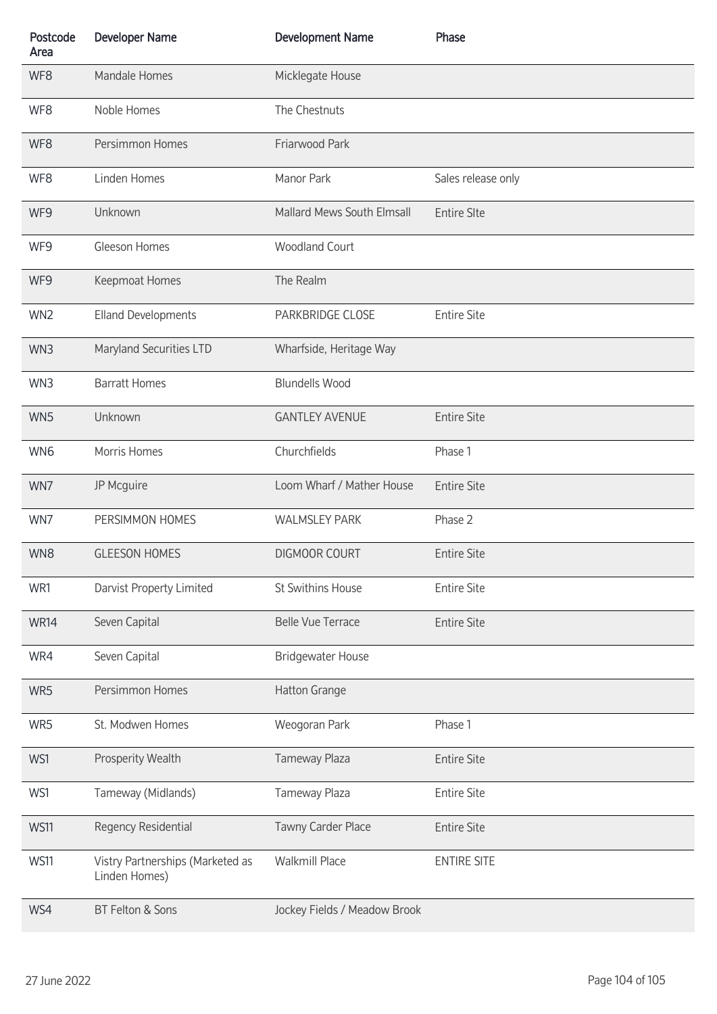| Postcode<br>Area | <b>Developer Name</b>                             | <b>Development Name</b>      | Phase              |
|------------------|---------------------------------------------------|------------------------------|--------------------|
| WF8              | Mandale Homes                                     | Micklegate House             |                    |
| WF8              | Noble Homes                                       | The Chestnuts                |                    |
| WF8              | Persimmon Homes                                   | Friarwood Park               |                    |
| WF8              | Linden Homes                                      | Manor Park                   | Sales release only |
| WF9              | Unknown                                           | Mallard Mews South Elmsall   | <b>Entire SIte</b> |
| WF9              | Gleeson Homes                                     | <b>Woodland Court</b>        |                    |
| WF9              | Keepmoat Homes                                    | The Realm                    |                    |
| WN <sub>2</sub>  | <b>Elland Developments</b>                        | PARKBRIDGE CLOSE             | <b>Entire Site</b> |
| WN3              | Maryland Securities LTD                           | Wharfside, Heritage Way      |                    |
| WN3              | <b>Barratt Homes</b>                              | <b>Blundells Wood</b>        |                    |
| WN5              | Unknown                                           | <b>GANTLEY AVENUE</b>        | <b>Entire Site</b> |
| WN6              | Morris Homes                                      | Churchfields                 | Phase 1            |
| WN7              | JP Mcguire                                        | Loom Wharf / Mather House    | <b>Entire Site</b> |
| WN7              | PERSIMMON HOMES                                   | <b>WALMSLEY PARK</b>         | Phase 2            |
| WN8              | <b>GLEESON HOMES</b>                              | <b>DIGMOOR COURT</b>         | <b>Entire Site</b> |
| WR1              | Darvist Property Limited                          | St Swithins House            | <b>Entire Site</b> |
| <b>WR14</b>      | Seven Capital                                     | <b>Belle Vue Terrace</b>     | <b>Entire Site</b> |
| WR4              | Seven Capital                                     | <b>Bridgewater House</b>     |                    |
| WR5              | Persimmon Homes                                   | Hatton Grange                |                    |
| WR5              | St. Modwen Homes                                  | Weogoran Park                | Phase 1            |
| WS1              | Prosperity Wealth                                 | Tameway Plaza                | <b>Entire Site</b> |
| WS1              | Tameway (Midlands)                                | Tameway Plaza                | <b>Entire Site</b> |
| <b>WS11</b>      | Regency Residential                               | Tawny Carder Place           | <b>Entire Site</b> |
| <b>WS11</b>      | Vistry Partnerships (Marketed as<br>Linden Homes) | <b>Walkmill Place</b>        | <b>ENTIRE SITE</b> |
| WS4              | BT Felton & Sons                                  | Jockey Fields / Meadow Brook |                    |